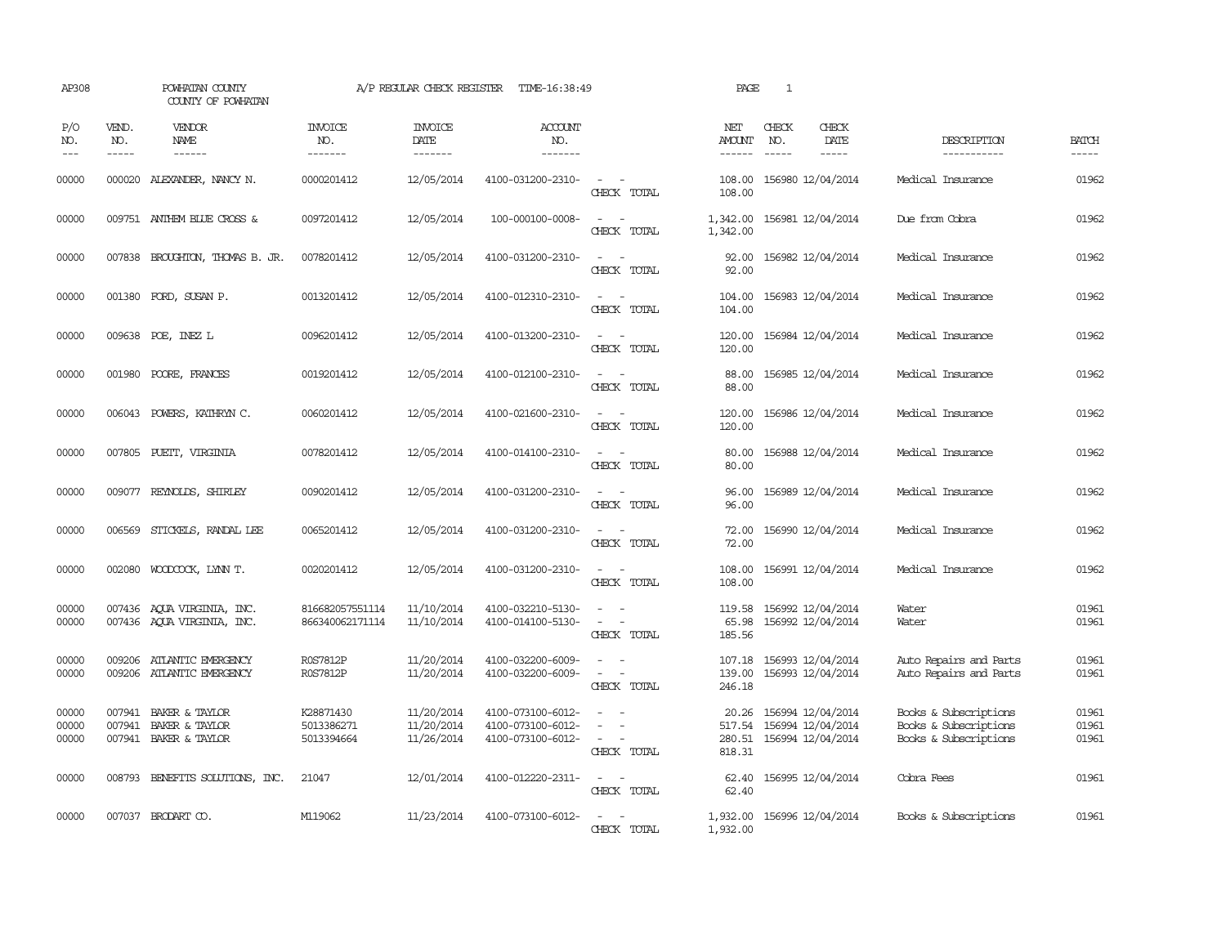| AP308                                                                                                                                                                                                                                                                                                                                                                                                      |                               | POWHATAN COUNTY<br>COUNTY OF POWHATAN                     |                                       | A/P REGULAR CHECK REGISTER             | TIME-16:38:49                                               |                                                                                                                                                 | PAGE                                | $\mathbf{1}$                |                                                             |                                                                         |                             |
|------------------------------------------------------------------------------------------------------------------------------------------------------------------------------------------------------------------------------------------------------------------------------------------------------------------------------------------------------------------------------------------------------------|-------------------------------|-----------------------------------------------------------|---------------------------------------|----------------------------------------|-------------------------------------------------------------|-------------------------------------------------------------------------------------------------------------------------------------------------|-------------------------------------|-----------------------------|-------------------------------------------------------------|-------------------------------------------------------------------------|-----------------------------|
| P/O<br>NO.<br>$\frac{1}{2} \frac{1}{2} \frac{1}{2} \frac{1}{2} \frac{1}{2} \frac{1}{2} \frac{1}{2} \frac{1}{2} \frac{1}{2} \frac{1}{2} \frac{1}{2} \frac{1}{2} \frac{1}{2} \frac{1}{2} \frac{1}{2} \frac{1}{2} \frac{1}{2} \frac{1}{2} \frac{1}{2} \frac{1}{2} \frac{1}{2} \frac{1}{2} \frac{1}{2} \frac{1}{2} \frac{1}{2} \frac{1}{2} \frac{1}{2} \frac{1}{2} \frac{1}{2} \frac{1}{2} \frac{1}{2} \frac{$ | VEND.<br>NO.<br>$\frac{1}{2}$ | <b>VENDOR</b><br>NAME<br>$- - - - - -$                    | <b>INVOICE</b><br>NO.<br>-------      | <b>INVOICE</b><br>DATE<br>-------      | <b>ACCOUNT</b><br>NO.<br>-------                            |                                                                                                                                                 | NET<br>AMOUNT<br>------             | CHECK<br>NO.<br>$- - - - -$ | CHECK<br>DATE<br>$- - - - -$                                | DESCRIPTION<br>-----------                                              | <b>BATCH</b><br>$- - - - -$ |
| 00000                                                                                                                                                                                                                                                                                                                                                                                                      |                               | 000020 ALEXANDER, NANCY N.                                | 0000201412                            | 12/05/2014                             | 4100-031200-2310-                                           | $\omega_{\rm{max}}$ and $\omega_{\rm{max}}$<br>CHECK TOTAL                                                                                      | 108.00<br>108.00                    |                             | 156980 12/04/2014                                           | Medical Insurance                                                       | 01962                       |
| 00000                                                                                                                                                                                                                                                                                                                                                                                                      |                               | 009751 ANTHEM BLUE CROSS &                                | 0097201412                            | 12/05/2014                             | 100-000100-0008-                                            | $\sim$<br>$\sim$<br>CHECK TOTAL                                                                                                                 | 1,342.00<br>1,342.00                |                             | 156981 12/04/2014                                           | Due from Cobra                                                          | 01962                       |
| 00000                                                                                                                                                                                                                                                                                                                                                                                                      |                               | 007838 BROUGHTON, THOMAS B. JR.                           | 0078201412                            | 12/05/2014                             | 4100-031200-2310-                                           | $\sim$ $\sim$<br>CHECK TOTAL                                                                                                                    | 92.00<br>92.00                      |                             | 156982 12/04/2014                                           | Medical Insurance                                                       | 01962                       |
| 00000                                                                                                                                                                                                                                                                                                                                                                                                      |                               | 001380 FORD, SUSAN P.                                     | 0013201412                            | 12/05/2014                             | 4100-012310-2310-                                           | $\sim$ 100 $\sim$<br>CHECK TOTAL                                                                                                                | 104.00<br>104.00                    |                             | 156983 12/04/2014                                           | Medical Insurance                                                       | 01962                       |
| 00000                                                                                                                                                                                                                                                                                                                                                                                                      |                               | 009638 POE, INEZ L                                        | 0096201412                            | 12/05/2014                             | 4100-013200-2310-                                           | $\equiv$<br>CHECK TOTAL                                                                                                                         | 120.00<br>120.00                    |                             | 156984 12/04/2014                                           | Medical Insurance                                                       | 01962                       |
| 00000                                                                                                                                                                                                                                                                                                                                                                                                      | 001980                        | POORE, FRANCES                                            | 0019201412                            | 12/05/2014                             | 4100-012100-2310-                                           | $\sim$<br>$\sim$<br>CHECK TOTAL                                                                                                                 | 88.00<br>88.00                      |                             | 156985 12/04/2014                                           | Medical Insurance                                                       | 01962                       |
| 00000                                                                                                                                                                                                                                                                                                                                                                                                      | 006043                        | POWERS, KATHRYN C.                                        | 0060201412                            | 12/05/2014                             | 4100-021600-2310-                                           | $\frac{1}{2} \left( \frac{1}{2} \right) \left( \frac{1}{2} \right) \left( \frac{1}{2} \right) \left( \frac{1}{2} \right)$<br>CHECK TOTAL        | 120.00<br>120.00                    |                             | 156986 12/04/2014                                           | Medical Insurance                                                       | 01962                       |
| 00000                                                                                                                                                                                                                                                                                                                                                                                                      |                               | 007805 PUEIT, VIRGINIA                                    | 0078201412                            | 12/05/2014                             | 4100-014100-2310-                                           | $\sim$<br>CHECK TOTAL                                                                                                                           | 80.00<br>80.00                      |                             | 156988 12/04/2014                                           | Medical Insurance                                                       | 01962                       |
| 00000                                                                                                                                                                                                                                                                                                                                                                                                      |                               | 009077 REYNOLDS, SHIRLEY                                  | 0090201412                            | 12/05/2014                             | 4100-031200-2310-                                           | $ -$<br>CHECK TOTAL                                                                                                                             | 96.00<br>96.00                      |                             | 156989 12/04/2014                                           | Medical Insurance                                                       | 01962                       |
| 00000                                                                                                                                                                                                                                                                                                                                                                                                      | 006569                        | STICKELS, RANDAL LEE                                      | 0065201412                            | 12/05/2014                             | 4100-031200-2310-                                           | $\sim$<br>$\sim$<br>CHECK TOTAL                                                                                                                 | 72.00<br>72.00                      |                             | 156990 12/04/2014                                           | Medical Insurance                                                       | 01962                       |
| 00000                                                                                                                                                                                                                                                                                                                                                                                                      | 002080                        | WOODCOCK, LYNN T.                                         | 0020201412                            | 12/05/2014                             | 4100-031200-2310-                                           | CHECK TOTAL                                                                                                                                     | 108.00<br>108.00                    |                             | 156991 12/04/2014                                           | Medical Insurance                                                       | 01962                       |
| 00000<br>00000                                                                                                                                                                                                                                                                                                                                                                                             |                               | 007436 AQUA VIRGINIA, INC.<br>007436 AQUA VIRGINIA, INC.  | 816682057551114<br>866340062171114    | 11/10/2014<br>11/10/2014               | 4100-032210-5130-<br>4100-014100-5130-                      | $\sim$<br>$\sim$<br>$\frac{1}{2} \left( \frac{1}{2} \right) \left( \frac{1}{2} \right) = \frac{1}{2} \left( \frac{1}{2} \right)$<br>CHECK TOTAL | 119.58<br>65.98<br>185.56           |                             | 156992 12/04/2014<br>156992 12/04/2014                      | Water<br>Water                                                          | 01961<br>01961              |
| 00000<br>00000                                                                                                                                                                                                                                                                                                                                                                                             | 009206                        | ATLANTIC EMERGENCY<br>009206 ATLANTIC EMERGENCY           | R0S7812P<br>R0S7812P                  | 11/20/2014<br>11/20/2014               | 4100-032200-6009-<br>4100-032200-6009-                      | CHECK TOTAL                                                                                                                                     | 107.18<br>139.00<br>246.18          |                             | 156993 12/04/2014<br>156993 12/04/2014                      | Auto Repairs and Parts<br>Auto Repairs and Parts                        | 01961<br>01961              |
| 00000<br>00000<br>00000                                                                                                                                                                                                                                                                                                                                                                                    | 007941<br>007941              | BAKER & TAYLOR<br>BAKER & TAYLOR<br>007941 BAKER & TAYLOR | K28871430<br>5013386271<br>5013394664 | 11/20/2014<br>11/20/2014<br>11/26/2014 | 4100-073100-6012-<br>4100-073100-6012-<br>4100-073100-6012- | $\sim$<br>CHECK TOTAL                                                                                                                           | 20.26<br>517.54<br>280.51<br>818.31 |                             | 156994 12/04/2014<br>156994 12/04/2014<br>156994 12/04/2014 | Books & Subscriptions<br>Books & Subscriptions<br>Books & Subscriptions | 01961<br>01961<br>01961     |
| 00000                                                                                                                                                                                                                                                                                                                                                                                                      |                               | 008793 BENEFITS SOLUTIONS, INC.                           | 21047                                 | 12/01/2014                             | 4100-012220-2311-                                           | $\overline{\phantom{a}}$<br>CHECK TOTAL                                                                                                         | 62.40<br>62.40                      |                             | 156995 12/04/2014                                           | Cobra Fees                                                              | 01961                       |
| 00000                                                                                                                                                                                                                                                                                                                                                                                                      |                               | 007037 BRODART CO.                                        | M119062                               | 11/23/2014                             | 4100-073100-6012-                                           | $\frac{1}{2} \left( \frac{1}{2} \right) \left( \frac{1}{2} \right) = \frac{1}{2} \left( \frac{1}{2} \right)$<br>CHECK TOTAL                     | 1,932.00<br>1,932.00                |                             | 156996 12/04/2014                                           | Books & Subscriptions                                                   | 01961                       |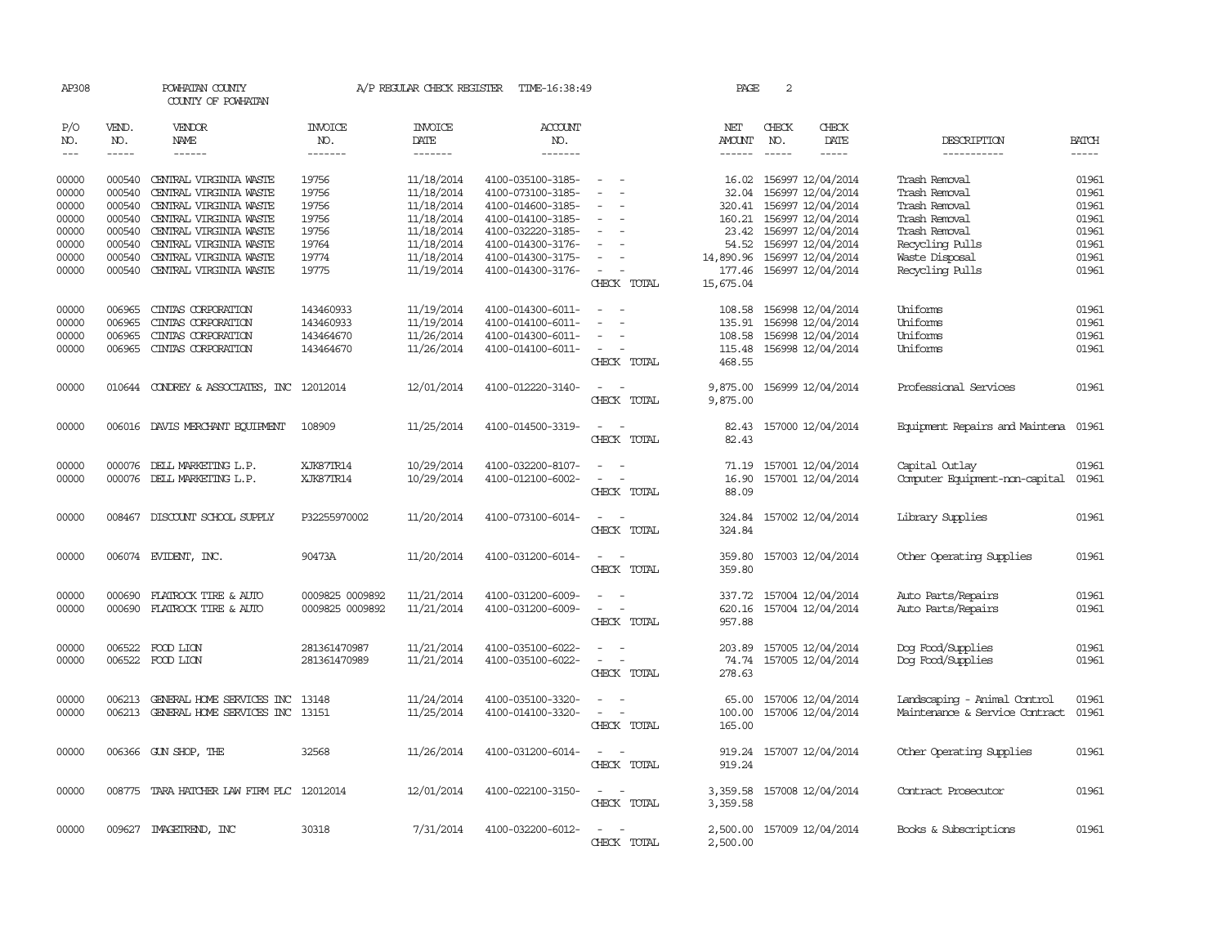| AP308               |                                                                                                                                                                                                                                                                                                                                                                                                                                                                         | POWHATAN COUNTY<br>COUNTY OF POWHATAN     |                                  | A/P REGULAR CHECK REGISTER        | TIME-16:38:49                    |                                                          | PAGE                | 2            |                            |                                |              |
|---------------------|-------------------------------------------------------------------------------------------------------------------------------------------------------------------------------------------------------------------------------------------------------------------------------------------------------------------------------------------------------------------------------------------------------------------------------------------------------------------------|-------------------------------------------|----------------------------------|-----------------------------------|----------------------------------|----------------------------------------------------------|---------------------|--------------|----------------------------|--------------------------------|--------------|
| P/O<br>NO.<br>$---$ | VEND.<br>NO.<br>$\begin{tabular}{ccccc} \multicolumn{2}{c }{\multicolumn{2}{c }{\multicolumn{2}{c }{\multicolumn{2}{c}}{\hspace{-2.2cm}}}} \multicolumn{2}{c }{\multicolumn{2}{c }{\hspace{-2.2cm}}\hline} \multicolumn{2}{c }{\hspace{-2.2cm}}\hline \multicolumn{2}{c }{\hspace{-2.2cm}}\hline \multicolumn{2}{c }{\hspace{-2.2cm}}\hline \multicolumn{2}{c }{\hspace{-2.2cm}}\hline \multicolumn{2}{c }{\hspace{-2.2cm}}\hline \multicolumn{2}{c }{\hspace{-2.2cm}}$ | <b>VENDOR</b><br>NAME<br>------           | <b>INVOICE</b><br>NO.<br>------- | <b>INVOICE</b><br>DATE<br>------- | <b>ACCOUNT</b><br>NO.<br>------- |                                                          | NET<br>AMOUNT       | CHECK<br>NO. | CHECK<br>DATE              | DESCRIPTION                    | <b>BATCH</b> |
|                     |                                                                                                                                                                                                                                                                                                                                                                                                                                                                         |                                           |                                  |                                   |                                  |                                                          |                     |              |                            | -----------                    |              |
| 00000               | 000540                                                                                                                                                                                                                                                                                                                                                                                                                                                                  | CENTRAL VIRGINIA WASTE                    | 19756                            | 11/18/2014                        | 4100-035100-3185-                |                                                          | 16.02               |              | 156997 12/04/2014          | Trash Removal                  | 01961        |
| 00000               | 000540                                                                                                                                                                                                                                                                                                                                                                                                                                                                  | CENTRAL VIRGINIA WASTE                    | 19756                            | 11/18/2014                        | 4100-073100-3185-                | $\overline{\phantom{a}}$                                 | 32.04               |              | 156997 12/04/2014          | Trash Removal                  | 01961        |
| 00000               | 000540                                                                                                                                                                                                                                                                                                                                                                                                                                                                  | CENTRAL VIRGINIA WASTE                    | 19756                            | 11/18/2014                        | 4100-014600-3185-                | $\sim$                                                   | 320.41              |              | 156997 12/04/2014          | Trash Removal                  | 01961        |
| 00000               | 000540                                                                                                                                                                                                                                                                                                                                                                                                                                                                  | CENTRAL VIRGINIA WASTE                    | 19756                            | 11/18/2014                        | 4100-014100-3185-                |                                                          | 160.21              |              | 156997 12/04/2014          | Trash Removal                  | 01961        |
| 00000               |                                                                                                                                                                                                                                                                                                                                                                                                                                                                         | 000540 CENTRAL VIRGINIA WASTE             | 19756                            | 11/18/2014                        | 4100-032220-3185-                | $\sim$<br>$\overline{\phantom{a}}$                       |                     |              | 23.42 156997 12/04/2014    | Trash Removal                  | 01961        |
| 00000               | 000540                                                                                                                                                                                                                                                                                                                                                                                                                                                                  | CENTRAL VIRGINIA WASTE                    | 19764                            | 11/18/2014                        | 4100-014300-3176-                | $\sim$                                                   | 54.52               |              | 156997 12/04/2014          | Recycling Pulls                | 01961        |
| 00000               | 000540                                                                                                                                                                                                                                                                                                                                                                                                                                                                  | CENTRAL VIRGINIA WASTE                    | 19774                            | 11/18/2014                        | 4100-014300-3175-                | $\overline{\phantom{a}}$                                 | 14,890.96           |              | 156997 12/04/2014          | Waste Disposal                 | 01961        |
| 00000               |                                                                                                                                                                                                                                                                                                                                                                                                                                                                         | 000540 CENTRAL VIRGINIA WASTE             | 19775                            | 11/19/2014                        | 4100-014300-3176-                | $\sim$<br>CHECK TOTAL                                    | 177.46<br>15,675.04 |              | 156997 12/04/2014          | Recycling Pulls                | 01961        |
| 00000               | 006965                                                                                                                                                                                                                                                                                                                                                                                                                                                                  | CINIAS CORPORATION                        | 143460933                        | 11/19/2014                        | 4100-014300-6011-                |                                                          | 108.58              |              | 156998 12/04/2014          | Uniforms                       | 01961        |
| 00000               | 006965                                                                                                                                                                                                                                                                                                                                                                                                                                                                  | CINTAS CORPORATION                        | 143460933                        | 11/19/2014                        | 4100-014100-6011-                | $\equiv$                                                 | 135.91              |              | 156998 12/04/2014          | Uniforms                       | 01961        |
| 00000               | 006965                                                                                                                                                                                                                                                                                                                                                                                                                                                                  | CINIAS CORPORATION                        | 143464670                        | 11/26/2014                        | 4100-014300-6011-                | $\sim$                                                   | 108.58              |              | 156998 12/04/2014          | Uniforms                       | 01961        |
| 00000               | 006965                                                                                                                                                                                                                                                                                                                                                                                                                                                                  | CINIAS CORPORATION                        | 143464670                        | 11/26/2014                        | 4100-014100-6011-                | $\sim$<br>$\hspace{0.1mm}-\hspace{0.1mm}$<br>CHECK TOTAL | 115.48<br>468.55    |              | 156998 12/04/2014          | Uniforms                       | 01961        |
| 00000               |                                                                                                                                                                                                                                                                                                                                                                                                                                                                         | 010644 CONDREY & ASSOCIATES, INC          | 12012014                         | 12/01/2014                        | 4100-012220-3140-                | $\hspace{0.1mm}-\hspace{0.1mm}$<br>$\sim$                | 9,875.00            |              | 156999 12/04/2014          | Professional Services          | 01961        |
|                     |                                                                                                                                                                                                                                                                                                                                                                                                                                                                         |                                           |                                  |                                   |                                  | CHECK TOTAL                                              | 9,875.00            |              |                            |                                |              |
| 00000               |                                                                                                                                                                                                                                                                                                                                                                                                                                                                         | 006016 DAVIS MERCHANT EQUIPMENT           | 108909                           | 11/25/2014                        | 4100-014500-3319-                | $\sim$<br>$\sim$<br>CHECK TOTAL                          | 82.43<br>82.43      |              | 157000 12/04/2014          | Equipment Repairs and Maintena | 01961        |
|                     |                                                                                                                                                                                                                                                                                                                                                                                                                                                                         |                                           |                                  |                                   |                                  |                                                          |                     |              |                            |                                |              |
| 00000               |                                                                                                                                                                                                                                                                                                                                                                                                                                                                         | 000076 DELL MARKETING L.P.                | XJK87TR14                        | 10/29/2014                        | 4100-032200-8107-                | $\sim$                                                   | 71.19               |              | 157001 12/04/2014          | Capital Outlay                 | 01961        |
| 00000               |                                                                                                                                                                                                                                                                                                                                                                                                                                                                         | 000076 DELL MARKETING L.P.                | XJK87TR14                        | 10/29/2014                        | 4100-012100-6002-                | $\sim$<br>$\overline{\phantom{a}}$<br>CHECK TOTAL        | 16.90<br>88.09      |              | 157001 12/04/2014          | Computer Equipment-non-capital | 01961        |
| 00000               |                                                                                                                                                                                                                                                                                                                                                                                                                                                                         | 008467 DISCOUNT SCHOOL SUPPLY             | P32255970002                     | 11/20/2014                        | 4100-073100-6014-                | $\sim$<br>- -                                            | 324.84              |              | 157002 12/04/2014          | Library Supplies               | 01961        |
|                     |                                                                                                                                                                                                                                                                                                                                                                                                                                                                         |                                           |                                  |                                   |                                  | CHECK TOTAL                                              | 324.84              |              |                            |                                |              |
| 00000               |                                                                                                                                                                                                                                                                                                                                                                                                                                                                         | 006074 EVIDENT, INC.                      | 90473A                           | 11/20/2014                        | 4100-031200-6014-                | $\sim$<br>$\sim$<br>CHECK TOTAL                          | 359.80<br>359.80    |              | 157003 12/04/2014          | Other Operating Supplies       | 01961        |
|                     |                                                                                                                                                                                                                                                                                                                                                                                                                                                                         |                                           |                                  |                                   |                                  |                                                          |                     |              |                            |                                |              |
| 00000               | 000690                                                                                                                                                                                                                                                                                                                                                                                                                                                                  | FLATROCK TIRE & AUTO                      | 0009825 0009892                  | 11/21/2014                        | 4100-031200-6009-                |                                                          | 337.72              |              | 157004 12/04/2014          | Auto Parts/Repairs             | 01961        |
| 00000               |                                                                                                                                                                                                                                                                                                                                                                                                                                                                         | 000690 FLATROCK TIRE & AUTO               | 0009825 0009892                  | 11/21/2014                        | 4100-031200-6009-                | $\sim$<br>$\sim$                                         | 620.16              |              | 157004 12/04/2014          | Auto Parts/Repairs             | 01961        |
|                     |                                                                                                                                                                                                                                                                                                                                                                                                                                                                         |                                           |                                  |                                   |                                  | CHECK TOTAL                                              | 957.88              |              |                            |                                |              |
| 00000               |                                                                                                                                                                                                                                                                                                                                                                                                                                                                         | 006522 FOOD LION                          | 281361470987                     | 11/21/2014                        | 4100-035100-6022-                | $\equiv$<br>$\overline{\phantom{a}}$                     | 203.89              |              | 157005 12/04/2014          | Dog Food/Supplies              | 01961        |
| 00000               |                                                                                                                                                                                                                                                                                                                                                                                                                                                                         | 006522 FOOD LION                          | 281361470989                     | 11/21/2014                        | 4100-035100-6022-                | $\overline{\phantom{a}}$<br>$\overline{\phantom{a}}$     | 74.74               |              | 157005 12/04/2014          | Dog Food/Supplies              | 01961        |
|                     |                                                                                                                                                                                                                                                                                                                                                                                                                                                                         |                                           |                                  |                                   |                                  | CHECK TOTAL                                              | 278.63              |              |                            |                                |              |
| 00000               | 006213                                                                                                                                                                                                                                                                                                                                                                                                                                                                  | GENERAL HOME SERVICES INC                 | 13148                            | 11/24/2014                        | 4100-035100-3320-                | $\sim$                                                   | 65.00               |              | 157006 12/04/2014          | Landscaping - Animal Control   | 01961        |
| 00000               | 006213                                                                                                                                                                                                                                                                                                                                                                                                                                                                  | GENERAL HOME SERVICES INC                 | 13151                            | 11/25/2014                        | 4100-014100-3320-                | $\sim$<br>$\sim$                                         | 100.00              |              | 157006 12/04/2014          | Maintenance & Service Contract | 01961        |
|                     |                                                                                                                                                                                                                                                                                                                                                                                                                                                                         |                                           |                                  |                                   |                                  | CHECK TOTAL                                              | 165.00              |              |                            |                                |              |
| 00000               |                                                                                                                                                                                                                                                                                                                                                                                                                                                                         | 006366 GUN SHOP, THE                      | 32568                            | 11/26/2014                        | 4100-031200-6014-                | $\sim$<br>$\overline{\phantom{a}}$                       | 919.24              |              | 157007 12/04/2014          | Other Operating Supplies       | 01961        |
|                     |                                                                                                                                                                                                                                                                                                                                                                                                                                                                         |                                           |                                  |                                   |                                  | CHECK TOTAL                                              | 919.24              |              |                            |                                |              |
| 00000               |                                                                                                                                                                                                                                                                                                                                                                                                                                                                         | 008775 TARA HATCHER LAW FIRM PLC 12012014 |                                  | 12/01/2014                        | 4100-022100-3150-                | $\sim$                                                   | 3,359.58            |              | 157008 12/04/2014          | Contract Prosecutor            | 01961        |
|                     |                                                                                                                                                                                                                                                                                                                                                                                                                                                                         |                                           |                                  |                                   |                                  | CHECK TOTAL                                              | 3,359.58            |              |                            |                                |              |
| 00000               |                                                                                                                                                                                                                                                                                                                                                                                                                                                                         | 009627 IMAGETREND, INC                    | 30318                            | 7/31/2014                         | 4100-032200-6012-                | $\sim$<br>$\overline{\phantom{a}}$                       |                     |              | 2,500.00 157009 12/04/2014 | Books & Subscriptions          | 01961        |
|                     |                                                                                                                                                                                                                                                                                                                                                                                                                                                                         |                                           |                                  |                                   |                                  | CHECK TOTAL                                              | 2,500.00            |              |                            |                                |              |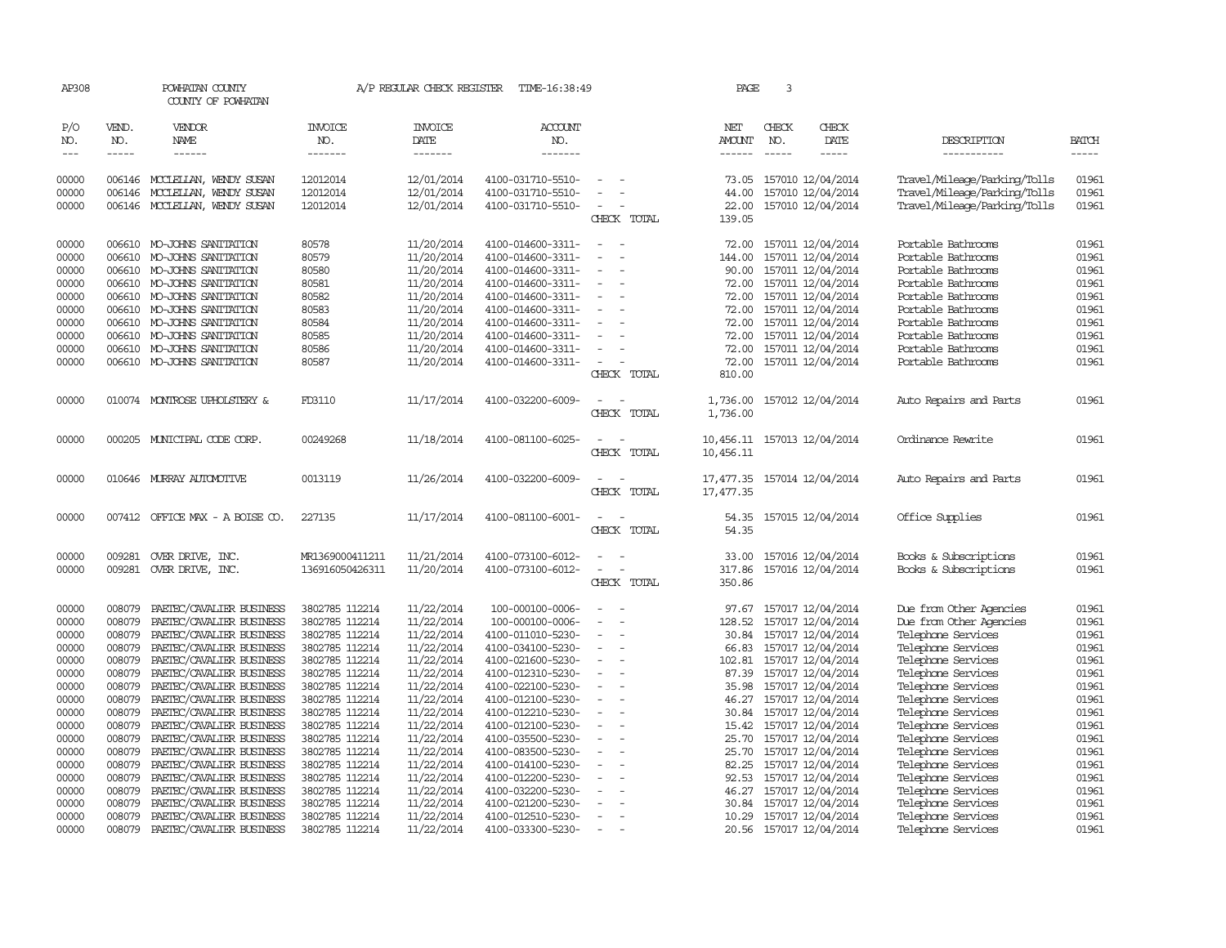| AP308          |                  | POWHATAN COUNTY<br>COUNTY OF POWHATAN                |                                  | A/P REGULAR CHECK REGISTER | TIME-16:38:49                          |                                                      | PAGE                        | 3            |                                              |                                          |                |
|----------------|------------------|------------------------------------------------------|----------------------------------|----------------------------|----------------------------------------|------------------------------------------------------|-----------------------------|--------------|----------------------------------------------|------------------------------------------|----------------|
| P/O<br>NO.     | VEND.<br>NO.     | VENDOR<br>NAME                                       | <b>INVOICE</b><br>NO.            | <b>INVOICE</b><br>DATE     | <b>ACCOUNT</b><br>NO.                  |                                                      | NET<br>AMOUNT               | CHECK<br>NO. | CHECK<br>DATE                                | DESCRIPTION                              | <b>BATCH</b>   |
| $\frac{1}{2}$  | $- - - - -$      | ------                                               | -------                          | -------                    | -------                                |                                                      | $- - - - - -$               | $- - - - -$  | -----                                        | -----------                              | $- - - - -$    |
| 00000          |                  | 006146 MCCLELLAN, WENDY SUSAN                        | 12012014                         | 12/01/2014                 | 4100-031710-5510-                      | $\sim$                                               | 73.05                       |              | 157010 12/04/2014                            | Travel/Mileage/Parking/Tolls             | 01961          |
| 00000          | 006146           | MCCLEILAN, WENDY SUSAN                               | 12012014                         | 12/01/2014                 | 4100-031710-5510-                      | $\overline{\phantom{a}}$                             | 44.00                       |              | 157010 12/04/2014                            | Travel/Mileage/Parking/Tolls             | 01961          |
| 00000          |                  | 006146 MCCLELLAN, WENDY SUSAN                        | 12012014                         | 12/01/2014                 | 4100-031710-5510-                      | $\sim$                                               | 22.00                       |              | 157010 12/04/2014                            | Travel/Mileage/Parking/Tolls             | 01961          |
|                |                  |                                                      |                                  |                            |                                        | CHECK TOTAL                                          | 139.05                      |              |                                              |                                          |                |
| 00000          |                  | 006610 MO-JOHNS SANITATION                           | 80578                            | 11/20/2014                 | 4100-014600-3311-                      | $\overline{\phantom{a}}$                             |                             |              | 72.00 157011 12/04/2014                      | Portable Bathrooms                       | 01961          |
| 00000          | 006610           | MO-JOHNS SANITATION                                  | 80579                            | 11/20/2014                 | 4100-014600-3311-                      | $\sim$                                               | 144.00                      |              | 157011 12/04/2014                            | Portable Bathrooms                       | 01961          |
| 00000          |                  | 006610 MO-JOHNS SANITATION                           | 80580                            | 11/20/2014                 | 4100-014600-3311-                      | $\sim$<br>$\overline{\phantom{a}}$                   | 90.00                       |              | 157011 12/04/2014                            | Portable Bathrooms                       | 01961          |
| 00000          |                  | 006610 MO-JOHNS SANITATION                           | 80581                            | 11/20/2014                 | 4100-014600-3311-                      | $\overline{\phantom{a}}$                             | 72.00                       |              | 157011 12/04/2014                            | Portable Bathrooms                       | 01961          |
| 00000          |                  | 006610 MO-JOHNS SANITATION                           | 80582                            | 11/20/2014                 | 4100-014600-3311-                      |                                                      |                             |              | 72.00 157011 12/04/2014                      | Portable Bathrooms                       | 01961          |
| 00000          |                  | 006610 MO-JOHNS SANITATION                           | 80583                            | 11/20/2014                 | 4100-014600-3311-                      | $\equiv$<br>$\overline{\phantom{a}}$                 |                             |              | 72.00 157011 12/04/2014                      | Portable Bathrooms                       | 01961          |
| 00000          |                  | 006610 MO-JOHNS SANITATION                           | 80584                            | 11/20/2014                 | 4100-014600-3311-                      | $\sim$                                               | 72.00                       |              | 157011 12/04/2014                            | Portable Bathrooms                       | 01961          |
| 00000          |                  | 006610 MO-JOHNS SANITATION                           | 80585                            | 11/20/2014                 | 4100-014600-3311-                      | $\overline{\phantom{a}}$                             | 72.00                       |              | 157011 12/04/2014                            | Portable Bathrooms                       | 01961          |
| 00000          |                  | 006610 MO-JOHNS SANITATION                           | 80586                            | 11/20/2014                 | 4100-014600-3311-                      | $\overline{\phantom{a}}$<br>÷,                       |                             |              | 72.00 157011 12/04/2014                      | Portable Bathrooms                       | 01961          |
| 00000          |                  | 006610 MO-JOHNS SANITATION                           | 80587                            | 11/20/2014                 | 4100-014600-3311-                      | $\overline{\phantom{a}}$                             | 72.00                       |              | 157011 12/04/2014                            | Portable Bathrooms                       | 01961          |
|                |                  |                                                      |                                  |                            |                                        | CHECK TOTAL                                          | 810.00                      |              |                                              |                                          |                |
| 00000          |                  | 010074 MONIROSE UPHOLSTERY &                         | FD3110                           | 11/17/2014                 | 4100-032200-6009-                      | $\overline{\phantom{a}}$<br>÷,                       |                             |              | 1,736.00 157012 12/04/2014                   | Auto Repairs and Parts                   | 01961          |
|                |                  |                                                      |                                  |                            |                                        | CHECK TOTAL                                          | 1,736.00                    |              |                                              |                                          |                |
| 00000          |                  | 000205 MUNICIPAL CODE CORP.                          | 00249268                         | 11/18/2014                 | 4100-081100-6025-                      |                                                      | 10,456.11 157013 12/04/2014 |              |                                              | Ordinance Rewrite                        | 01961          |
|                |                  |                                                      |                                  |                            |                                        | CHECK TOTAL                                          | 10,456.11                   |              |                                              |                                          |                |
| 00000          |                  | 010646 MURRAY AUTOMOTTVE                             | 0013119                          | 11/26/2014                 | 4100-032200-6009-                      | $\overline{\phantom{a}}$                             | 17,477.35 157014 12/04/2014 |              |                                              | Auto Repairs and Parts                   | 01961          |
|                |                  |                                                      |                                  |                            |                                        | CHECK TOTAL                                          | 17,477.35                   |              |                                              |                                          |                |
| 00000          |                  | 007412 OFFICE MAX - A BOISE CO.                      | 227135                           | 11/17/2014                 | 4100-081100-6001-                      |                                                      |                             |              | 54.35 157015 12/04/2014                      | Office Supplies                          | 01961          |
|                |                  |                                                      |                                  |                            |                                        | CHECK TOTAL                                          | 54.35                       |              |                                              |                                          |                |
| 00000          | 009281           | OVER DRIVE, INC.                                     | MR1369000411211                  | 11/21/2014                 | 4100-073100-6012-                      |                                                      | 33.00                       |              | 157016 12/04/2014                            | Books & Subscriptions                    | 01961          |
| 00000          |                  | 009281 OVER DRIVE, INC.                              | 136916050426311                  | 11/20/2014                 | 4100-073100-6012-                      | $\overline{\phantom{a}}$<br>$\overline{\phantom{a}}$ | 317.86                      |              | 157016 12/04/2014                            | Books & Subscriptions                    | 01961          |
|                |                  |                                                      |                                  |                            |                                        | CHECK TOTAL                                          | 350.86                      |              |                                              |                                          |                |
| 00000          | 008079           | PAETEC/CAVALIER BUSINESS                             | 3802785 112214                   | 11/22/2014                 | 100-000100-0006-                       |                                                      | 97.67                       |              | 157017 12/04/2014                            | Due from Other Agencies                  | 01961          |
| 00000          | 008079           | PAETEC/CAVALIER BUSINESS                             | 3802785 112214                   | 11/22/2014                 | 100-000100-0006-                       | $\equiv$<br>$\overline{\phantom{a}}$                 |                             |              | 128.52 157017 12/04/2014                     | Due from Other Agencies                  | 01961          |
| 00000          | 008079           | PAETEC/CAVALIER BUSINESS                             | 3802785 112214                   | 11/22/2014                 | 4100-011010-5230-                      | $\overline{\phantom{a}}$<br>$\equiv$                 | 30.84                       |              | 157017 12/04/2014                            | Telephone Services                       | 01961          |
| 00000          | 008079           | PAETEC/CAVALIER BUSINESS                             | 3802785 112214                   | 11/22/2014                 | 4100-034100-5230-                      | $\overline{\phantom{a}}$                             |                             |              | 66.83 157017 12/04/2014                      | Telephone Services                       | 01961          |
| 00000          | 008079           | PAETEC/CAVALIER BUSINESS                             | 3802785 112214                   | 11/22/2014                 | 4100-021600-5230-                      | $\equiv$<br>$\sim$                                   | 102.81                      |              | 157017 12/04/2014                            | Telephone Services                       | 01961          |
| 00000          | 008079           | PAETEC/CAVALIER BUSINESS                             | 3802785 112214                   | 11/22/2014                 | 4100-012310-5230-                      | $\sim$                                               | 87.39                       |              | 157017 12/04/2014                            | Telephone Services                       | 01961          |
| 00000          | 008079           | PAETEC/CAVALIER BUSINESS                             | 3802785 112214                   | 11/22/2014                 | 4100-022100-5230-                      | $\sim$                                               | 35.98                       |              | 157017 12/04/2014                            | Telephone Services                       | 01961          |
| 00000          | 008079           | PAETEC/CAVALIER BUSINESS                             | 3802785 112214                   | 11/22/2014                 | 4100-012100-5230-                      | $\sim$<br>$\overline{\phantom{a}}$                   | 46.27                       |              | 157017 12/04/2014                            | Telephone Services                       | 01961          |
| 00000          | 008079           | PAETEC/CAVALIER BUSINESS                             | 3802785 112214                   | 11/22/2014                 | 4100-012210-5230-                      | $\overline{\phantom{a}}$<br>$\equiv$                 | 30.84                       |              | 157017 12/04/2014                            | Telephone Services                       | 01961          |
| 00000          | 008079           | PAETEC/CAVALIER BUSINESS                             | 3802785 112214                   | 11/22/2014                 | 4100-012100-5230-                      | $\overline{\phantom{a}}$                             | 15.42                       |              | 157017 12/04/2014                            | Telephone Services                       | 01961          |
| 00000          | 008079           | PAETEC/CAVALIER BUSINESS                             | 3802785 112214                   | 11/22/2014                 | 4100-035500-5230-                      |                                                      | 25.70                       |              | 157017 12/04/2014                            | Telephone Services                       | 01961          |
| 00000          | 008079           | PAETEC/CAVALIER BUSINESS                             | 3802785 112214                   | 11/22/2014                 | 4100-083500-5230-                      | $\overline{\phantom{a}}$<br>$\overline{\phantom{a}}$ |                             |              | 25.70 157017 12/04/2014                      | Telephone Services                       | 01961          |
| 00000          | 008079<br>008079 | PAETEC/CAVALIER BUSINESS                             | 3802785 112214                   | 11/22/2014<br>11/22/2014   | 4100-014100-5230-                      | $\overline{\phantom{a}}$                             | 82.25                       |              | 157017 12/04/2014                            | Telephone Services                       | 01961<br>01961 |
| 00000          |                  | PAETEC/CAVALIER BUSINESS                             | 3802785 112214                   |                            | 4100-012200-5230-                      | $\equiv$                                             | 92.53                       |              | 157017 12/04/2014                            | Telephone Services                       |                |
| 00000<br>00000 | 008079<br>008079 | PAETEC/CAVALIER BUSINESS                             | 3802785 112214                   | 11/22/2014                 | 4100-032200-5230-<br>4100-021200-5230- |                                                      | 46.27<br>30.84              |              | 157017 12/04/2014                            | Telephone Services                       | 01961<br>01961 |
| 00000          | 008079           | PAETEC/CAVALIER BUSINESS<br>PAETEC/CAVALIER BUSINESS | 3802785 112214<br>3802785 112214 | 11/22/2014<br>11/22/2014   | 4100-012510-5230-                      | $\sim$                                               |                             |              | 157017 12/04/2014<br>10.29 157017 12/04/2014 | Telephone Services<br>Telephone Services | 01961          |
| 00000          | 008079           | PAETEC/CAVALIER BUSINESS                             | 3802785 112214                   | 11/22/2014                 | 4100-033300-5230-                      | $\sim$                                               |                             |              | 20.56 157017 12/04/2014                      | Telephone Services                       | 01961          |
|                |                  |                                                      |                                  |                            |                                        |                                                      |                             |              |                                              |                                          |                |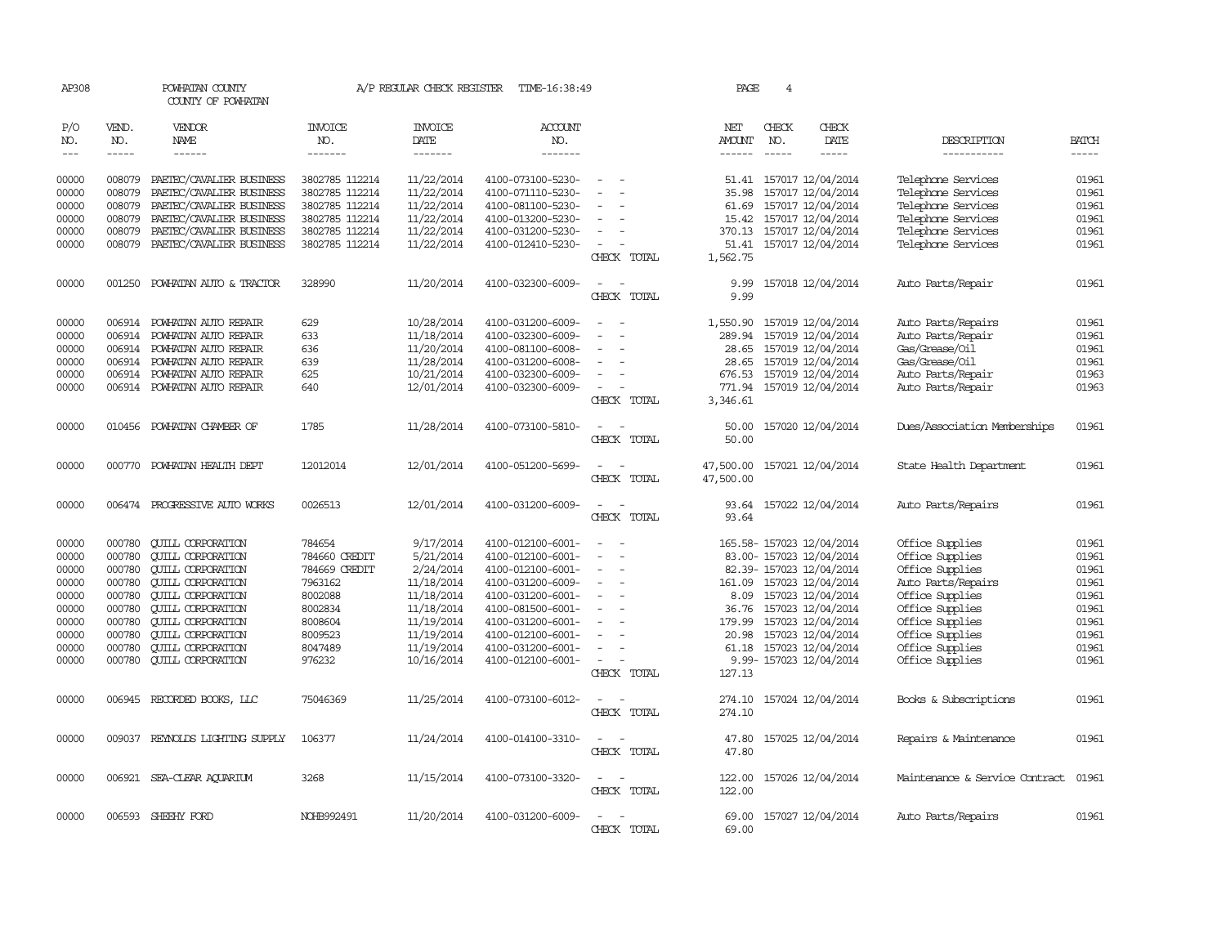| AP308                   |                            | POWHATAN COUNTY<br>COUNTY OF POWHATAN                                              |                                                    | A/P REGULAR CHECK REGISTER             | TIME-16:38:49                                               |                                         | PAGE                        | 4             |                                                                           |                                                                |                         |
|-------------------------|----------------------------|------------------------------------------------------------------------------------|----------------------------------------------------|----------------------------------------|-------------------------------------------------------------|-----------------------------------------|-----------------------------|---------------|---------------------------------------------------------------------------|----------------------------------------------------------------|-------------------------|
| P/O<br>NO.              | VEND.<br>NO.               | VENDOR<br>NAME                                                                     | INVOICE<br>NO.                                     | <b>INVOICE</b><br>DATE                 | ACCOUNT<br>NO.                                              |                                         | NET<br>AMOUNT               | CHECK<br>NO.  | CHECK<br>DATE                                                             | DESCRIPTION                                                    | <b>BATCH</b>            |
| $---$                   | -----                      | $- - - - - -$                                                                      | -------                                            | -------                                | -------                                                     |                                         |                             | $\frac{1}{2}$ | -----                                                                     | -----------                                                    | -----                   |
| 00000<br>00000<br>00000 | 008079<br>008079<br>008079 | PAETEC/CAVALIER BUSINESS<br>PAETEC/CAVALIER BUSINESS<br>PAETEC/CAVALIER BUSINESS   | 3802785 112214<br>3802785 112214<br>3802785 112214 | 11/22/2014<br>11/22/2014<br>11/22/2014 | 4100-073100-5230-<br>4100-071110-5230-<br>4100-081100-5230- | $\sim$<br>$\sim$                        | 35.98<br>61.69              |               | 51.41 157017 12/04/2014<br>157017 12/04/2014<br>157017 12/04/2014         | Telephone Services<br>Telephone Services<br>Telephone Services | 01961<br>01961<br>01961 |
| 00000<br>00000          | 008079<br>008079           | PAETEC/CAVALIER BUSINESS<br>PAETEC/CAVALIER BUSINESS                               | 3802785 112214<br>3802785 112214                   | 11/22/2014<br>11/22/2014               | 4100-013200-5230-<br>4100-031200-5230-                      |                                         | 15.42                       |               | 157017 12/04/2014<br>370.13 157017 12/04/2014                             | Telephone Services<br>Telephone Services                       | 01961<br>01961          |
| 00000                   | 008079                     | PAETEC/CAVALIER BUSINESS                                                           | 3802785 112214                                     | 11/22/2014                             | 4100-012410-5230-                                           | CHECK TOTAL                             | 1,562.75                    |               | 51.41 157017 12/04/2014                                                   | Telephone Services                                             | 01961                   |
| 00000                   | 001250                     | POWHATAN AUTO & TRACTOR                                                            | 328990                                             | 11/20/2014                             | 4100-032300-6009-                                           | $\overline{a}$<br>CHECK TOTAL           | 9.99<br>9.99                |               | 157018 12/04/2014                                                         | Auto Parts/Repair                                              | 01961                   |
| 00000<br>00000<br>00000 | 006914<br>006914           | 006914 POWHATAN AUTO REPAIR<br>POWHATAN AUTO REPAIR<br>POWHATAN AUTO REPAIR        | 629<br>633<br>636                                  | 10/28/2014<br>11/18/2014<br>11/20/2014 | 4100-031200-6009-<br>4100-032300-6009-<br>4100-081100-6008- | $\sim$                                  | 1,550.90<br>289.94<br>28.65 |               | 157019 12/04/2014<br>157019 12/04/2014<br>157019 12/04/2014               | Auto Parts/Repairs<br>Auto Parts/Repair<br>Gas/Grease/Oil      | 01961<br>01961<br>01961 |
| 00000<br>00000<br>00000 | 006914                     | POWHATAN AUTO REPAIR<br>006914 POWHATAN AUTO REPAIR<br>006914 POWHATAN AUTO REPAIR | 639<br>625<br>640                                  | 11/28/2014<br>10/21/2014<br>12/01/2014 | 4100-031200-6008-<br>4100-032300-6009-<br>4100-032300-6009- | $\overline{\phantom{a}}$<br>CHECK TOTAL | 28.65<br>676.53<br>3,346.61 |               | 157019 12/04/2014<br>157019 12/04/2014<br>771.94 157019 12/04/2014        | Gas/Grease/Oil<br>Auto Parts/Repair<br>Auto Parts/Repair       | 01961<br>01963<br>01963 |
| 00000                   | 010456                     | POWHATAN CHAMBER OF                                                                | 1785                                               | 11/28/2014                             | 4100-073100-5810-                                           | CHECK TOTAL                             | 50.00<br>50.00              |               | 157020 12/04/2014                                                         | Dues/Association Memberships                                   | 01961                   |
| 00000                   |                            | 000770 POWHATAN HEALTH DEPT                                                        | 12012014                                           | 12/01/2014                             | 4100-051200-5699-                                           | CHECK TOTAL                             | 47,500.00<br>47,500.00      |               | 157021 12/04/2014                                                         | State Health Department                                        | 01961                   |
| 00000                   |                            | 006474 PROGRESSIVE AUIO WORKS                                                      | 0026513                                            | 12/01/2014                             | 4100-031200-6009-                                           | $\equiv$<br>CHECK TOTAL                 | 93.64<br>93.64              |               | 157022 12/04/2014                                                         | Auto Parts/Repairs                                             | 01961                   |
| 00000<br>00000          | 000780<br>000780           | <b>QUILL CORPORATION</b><br><b>CUILL CORPORATION</b>                               | 784654<br>784660 CREDIT                            | 9/17/2014<br>5/21/2014                 | 4100-012100-6001-<br>4100-012100-6001-                      | $\equiv$                                |                             |               | 165.58-157023 12/04/2014<br>83.00- 157023 12/04/2014                      | Office Supplies<br>Office Supplies                             | 01961<br>01961          |
| 00000<br>00000<br>00000 | 000780<br>000780<br>000780 | <b>CUILL CORPORATION</b><br><b>CUILL CORPORATION</b><br><b>CUILL CORPORATION</b>   | 784669 CREDIT<br>7963162<br>8002088                | 2/24/2014<br>11/18/2014<br>11/18/2014  | 4100-012100-6001-<br>4100-031200-6009-<br>4100-031200-6001- |                                         | 8.09                        |               | 82.39- 157023 12/04/2014<br>161.09 157023 12/04/2014<br>157023 12/04/2014 | Office Supplies<br>Auto Parts/Repairs<br>Office Supplies       | 01961<br>01961<br>01961 |
| 00000<br>00000<br>00000 | 000780<br>000780<br>000780 | <b>QUILL CORPORATION</b><br><b>QUILL CORPORATION</b><br><b>CUILL CORPORATION</b>   | 8002834<br>8008604<br>8009523                      | 11/18/2014<br>11/19/2014<br>11/19/2014 | 4100-081500-6001-<br>4100-031200-6001-<br>4100-012100-6001- |                                         | 36.76<br>179.99<br>20.98    |               | 157023 12/04/2014<br>157023 12/04/2014<br>157023 12/04/2014               | Office Supplies<br>Office Supplies<br>Office Supplies          | 01961<br>01961<br>01961 |
| 00000<br>00000          | 000780<br>000780           | <b>QUILL CORPORATION</b><br><b>QUILL CORPORATION</b>                               | 8047489<br>976232                                  | 11/19/2014<br>10/16/2014               | 4100-031200-6001-<br>4100-012100-6001-                      | $\sim$<br>CHECK TOTAL                   | 61.18<br>127.13             |               | 157023 12/04/2014<br>9.99- 157023 12/04/2014                              | Office Supplies<br>Office Supplies                             | 01961<br>01961          |
| 00000                   | 006945                     | RECORDED BOOKS, LLC                                                                | 75046369                                           | 11/25/2014                             | 4100-073100-6012-                                           | $\sim$<br>$\sim$<br>CHECK TOTAL         | 274.10<br>274.10            |               | 157024 12/04/2014                                                         | Books & Subscriptions                                          | 01961                   |
| 00000                   |                            | 009037 REYNOLDS LIGHTING SUPPLY                                                    | 106377                                             | 11/24/2014                             | 4100-014100-3310-                                           | CHECK TOTAL                             | 47.80<br>47.80              |               | 157025 12/04/2014                                                         | Repairs & Maintenance                                          | 01961                   |
| 00000                   |                            | 006921 SEA-CLEAR AQUARIUM                                                          | 3268                                               | 11/15/2014                             | 4100-073100-3320-                                           | $\overline{\phantom{a}}$<br>CHECK TOTAL | 122.00<br>122.00            |               | 157026 12/04/2014                                                         | Maintenance & Service Contract                                 | 01961                   |
| 00000                   | 006593                     | SHEEHY FORD                                                                        | NOHB992491                                         | 11/20/2014                             | 4100-031200-6009-                                           | CHECK TOTAL                             | 69.00<br>69.00              |               | 157027 12/04/2014                                                         | Auto Parts/Repairs                                             | 01961                   |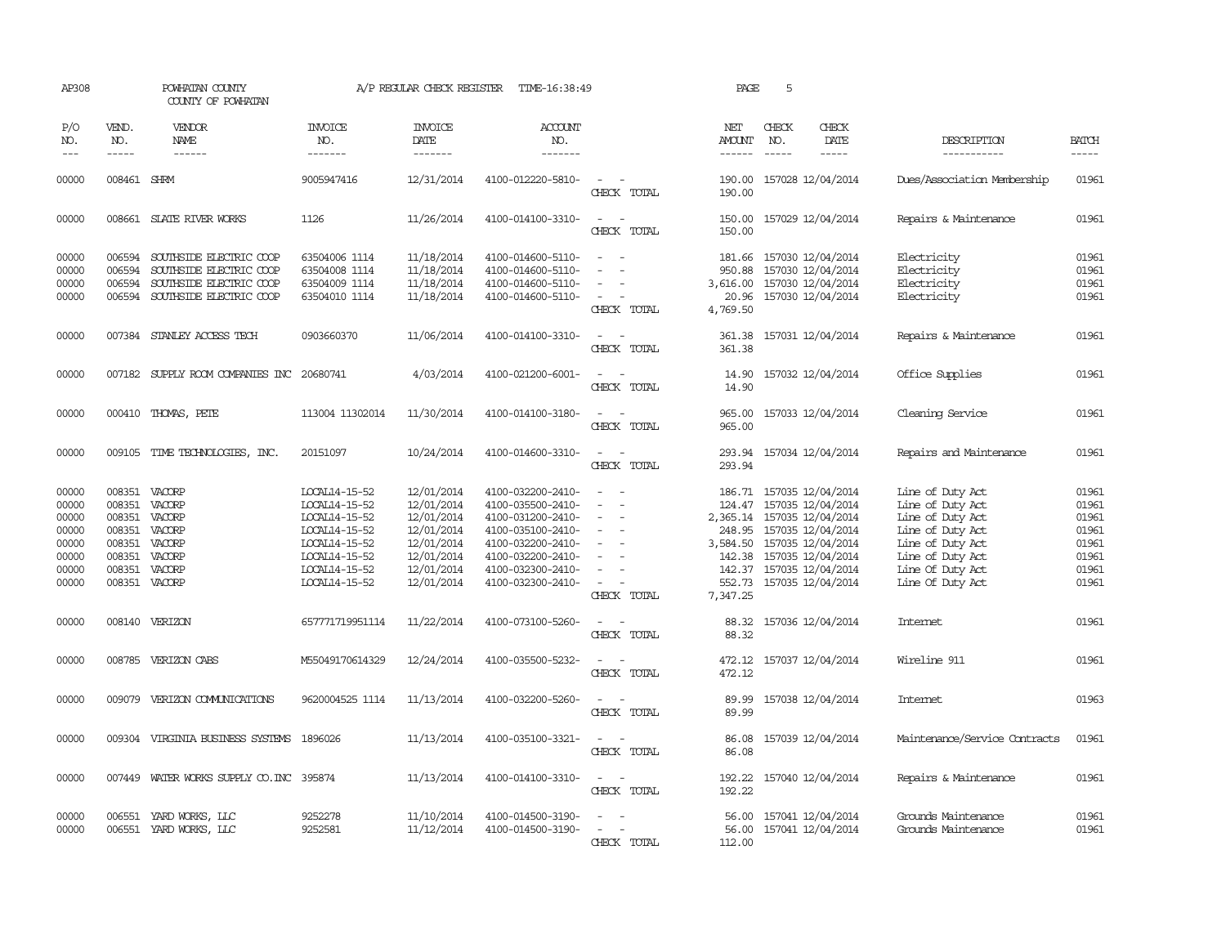| AP308                                                                |                                                                                                   | POWHATAN COUNTY<br>COUNTY OF POWHATAN                                                                    |                                                                                                                                      | A/P REGULAR CHECK REGISTER                                                                                   | TIME-16:38:49                                                                                                                                                        |                                                     | PAGE                                                                             | 5                             |                                                                                                                                                                               |                                                                                                                                                              |                                                                      |
|----------------------------------------------------------------------|---------------------------------------------------------------------------------------------------|----------------------------------------------------------------------------------------------------------|--------------------------------------------------------------------------------------------------------------------------------------|--------------------------------------------------------------------------------------------------------------|----------------------------------------------------------------------------------------------------------------------------------------------------------------------|-----------------------------------------------------|----------------------------------------------------------------------------------|-------------------------------|-------------------------------------------------------------------------------------------------------------------------------------------------------------------------------|--------------------------------------------------------------------------------------------------------------------------------------------------------------|----------------------------------------------------------------------|
| P/O<br>NO.<br>$---$                                                  | VEND.<br>NO.<br>$\frac{1}{2}$                                                                     | VENDOR<br>NAME<br>$- - - - - -$                                                                          | <b>INVOICE</b><br>NO.<br>-------                                                                                                     | <b>INVOICE</b><br>DATE<br>-------                                                                            | <b>ACCOUNT</b><br>NO.<br>-------                                                                                                                                     |                                                     | NET<br>AMOUNT                                                                    | CHECK<br>NO.<br>$\frac{1}{2}$ | CHECK<br>DATE<br>-----                                                                                                                                                        | DESCRIPTION<br>-----------                                                                                                                                   | <b>BATCH</b><br>-----                                                |
| 00000                                                                | 008461 SHRM                                                                                       |                                                                                                          | 9005947416                                                                                                                           | 12/31/2014                                                                                                   | 4100-012220-5810-                                                                                                                                                    | $\sim$<br>CHECK TOTAL                               | 190.00<br>190.00                                                                 |                               | 157028 12/04/2014                                                                                                                                                             | Dues/Association Membership                                                                                                                                  | 01961                                                                |
| 00000                                                                |                                                                                                   | 008661 SLATE RIVER WORKS                                                                                 | 1126                                                                                                                                 | 11/26/2014                                                                                                   | 4100-014100-3310-                                                                                                                                                    | $\sim$<br>$\sim$<br>CHECK TOTAL                     | 150.00<br>150.00                                                                 |                               | 157029 12/04/2014                                                                                                                                                             | Repairs & Maintenance                                                                                                                                        | 01961                                                                |
| 00000<br>00000<br>00000<br>00000                                     | 006594<br>006594<br>006594<br>006594                                                              | SOUTHSIDE ELECTRIC COOP<br>SOUTHSIDE ELECTRIC COOP<br>SOUTHSIDE ELECTRIC COOP<br>SOUTHSIDE ELECTRIC COOP | 63504006 1114<br>63504008 1114<br>63504009 1114<br>63504010 1114                                                                     | 11/18/2014<br>11/18/2014<br>11/18/2014<br>11/18/2014                                                         | 4100-014600-5110-<br>4100-014600-5110-<br>4100-014600-5110-<br>4100-014600-5110-                                                                                     | $\sim$<br>$\overline{\phantom{a}}$<br>CHECK TOTAL   | 181.66<br>950.88<br>3,616.00<br>20.96<br>4,769.50                                |                               | 157030 12/04/2014<br>157030 12/04/2014<br>157030 12/04/2014<br>157030 12/04/2014                                                                                              | Electricity<br>Electricity<br>Electricity<br>Electricity                                                                                                     | 01961<br>01961<br>01961<br>01961                                     |
| 00000                                                                |                                                                                                   | 007384 STANLEY ACCESS TECH                                                                               | 0903660370                                                                                                                           | 11/06/2014                                                                                                   | 4100-014100-3310-                                                                                                                                                    | $\sim$<br>$\sim$<br>CHECK TOTAL                     | 361.38<br>361.38                                                                 |                               | 157031 12/04/2014                                                                                                                                                             | Repairs & Maintenance                                                                                                                                        | 01961                                                                |
| 00000                                                                |                                                                                                   | 007182 SUPPLY ROOM COMPANIES INC                                                                         | 20680741                                                                                                                             | 4/03/2014                                                                                                    | 4100-021200-6001-                                                                                                                                                    | $\sim$<br>$\sim$<br>CHECK TOTAL                     | 14.90<br>14.90                                                                   |                               | 157032 12/04/2014                                                                                                                                                             | Office Supplies                                                                                                                                              | 01961                                                                |
| 00000                                                                |                                                                                                   | 000410 THOMAS, PETE                                                                                      | 113004 11302014                                                                                                                      | 11/30/2014                                                                                                   | 4100-014100-3180-                                                                                                                                                    | $\sim$<br>CHECK TOTAL                               | 965.00<br>965.00                                                                 |                               | 157033 12/04/2014                                                                                                                                                             | Cleaning Service                                                                                                                                             | 01961                                                                |
| 00000                                                                | 009105                                                                                            | TIME TECHNOLOGIES, INC.                                                                                  | 20151097                                                                                                                             | 10/24/2014                                                                                                   | 4100-014600-3310-                                                                                                                                                    | CHECK TOTAL                                         | 293.94<br>293.94                                                                 |                               | 157034 12/04/2014                                                                                                                                                             | Repairs and Maintenance                                                                                                                                      | 01961                                                                |
| 00000<br>00000<br>00000<br>00000<br>00000<br>00000<br>00000<br>00000 | 008351 VACORP<br>008351<br>008351<br>008351 VACORP<br>008351<br>008351<br>008351<br>008351 VACORP | VACORP<br>VACORP<br>VACORP<br>VACORP<br>VACORP                                                           | LOCAL14-15-52<br>LOCAL14-15-52<br>LOCAL14-15-52<br>LOCAL14-15-52<br>LOCAL14-15-52<br>LOCAL14-15-52<br>LOCAL14-15-52<br>LOCAL14-15-52 | 12/01/2014<br>12/01/2014<br>12/01/2014<br>12/01/2014<br>12/01/2014<br>12/01/2014<br>12/01/2014<br>12/01/2014 | 4100-032200-2410-<br>4100-035500-2410-<br>4100-031200-2410-<br>4100-035100-2410-<br>4100-032200-2410-<br>4100-032200-2410-<br>4100-032300-2410-<br>4100-032300-2410- | $\sim$<br>$\sim$<br>$\sim$<br>$\sim$<br>CHECK TOTAL | 186.71<br>124.47<br>248.95<br>3,584.50<br>142.38<br>142.37<br>552.73<br>7,347.25 |                               | 157035 12/04/2014<br>157035 12/04/2014<br>2,365.14 157035 12/04/2014<br>157035 12/04/2014<br>157035 12/04/2014<br>157035 12/04/2014<br>157035 12/04/2014<br>157035 12/04/2014 | Line of Duty Act<br>Line of Duty Act<br>Line of Duty Act<br>Line of Duty Act<br>Line of Duty Act<br>Line of Duty Act<br>Line Of Duty Act<br>Line Of Duty Act | 01961<br>01961<br>01961<br>01961<br>01961<br>01961<br>01961<br>01961 |
| 00000                                                                | 008140                                                                                            | VERIZON                                                                                                  | 657771719951114                                                                                                                      | 11/22/2014                                                                                                   | 4100-073100-5260-                                                                                                                                                    | CHECK TOTAL                                         | 88.32<br>88.32                                                                   |                               | 157036 12/04/2014                                                                                                                                                             | <b>Internet</b>                                                                                                                                              | 01961                                                                |
| 00000                                                                |                                                                                                   | 008785 VERIZON CABS                                                                                      | M55049170614329                                                                                                                      | 12/24/2014                                                                                                   | 4100-035500-5232-                                                                                                                                                    | CHECK TOTAL                                         | 472.12<br>472.12                                                                 |                               | 157037 12/04/2014                                                                                                                                                             | Wireline 911                                                                                                                                                 | 01961                                                                |
| 00000                                                                | 009079                                                                                            | VERIZON COMMUNICATIONS                                                                                   | 9620004525 1114                                                                                                                      | 11/13/2014                                                                                                   | 4100-032200-5260-                                                                                                                                                    | CHECK TOTAL                                         | 89.99<br>89.99                                                                   |                               | 157038 12/04/2014                                                                                                                                                             | Intemet                                                                                                                                                      | 01963                                                                |
| 00000                                                                |                                                                                                   | 009304 VIRGINIA BUSINESS SYSTEMS                                                                         | 1896026                                                                                                                              | 11/13/2014                                                                                                   | 4100-035100-3321-                                                                                                                                                    | CHECK TOTAL                                         | 86.08<br>86.08                                                                   |                               | 157039 12/04/2014                                                                                                                                                             | Maintenance/Service Contracts                                                                                                                                | 01961                                                                |
| 00000                                                                |                                                                                                   | 007449 WATER WORKS SUPPLY CO. INC 395874                                                                 |                                                                                                                                      | 11/13/2014                                                                                                   | 4100-014100-3310-                                                                                                                                                    | $\sim$ 10 $\sim$ 10 $\sim$<br>CHECK TOTAL           | 192.22<br>192.22                                                                 |                               | 157040 12/04/2014                                                                                                                                                             | Repairs & Maintenance                                                                                                                                        | 01961                                                                |
| 00000<br>00000                                                       | 006551                                                                                            | YARD WORKS, LLC<br>006551 YARD WORKS, LLC                                                                | 9252278<br>9252581                                                                                                                   | 11/10/2014<br>11/12/2014                                                                                     | 4100-014500-3190-<br>4100-014500-3190-                                                                                                                               | $\overline{\phantom{0}}$<br>CHECK TOTAL             | 56.00<br>56.00<br>112.00                                                         |                               | 157041 12/04/2014<br>157041 12/04/2014                                                                                                                                        | Grounds Maintenance<br>Grounds Maintenance                                                                                                                   | 01961<br>01961                                                       |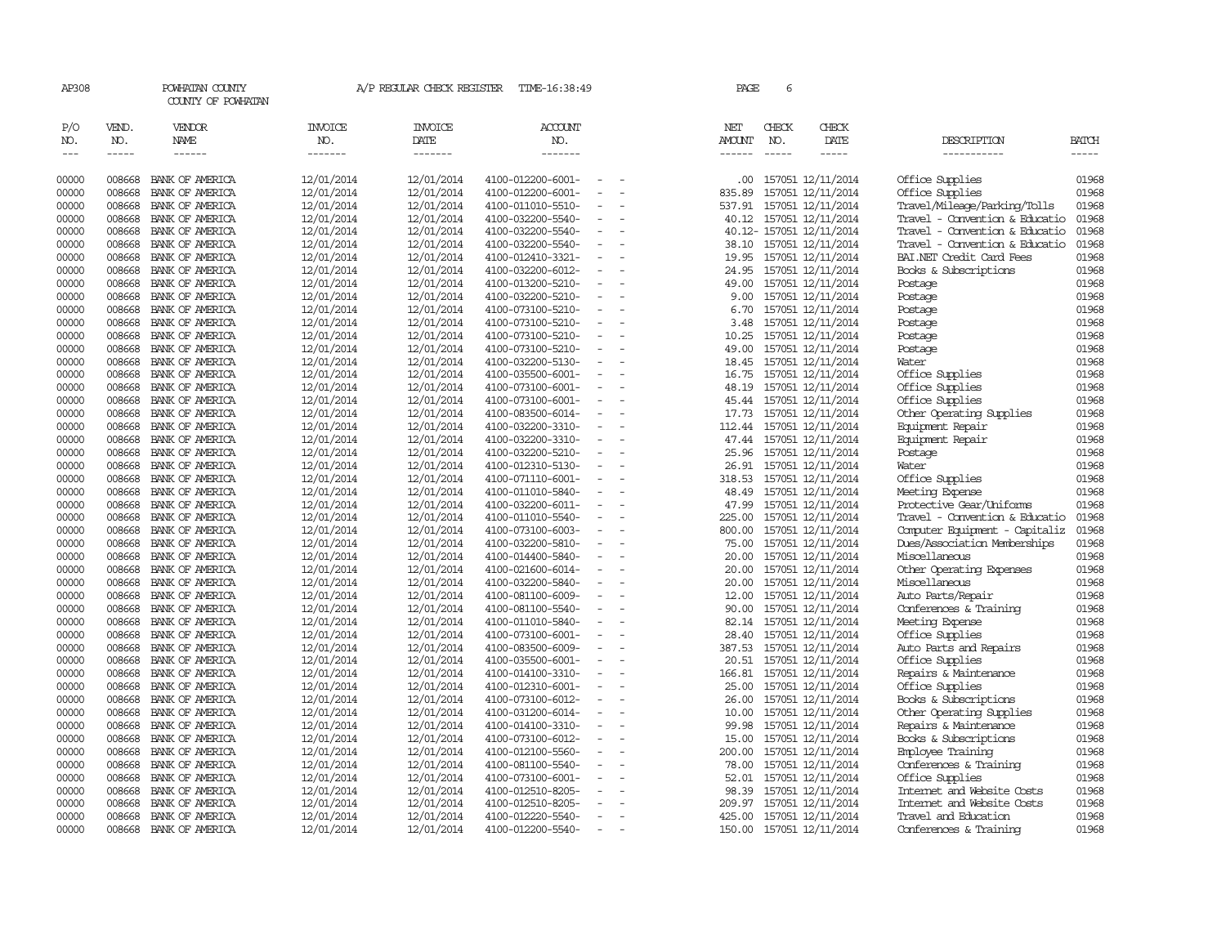| AP308                       |                             | POWHATAN COUNTY<br>COUNTY OF POWHATAN  |                                   | A/P REGULAR CHECK REGISTER                | TIME-16:38:49                          |                          | PAGE                    |                               | 6 |                                        |                                             |                       |
|-----------------------------|-----------------------------|----------------------------------------|-----------------------------------|-------------------------------------------|----------------------------------------|--------------------------|-------------------------|-------------------------------|---|----------------------------------------|---------------------------------------------|-----------------------|
| P/O<br>NO.<br>$\frac{1}{2}$ | VEND.<br>NO.<br>$- - - - -$ | VENDOR<br><b>NAME</b><br>$- - - - - -$ | <b>INVOICE</b><br>NO.<br>-------- | <b>INVOICE</b><br>DATE<br>$- - - - - - -$ | <b>ACCOUNT</b><br>NO.<br>-------       |                          | NET<br>AMOUNT<br>------ | CHECK<br>NO.<br>$\frac{1}{2}$ |   | CHECK<br>DATE<br>$- - - - -$           | DESCRIPTION<br>-----------                  | <b>BATCH</b><br>----- |
| 00000                       | 008668                      | BANK OF AMERICA                        | 12/01/2014                        | 12/01/2014                                | 4100-012200-6001-                      |                          | .00                     |                               |   | 157051 12/11/2014                      | Office Supplies                             | 01968                 |
| 00000                       | 008668                      | BANK OF AMERICA                        | 12/01/2014                        | 12/01/2014                                | 4100-012200-6001-                      |                          | 835.89                  |                               |   | 157051 12/11/2014                      | Office Supplies                             | 01968                 |
| 00000                       | 008668                      | BANK OF AMERICA                        | 12/01/2014                        | 12/01/2014                                | 4100-011010-5510-                      | $\sim$                   | 537.91                  |                               |   | 157051 12/11/2014                      | Travel/Mileage/Parking/Tolls                | 01968                 |
| 00000                       | 008668                      | BANK OF AMERICA                        | 12/01/2014                        | 12/01/2014                                | 4100-032200-5540-                      | $\overline{\phantom{a}}$ | 40.12                   |                               |   | 157051 12/11/2014                      | Travel - Convention & Educatio              | 01968                 |
| 00000                       | 008668                      | BANK OF AMERICA                        | 12/01/2014                        | 12/01/2014                                | 4100-032200-5540-                      | $\equiv$                 |                         |                               |   | 40.12-157051 12/11/2014                | Travel - Convention & Educatio              | 01968                 |
| 00000                       | 008668                      | BANK OF AMERICA                        | 12/01/2014                        | 12/01/2014                                | 4100-032200-5540-                      | $\overline{\phantom{a}}$ | 38.10                   |                               |   | 157051 12/11/2014                      | Travel - Convention & Educatio              | 01968                 |
| 00000                       | 008668                      | BANK OF AMERICA                        | 12/01/2014                        | 12/01/2014                                | 4100-012410-3321-                      | $\overline{\phantom{a}}$ | 19.95                   |                               |   | 157051 12/11/2014                      | BAI.NET Credit Card Fees                    | 01968                 |
| 00000                       | 008668                      | BANK OF AMERICA                        | 12/01/2014                        | 12/01/2014                                | 4100-032200-6012-                      | $\equiv$                 | 24.95                   |                               |   | 157051 12/11/2014                      | Books & Subscriptions                       | 01968                 |
| 00000                       | 008668                      | BANK OF AMERICA                        | 12/01/2014                        | 12/01/2014                                | 4100-013200-5210-                      |                          | 49.00                   |                               |   | 157051 12/11/2014                      | Postage                                     | 01968                 |
| 00000                       | 008668                      | BANK OF AMERICA                        | 12/01/2014                        | 12/01/2014                                | 4100-032200-5210-                      | $\sim$                   | 9.00                    |                               |   | 157051 12/11/2014                      | Postage                                     | 01968                 |
| 00000                       | 008668                      | BANK OF AMERICA                        | 12/01/2014                        | 12/01/2014                                | 4100-073100-5210-                      | $\sim$                   | 6.70                    |                               |   | 157051 12/11/2014                      | Postage                                     | 01968                 |
| 00000                       | 008668                      | BANK OF AMERICA                        | 12/01/2014                        | 12/01/2014                                | 4100-073100-5210-                      | $\overline{\phantom{a}}$ | 3.48                    |                               |   | 157051 12/11/2014                      | Postage                                     | 01968                 |
| 00000                       | 008668                      | BANK OF AMERICA                        | 12/01/2014                        | 12/01/2014                                | 4100-073100-5210-                      | $\equiv$                 | 10.25                   |                               |   | 157051 12/11/2014                      | Postage                                     | 01968                 |
| 00000                       | 008668                      | BANK OF AMERICA                        | 12/01/2014                        | 12/01/2014                                | 4100-073100-5210-                      | $\equiv$                 | 49.00                   |                               |   | 157051 12/11/2014                      | Postage                                     | 01968                 |
| 00000                       | 008668                      | BANK OF AMERICA                        | 12/01/2014                        | 12/01/2014                                | 4100-032200-5130-                      | $\overline{\phantom{a}}$ | 18.45                   |                               |   | 157051 12/11/2014                      | Water                                       | 01968                 |
| 00000<br>00000              | 008668<br>008668            | BANK OF AMERICA<br>BANK OF AMERICA     | 12/01/2014<br>12/01/2014          | 12/01/2014<br>12/01/2014                  | 4100-035500-6001-<br>4100-073100-6001- | $\overline{\phantom{a}}$ | 16.75<br>48.19          |                               |   | 157051 12/11/2014<br>157051 12/11/2014 | Office Supplies<br>Office Supplies          | 01968<br>01968        |
| 00000                       | 008668                      | BANK OF AMERICA                        | 12/01/2014                        | 12/01/2014                                | 4100-073100-6001-                      | $\equiv$                 |                         |                               |   | 45.44 157051 12/11/2014                | Office Supplies                             | 01968                 |
| 00000                       | 008668                      | BANK OF AMERICA                        | 12/01/2014                        | 12/01/2014                                | 4100-083500-6014-                      | $\overline{\phantom{a}}$ | 17.73                   |                               |   | 157051 12/11/2014                      | Other Operating Supplies                    | 01968                 |
| 00000                       | 008668                      | BANK OF AMERICA                        | 12/01/2014                        | 12/01/2014                                | 4100-032200-3310-                      | $\overline{\phantom{a}}$ | 112.44                  |                               |   | 157051 12/11/2014                      | Equipment Repair                            | 01968                 |
| 00000                       | 008668                      | BANK OF AMERICA                        | 12/01/2014                        | 12/01/2014                                | 4100-032200-3310-                      | $\overline{\phantom{a}}$ | 47.44                   |                               |   | 157051 12/11/2014                      | Equipment Repair                            | 01968                 |
| 00000                       | 008668                      | BANK OF AMERICA                        | 12/01/2014                        | 12/01/2014                                | 4100-032200-5210-                      |                          | 25.96                   |                               |   | 157051 12/11/2014                      | Postage                                     | 01968                 |
| 00000                       | 008668                      | BANK OF AMERICA                        | 12/01/2014                        | 12/01/2014                                | 4100-012310-5130-                      | $\equiv$                 | 26.91                   |                               |   | 157051 12/11/2014                      | Water                                       | 01968                 |
| 00000                       | 008668                      | BANK OF AMERICA                        | 12/01/2014                        | 12/01/2014                                | 4100-071110-6001-                      | $\sim$                   | 318.53                  |                               |   | 157051 12/11/2014                      | Office Supplies                             | 01968                 |
| 00000                       | 008668                      | BANK OF AMERICA                        | 12/01/2014                        | 12/01/2014                                | 4100-011010-5840-                      | $\overline{\phantom{a}}$ | 48.49                   |                               |   | 157051 12/11/2014                      | Meeting Expense                             | 01968                 |
| 00000                       | 008668                      | BANK OF AMERICA                        | 12/01/2014                        | 12/01/2014                                | 4100-032200-6011-                      | $\overline{\phantom{a}}$ | 47.99                   |                               |   | 157051 12/11/2014                      | Protective Gear/Uniforms                    | 01968                 |
| 00000                       | 008668                      | BANK OF AMERICA                        | 12/01/2014                        | 12/01/2014                                | 4100-011010-5540-                      | $\overline{\phantom{a}}$ | 225.00                  |                               |   | 157051 12/11/2014                      | Travel - Convention & Educatio              | 01968                 |
| 00000                       | 008668                      | BANK OF AMERICA                        | 12/01/2014                        | 12/01/2014                                | 4100-073100-6003-                      | $\overline{\phantom{a}}$ | 800.00                  |                               |   | 157051 12/11/2014                      | Computer Equipment - Capitaliz              | 01968                 |
| 00000                       | 008668                      | BANK OF AMERICA                        | 12/01/2014                        | 12/01/2014                                | 4100-032200-5810-                      |                          | 75.00                   |                               |   | 157051 12/11/2014                      | Dues/Association Memberships                | 01968                 |
| 00000                       | 008668                      | BANK OF AMERICA                        | 12/01/2014                        | 12/01/2014                                | 4100-014400-5840-                      |                          | 20.00                   |                               |   | 157051 12/11/2014                      | Miscellaneous                               | 01968                 |
| 00000                       | 008668                      | BANK OF AMERICA                        | 12/01/2014                        | 12/01/2014                                | 4100-021600-6014-                      | $\equiv$                 | 20.00                   |                               |   | 157051 12/11/2014                      | Other Operating Expenses                    | 01968                 |
| 00000                       | 008668                      | BANK OF AMERICA                        | 12/01/2014                        | 12/01/2014                                | 4100-032200-5840-                      |                          | 20.00                   |                               |   | 157051 12/11/2014                      | Miscellaneous                               | 01968                 |
| 00000                       | 008668                      | BANK OF AMERICA                        | 12/01/2014                        | 12/01/2014                                | 4100-081100-6009-                      |                          | 12.00                   |                               |   | 157051 12/11/2014                      | Auto Parts/Repair                           | 01968                 |
| 00000                       | 008668                      | BANK OF AMERICA                        | 12/01/2014                        | 12/01/2014                                | 4100-081100-5540-                      | $\equiv$                 | 90.00                   |                               |   | 157051 12/11/2014                      | Conferences & Training                      | 01968                 |
| 00000                       | 008668                      | BANK OF AMERICA                        | 12/01/2014                        | 12/01/2014                                | 4100-011010-5840-                      | $\overline{\phantom{a}}$ | 82.14                   |                               |   | 157051 12/11/2014                      | Meeting Expense                             | 01968                 |
| 00000                       | 008668                      | BANK OF AMERICA                        | 12/01/2014                        | 12/01/2014                                | 4100-073100-6001-                      | $\equiv$                 | 28.40                   |                               |   | 157051 12/11/2014                      | Office Supplies                             | 01968                 |
| 00000                       | 008668                      | BANK OF AMERICA                        | 12/01/2014                        | 12/01/2014                                | 4100-083500-6009-                      |                          | 387.53                  |                               |   | 157051 12/11/2014                      | Auto Parts and Repairs                      | 01968                 |
| 00000                       | 008668                      | BANK OF AMERICA                        | 12/01/2014                        | 12/01/2014                                | 4100-035500-6001-                      | $\sim$                   |                         |                               |   | 20.51 157051 12/11/2014                | Office Supplies                             | 01968                 |
| 00000                       | 008668                      | BANK OF AMERICA                        | 12/01/2014                        | 12/01/2014                                | 4100-014100-3310-                      | $\overline{\phantom{a}}$ | 166.81                  |                               |   | 157051 12/11/2014                      | Repairs & Maintenance                       | 01968                 |
| 00000                       | 008668                      | BANK OF AMERICA                        | 12/01/2014                        | 12/01/2014                                | 4100-012310-6001-                      | $\overline{\phantom{a}}$ | 25.00                   |                               |   | 157051 12/11/2014                      | Office Supplies                             | 01968                 |
| 00000                       | 008668                      | BANK OF AMERICA                        | 12/01/2014                        | 12/01/2014                                | 4100-073100-6012-                      | $\overline{\phantom{a}}$ | 26.00                   |                               |   | 157051 12/11/2014                      | Books & Subscriptions                       | 01968                 |
| 00000                       | 008668                      | BANK OF AMERICA                        | 12/01/2014                        | 12/01/2014                                | 4100-031200-6014-                      | $\overline{\phantom{a}}$ | 10.00                   |                               |   | 157051 12/11/2014                      | Other Operating Supplies                    | 01968                 |
| 00000                       | 008668                      | BANK OF AMERICA                        | 12/01/2014                        | 12/01/2014                                | 4100-014100-3310-                      | $\sim$                   | 99.98                   |                               |   | 157051 12/11/2014                      | Repairs & Maintenance                       | 01968                 |
| 00000<br>00000              | 008668<br>008668            | BANK OF AMERICA<br>BANK OF AMERICA     | 12/01/2014                        | 12/01/2014                                | 4100-073100-6012-                      | $\sim$                   | 15.00<br>200.00         |                               |   | 157051 12/11/2014                      | Books & Subscriptions                       | 01968<br>01968        |
| 00000                       | 008668                      | BANK OF AMERICA                        | 12/01/2014<br>12/01/2014          | 12/01/2014<br>12/01/2014                  | 4100-012100-5560-<br>4100-081100-5540- |                          | 78.00                   |                               |   | 157051 12/11/2014<br>157051 12/11/2014 | Employee Training<br>Conferences & Training | 01968                 |
| 00000                       | 008668                      | BANK OF AMERICA                        | 12/01/2014                        | 12/01/2014                                | 4100-073100-6001-                      |                          | 52.01                   |                               |   | 157051 12/11/2014                      | Office Supplies                             | 01968                 |
| 00000                       | 008668                      | BANK OF AMERICA                        | 12/01/2014                        | 12/01/2014                                | 4100-012510-8205-                      |                          | 98.39                   |                               |   | 157051 12/11/2014                      | Internet and Website Costs                  | 01968                 |
| 00000                       | 008668                      | BANK OF AMERICA                        | 12/01/2014                        | 12/01/2014                                | 4100-012510-8205-                      |                          | 209.97                  |                               |   | 157051 12/11/2014                      | Internet and Website Costs                  | 01968                 |
| 00000                       | 008668                      | BANK OF AMERICA                        | 12/01/2014                        | 12/01/2014                                | 4100-012220-5540-                      | $\overline{\phantom{a}}$ | 425.00                  |                               |   | 157051 12/11/2014                      | Travel and Education                        | 01968                 |
| 00000                       | 008668                      | BANK OF AMERICA                        | 12/01/2014                        | 12/01/2014                                | 4100-012200-5540-                      | $\sim$                   | 150.00                  |                               |   | 157051 12/11/2014                      | Conferences & Training                      | 01968                 |
|                             |                             |                                        |                                   |                                           |                                        |                          |                         |                               |   |                                        |                                             |                       |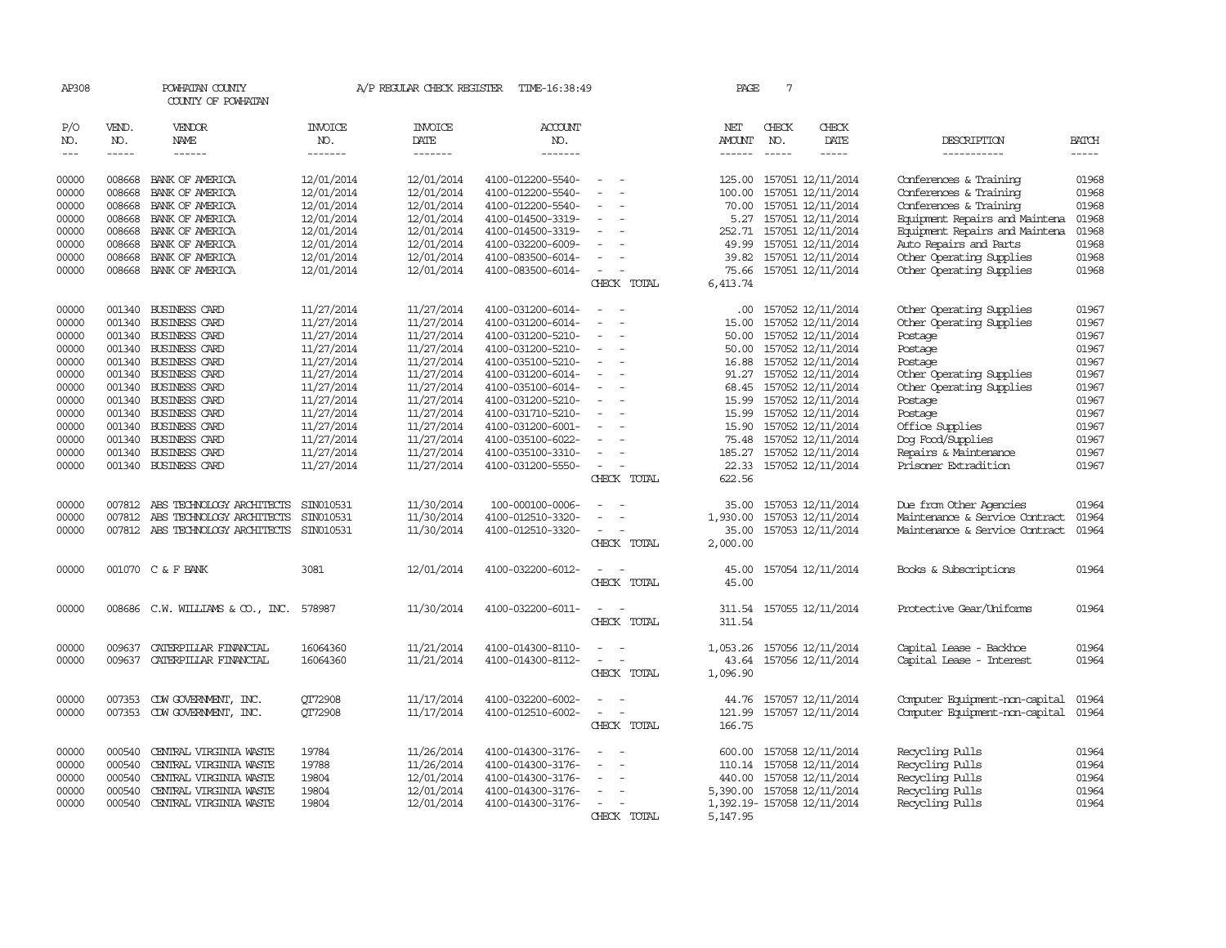| VEND.<br>NO.                                   | VENDOR<br><b>NAME</b>                                                                                                               | <b>INVOICE</b><br>NO.                                                                                                                                                                                                                                                                                                                                                                                                                   | <b>INVOICE</b><br>DATE.                                                                                                                                                                                                                                                                | <b>ACCOUNT</b><br>NO.                                                                                                                                                                                                                                 |                                                                                                                                                                                                                                                                                                                                                        | NET<br>AMOUNT                                                                      | CHECK<br>NO.                                                                                                           | CHECK<br>DATE | DESCRIPTION                                                                                                                                                                                                                                                                                                                                                                                                                                                                                                                                                                                                                                                                                                                                                                                      | BATCH                                                                                                                                                                                                                                                                                                                                            |
|------------------------------------------------|-------------------------------------------------------------------------------------------------------------------------------------|-----------------------------------------------------------------------------------------------------------------------------------------------------------------------------------------------------------------------------------------------------------------------------------------------------------------------------------------------------------------------------------------------------------------------------------------|----------------------------------------------------------------------------------------------------------------------------------------------------------------------------------------------------------------------------------------------------------------------------------------|-------------------------------------------------------------------------------------------------------------------------------------------------------------------------------------------------------------------------------------------------------|--------------------------------------------------------------------------------------------------------------------------------------------------------------------------------------------------------------------------------------------------------------------------------------------------------------------------------------------------------|------------------------------------------------------------------------------------|------------------------------------------------------------------------------------------------------------------------|---------------|--------------------------------------------------------------------------------------------------------------------------------------------------------------------------------------------------------------------------------------------------------------------------------------------------------------------------------------------------------------------------------------------------------------------------------------------------------------------------------------------------------------------------------------------------------------------------------------------------------------------------------------------------------------------------------------------------------------------------------------------------------------------------------------------------|--------------------------------------------------------------------------------------------------------------------------------------------------------------------------------------------------------------------------------------------------------------------------------------------------------------------------------------------------|
|                                                |                                                                                                                                     |                                                                                                                                                                                                                                                                                                                                                                                                                                         |                                                                                                                                                                                                                                                                                        |                                                                                                                                                                                                                                                       |                                                                                                                                                                                                                                                                                                                                                        | ------                                                                             |                                                                                                                        |               |                                                                                                                                                                                                                                                                                                                                                                                                                                                                                                                                                                                                                                                                                                                                                                                                  | -----                                                                                                                                                                                                                                                                                                                                            |
|                                                |                                                                                                                                     |                                                                                                                                                                                                                                                                                                                                                                                                                                         |                                                                                                                                                                                                                                                                                        |                                                                                                                                                                                                                                                       | $\sim$                                                                                                                                                                                                                                                                                                                                                 | 125.00                                                                             |                                                                                                                        |               |                                                                                                                                                                                                                                                                                                                                                                                                                                                                                                                                                                                                                                                                                                                                                                                                  | 01968                                                                                                                                                                                                                                                                                                                                            |
| 008668                                         |                                                                                                                                     |                                                                                                                                                                                                                                                                                                                                                                                                                                         |                                                                                                                                                                                                                                                                                        |                                                                                                                                                                                                                                                       | $\overline{\phantom{a}}$                                                                                                                                                                                                                                                                                                                               |                                                                                    |                                                                                                                        |               |                                                                                                                                                                                                                                                                                                                                                                                                                                                                                                                                                                                                                                                                                                                                                                                                  | 01968                                                                                                                                                                                                                                                                                                                                            |
| 008668                                         | BANK OF AMERICA                                                                                                                     |                                                                                                                                                                                                                                                                                                                                                                                                                                         |                                                                                                                                                                                                                                                                                        | 4100-012200-5540-                                                                                                                                                                                                                                     |                                                                                                                                                                                                                                                                                                                                                        | 70.00                                                                              |                                                                                                                        |               | Conferences & Training                                                                                                                                                                                                                                                                                                                                                                                                                                                                                                                                                                                                                                                                                                                                                                           | 01968                                                                                                                                                                                                                                                                                                                                            |
| 008668                                         | BANK OF AMERICA                                                                                                                     | 12/01/2014                                                                                                                                                                                                                                                                                                                                                                                                                              | 12/01/2014                                                                                                                                                                                                                                                                             | 4100-014500-3319-                                                                                                                                                                                                                                     | $\equiv$                                                                                                                                                                                                                                                                                                                                               |                                                                                    |                                                                                                                        |               | Equipment Repairs and Maintena                                                                                                                                                                                                                                                                                                                                                                                                                                                                                                                                                                                                                                                                                                                                                                   | 01968                                                                                                                                                                                                                                                                                                                                            |
| 008668                                         | BANK OF AMERICA                                                                                                                     | 12/01/2014                                                                                                                                                                                                                                                                                                                                                                                                                              | 12/01/2014                                                                                                                                                                                                                                                                             | 4100-014500-3319-                                                                                                                                                                                                                                     |                                                                                                                                                                                                                                                                                                                                                        | 252.71                                                                             |                                                                                                                        |               | Equipment Repairs and Maintena                                                                                                                                                                                                                                                                                                                                                                                                                                                                                                                                                                                                                                                                                                                                                                   | 01968                                                                                                                                                                                                                                                                                                                                            |
| 008668                                         | BANK OF AMERICA                                                                                                                     | 12/01/2014                                                                                                                                                                                                                                                                                                                                                                                                                              | 12/01/2014                                                                                                                                                                                                                                                                             | 4100-032200-6009-                                                                                                                                                                                                                                     |                                                                                                                                                                                                                                                                                                                                                        | 49.99                                                                              |                                                                                                                        |               | Auto Repairs and Parts                                                                                                                                                                                                                                                                                                                                                                                                                                                                                                                                                                                                                                                                                                                                                                           | 01968                                                                                                                                                                                                                                                                                                                                            |
| 008668                                         | BANK OF AMERICA                                                                                                                     | 12/01/2014                                                                                                                                                                                                                                                                                                                                                                                                                              | 12/01/2014                                                                                                                                                                                                                                                                             | 4100-083500-6014-                                                                                                                                                                                                                                     | $\equiv$                                                                                                                                                                                                                                                                                                                                               | 39.82                                                                              |                                                                                                                        |               | Other Operating Supplies                                                                                                                                                                                                                                                                                                                                                                                                                                                                                                                                                                                                                                                                                                                                                                         | 01968                                                                                                                                                                                                                                                                                                                                            |
| 008668                                         | BANK OF AMERICA                                                                                                                     | 12/01/2014                                                                                                                                                                                                                                                                                                                                                                                                                              | 12/01/2014                                                                                                                                                                                                                                                                             | 4100-083500-6014-                                                                                                                                                                                                                                     | $\equiv$                                                                                                                                                                                                                                                                                                                                               | 75.66                                                                              |                                                                                                                        |               | Other Operating Supplies                                                                                                                                                                                                                                                                                                                                                                                                                                                                                                                                                                                                                                                                                                                                                                         | 01968                                                                                                                                                                                                                                                                                                                                            |
|                                                |                                                                                                                                     |                                                                                                                                                                                                                                                                                                                                                                                                                                         |                                                                                                                                                                                                                                                                                        |                                                                                                                                                                                                                                                       | CHECK TOTAL                                                                                                                                                                                                                                                                                                                                            | 6,413.74                                                                           |                                                                                                                        |               |                                                                                                                                                                                                                                                                                                                                                                                                                                                                                                                                                                                                                                                                                                                                                                                                  |                                                                                                                                                                                                                                                                                                                                                  |
| 001340                                         | BUSINESS CARD                                                                                                                       | 11/27/2014                                                                                                                                                                                                                                                                                                                                                                                                                              | 11/27/2014                                                                                                                                                                                                                                                                             | 4100-031200-6014-                                                                                                                                                                                                                                     | $\equiv$                                                                                                                                                                                                                                                                                                                                               | .00.                                                                               |                                                                                                                        |               | Other Operating Supplies                                                                                                                                                                                                                                                                                                                                                                                                                                                                                                                                                                                                                                                                                                                                                                         | 01967                                                                                                                                                                                                                                                                                                                                            |
| 001340                                         | <b>BUSINESS CARD</b>                                                                                                                | 11/27/2014                                                                                                                                                                                                                                                                                                                                                                                                                              | 11/27/2014                                                                                                                                                                                                                                                                             | 4100-031200-6014-                                                                                                                                                                                                                                     |                                                                                                                                                                                                                                                                                                                                                        | 15.00                                                                              |                                                                                                                        |               | Other Operating Supplies                                                                                                                                                                                                                                                                                                                                                                                                                                                                                                                                                                                                                                                                                                                                                                         | 01967                                                                                                                                                                                                                                                                                                                                            |
|                                                |                                                                                                                                     |                                                                                                                                                                                                                                                                                                                                                                                                                                         |                                                                                                                                                                                                                                                                                        |                                                                                                                                                                                                                                                       |                                                                                                                                                                                                                                                                                                                                                        | 50.00                                                                              |                                                                                                                        |               | Postage                                                                                                                                                                                                                                                                                                                                                                                                                                                                                                                                                                                                                                                                                                                                                                                          | 01967                                                                                                                                                                                                                                                                                                                                            |
|                                                |                                                                                                                                     |                                                                                                                                                                                                                                                                                                                                                                                                                                         |                                                                                                                                                                                                                                                                                        |                                                                                                                                                                                                                                                       | $\equiv$                                                                                                                                                                                                                                                                                                                                               | 50.00                                                                              |                                                                                                                        |               | Postage                                                                                                                                                                                                                                                                                                                                                                                                                                                                                                                                                                                                                                                                                                                                                                                          | 01967                                                                                                                                                                                                                                                                                                                                            |
|                                                |                                                                                                                                     |                                                                                                                                                                                                                                                                                                                                                                                                                                         |                                                                                                                                                                                                                                                                                        |                                                                                                                                                                                                                                                       |                                                                                                                                                                                                                                                                                                                                                        |                                                                                    |                                                                                                                        |               |                                                                                                                                                                                                                                                                                                                                                                                                                                                                                                                                                                                                                                                                                                                                                                                                  | 01967                                                                                                                                                                                                                                                                                                                                            |
|                                                |                                                                                                                                     |                                                                                                                                                                                                                                                                                                                                                                                                                                         |                                                                                                                                                                                                                                                                                        |                                                                                                                                                                                                                                                       |                                                                                                                                                                                                                                                                                                                                                        |                                                                                    |                                                                                                                        |               |                                                                                                                                                                                                                                                                                                                                                                                                                                                                                                                                                                                                                                                                                                                                                                                                  | 01967                                                                                                                                                                                                                                                                                                                                            |
|                                                |                                                                                                                                     |                                                                                                                                                                                                                                                                                                                                                                                                                                         |                                                                                                                                                                                                                                                                                        |                                                                                                                                                                                                                                                       |                                                                                                                                                                                                                                                                                                                                                        |                                                                                    |                                                                                                                        |               |                                                                                                                                                                                                                                                                                                                                                                                                                                                                                                                                                                                                                                                                                                                                                                                                  | 01967                                                                                                                                                                                                                                                                                                                                            |
|                                                |                                                                                                                                     |                                                                                                                                                                                                                                                                                                                                                                                                                                         |                                                                                                                                                                                                                                                                                        |                                                                                                                                                                                                                                                       |                                                                                                                                                                                                                                                                                                                                                        |                                                                                    |                                                                                                                        |               |                                                                                                                                                                                                                                                                                                                                                                                                                                                                                                                                                                                                                                                                                                                                                                                                  | 01967                                                                                                                                                                                                                                                                                                                                            |
|                                                |                                                                                                                                     |                                                                                                                                                                                                                                                                                                                                                                                                                                         |                                                                                                                                                                                                                                                                                        |                                                                                                                                                                                                                                                       |                                                                                                                                                                                                                                                                                                                                                        |                                                                                    |                                                                                                                        |               |                                                                                                                                                                                                                                                                                                                                                                                                                                                                                                                                                                                                                                                                                                                                                                                                  | 01967                                                                                                                                                                                                                                                                                                                                            |
|                                                |                                                                                                                                     |                                                                                                                                                                                                                                                                                                                                                                                                                                         |                                                                                                                                                                                                                                                                                        |                                                                                                                                                                                                                                                       |                                                                                                                                                                                                                                                                                                                                                        |                                                                                    |                                                                                                                        |               |                                                                                                                                                                                                                                                                                                                                                                                                                                                                                                                                                                                                                                                                                                                                                                                                  | 01967                                                                                                                                                                                                                                                                                                                                            |
|                                                |                                                                                                                                     |                                                                                                                                                                                                                                                                                                                                                                                                                                         |                                                                                                                                                                                                                                                                                        |                                                                                                                                                                                                                                                       |                                                                                                                                                                                                                                                                                                                                                        |                                                                                    |                                                                                                                        |               |                                                                                                                                                                                                                                                                                                                                                                                                                                                                                                                                                                                                                                                                                                                                                                                                  | 01967<br>01967                                                                                                                                                                                                                                                                                                                                   |
|                                                |                                                                                                                                     |                                                                                                                                                                                                                                                                                                                                                                                                                                         |                                                                                                                                                                                                                                                                                        |                                                                                                                                                                                                                                                       |                                                                                                                                                                                                                                                                                                                                                        |                                                                                    |                                                                                                                        |               |                                                                                                                                                                                                                                                                                                                                                                                                                                                                                                                                                                                                                                                                                                                                                                                                  | 01967                                                                                                                                                                                                                                                                                                                                            |
|                                                |                                                                                                                                     |                                                                                                                                                                                                                                                                                                                                                                                                                                         |                                                                                                                                                                                                                                                                                        |                                                                                                                                                                                                                                                       | CHECK TOTAL                                                                                                                                                                                                                                                                                                                                            | 622.56                                                                             |                                                                                                                        |               |                                                                                                                                                                                                                                                                                                                                                                                                                                                                                                                                                                                                                                                                                                                                                                                                  |                                                                                                                                                                                                                                                                                                                                                  |
|                                                |                                                                                                                                     |                                                                                                                                                                                                                                                                                                                                                                                                                                         |                                                                                                                                                                                                                                                                                        |                                                                                                                                                                                                                                                       |                                                                                                                                                                                                                                                                                                                                                        |                                                                                    |                                                                                                                        |               |                                                                                                                                                                                                                                                                                                                                                                                                                                                                                                                                                                                                                                                                                                                                                                                                  | 01964                                                                                                                                                                                                                                                                                                                                            |
|                                                |                                                                                                                                     |                                                                                                                                                                                                                                                                                                                                                                                                                                         |                                                                                                                                                                                                                                                                                        |                                                                                                                                                                                                                                                       | $\overline{\phantom{a}}$                                                                                                                                                                                                                                                                                                                               |                                                                                    |                                                                                                                        |               |                                                                                                                                                                                                                                                                                                                                                                                                                                                                                                                                                                                                                                                                                                                                                                                                  | 01964                                                                                                                                                                                                                                                                                                                                            |
|                                                |                                                                                                                                     |                                                                                                                                                                                                                                                                                                                                                                                                                                         |                                                                                                                                                                                                                                                                                        |                                                                                                                                                                                                                                                       |                                                                                                                                                                                                                                                                                                                                                        |                                                                                    |                                                                                                                        |               |                                                                                                                                                                                                                                                                                                                                                                                                                                                                                                                                                                                                                                                                                                                                                                                                  | 01964                                                                                                                                                                                                                                                                                                                                            |
|                                                |                                                                                                                                     |                                                                                                                                                                                                                                                                                                                                                                                                                                         |                                                                                                                                                                                                                                                                                        |                                                                                                                                                                                                                                                       | CHECK TOTAL                                                                                                                                                                                                                                                                                                                                            | 2,000.00                                                                           |                                                                                                                        |               |                                                                                                                                                                                                                                                                                                                                                                                                                                                                                                                                                                                                                                                                                                                                                                                                  |                                                                                                                                                                                                                                                                                                                                                  |
|                                                |                                                                                                                                     | 3081                                                                                                                                                                                                                                                                                                                                                                                                                                    | 12/01/2014                                                                                                                                                                                                                                                                             | 4100-032200-6012-                                                                                                                                                                                                                                     | $\equiv$<br>CHECK TOTAL                                                                                                                                                                                                                                                                                                                                | 45.00<br>45.00                                                                     |                                                                                                                        |               | Books & Subscriptions                                                                                                                                                                                                                                                                                                                                                                                                                                                                                                                                                                                                                                                                                                                                                                            | 01964                                                                                                                                                                                                                                                                                                                                            |
| 008686                                         |                                                                                                                                     |                                                                                                                                                                                                                                                                                                                                                                                                                                         | 11/30/2014                                                                                                                                                                                                                                                                             | 4100-032200-6011-                                                                                                                                                                                                                                     | $\sim$<br>CHECK TOTAL                                                                                                                                                                                                                                                                                                                                  | 311.54<br>311.54                                                                   |                                                                                                                        |               | Protective Gear/Uniforms                                                                                                                                                                                                                                                                                                                                                                                                                                                                                                                                                                                                                                                                                                                                                                         | 01964                                                                                                                                                                                                                                                                                                                                            |
| 009637<br>009637                               | CATERPILLAR FINANCIAL<br>CATERPILLAR FINANCIAL                                                                                      | 16064360<br>16064360                                                                                                                                                                                                                                                                                                                                                                                                                    | 11/21/2014<br>11/21/2014                                                                                                                                                                                                                                                               | 4100-014300-8110-<br>4100-014300-8112-                                                                                                                                                                                                                | $\equiv$<br>CHECK TOTAL                                                                                                                                                                                                                                                                                                                                | 1,053.26<br>1,096.90                                                               |                                                                                                                        |               | Capital Lease - Backhoe<br>Capital Lease - Interest                                                                                                                                                                                                                                                                                                                                                                                                                                                                                                                                                                                                                                                                                                                                              | 01964<br>01964                                                                                                                                                                                                                                                                                                                                   |
| 007353<br>007353                               | CDW GOVERNMENT, INC.<br>CDW GOVERNMENT, INC.                                                                                        | QT72908<br>OT72908                                                                                                                                                                                                                                                                                                                                                                                                                      | 11/17/2014<br>11/17/2014                                                                                                                                                                                                                                                               | 4100-032200-6002-<br>4100-012510-6002-                                                                                                                                                                                                                | $\sim$ 100 $\mu$<br>CHECK TOTAL                                                                                                                                                                                                                                                                                                                        | 44.76<br>121.99<br>166.75                                                          |                                                                                                                        |               | Computer Equipment-non-capital<br>Computer Equipment-non-capital                                                                                                                                                                                                                                                                                                                                                                                                                                                                                                                                                                                                                                                                                                                                 | 01964<br>01964                                                                                                                                                                                                                                                                                                                                   |
| 000540<br>000540<br>000540<br>000540<br>000540 | CENTRAL VIRGINIA WASTE<br>CENTRAL VIRGINIA WASTE<br>CENTRAL VIRGINIA WASTE<br>CENTRAL VIRGINIA WASTE<br>CENTRAL VIRGINIA WASTE      | 19784<br>19788<br>19804<br>19804<br>19804                                                                                                                                                                                                                                                                                                                                                                                               | 11/26/2014<br>11/26/2014<br>12/01/2014<br>12/01/2014<br>12/01/2014                                                                                                                                                                                                                     | 4100-014300-3176-<br>4100-014300-3176-<br>4100-014300-3176-<br>4100-014300-3176-<br>4100-014300-3176-                                                                                                                                                 | $\equiv$<br>$\equiv$<br>CHECK TOTAL                                                                                                                                                                                                                                                                                                                    | 600.00<br>440.00<br>5,390.00<br>5,147.95                                           |                                                                                                                        |               | Recycling Pulls<br>Recycling Pulls<br>Recycling Pulls<br>Recycling Pulls<br>Recycling Pulls                                                                                                                                                                                                                                                                                                                                                                                                                                                                                                                                                                                                                                                                                                      | 01964<br>01964<br>01964<br>01964<br>01964                                                                                                                                                                                                                                                                                                        |
|                                                | $- - - - -$<br>008668<br>001340<br>001340<br>001340<br>001340<br>001340<br>001340<br>001340<br>001340<br>007812<br>007812<br>007812 | $- - - - - -$<br>BANK OF AMERICA<br>BANK OF AMERICA<br><b>BUSINESS CARD</b><br><b>BUSINESS CARD</b><br><b>BUSINESS CARD</b><br><b>BUSINESS CARD</b><br>001340 BUSINESS CARD<br><b>BUSINESS CARD</b><br><b>BUSINESS CARD</b><br>001340 BUSINESS CARD<br><b>BUSINESS CARD</b><br><b>BUSINESS CARD</b><br>001340 BUSINESS CARD<br>ABS TECHNOLOGY ARCHITECTS<br>ABS TECHNOLOGY ARCHITECTS<br>ABS TECHNOLOGY ARCHITECTS<br>001070 C & F BANK | -------<br>12/01/2014<br>12/01/2014<br>12/01/2014<br>11/27/2014<br>11/27/2014<br>11/27/2014<br>11/27/2014<br>11/27/2014<br>11/27/2014<br>11/27/2014<br>11/27/2014<br>11/27/2014<br>11/27/2014<br>11/27/2014<br>SIN010531<br>SIN010531<br>SIN010531<br>C.W. WILLIAMS & CO., INC. 578987 | -------<br>12/01/2014<br>12/01/2014<br>12/01/2014<br>11/27/2014<br>11/27/2014<br>11/27/2014<br>11/27/2014<br>11/27/2014<br>11/27/2014<br>11/27/2014<br>11/27/2014<br>11/27/2014<br>11/27/2014<br>11/27/2014<br>11/30/2014<br>11/30/2014<br>11/30/2014 | -------<br>4100-012200-5540-<br>4100-012200-5540-<br>4100-031200-5210-<br>4100-031200-5210-<br>4100-035100-5210-<br>4100-031200-6014-<br>4100-035100-6014-<br>4100-031200-5210-<br>4100-031710-5210-<br>4100-031200-6001-<br>4100-035100-6022-<br>4100-035100-3310-<br>4100-031200-5550-<br>100-000100-0006-<br>4100-012510-3320-<br>4100-012510-3320- | $\overline{\phantom{a}}$<br>$\equiv$<br>$\equiv$<br>$\equiv$<br>$\equiv$<br>$\sim$ | 100.00<br>16.88<br>91.27<br>68.45<br>15.99<br>15.99<br>15.90<br>75.48<br>185.27<br>22.33<br>35.00<br>1,930.00<br>35.00 | $- - - - -$   | -----<br>157051 12/11/2014<br>157051 12/11/2014<br>157051 12/11/2014<br>5.27 157051 12/11/2014<br>157051 12/11/2014<br>157051 12/11/2014<br>157051 12/11/2014<br>157051 12/11/2014<br>157052 12/11/2014<br>157052 12/11/2014<br>157052 12/11/2014<br>157052 12/11/2014<br>157052 12/11/2014<br>157052 12/11/2014<br>157052 12/11/2014<br>157052 12/11/2014<br>157052 12/11/2014<br>157052 12/11/2014<br>157052 12/11/2014<br>157052 12/11/2014<br>157052 12/11/2014<br>157053 12/11/2014<br>157053 12/11/2014<br>157053 12/11/2014<br>157054 12/11/2014<br>157055 12/11/2014<br>157056 12/11/2014<br>43.64 157056 12/11/2014<br>157057 12/11/2014<br>157057 12/11/2014<br>157058 12/11/2014<br>110.14 157058 12/11/2014<br>157058 12/11/2014<br>157058 12/11/2014<br>1,392.19- 157058 12/11/2014 | -----------<br>Conferences & Training<br>Conferences & Training<br>Postage<br>Other Operating Supplies<br>Other Operating Supplies<br>Postage<br>Postage<br>Office Supplies<br>Dog Food/Supplies<br>Repairs & Maintenance<br>Prisoner Extradition<br>Due from Other Agencies<br>Maintenance & Service Contract<br>Maintenance & Service Contract |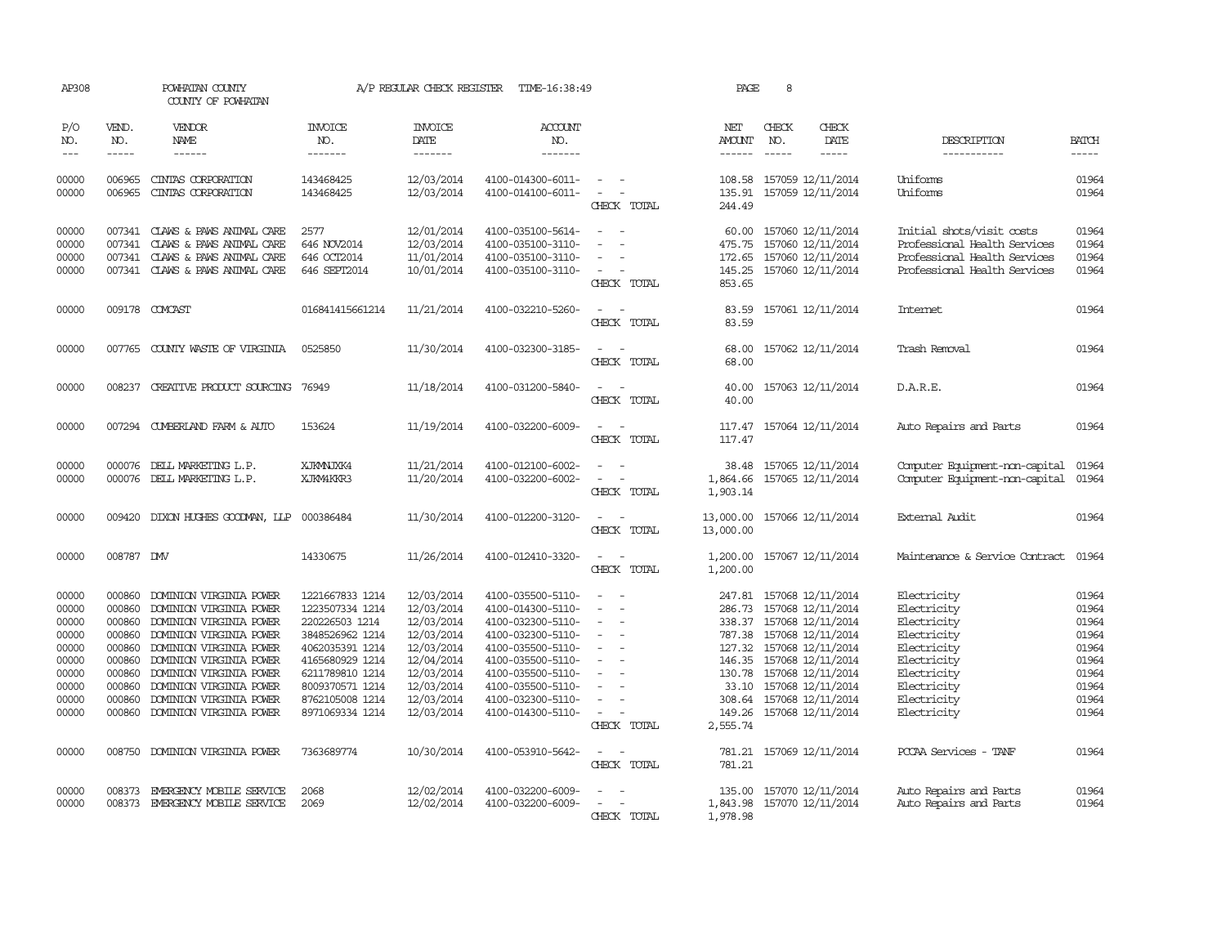| AP308                                                                                  |                                                                                                                                                                                                                                                                                                                                                                                                                                                                                                     | POWHATAN COUNTY<br>COUNTY OF POWHATAN                                                                                                                                                                                                                                             |                                                                                                                                                                                           | A/P REGULAR CHECK REGISTER                                                                                                               | TIME-16:38:49                                                                                                                                                                                                  |                                                                       | PAGE                                                                          | 8                             |                                                                                                                                                                                                                                     |                                                                                                                                                    |                                                                                        |
|----------------------------------------------------------------------------------------|-----------------------------------------------------------------------------------------------------------------------------------------------------------------------------------------------------------------------------------------------------------------------------------------------------------------------------------------------------------------------------------------------------------------------------------------------------------------------------------------------------|-----------------------------------------------------------------------------------------------------------------------------------------------------------------------------------------------------------------------------------------------------------------------------------|-------------------------------------------------------------------------------------------------------------------------------------------------------------------------------------------|------------------------------------------------------------------------------------------------------------------------------------------|----------------------------------------------------------------------------------------------------------------------------------------------------------------------------------------------------------------|-----------------------------------------------------------------------|-------------------------------------------------------------------------------|-------------------------------|-------------------------------------------------------------------------------------------------------------------------------------------------------------------------------------------------------------------------------------|----------------------------------------------------------------------------------------------------------------------------------------------------|----------------------------------------------------------------------------------------|
| P/O<br>NO.<br>$---$                                                                    | VEND.<br>NO.<br>$\begin{tabular}{ccccc} \multicolumn{2}{c}{} & \multicolumn{2}{c}{} & \multicolumn{2}{c}{} & \multicolumn{2}{c}{} & \multicolumn{2}{c}{} & \multicolumn{2}{c}{} & \multicolumn{2}{c}{} & \multicolumn{2}{c}{} & \multicolumn{2}{c}{} & \multicolumn{2}{c}{} & \multicolumn{2}{c}{} & \multicolumn{2}{c}{} & \multicolumn{2}{c}{} & \multicolumn{2}{c}{} & \multicolumn{2}{c}{} & \multicolumn{2}{c}{} & \multicolumn{2}{c}{} & \multicolumn{2}{c}{} & \multicolumn{2}{c}{} & \mult$ | <b>VENDOR</b><br>NAME<br>$- - - - - -$                                                                                                                                                                                                                                            | <b>INVOICE</b><br>NO.<br>-------                                                                                                                                                          | <b>INVOICE</b><br><b>DATE</b><br>-------                                                                                                 | <b>ACCOUNT</b><br>NO.<br>-------                                                                                                                                                                               |                                                                       | NET<br><b>AMOUNT</b><br>------                                                | CHECK<br>NO.<br>$\frac{1}{2}$ | CHECK<br><b>DATE</b><br>$- - - - -$                                                                                                                                                                                                 | DESCRIPTION<br>-----------                                                                                                                         | <b>BATCH</b><br>-----                                                                  |
| 00000<br>00000                                                                         | 006965<br>006965                                                                                                                                                                                                                                                                                                                                                                                                                                                                                    | CINIAS CORPORATION<br>CINIAS CORPORATION                                                                                                                                                                                                                                          | 143468425<br>143468425                                                                                                                                                                    | 12/03/2014<br>12/03/2014                                                                                                                 | 4100-014300-6011-<br>4100-014100-6011-                                                                                                                                                                         | $\overline{\phantom{a}}$<br>$\sim$<br>CHECK TOTAL                     | 108.58<br>135.91<br>244.49                                                    |                               | 157059 12/11/2014<br>157059 12/11/2014                                                                                                                                                                                              | Uniforms<br>Uniforms                                                                                                                               | 01964<br>01964                                                                         |
| 00000<br>00000<br>00000<br>00000                                                       | 007341<br>007341<br>007341                                                                                                                                                                                                                                                                                                                                                                                                                                                                          | CLAWS & PAWS ANIMAL CARE<br>CLAWS & PAWS ANIMAL CARE<br>CLAWS & PAWS ANIMAL CARE<br>007341 CLAWS & PAWS ANIMAL CARE                                                                                                                                                               | 2577<br>646 NOV2014<br>646 OCT2014<br>646 SEPT2014                                                                                                                                        | 12/01/2014<br>12/03/2014<br>11/01/2014<br>10/01/2014                                                                                     | 4100-035100-5614-<br>4100-035100-3110-<br>4100-035100-3110-<br>4100-035100-3110-                                                                                                                               | $\sim$<br>CHECK TOTAL                                                 | 60.00<br>475.75<br>172.65<br>145.25<br>853.65                                 |                               | 157060 12/11/2014<br>157060 12/11/2014<br>157060 12/11/2014<br>157060 12/11/2014                                                                                                                                                    | Initial shots/visit costs<br>Professional Health Services<br>Professional Health Services<br>Professional Health Services                          | 01964<br>01964<br>01964<br>01964                                                       |
| 00000                                                                                  |                                                                                                                                                                                                                                                                                                                                                                                                                                                                                                     | 009178 COMCAST                                                                                                                                                                                                                                                                    | 016841415661214                                                                                                                                                                           | 11/21/2014                                                                                                                               | 4100-032210-5260-                                                                                                                                                                                              | CHECK TOTAL                                                           | 83.59<br>83.59                                                                |                               | 157061 12/11/2014                                                                                                                                                                                                                   | Internet                                                                                                                                           | 01964                                                                                  |
| 00000                                                                                  |                                                                                                                                                                                                                                                                                                                                                                                                                                                                                                     | 007765 COUNTY WASTE OF VIRGINIA                                                                                                                                                                                                                                                   | 0525850                                                                                                                                                                                   | 11/30/2014                                                                                                                               | 4100-032300-3185-                                                                                                                                                                                              | $\overline{\phantom{a}}$<br>CHECK TOTAL                               | 68.00<br>68.00                                                                |                               | 157062 12/11/2014                                                                                                                                                                                                                   | Trash Removal                                                                                                                                      | 01964                                                                                  |
| 00000                                                                                  | 008237                                                                                                                                                                                                                                                                                                                                                                                                                                                                                              | CREATIVE PRODUCT SOURCING                                                                                                                                                                                                                                                         | 76949                                                                                                                                                                                     | 11/18/2014                                                                                                                               | 4100-031200-5840-                                                                                                                                                                                              | $\sim$<br>CHECK TOTAL                                                 | 40.00<br>40.00                                                                |                               | 157063 12/11/2014                                                                                                                                                                                                                   | D.A.R.E.                                                                                                                                           | 01964                                                                                  |
| 00000                                                                                  |                                                                                                                                                                                                                                                                                                                                                                                                                                                                                                     | 007294 CUMBERLAND FARM & AUTO                                                                                                                                                                                                                                                     | 153624                                                                                                                                                                                    | 11/19/2014                                                                                                                               | 4100-032200-6009-                                                                                                                                                                                              | CHECK TOTAL                                                           | 117.47<br>117.47                                                              |                               | 157064 12/11/2014                                                                                                                                                                                                                   | Auto Repairs and Parts                                                                                                                             | 01964                                                                                  |
| 00000<br>00000                                                                         |                                                                                                                                                                                                                                                                                                                                                                                                                                                                                                     | 000076 DELL MARKETING L.P.<br>000076 DELL MARKETING L.P.                                                                                                                                                                                                                          | XJKMNJXK4<br>XJKM4KKR3                                                                                                                                                                    | 11/21/2014<br>11/20/2014                                                                                                                 | 4100-012100-6002-<br>4100-032200-6002-                                                                                                                                                                         | CHECK TOTAL                                                           | 38.48<br>1,864.66<br>1,903.14                                                 |                               | 157065 12/11/2014<br>157065 12/11/2014                                                                                                                                                                                              | Computer Equipment-non-capital<br>Computer Equipment-non-capital                                                                                   | 01964<br>01964                                                                         |
| 00000                                                                                  | 009420                                                                                                                                                                                                                                                                                                                                                                                                                                                                                              | DIXON HUGHES GOODMAN, LLP                                                                                                                                                                                                                                                         | 000386484                                                                                                                                                                                 | 11/30/2014                                                                                                                               | 4100-012200-3120-                                                                                                                                                                                              | CHECK TOTAL                                                           | 13,000.00<br>13,000.00                                                        |                               | 157066 12/11/2014                                                                                                                                                                                                                   | External Audit                                                                                                                                     | 01964                                                                                  |
| 00000                                                                                  | 008787 DMV                                                                                                                                                                                                                                                                                                                                                                                                                                                                                          |                                                                                                                                                                                                                                                                                   | 14330675                                                                                                                                                                                  | 11/26/2014                                                                                                                               | 4100-012410-3320-                                                                                                                                                                                              | CHECK TOTAL                                                           | 1,200.00<br>1,200.00                                                          |                               | 157067 12/11/2014                                                                                                                                                                                                                   | Maintenance & Service Contract                                                                                                                     | 01964                                                                                  |
| 00000<br>00000<br>00000<br>00000<br>00000<br>00000<br>00000<br>00000<br>00000<br>00000 | 000860<br>000860<br>000860<br>000860<br>000860<br>000860<br>000860<br>000860<br>000860                                                                                                                                                                                                                                                                                                                                                                                                              | DOMINION VIRGINIA POWER<br>DOMINION VIRGINIA POWER<br>DOMINION VIRGINIA POWER<br>DOMINION VIRGINIA POWER<br>DOMINION VIRGINIA POWER<br>DOMINION VIRGINIA POWER<br>DOMINION VIRGINIA POWER<br>DOMINION VIRGINIA POWER<br>DOMINION VIRGINIA POWER<br>000860 DOMINION VIRGINIA POWER | 1221667833 1214<br>1223507334 1214<br>220226503 1214<br>3848526962 1214<br>4062035391 1214<br>4165680929 1214<br>6211789810 1214<br>8009370571 1214<br>8762105008 1214<br>8971069334 1214 | 12/03/2014<br>12/03/2014<br>12/03/2014<br>12/03/2014<br>12/03/2014<br>12/04/2014<br>12/03/2014<br>12/03/2014<br>12/03/2014<br>12/03/2014 | 4100-035500-5110-<br>4100-014300-5110-<br>4100-032300-5110-<br>4100-032300-5110-<br>4100-035500-5110-<br>4100-035500-5110-<br>4100-035500-5110-<br>4100-035500-5110-<br>4100-032300-5110-<br>4100-014300-5110- | $\overline{\phantom{a}}$<br>$\sim$<br>$\sim$<br>$\sim$<br>CHECK TOTAL | 247.81<br>286.73<br>127.32<br>146.35<br>130.78<br>33.10<br>308.64<br>2,555.74 |                               | 157068 12/11/2014<br>157068 12/11/2014<br>338.37 157068 12/11/2014<br>787.38 157068 12/11/2014<br>157068 12/11/2014<br>157068 12/11/2014<br>157068 12/11/2014<br>157068 12/11/2014<br>157068 12/11/2014<br>149.26 157068 12/11/2014 | Electricity<br>Electricity<br>Electricity<br>Electricity<br>Electricity<br>Electricity<br>Electricity<br>Electricity<br>Electricity<br>Electricity | 01964<br>01964<br>01964<br>01964<br>01964<br>01964<br>01964<br>01964<br>01964<br>01964 |
| 00000                                                                                  |                                                                                                                                                                                                                                                                                                                                                                                                                                                                                                     | 008750 DOMINION VIRGINIA POWER                                                                                                                                                                                                                                                    | 7363689774                                                                                                                                                                                | 10/30/2014                                                                                                                               | 4100-053910-5642-                                                                                                                                                                                              | $\sim$<br>CHECK TOTAL                                                 | 781.21<br>781.21                                                              |                               | 157069 12/11/2014                                                                                                                                                                                                                   | PCCAA Services - TANF                                                                                                                              | 01964                                                                                  |
| 00000<br>00000                                                                         | 008373                                                                                                                                                                                                                                                                                                                                                                                                                                                                                              | EMERGENCY MOBILE SERVICE<br>008373 EMERGENCY MOBILE SERVICE                                                                                                                                                                                                                       | 2068<br>2069                                                                                                                                                                              | 12/02/2014<br>12/02/2014                                                                                                                 | 4100-032200-6009-<br>4100-032200-6009-                                                                                                                                                                         | $\sim$<br>CHECK TOTAL                                                 | 135.00<br>1,843.98<br>1,978.98                                                |                               | 157070 12/11/2014<br>157070 12/11/2014                                                                                                                                                                                              | Auto Repairs and Parts<br>Auto Repairs and Parts                                                                                                   | 01964<br>01964                                                                         |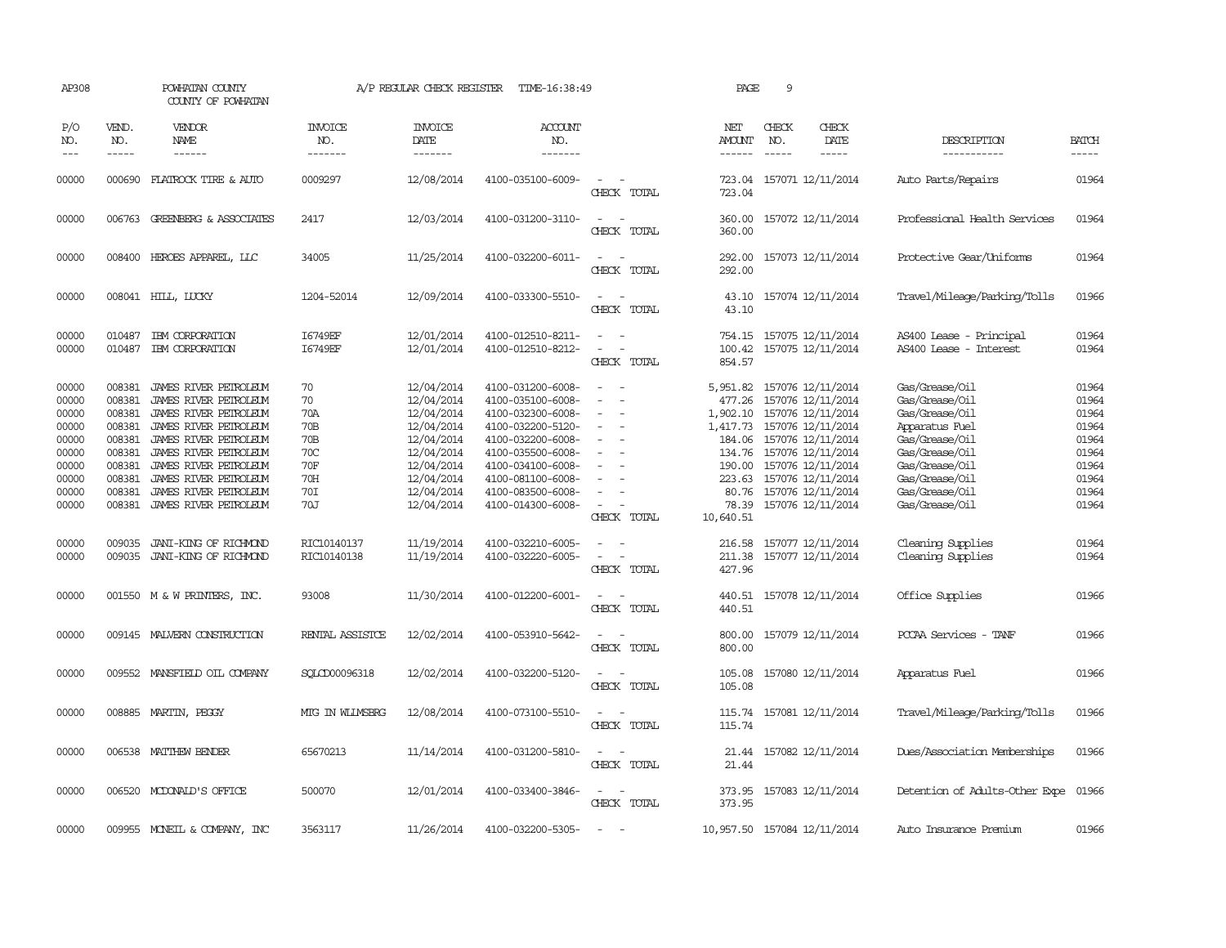| AP308                                                                                  |                                                                                        | POWHATAN COUNTY<br>COUNTY OF POWHATAN                                                                                                                                                                                                                         |                                                                                                 | A/P REGULAR CHECK REGISTER                                                                                                               | TIME-16:38:49                                                                                                                                                                                                  |                                                                                                                 | PAGE                                                                                                     | 9                                                                                                                                                                                                                    |                                                                                                                                                                                  |                                                                                        |
|----------------------------------------------------------------------------------------|----------------------------------------------------------------------------------------|---------------------------------------------------------------------------------------------------------------------------------------------------------------------------------------------------------------------------------------------------------------|-------------------------------------------------------------------------------------------------|------------------------------------------------------------------------------------------------------------------------------------------|----------------------------------------------------------------------------------------------------------------------------------------------------------------------------------------------------------------|-----------------------------------------------------------------------------------------------------------------|----------------------------------------------------------------------------------------------------------|----------------------------------------------------------------------------------------------------------------------------------------------------------------------------------------------------------------------|----------------------------------------------------------------------------------------------------------------------------------------------------------------------------------|----------------------------------------------------------------------------------------|
| P/O<br>NO.<br>$---$                                                                    | VEND.<br>NO.<br>$\cdots \cdots \cdots$                                                 | VENDOR<br>NAME<br>------                                                                                                                                                                                                                                      | <b>INVOICE</b><br>NO.<br>-------                                                                | <b>INVOICE</b><br>DATE<br>-------                                                                                                        | <b>ACCOUNT</b><br>NO.<br>-------                                                                                                                                                                               |                                                                                                                 | NET<br>AMOUNT<br>------                                                                                  | CHECK<br>CHECK<br>DATE<br>NO.<br>-----                                                                                                                                                                               | DESCRIPTION<br>-----------                                                                                                                                                       | BATCH<br>-----                                                                         |
| 00000                                                                                  | 000690                                                                                 | FLATROCK TIRE & AUTO                                                                                                                                                                                                                                          | 0009297                                                                                         | 12/08/2014                                                                                                                               | 4100-035100-6009-                                                                                                                                                                                              | $\equiv$<br>CHECK TOTAL                                                                                         | 723.04<br>723.04                                                                                         | 157071 12/11/2014                                                                                                                                                                                                    | Auto Parts/Repairs                                                                                                                                                               | 01964                                                                                  |
| 00000                                                                                  | 006763                                                                                 | <b>GREENBERG &amp; ASSOCIATES</b>                                                                                                                                                                                                                             | 2417                                                                                            | 12/03/2014                                                                                                                               | 4100-031200-3110-                                                                                                                                                                                              | $\sim$<br>$\overline{\phantom{a}}$<br>CHECK TOTAL                                                               | 360.00<br>360,00                                                                                         | 157072 12/11/2014                                                                                                                                                                                                    | Professional Health Services                                                                                                                                                     | 01964                                                                                  |
| 00000                                                                                  |                                                                                        | 008400 HEROES APPAREL, LLC                                                                                                                                                                                                                                    | 34005                                                                                           | 11/25/2014                                                                                                                               | 4100-032200-6011-                                                                                                                                                                                              | $\sim$<br>$\overline{\phantom{a}}$<br>CHECK TOTAL                                                               | 292.00<br>292.00                                                                                         | 157073 12/11/2014                                                                                                                                                                                                    | Protective Gear/Uniforms                                                                                                                                                         | 01964                                                                                  |
| 00000                                                                                  |                                                                                        | 008041 HILL, LUCKY                                                                                                                                                                                                                                            | 1204-52014                                                                                      | 12/09/2014                                                                                                                               | 4100-033300-5510-                                                                                                                                                                                              | $\sim$<br>$\sim$<br>CHECK TOTAL                                                                                 | 43.10<br>43.10                                                                                           | 157074 12/11/2014                                                                                                                                                                                                    | Travel/Mileage/Parking/Tolls                                                                                                                                                     | 01966                                                                                  |
| 00000<br>00000                                                                         | 010487<br>010487                                                                       | IBM CORPORATION<br>IBM CORPORATION                                                                                                                                                                                                                            | I6749EF<br>I6749EF                                                                              | 12/01/2014<br>12/01/2014                                                                                                                 | 4100-012510-8211-<br>4100-012510-8212-                                                                                                                                                                         | $\equiv$<br>$\omega$<br>CHECK TOTAL                                                                             | 754.15<br>100.42<br>854.57                                                                               | 157075 12/11/2014<br>157075 12/11/2014                                                                                                                                                                               | AS400 Lease - Principal<br>AS400 Lease - Interest                                                                                                                                | 01964<br>01964                                                                         |
| 00000<br>00000<br>00000<br>00000<br>00000<br>00000<br>00000<br>00000<br>00000<br>00000 | 008381<br>008381<br>008381<br>008381<br>008381<br>008381<br>008381<br>008381<br>008381 | JAMES RIVER PETROLEUM<br>JAMES RIVER PEIROLEUM<br>JAMES RIVER PEIROLEUM<br>JAMES RIVER PETROLEUM<br>JAMES RIVER PEIROLEUM<br>JAMES RIVER PEIROLEUM<br>JAMES RIVER PEIROLEUM<br>JAMES RIVER PETROLEUM<br>JAMES RIVER PEIROLEUM<br>008381 JAMES RIVER PETROLEUM | 70<br>70<br>70A<br>70 <sub>B</sub><br>70 <sub>B</sub><br>70C<br><b>70F</b><br>70H<br>70I<br>70J | 12/04/2014<br>12/04/2014<br>12/04/2014<br>12/04/2014<br>12/04/2014<br>12/04/2014<br>12/04/2014<br>12/04/2014<br>12/04/2014<br>12/04/2014 | 4100-031200-6008-<br>4100-035100-6008-<br>4100-032300-6008-<br>4100-032200-5120-<br>4100-032200-6008-<br>4100-035500-6008-<br>4100-034100-6008-<br>4100-081100-6008-<br>4100-083500-6008-<br>4100-014300-6008- | $\equiv$<br>$\equiv$<br>$\sim$<br>$\overline{\phantom{a}}$<br>$\overline{\phantom{a}}$<br>$\sim$<br>CHECK TOTAL | 5,951.82<br>477.26<br>1,902.10<br>1,417.73<br>184.06<br>134.76<br>190.00<br>223.63<br>78.39<br>10,640.51 | 157076 12/11/2014<br>157076 12/11/2014<br>157076 12/11/2014<br>157076 12/11/2014<br>157076 12/11/2014<br>157076 12/11/2014<br>157076 12/11/2014<br>157076 12/11/2014<br>80.76 157076 12/11/2014<br>157076 12/11/2014 | Gas/Grease/Oil<br>Gas/Grease/Oil<br>Gas/Grease/Oil<br>Apparatus Fuel<br>Gas/Grease/Oil<br>Gas/Grease/Oil<br>Gas/Grease/Oil<br>Gas/Grease/Oil<br>Gas/Grease/Oil<br>Gas/Grease/Oil | 01964<br>01964<br>01964<br>01964<br>01964<br>01964<br>01964<br>01964<br>01964<br>01964 |
| 00000<br>00000                                                                         | 009035                                                                                 | JANI-KING OF RICHMOND<br>009035 JANI-KING OF RICHMOND                                                                                                                                                                                                         | RIC10140137<br>RIC10140138                                                                      | 11/19/2014<br>11/19/2014                                                                                                                 | 4100-032210-6005-<br>4100-032220-6005-                                                                                                                                                                         | $\overline{\phantom{a}}$<br>CHECK TOTAL                                                                         | 216.58<br>211.38<br>427.96                                                                               | 157077 12/11/2014<br>157077 12/11/2014                                                                                                                                                                               | Cleaning Supplies<br>Cleaning Supplies                                                                                                                                           | 01964<br>01964                                                                         |
| 00000                                                                                  |                                                                                        | 001550 M & W PRINTERS, INC.                                                                                                                                                                                                                                   | 93008                                                                                           | 11/30/2014                                                                                                                               | 4100-012200-6001-                                                                                                                                                                                              | $\sim$<br>$\sim$<br>CHECK TOTAL                                                                                 | 440.51                                                                                                   | 440.51 157078 12/11/2014                                                                                                                                                                                             | Office Supplies                                                                                                                                                                  | 01966                                                                                  |
| 00000                                                                                  |                                                                                        | 009145 MALVERN CONSTRUCTION                                                                                                                                                                                                                                   | RENTAL ASSISTOE                                                                                 | 12/02/2014                                                                                                                               | 4100-053910-5642-                                                                                                                                                                                              | CHECK TOTAL                                                                                                     | 800.00<br>800.00                                                                                         | 157079 12/11/2014                                                                                                                                                                                                    | PCCAA Services - TANF                                                                                                                                                            | 01966                                                                                  |
| 00000                                                                                  |                                                                                        | 009552 MANSFIELD OIL COMPANY                                                                                                                                                                                                                                  | SOLCD00096318                                                                                   | 12/02/2014                                                                                                                               | 4100-032200-5120-                                                                                                                                                                                              | $\sim$<br>CHECK TOTAL                                                                                           | 105.08<br>105.08                                                                                         | 157080 12/11/2014                                                                                                                                                                                                    | Apparatus Fuel                                                                                                                                                                   | 01966                                                                                  |
| 00000                                                                                  |                                                                                        | 008885 MARTIN, PEGGY                                                                                                                                                                                                                                          | MTG IN WILMSBRG                                                                                 | 12/08/2014                                                                                                                               | 4100-073100-5510-                                                                                                                                                                                              | $\overline{\phantom{a}}$<br>CHECK TOTAL                                                                         | 115.74<br>115.74                                                                                         | 157081 12/11/2014                                                                                                                                                                                                    | Travel/Mileage/Parking/Tolls                                                                                                                                                     | 01966                                                                                  |
| 00000                                                                                  |                                                                                        | 006538 MATTHEW BENDER                                                                                                                                                                                                                                         | 65670213                                                                                        | 11/14/2014                                                                                                                               | 4100-031200-5810-                                                                                                                                                                                              | $\sim$<br>CHECK TOTAL                                                                                           | 21.44                                                                                                    | 21.44 157082 12/11/2014                                                                                                                                                                                              | Dues/Association Memberships                                                                                                                                                     | 01966                                                                                  |
| 00000                                                                                  |                                                                                        | 006520 MCDONALD'S OFFICE                                                                                                                                                                                                                                      | 500070                                                                                          | 12/01/2014                                                                                                                               | 4100-033400-3846-                                                                                                                                                                                              | $\overline{\phantom{a}}$<br>CHECK TOTAL                                                                         | 373.95<br>373.95                                                                                         | 157083 12/11/2014                                                                                                                                                                                                    | Detention of Adults-Other Expe 01966                                                                                                                                             |                                                                                        |
| 00000                                                                                  |                                                                                        | 009955 MONEIL & COMPANY, INC                                                                                                                                                                                                                                  | 3563117                                                                                         | 11/26/2014                                                                                                                               | 4100-032200-5305-                                                                                                                                                                                              | $\sim$                                                                                                          |                                                                                                          | 10,957.50 157084 12/11/2014                                                                                                                                                                                          | Auto Insurance Premium                                                                                                                                                           | 01966                                                                                  |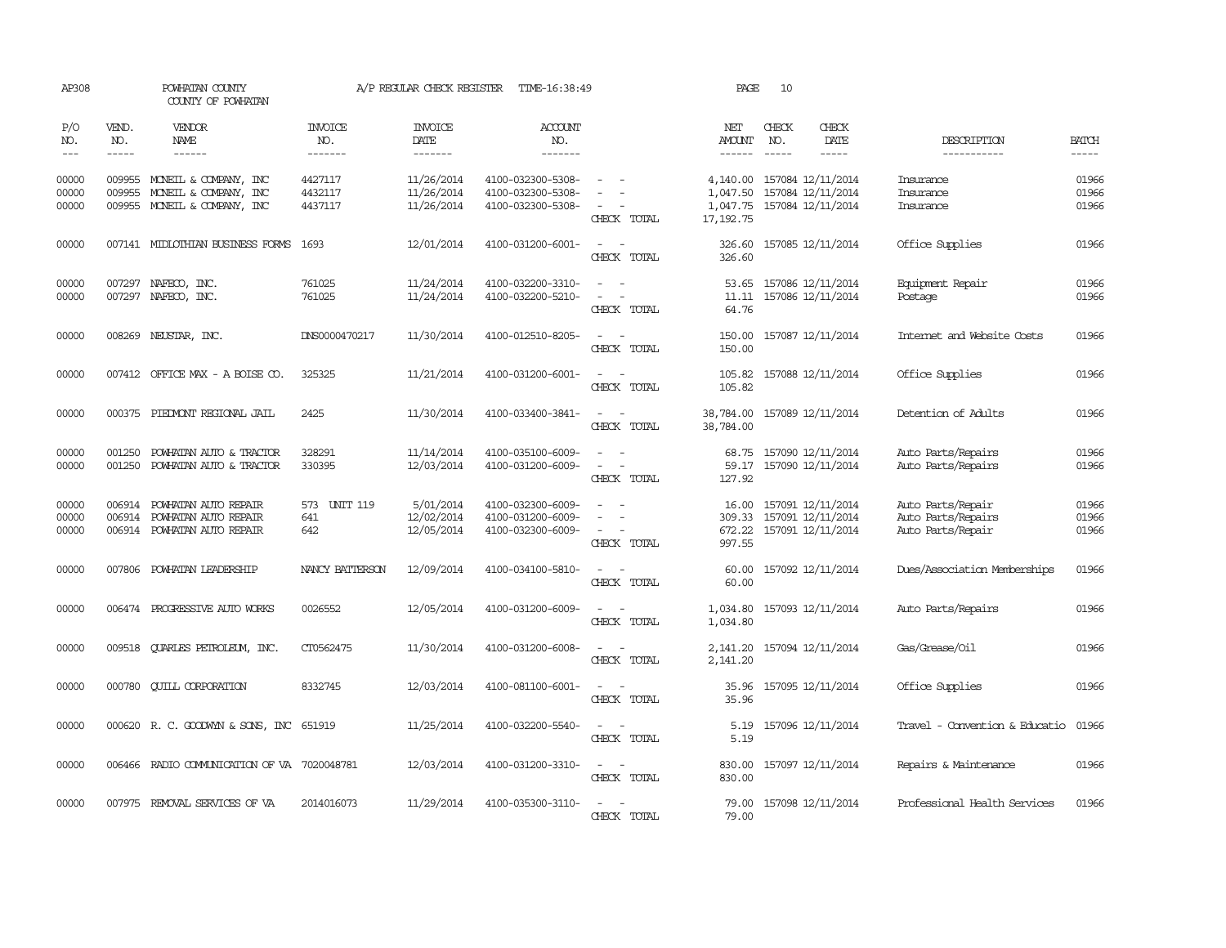| AP308                   |                               | POWHATAN COUNTY<br>COUNTY OF POWHATAN                                              |                                  | A/P REGULAR CHECK REGISTER             | TIME-16:38:49                                               |                                                                     | PAGE                                           | 10           |                                                                    |                                                              |                         |
|-------------------------|-------------------------------|------------------------------------------------------------------------------------|----------------------------------|----------------------------------------|-------------------------------------------------------------|---------------------------------------------------------------------|------------------------------------------------|--------------|--------------------------------------------------------------------|--------------------------------------------------------------|-------------------------|
| P/O<br>NO.<br>$---$     | VEND.<br>NO.<br>$\frac{1}{2}$ | VENDOR<br>NAME<br>$\frac{1}{2}$                                                    | <b>INVOICE</b><br>NO.<br>------- | <b>INVOICE</b><br>DATE<br>-------      | <b>ACCOUNT</b><br>NO.<br>-------                            |                                                                     | NET<br><b>AMOUNT</b>                           | CHECK<br>NO. | CHECK<br>DATE<br>$- - - - -$                                       | DESCRIPTION<br>-----------                                   | <b>BATCH</b><br>-----   |
| 00000<br>00000<br>00000 | 009955<br>009955              | MONEIL & COMPANY, INC<br>MONEIL & COMPANY, INC<br>009955 MONEIL & COMPANY, INC     | 4427117<br>4432117<br>4437117    | 11/26/2014<br>11/26/2014<br>11/26/2014 | 4100-032300-5308-<br>4100-032300-5308-<br>4100-032300-5308- | $\sim$<br>CHECK TOTAL                                               | 4,140.00<br>1,047.50<br>1,047.75<br>17, 192.75 |              | 157084 12/11/2014<br>157084 12/11/2014<br>157084 12/11/2014        | Insurance<br>Insurance<br>Insurance                          | 01966<br>01966<br>01966 |
| 00000                   |                               | 007141 MIDLOTHIAN BUSINESS FORMS                                                   | 1693                             | 12/01/2014                             | 4100-031200-6001-                                           | $\equiv$<br>$\sim$<br>CHECK TOTAL                                   | 326.60<br>326.60                               |              | 157085 12/11/2014                                                  | Office Supplies                                              | 01966                   |
| 00000<br>00000          |                               | 007297 NAFECO, INC.<br>007297 NAFECO, INC.                                         | 761025<br>761025                 | 11/24/2014<br>11/24/2014               | 4100-032200-3310-<br>4100-032200-5210-                      | $\overline{\phantom{a}}$<br>$\overline{\phantom{0}}$<br>CHECK TOTAL | 53.65<br>11.11<br>64.76                        |              | 157086 12/11/2014<br>157086 12/11/2014                             | Equipment Repair<br>Postage                                  | 01966<br>01966          |
| 00000                   |                               | 008269 NEUSTAR, INC.                                                               | DNS0000470217                    | 11/30/2014                             | 4100-012510-8205-                                           | $\sim$<br>$\sim$<br>CHECK TOTAL                                     | 150.00<br>150.00                               |              | 157087 12/11/2014                                                  | Internet and Website Costs                                   | 01966                   |
| 00000                   |                               | 007412 OFFICE MAX - A BOISE CO.                                                    | 325325                           | 11/21/2014                             | 4100-031200-6001-                                           | $\equiv$<br>$\sim$<br>CHECK TOTAL                                   | 105.82<br>105.82                               |              | 157088 12/11/2014                                                  | Office Supplies                                              | 01966                   |
| 00000                   |                               | 000375 PIEDMONT REGIONAL JAIL                                                      | 2425                             | 11/30/2014                             | 4100-033400-3841-                                           | $\sim$ 100 $\sim$<br>CHECK TOTAL                                    | 38,784.00<br>38,784.00                         |              | 157089 12/11/2014                                                  | Detention of Adults                                          | 01966                   |
| 00000<br>00000          | 001250<br>001250              | POWHATAN AUTO & TRACTOR<br>POWHATAN AUTO & TRACTOR                                 | 328291<br>330395                 | 11/14/2014<br>12/03/2014               | 4100-035100-6009-<br>4100-031200-6009-                      | $\equiv$<br>CHECK TOTAL                                             | 68.75<br>59.17<br>127.92                       |              | 157090 12/11/2014<br>157090 12/11/2014                             | Auto Parts/Repairs<br>Auto Parts/Repairs                     | 01966<br>01966          |
| 00000<br>00000<br>00000 | 006914                        | POWHATAN AUTO REPAIR<br>006914 POWHATAN AUTO REPAIR<br>006914 POWHATAN AUTO REPAIR | 573 UNIT 119<br>641<br>642       | 5/01/2014<br>12/02/2014<br>12/05/2014  | 4100-032300-6009-<br>4100-031200-6009-<br>4100-032300-6009- | $\equiv$<br>$\sim$<br>$\overline{\phantom{a}}$<br>CHECK TOTAL       | 16.00<br>309.33<br>997.55                      |              | 157091 12/11/2014<br>157091 12/11/2014<br>672.22 157091 12/11/2014 | Auto Parts/Repair<br>Auto Parts/Repairs<br>Auto Parts/Repair | 01966<br>01966<br>01966 |
| 00000                   |                               | 007806 POWHATAN LEADERSHIP                                                         | NANCY BATTERSON                  | 12/09/2014                             | 4100-034100-5810-                                           | CHECK TOTAL                                                         | 60.00<br>60.00                                 |              | 157092 12/11/2014                                                  | Dues/Association Memberships                                 | 01966                   |
| 00000                   |                               | 006474 PROGRESSIVE AUIO WORKS                                                      | 0026552                          | 12/05/2014                             | 4100-031200-6009-                                           | $\overline{\phantom{a}}$<br>CHECK TOTAL                             | 1,034.80<br>1,034.80                           |              | 157093 12/11/2014                                                  | Auto Parts/Repairs                                           | 01966                   |
| 00000                   |                               | 009518 QUARLES PETROLEUM, INC.                                                     | CT0562475                        | 11/30/2014                             | 4100-031200-6008-                                           | $\overline{\phantom{a}}$<br>- -<br>CHECK TOTAL                      | 2,141.20<br>2,141.20                           |              | 157094 12/11/2014                                                  | Gas/Grease/Oil                                               | 01966                   |
| 00000                   | 000780                        | <b>CUILL CORPORATION</b>                                                           | 8332745                          | 12/03/2014                             | 4100-081100-6001-                                           | $\equiv$<br>- 11<br>CHECK TOTAL                                     | 35.96<br>35.96                                 |              | 157095 12/11/2014                                                  | Office Supplies                                              | 01966                   |
| 00000                   |                               | 000620 R. C. GOODWYN & SONS, INC                                                   | 651919                           | 11/25/2014                             | 4100-032200-5540-                                           | $\overline{\phantom{a}}$<br>$\sim$<br>CHECK TOTAL                   | 5.19<br>5.19                                   |              | 157096 12/11/2014                                                  | Travel - Convention & Educatio                               | 01966                   |
| 00000                   |                               | 006466 RADIO COMMUNICATION OF VA 7020048781                                        |                                  | 12/03/2014                             | 4100-031200-3310-                                           | $\sim$ $ \sim$<br>CHECK TOTAL                                       | 830.00<br>830.00                               |              | 157097 12/11/2014                                                  | Repairs & Maintenance                                        | 01966                   |
| 00000                   |                               | 007975 REMOVAL SERVICES OF VA                                                      | 2014016073                       | 11/29/2014                             | 4100-035300-3110-                                           | CHECK TOTAL                                                         | 79.00<br>79.00                                 |              | 157098 12/11/2014                                                  | Professional Health Services                                 | 01966                   |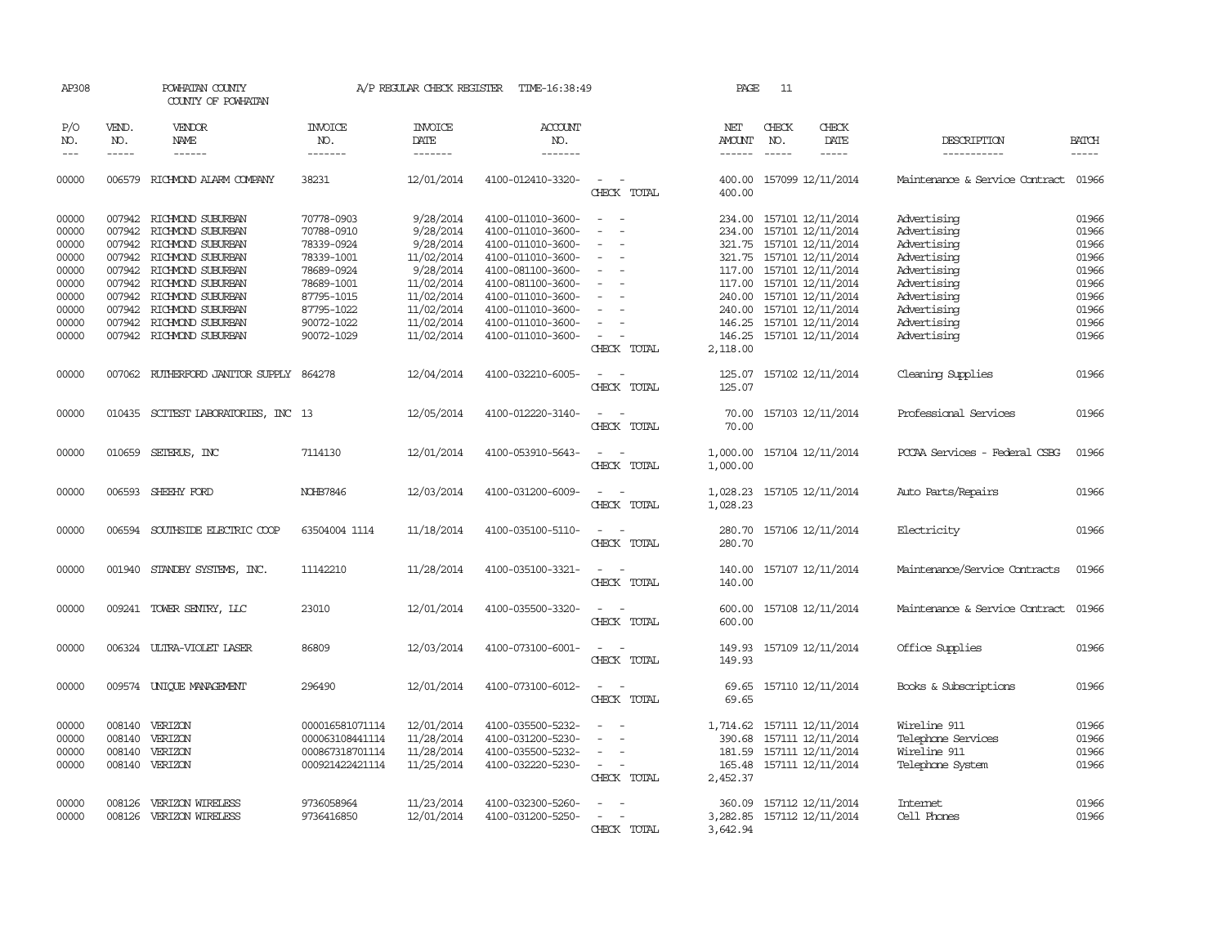| AP308                            |                            | POWHATAN COUNTY<br>COUNTY OF POWHATAN                                                                                                    |                                                                          | A/P REGULAR CHECK REGISTER                           | TIME-16:38:49                                                                    |                                                                                              | PAGE                         | 11            |                                                                                                  |                                                                        |                                           |
|----------------------------------|----------------------------|------------------------------------------------------------------------------------------------------------------------------------------|--------------------------------------------------------------------------|------------------------------------------------------|----------------------------------------------------------------------------------|----------------------------------------------------------------------------------------------|------------------------------|---------------|--------------------------------------------------------------------------------------------------|------------------------------------------------------------------------|-------------------------------------------|
| P/O<br>NO.                       | VEND.<br>NO.               | VENDOR<br>NAME                                                                                                                           | INVOICE<br>NO.                                                           | <b>INVOICE</b><br>DATE                               | ACCOUNT<br>NO.                                                                   |                                                                                              | NET<br>AMOUNT                | CHECK<br>NO.  | CHECK<br>DATE                                                                                    | DESCRIPTION                                                            | <b>BATCH</b>                              |
| $---$                            | $\frac{1}{2}$              | ------                                                                                                                                   | -------                                                                  | -------                                              | -------                                                                          |                                                                                              | $- - - - - -$                | $\frac{1}{2}$ | $\frac{1}{2}$                                                                                    | -----------                                                            | -----                                     |
| 00000                            |                            | 006579 RICHMOND ALARM COMPANY                                                                                                            | 38231                                                                    | 12/01/2014                                           | 4100-012410-3320-                                                                | $\sim$<br>CHECK TOTAL                                                                        | 400.00<br>400.00             |               | 157099 12/11/2014                                                                                | Maintenance & Service Contract                                         | 01966                                     |
| 00000<br>00000<br>00000<br>00000 | 007942<br>007942           | 007942 RICHMOND SUBURBAN<br>RICHMOND SUBURBAN<br>RICHMOND SUBURBAN<br>007942 RICHMOND SUBURBAN                                           | 70778-0903<br>70788-0910<br>78339-0924<br>78339-1001                     | 9/28/2014<br>9/28/2014<br>9/28/2014<br>11/02/2014    | 4100-011010-3600-<br>4100-011010-3600-<br>4100-011010-3600-<br>4100-011010-3600- | $\equiv$<br>$\overline{\phantom{a}}$<br>$\overline{\phantom{a}}$<br>$\overline{\phantom{a}}$ | 234.00<br>234.00<br>321.75   |               | 157101 12/11/2014<br>157101 12/11/2014<br>157101 12/11/2014<br>321.75 157101 12/11/2014          | Advertising<br>Advertising<br>Advertising<br>Advertising               | 01966<br>01966<br>01966<br>01966          |
| 00000<br>00000<br>00000<br>00000 |                            | 007942 RICHMOND SUBURBAN<br>007942 RICHMOND SUBURBAN<br>007942 RICHMOND SUBURBAN<br>007942 RICHMOND SUBURBAN<br>007942 RICHMOND SUBURBAN | 78689-0924<br>78689-1001<br>87795-1015<br>87795-1022                     | 9/28/2014<br>11/02/2014<br>11/02/2014<br>11/02/2014  | 4100-081100-3600-<br>4100-081100-3600-<br>4100-011010-3600-<br>4100-011010-3600- | $\equiv$<br>$\equiv$                                                                         | 117.00<br>240.00             |               | 117.00 157101 12/11/2014<br>157101 12/11/2014<br>240.00 157101 12/11/2014<br>157101 12/11/2014   | Advertising<br>Advertising<br>Advertising<br>Advertising               | 01966<br>01966<br>01966<br>01966<br>01966 |
| 00000<br>00000                   |                            | 007942 RICHMOND SUBURBAN                                                                                                                 | 90072-1022<br>90072-1029                                                 | 11/02/2014<br>11/02/2014                             | 4100-011010-3600-<br>4100-011010-3600-                                           | $\equiv$<br>CHECK TOTAL                                                                      | 146.25<br>2,118.00           |               | 157101 12/11/2014<br>146.25 157101 12/11/2014                                                    | Advertising<br>Advertising                                             | 01966                                     |
| 00000                            |                            | 007062 RUIHERFORD JANITOR SUPPLY 864278                                                                                                  |                                                                          | 12/04/2014                                           | 4100-032210-6005-                                                                | $\sim$<br>CHECK TOTAL                                                                        | 125.07<br>125.07             |               | 157102 12/11/2014                                                                                | Cleaning Supplies                                                      | 01966                                     |
| 00000                            | 010435                     | SCITEST LABORATORIES, INC 13                                                                                                             |                                                                          | 12/05/2014                                           | 4100-012220-3140-                                                                | $\equiv$<br>CHECK TOTAL                                                                      | 70.00<br>70.00               |               | 157103 12/11/2014                                                                                | Professional Services                                                  | 01966                                     |
| 00000                            |                            | 010659 SETERUS, INC                                                                                                                      | 7114130                                                                  | 12/01/2014                                           | 4100-053910-5643-                                                                | CHECK TOTAL                                                                                  | 1,000.00<br>1,000.00         |               | 157104 12/11/2014                                                                                | PCCAA Services - Federal CSBG                                          | 01966                                     |
| 00000                            | 006593                     | SHEEHY FORD                                                                                                                              | <b>NOHB7846</b>                                                          | 12/03/2014                                           | 4100-031200-6009-                                                                | CHECK TOTAL                                                                                  | 1,028.23<br>1,028.23         |               | 157105 12/11/2014                                                                                | Auto Parts/Repairs                                                     | 01966                                     |
| 00000                            | 006594                     | SOUTHSIDE ELECTRIC COOP                                                                                                                  | 63504004 1114                                                            | 11/18/2014                                           | 4100-035100-5110-                                                                | CHECK TOTAL                                                                                  | 280.70<br>280.70             |               | 157106 12/11/2014                                                                                | Electricity                                                            | 01966                                     |
| 00000                            | 001940                     | STANDBY SYSTEMS, INC.                                                                                                                    | 11142210                                                                 | 11/28/2014                                           | 4100-035100-3321-                                                                | CHECK TOTAL                                                                                  | 140.00<br>140.00             |               | 157107 12/11/2014                                                                                | Maintenance/Service Contracts                                          | 01966                                     |
| 00000                            |                            | 009241 TOWER SENTRY, LLC                                                                                                                 | 23010                                                                    | 12/01/2014                                           | 4100-035500-3320-                                                                | CHECK TOTAL                                                                                  | 600.00<br>600.00             |               | 157108 12/11/2014                                                                                | Maintenance & Service Contract                                         | 01966                                     |
| 00000                            |                            | 006324 ULTRA-VIOLET LASER                                                                                                                | 86809                                                                    | 12/03/2014                                           | 4100-073100-6001-                                                                | $\overline{\phantom{a}}$<br>CHECK TOTAL                                                      | 149.93<br>149.93             |               | 157109 12/11/2014                                                                                | Office Supplies                                                        | 01966                                     |
| 00000                            |                            | 009574 UNIQUE MANAGEMENT                                                                                                                 | 296490                                                                   | 12/01/2014                                           | 4100-073100-6012-                                                                | CHECK TOTAL                                                                                  | 69.65<br>69.65               |               | 157110 12/11/2014                                                                                | Books & Subscriptions                                                  | 01966                                     |
| 00000<br>00000<br>00000<br>00000 | 008140<br>008140<br>008140 | VERIZON<br>VERIZON<br>VERIZON<br>008140 VERIZON                                                                                          | 000016581071114<br>000063108441114<br>000867318701114<br>000921422421114 | 12/01/2014<br>11/28/2014<br>11/28/2014<br>11/25/2014 | 4100-035500-5232-<br>4100-031200-5230-<br>4100-035500-5232-<br>4100-032220-5230- | $\equiv$<br>$\sim$<br>$\sim$<br>$\overline{\phantom{0}}$<br>CHECK TOTAL                      | 390.68<br>181.59<br>2,452.37 |               | 1,714.62 157111 12/11/2014<br>157111 12/11/2014<br>157111 12/11/2014<br>165.48 157111 12/11/2014 | Wireline 911<br>Telephone Services<br>Wireline 911<br>Telephone System | 01966<br>01966<br>01966<br>01966          |
| 00000<br>00000                   | 008126<br>008126           | VERIZON WIRELESS<br>VERIZON WIRELESS                                                                                                     | 9736058964<br>9736416850                                                 | 11/23/2014<br>12/01/2014                             | 4100-032300-5260-<br>4100-031200-5250-                                           | CHECK TOTAL                                                                                  | 360.09<br>3,642.94           |               | 157112 12/11/2014<br>3, 282.85 157112 12/11/2014                                                 | Internet<br>Cell Phones                                                | 01966<br>01966                            |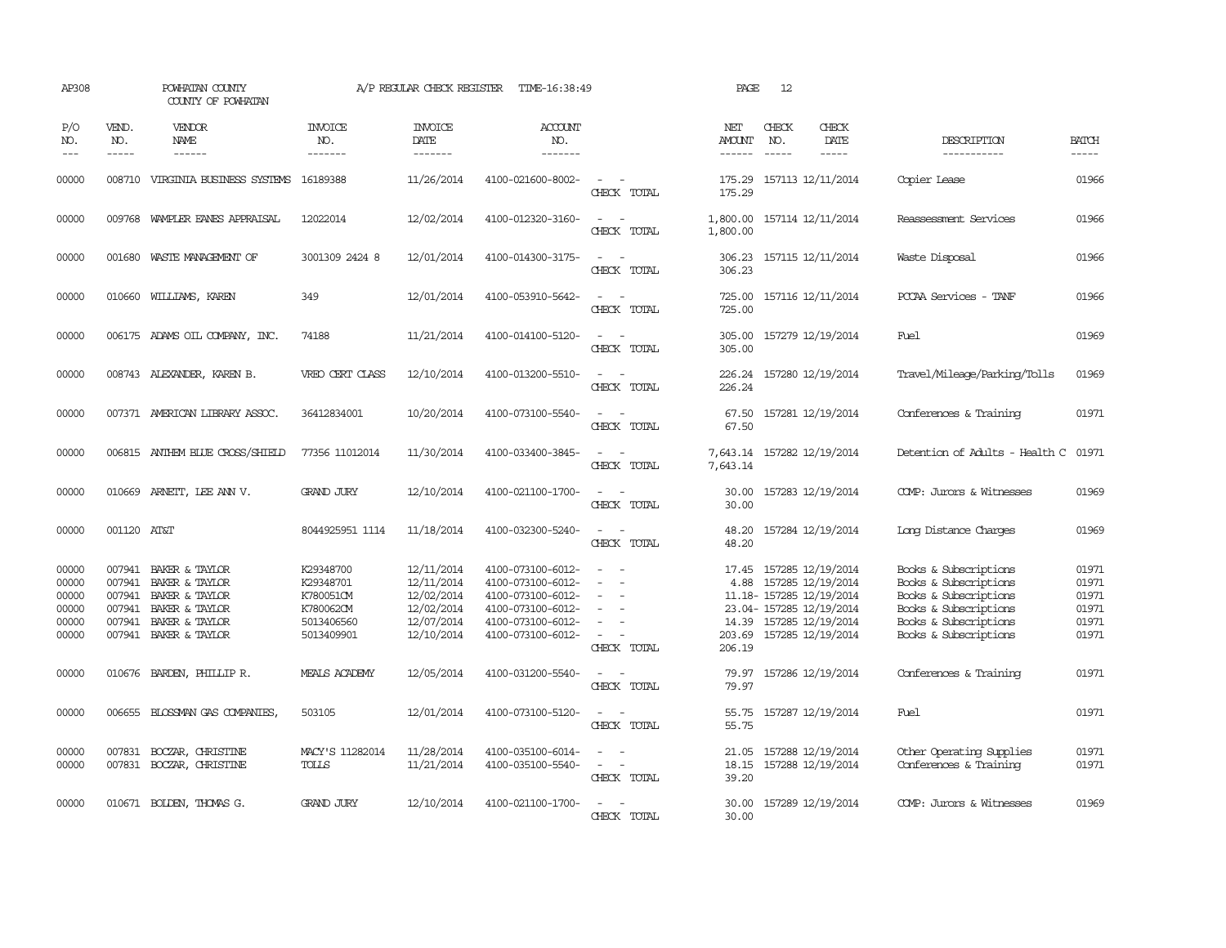| AP308                                              |                                                | POWHATAN COUNTY<br>COUNTY OF POWHATAN                                                                                      |                                                                              | A/P REGULAR CHECK REGISTER                                                       | TIME-16:38:49                                                                                                              |                                                                                                                             | PAGE                           | 12                            |                                                                                                                                                     |                                                                                                                                                    |                                                    |
|----------------------------------------------------|------------------------------------------------|----------------------------------------------------------------------------------------------------------------------------|------------------------------------------------------------------------------|----------------------------------------------------------------------------------|----------------------------------------------------------------------------------------------------------------------------|-----------------------------------------------------------------------------------------------------------------------------|--------------------------------|-------------------------------|-----------------------------------------------------------------------------------------------------------------------------------------------------|----------------------------------------------------------------------------------------------------------------------------------------------------|----------------------------------------------------|
| P/O<br>NO.<br>$---$                                | VEND.<br>NO.<br>$- - - - -$                    | <b>VENDOR</b><br><b>NAME</b><br>$- - - - - -$                                                                              | <b>INVOICE</b><br>NO.<br>-------                                             | <b>INVOICE</b><br>DATE<br>-------                                                | <b>ACCOUNT</b><br>NO.<br>-------                                                                                           |                                                                                                                             | NET<br><b>AMOUNT</b><br>------ | CHECK<br>NO.<br>$\frac{1}{2}$ | CHECK<br>DATE<br>$- - - - -$                                                                                                                        | DESCRIPTION<br>-----------                                                                                                                         | <b>BATCH</b><br>-----                              |
| 00000                                              | 008710                                         | VIRGINIA BUSINESS SYSTEMS 16189388                                                                                         |                                                                              | 11/26/2014                                                                       | 4100-021600-8002-                                                                                                          | $\frac{1}{2} \left( \frac{1}{2} \right) \left( \frac{1}{2} \right) = \frac{1}{2} \left( \frac{1}{2} \right)$<br>CHECK TOTAL | 175.29<br>175.29               |                               | 157113 12/11/2014                                                                                                                                   | Copier Lease                                                                                                                                       | 01966                                              |
| 00000                                              |                                                | 009768 WAMPLER EANES APPRAISAL                                                                                             | 12022014                                                                     | 12/02/2014                                                                       | 4100-012320-3160-                                                                                                          | $\equiv$<br>$\sim$<br>CHECK TOTAL                                                                                           | 1,800.00<br>1,800.00           |                               | 157114 12/11/2014                                                                                                                                   | Reassessment Services                                                                                                                              | 01966                                              |
| 00000                                              |                                                | 001680 WASTE MANAGEMENT OF                                                                                                 | 3001309 2424 8                                                               | 12/01/2014                                                                       | 4100-014300-3175-                                                                                                          | $\sim$<br>CHECK TOTAL                                                                                                       | 306.23                         |                               | 306.23 157115 12/11/2014                                                                                                                            | Waste Disposal                                                                                                                                     | 01966                                              |
| 00000                                              |                                                | 010660 WILLIAMS, KAREN                                                                                                     | 349                                                                          | 12/01/2014                                                                       | 4100-053910-5642-                                                                                                          | CHECK TOTAL                                                                                                                 | 725.00<br>725.00               |                               | 157116 12/11/2014                                                                                                                                   | PCCAA Services - TANF                                                                                                                              | 01966                                              |
| 00000                                              |                                                | 006175 ADAMS OIL COMPANY, INC.                                                                                             | 74188                                                                        | 11/21/2014                                                                       | 4100-014100-5120-                                                                                                          | $\equiv$<br>$\sim$<br>CHECK TOTAL                                                                                           | 305.00<br>305.00               |                               | 157279 12/19/2014                                                                                                                                   | Fuel                                                                                                                                               | 01969                                              |
| 00000                                              |                                                | 008743 ALEXANDER, KAREN B.                                                                                                 | VREO CERT CLASS                                                              | 12/10/2014                                                                       | 4100-013200-5510-                                                                                                          | $\sim$ $ \sim$<br>CHECK TOTAL                                                                                               | 226.24<br>226.24               |                               | 157280 12/19/2014                                                                                                                                   | Travel/Mileage/Parking/Tolls                                                                                                                       | 01969                                              |
| 00000                                              |                                                | 007371 AMERICAN LIBRARY ASSOC.                                                                                             | 36412834001                                                                  | 10/20/2014                                                                       | 4100-073100-5540-                                                                                                          | $ -$<br>CHECK TOTAL                                                                                                         | 67.50<br>67.50                 |                               | 157281 12/19/2014                                                                                                                                   | Conferences & Training                                                                                                                             | 01971                                              |
| 00000                                              |                                                | 006815 ANTHEM BLUE CROSS/SHIELD                                                                                            | 77356 11012014                                                               | 11/30/2014                                                                       | 4100-033400-3845-                                                                                                          | $\sim$ $ \sim$<br>CHECK TOTAL                                                                                               | 7,643.14                       |                               | 7,643.14 157282 12/19/2014                                                                                                                          | Detention of Adults - Health C                                                                                                                     | 01971                                              |
| 00000                                              |                                                | 010669 ARNEIT, LEE ANN V.                                                                                                  | <b>GRAND JURY</b>                                                            | 12/10/2014                                                                       | 4100-021100-1700-                                                                                                          | $ -$<br>CHECK TOTAL                                                                                                         | 30.00<br>30.00                 |                               | 157283 12/19/2014                                                                                                                                   | COMP: Jurors & Witnesses                                                                                                                           | 01969                                              |
| 00000                                              | 001120 AT&T                                    |                                                                                                                            | 8044925951 1114                                                              | 11/18/2014                                                                       | 4100-032300-5240-                                                                                                          | $\sim$<br>- 1<br>CHECK TOTAL                                                                                                | 48.20<br>48.20                 |                               | 157284 12/19/2014                                                                                                                                   | Long Distance Charges                                                                                                                              | 01969                                              |
| 00000<br>00000<br>00000<br>00000<br>00000<br>00000 | 007941<br>007941<br>007941<br>007941<br>007941 | BAKER & TAYLOR<br><b>BAKER &amp; TAYLOR</b><br>BAKER & TAYLOR<br>BAKER & TAYLOR<br>BAKER & TAYLOR<br>007941 BAKER & TAYLOR | K29348700<br>K29348701<br>K780051CM<br>K780062CM<br>5013406560<br>5013409901 | 12/11/2014<br>12/11/2014<br>12/02/2014<br>12/02/2014<br>12/07/2014<br>12/10/2014 | 4100-073100-6012-<br>4100-073100-6012-<br>4100-073100-6012-<br>4100-073100-6012-<br>4100-073100-6012-<br>4100-073100-6012- | $\equiv$<br>$\equiv$<br>$\sim$<br>$\equiv$<br>$\sim$<br>CHECK TOTAL                                                         | 17.45<br>4.88<br>206.19        |                               | 157285 12/19/2014<br>157285 12/19/2014<br>11.18-157285 12/19/2014<br>23.04-157285 12/19/2014<br>14.39 157285 12/19/2014<br>203.69 157285 12/19/2014 | Books & Subscriptions<br>Books & Subscriptions<br>Books & Subscriptions<br>Books & Subscriptions<br>Books & Subscriptions<br>Books & Subscriptions | 01971<br>01971<br>01971<br>01971<br>01971<br>01971 |
| 00000                                              |                                                | 010676 BARDEN, PHILLIP R.                                                                                                  | MEALS ACADEMY                                                                | 12/05/2014                                                                       | 4100-031200-5540-                                                                                                          | $\frac{1}{2} \left( \frac{1}{2} \right) \left( \frac{1}{2} \right) = \frac{1}{2} \left( \frac{1}{2} \right)$<br>CHECK TOTAL | 79.97<br>79.97                 |                               | 157286 12/19/2014                                                                                                                                   | Conferences & Training                                                                                                                             | 01971                                              |
| 00000                                              |                                                | 006655 BLOSSMAN GAS COMPANIES,                                                                                             | 503105                                                                       | 12/01/2014                                                                       | 4100-073100-5120-                                                                                                          | $\omega_{\rm{max}}$ and $\omega_{\rm{max}}$<br>CHECK TOTAL                                                                  | 55.75<br>55.75                 |                               | 157287 12/19/2014                                                                                                                                   | Fuel                                                                                                                                               | 01971                                              |
| 00000<br>00000                                     | 007831                                         | BOCZAR, CHRISTINE<br>007831 BOCZAR, CHRISTINE                                                                              | MACY'S 11282014<br><b>TOLLS</b>                                              | 11/28/2014<br>11/21/2014                                                         | 4100-035100-6014-<br>4100-035100-5540-                                                                                     | $\sim$<br>CHECK TOTAL                                                                                                       | 21.05<br>18.15<br>39.20        |                               | 157288 12/19/2014<br>157288 12/19/2014                                                                                                              | Other Operating Supplies<br>Conferences & Training                                                                                                 | 01971<br>01971                                     |
| 00000                                              |                                                | 010671 BOLDEN, THOMAS G.                                                                                                   | <b>GRAND JURY</b>                                                            | 12/10/2014                                                                       | 4100-021100-1700-                                                                                                          | $\equiv$<br>CHECK TOTAL                                                                                                     | 30.00<br>30.00                 |                               | 157289 12/19/2014                                                                                                                                   | COMP: Jurors & Witnesses                                                                                                                           | 01969                                              |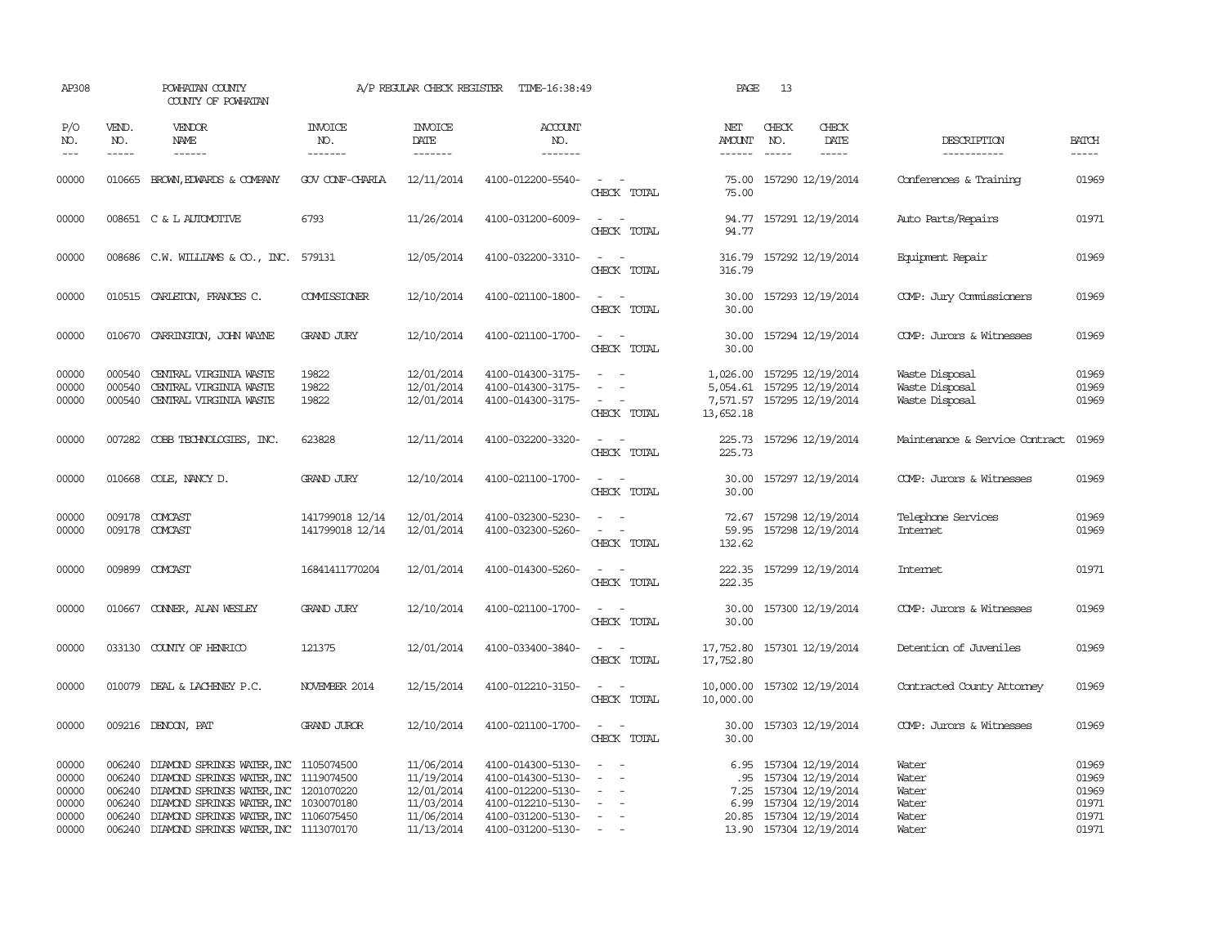| AP308                                     |                                      | POWHATAN COUNTY<br>COUNTY OF POWHATAN                                                                                                                                                                            |                                    | A/P REGULAR CHECK REGISTER                                         | TIME-16:38:49                                                                                         |                                                                                                                             | PAGE                    | 13                            |                                                                                                                 |                                                    |                                                                                                                                                                                                                                                                                                                                                                                                                                                                         |
|-------------------------------------------|--------------------------------------|------------------------------------------------------------------------------------------------------------------------------------------------------------------------------------------------------------------|------------------------------------|--------------------------------------------------------------------|-------------------------------------------------------------------------------------------------------|-----------------------------------------------------------------------------------------------------------------------------|-------------------------|-------------------------------|-----------------------------------------------------------------------------------------------------------------|----------------------------------------------------|-------------------------------------------------------------------------------------------------------------------------------------------------------------------------------------------------------------------------------------------------------------------------------------------------------------------------------------------------------------------------------------------------------------------------------------------------------------------------|
| P/O<br>NO.<br>$---$                       | VEND.<br>NO.<br>-----                | <b>VENDOR</b><br><b>NAME</b><br>$- - - - - -$                                                                                                                                                                    | <b>INVOICE</b><br>NO.<br>-------   | <b>INVOICE</b><br><b>DATE</b><br>--------                          | <b>ACCOUNT</b><br>NO.<br>-------                                                                      |                                                                                                                             | NET<br>AMOUNT<br>------ | CHECK<br>NO.<br>$\frac{1}{2}$ | CHECK<br>DATE                                                                                                   | DESCRIPTION<br>-----------                         | <b>BATCH</b><br>$\begin{tabular}{ccccc} \multicolumn{2}{c }{\multicolumn{2}{c }{\multicolumn{2}{c }{\multicolumn{2}{c}}{\hspace{-2.2cm}}}} \multicolumn{2}{c }{\multicolumn{2}{c }{\hspace{-2.2cm}}\hline} \multicolumn{2}{c }{\hspace{-2.2cm}}\hline \multicolumn{2}{c }{\hspace{-2.2cm}}\hline \multicolumn{2}{c }{\hspace{-2.2cm}}\hline \multicolumn{2}{c }{\hspace{-2.2cm}}\hline \multicolumn{2}{c }{\hspace{-2.2cm}}\hline \multicolumn{2}{c }{\hspace{-2.2cm}}$ |
| 00000                                     |                                      | 010665 BROWN, EDWARDS & COMPANY                                                                                                                                                                                  | GOV CONF-CHARLA                    | 12/11/2014                                                         | 4100-012200-5540-                                                                                     | $ -$<br>CHECK TOTAL                                                                                                         | 75.00<br>75.00          |                               | 157290 12/19/2014                                                                                               | Conferences & Training                             | 01969                                                                                                                                                                                                                                                                                                                                                                                                                                                                   |
| 00000                                     |                                      | 008651 C & L AUTOMOTIVE                                                                                                                                                                                          | 6793                               | 11/26/2014                                                         | 4100-031200-6009-                                                                                     | $\frac{1}{2} \left( \frac{1}{2} \right) \left( \frac{1}{2} \right) = \frac{1}{2} \left( \frac{1}{2} \right)$<br>CHECK TOTAL | 94.77                   |                               | 94.77 157291 12/19/2014                                                                                         | Auto Parts/Repairs                                 | 01971                                                                                                                                                                                                                                                                                                                                                                                                                                                                   |
| 00000                                     |                                      | 008686 C.W. WILLIAMS & CO., INC. 579131                                                                                                                                                                          |                                    | 12/05/2014                                                         | 4100-032200-3310-                                                                                     | $\sim$<br>$\sim$<br>CHECK TOTAL                                                                                             | 316.79                  |                               | 316.79 157292 12/19/2014                                                                                        | Equipment Repair                                   | 01969                                                                                                                                                                                                                                                                                                                                                                                                                                                                   |
| 00000                                     |                                      | 010515 CARLETON, FRANCES C.                                                                                                                                                                                      | COMMISSIONER                       | 12/10/2014                                                         | 4100-021100-1800-                                                                                     | $\sim$ $\sim$<br>CHECK TOTAL                                                                                                | 30.00<br>30.00          |                               | 157293 12/19/2014                                                                                               | COMP: Jury Commissioners                           | 01969                                                                                                                                                                                                                                                                                                                                                                                                                                                                   |
| 00000                                     |                                      | 010670 CARRINGTON, JOHN WAYNE                                                                                                                                                                                    | <b>GRAND JURY</b>                  | 12/10/2014                                                         | 4100-021100-1700-                                                                                     | $\sim$ $\sim$<br>CHECK TOTAL                                                                                                | 30.00<br>30.00          |                               | 157294 12/19/2014                                                                                               | COMP: Jurors & Witnesses                           | 01969                                                                                                                                                                                                                                                                                                                                                                                                                                                                   |
| 00000<br>00000<br>00000                   | 000540<br>000540<br>000540           | CENTRAL VIRGINIA WASTE<br>CENIRAL VIRGINIA WASTE<br>CENTRAL VIRGINIA WASTE                                                                                                                                       | 19822<br>19822<br>19822            | 12/01/2014<br>12/01/2014<br>12/01/2014                             | 4100-014300-3175-<br>4100-014300-3175-<br>4100-014300-3175-                                           | $\sim$<br>$\sim$<br>$\overline{\phantom{a}}$<br>CHECK TOTAL                                                                 | 13,652.18               |                               | 1,026.00 157295 12/19/2014<br>5,054.61 157295 12/19/2014<br>7,571.57 157295 12/19/2014                          | Waste Disposal<br>Waste Disposal<br>Waste Disposal | 01969<br>01969<br>01969                                                                                                                                                                                                                                                                                                                                                                                                                                                 |
| 00000                                     |                                      | 007282 COBB TECHNOLOGIES, INC.                                                                                                                                                                                   | 623828                             | 12/11/2014                                                         | 4100-032200-3320-                                                                                     | $ -$<br>CHECK TOTAL                                                                                                         | 225.73                  |                               | 225.73 157296 12/19/2014                                                                                        | Maintenance & Service Contract                     | 01969                                                                                                                                                                                                                                                                                                                                                                                                                                                                   |
| 00000                                     |                                      | 010668 COLE, NANCY D.                                                                                                                                                                                            | <b>GRAND JURY</b>                  | 12/10/2014                                                         | 4100-021100-1700-                                                                                     | $\sim$ $\sim$<br>CHECK TOTAL                                                                                                | 30.00                   |                               | 30.00 157297 12/19/2014                                                                                         | COMP: Jurors & Witnesses                           | 01969                                                                                                                                                                                                                                                                                                                                                                                                                                                                   |
| 00000<br>00000                            |                                      | 009178 COMCAST<br>009178 COMCAST                                                                                                                                                                                 | 141799018 12/14<br>141799018 12/14 | 12/01/2014<br>12/01/2014                                           | 4100-032300-5230-<br>4100-032300-5260-                                                                | $ -$<br>$\sim$<br>CHECK TOTAL                                                                                               | 132.62                  |                               | 72.67 157298 12/19/2014<br>59.95 157298 12/19/2014                                                              | Telephone Services<br>Internet                     | 01969<br>01969                                                                                                                                                                                                                                                                                                                                                                                                                                                          |
| 00000                                     |                                      | 009899 COMCAST                                                                                                                                                                                                   | 16841411770204                     | 12/01/2014                                                         | 4100-014300-5260-                                                                                     | $\sim$<br>CHECK TOTAL                                                                                                       | 222.35                  |                               | 222.35 157299 12/19/2014                                                                                        | <b>Intemet</b>                                     | 01971                                                                                                                                                                                                                                                                                                                                                                                                                                                                   |
| 00000                                     |                                      | 010667 CONNER, ALAN WESLEY                                                                                                                                                                                       | <b>GRAND JURY</b>                  | 12/10/2014                                                         | 4100-021100-1700-                                                                                     | $\sim$ $ \sim$<br>CHECK TOTAL                                                                                               | 30.00<br>30.00          |                               | 157300 12/19/2014                                                                                               | COMP: Jurors & Witnesses                           | 01969                                                                                                                                                                                                                                                                                                                                                                                                                                                                   |
| 00000                                     |                                      | 033130 COUNTY OF HENRICO                                                                                                                                                                                         | 121375                             | 12/01/2014                                                         | 4100-033400-3840-                                                                                     | $ -$<br>CHECK TOTAL                                                                                                         | 17,752.80<br>17,752.80  |                               | 157301 12/19/2014                                                                                               | Detention of Juveniles                             | 01969                                                                                                                                                                                                                                                                                                                                                                                                                                                                   |
| 00000                                     | 010079                               | DEAL & LACHENEY P.C.                                                                                                                                                                                             | NOVEMBER 2014                      | 12/15/2014                                                         | 4100-012210-3150-                                                                                     | $\sim$ $-$<br>$\overline{\phantom{a}}$<br>CHECK TOTAL                                                                       | 10,000.00<br>10,000.00  |                               | 157302 12/19/2014                                                                                               | Contracted County Attomey                          | 01969                                                                                                                                                                                                                                                                                                                                                                                                                                                                   |
| 00000                                     |                                      | 009216 DENOON, PAT                                                                                                                                                                                               | <b>GRAND JUROR</b>                 | 12/10/2014                                                         | 4100-021100-1700-                                                                                     | $\equiv$<br>CHECK TOTAL                                                                                                     | 30.00<br>30.00          |                               | 157303 12/19/2014                                                                                               | COMP: Jurors & Witnesses                           | 01969                                                                                                                                                                                                                                                                                                                                                                                                                                                                   |
| 00000<br>00000<br>00000<br>00000<br>00000 | 006240<br>006240<br>006240<br>006240 | DIAMOND SPRINGS WATER, INC 1105074500<br>006240 DIAMOND SPRINGS WATER, INC 1119074500<br>DIAMOND SPRINGS WATER, INC 1201070220<br>DIAMOND SPRINGS WATER, INC 1030070180<br>DIAMOND SPRINGS WATER, INC 1106075450 |                                    | 11/06/2014<br>11/19/2014<br>12/01/2014<br>11/03/2014<br>11/06/2014 | 4100-014300-5130-<br>4100-014300-5130-<br>4100-012200-5130-<br>4100-012210-5130-<br>4100-031200-5130- | $\omega_{\rm{max}}$ and $\omega_{\rm{max}}$<br>$\sim$<br>$\equiv$<br>$\overline{\phantom{a}}$<br>$\sim$                     | 6.95<br>7.25<br>6.99    |                               | 157304 12/19/2014<br>.95 157304 12/19/2014<br>157304 12/19/2014<br>157304 12/19/2014<br>20.85 157304 12/19/2014 | Water<br>Water<br>Water<br>Water<br>Water          | 01969<br>01969<br>01969<br>01971<br>01971                                                                                                                                                                                                                                                                                                                                                                                                                               |
| 00000                                     | 006240                               | DIAMOND SPRINGS WATER, INC 1113070170                                                                                                                                                                            |                                    | 11/13/2014                                                         | 4100-031200-5130-                                                                                     | $\sim$                                                                                                                      |                         |                               | 13.90 157304 12/19/2014                                                                                         | Water                                              | 01971                                                                                                                                                                                                                                                                                                                                                                                                                                                                   |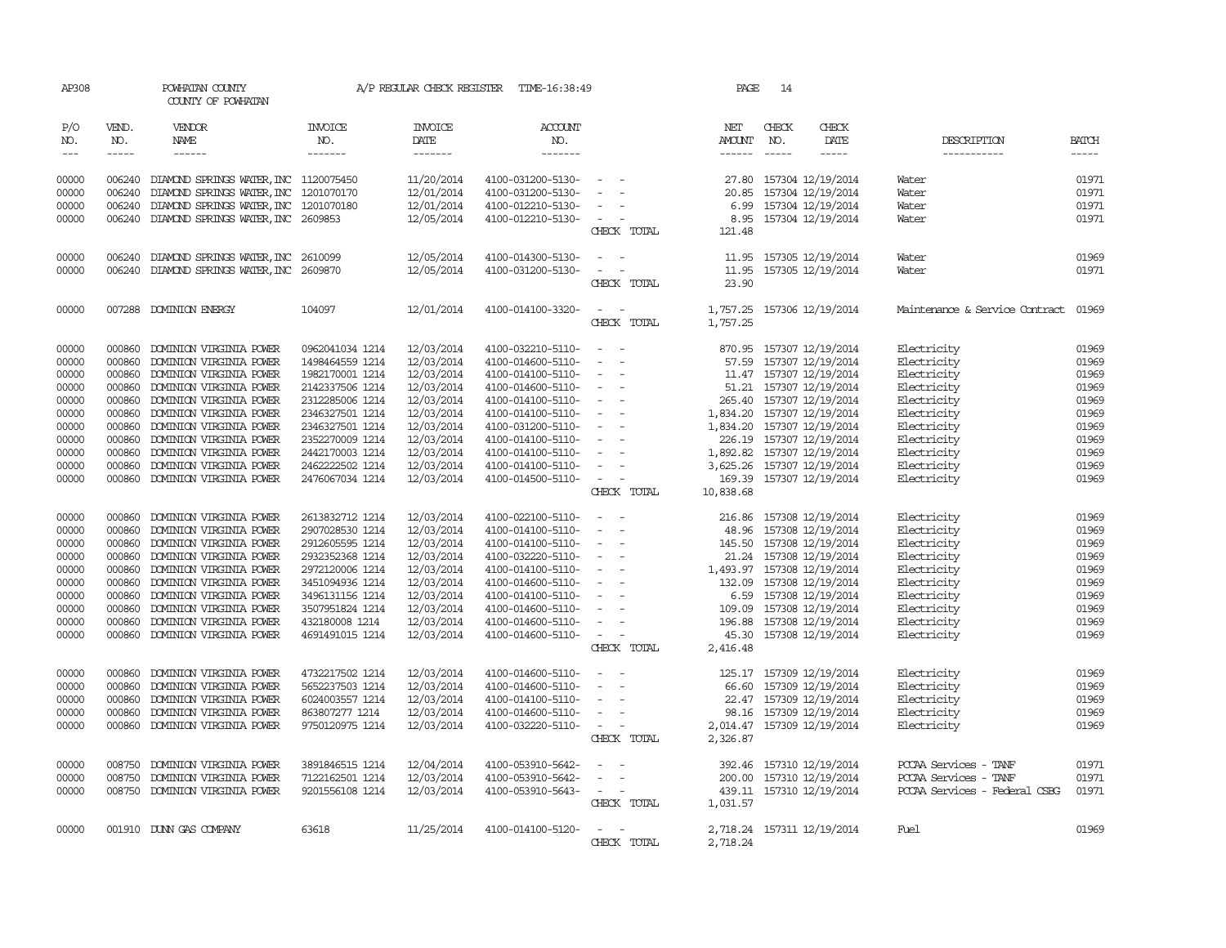| AP308          |                  | POWHATAN COUNTY<br>COUNTY OF POWHATAN              |                                    |                          | A/P REGULAR CHECK REGISTER TIME-16:38:49 |                          | PAGE          | -14           |                                                 |                                |                |
|----------------|------------------|----------------------------------------------------|------------------------------------|--------------------------|------------------------------------------|--------------------------|---------------|---------------|-------------------------------------------------|--------------------------------|----------------|
| P/O<br>NO.     | VEND.<br>NO.     | VENDOR<br>NAME                                     | <b>INVOICE</b><br>NO.              | <b>INVOICE</b><br>DATE   | <b>ACCOUNT</b><br>NO.                    |                          | NET<br>AMOUNT | CHECK<br>NO.  | CHECK<br>DATE                                   | DESCRIPTION                    | <b>BATCH</b>   |
| $\frac{1}{2}$  | $- - - - -$      | $- - - - - -$                                      | -------                            | $- - - - - - -$          | -------                                  |                          | $- - - - - -$ | $\frac{1}{2}$ | $\cdots$                                        | -----------                    | $- - - - -$    |
| 00000          | 006240           | DIAMOND SPRINGS WATER, INC 1120075450              |                                    | 11/20/2014               | 4100-031200-5130-                        | $\sim$                   | 27.80         |               | 157304 12/19/2014                               | Water                          | 01971          |
| 00000          | 006240           | DIAMOND SPRINGS WATER, INC 1201070170              |                                    | 12/01/2014               | 4100-031200-5130-                        | $\sim$                   | 20.85         |               | 157304 12/19/2014                               | Water                          | 01971          |
| 00000          |                  | 006240 DIAMOND SPRINGS WATER, INC 1201070180       |                                    | 12/01/2014               | 4100-012210-5130-                        | $\equiv$                 | 6.99          |               | 157304 12/19/2014                               | Water                          | 01971          |
| 00000          |                  | 006240 DIAMOND SPRINGS WATER, INC 2609853          |                                    | 12/05/2014               | 4100-012210-5130-                        | $\sim$                   | 8.95          |               | 157304 12/19/2014                               | Water                          | 01971          |
|                |                  |                                                    |                                    |                          |                                          | CHECK TOTAL              | 121.48        |               |                                                 |                                |                |
| 00000          |                  | 006240 DIAMOND SPRINGS WATER, INC 2610099          |                                    | 12/05/2014               | 4100-014300-5130-                        | $\sim$                   | 11.95         |               | 157305 12/19/2014                               | Water                          | 01969          |
| 00000          |                  | 006240 DIAMOND SPRINGS WATER, INC 2609870          |                                    | 12/05/2014               | 4100-031200-5130-                        | $\sim 100$ km $^{-1}$    | 11.95         |               | 157305 12/19/2014                               | Water                          | 01971          |
|                |                  |                                                    |                                    |                          |                                          | CHECK TOTAL              | 23.90         |               |                                                 |                                |                |
| 00000          |                  | 007288 DOMINION ENERGY                             | 104097                             | 12/01/2014               | 4100-014100-3320-                        | $\sim$<br>$\sim$         | 1,757.25      |               | 157306 12/19/2014                               | Maintenance & Service Contract | 01969          |
|                |                  |                                                    |                                    |                          |                                          | CHECK TOTAL              | 1,757.25      |               |                                                 |                                |                |
|                |                  |                                                    |                                    |                          |                                          |                          |               |               |                                                 |                                |                |
| 00000          | 000860           | DOMINION VIRGINIA POWER                            | 0962041034 1214                    | 12/03/2014               | 4100-032210-5110-                        | $\sim$                   | 870.95        |               | 157307 12/19/2014                               | Electricity                    | 01969          |
| 00000          | 000860           | DOMINION VIRGINIA POWER                            | 1498464559 1214                    | 12/03/2014               | 4100-014600-5110-                        | $\sim$                   |               |               | 57.59 157307 12/19/2014                         | Electricity                    | 01969          |
| 00000          | 000860           | DOMINION VIRGINIA POWER                            | 1982170001 1214                    | 12/03/2014               | 4100-014100-5110-                        | $\sim$                   |               |               | 11.47 157307 12/19/2014                         | Electricity                    | 01969          |
| 00000          | 000860           | DOMINION VIRGINIA POWER                            | 2142337506 1214                    | 12/03/2014               | 4100-014600-5110-                        | $\sim$                   |               |               | 51.21 157307 12/19/2014                         | Electricity                    | 01969          |
| 00000<br>00000 | 000860<br>000860 | DOMINION VIRGINIA POWER<br>DOMINION VIRGINIA POWER | 2312285006 1214<br>2346327501 1214 | 12/03/2014<br>12/03/2014 | 4100-014100-5110-<br>4100-014100-5110-   | $\sim$<br>$\sim$         |               |               | 265.40 157307 12/19/2014                        | Electricity<br>Electricity     | 01969<br>01969 |
| 00000          | 000860           | DOMINION VIRGINIA POWER                            | 2346327501 1214                    | 12/03/2014               | 4100-031200-5110-                        | $\sim$                   | 1,834.20      |               | 1,834.20 157307 12/19/2014<br>157307 12/19/2014 | Electricity                    | 01969          |
| 00000          | 000860           | DOMINION VIRGINIA POWER                            | 2352270009 1214                    | 12/03/2014               | 4100-014100-5110-                        | $\sim$                   |               |               | 226.19 157307 12/19/2014                        | Electricity                    | 01969          |
| 00000          | 000860           | DOMINION VIRGINIA POWER                            | 2442170003 1214                    | 12/03/2014               | 4100-014100-5110-                        | $\sim$                   |               |               | 1,892.82 157307 12/19/2014                      | Electricity                    | 01969          |
| 00000          | 000860           | DOMINION VIRGINIA POWER                            | 2462222502 1214                    | 12/03/2014               | 4100-014100-5110-                        | $\sim$                   |               |               | 3,625.26 157307 12/19/2014                      | Electricity                    | 01969          |
| 00000          | 000860           | DOMINION VIRGINIA POWER                            | 2476067034 1214                    | 12/03/2014               | 4100-014500-5110-                        | $\sim$                   | 169.39        |               | 157307 12/19/2014                               | Electricity                    | 01969          |
|                |                  |                                                    |                                    |                          |                                          | CHECK TOTAL              | 10,838.68     |               |                                                 |                                |                |
| 00000          | 000860           | DOMINION VIRGINIA POWER                            | 2613832712 1214                    | 12/03/2014               | 4100-022100-5110-                        | $\sim$                   | 216.86        |               | 157308 12/19/2014                               | Electricity                    | 01969          |
| 00000          | 000860           | DOMINION VIRGINIA POWER                            | 2907028530 1214                    | 12/03/2014               | 4100-014100-5110-                        | $\sim$                   | 48.96         |               | 157308 12/19/2014                               | Electricity                    | 01969          |
| 00000          | 000860           | DOMINION VIRGINIA POWER                            | 2912605595 1214                    | 12/03/2014               | 4100-014100-5110-                        | $\sim$                   |               |               | 145.50 157308 12/19/2014                        | Electricity                    | 01969          |
| 00000          | 000860           | DOMINION VIRGINIA POWER                            | 2932352368 1214                    | 12/03/2014               | 4100-032220-5110-                        | $\sim$                   |               |               | 21.24 157308 12/19/2014                         | Electricity                    | 01969          |
| 00000          | 000860           | DOMINION VIRGINIA POWER                            | 2972120006 1214                    | 12/03/2014               | 4100-014100-5110-                        | $\sim$                   |               |               | 1,493.97 157308 12/19/2014                      | Electricity                    | 01969          |
| 00000          | 000860           | DOMINION VIRGINIA POWER                            | 3451094936 1214                    | 12/03/2014               | 4100-014600-5110-                        | $\sim$                   | 132.09        |               | 157308 12/19/2014                               | Electricity                    | 01969          |
| 00000          | 000860           | DOMINION VIRGINIA POWER                            | 3496131156 1214                    | 12/03/2014               | 4100-014100-5110-                        | $\sim$                   |               |               | 6.59 157308 12/19/2014                          | Electricity                    | 01969          |
| 00000          | 000860           | DOMINION VIRGINIA POWER                            | 3507951824 1214                    | 12/03/2014               | 4100-014600-5110-                        | $\sim$                   | 109.09        |               | 157308 12/19/2014                               | Electricity                    | 01969          |
| 00000          | 000860           | DOMINION VIRGINIA POWER                            | 432180008 1214                     | 12/03/2014               | 4100-014600-5110-                        | $\sim$                   |               |               | 196.88 157308 12/19/2014                        | Electricity                    | 01969          |
| 00000          | 000860           | DOMINION VIRGINIA POWER                            | 4691491015 1214                    | 12/03/2014               | 4100-014600-5110-                        | $\sim$                   | 45.30         |               | 157308 12/19/2014                               | Electricity                    | 01969          |
|                |                  |                                                    |                                    |                          |                                          | CHECK TOTAL              | 2,416.48      |               |                                                 |                                |                |
| 00000          | 000860           | DOMINION VIRGINIA POWER                            | 4732217502 1214                    | 12/03/2014               | 4100-014600-5110-                        | $\sim$                   |               |               | 125.17 157309 12/19/2014                        | Electricity                    | 01969          |
| 00000          | 000860           | DOMINION VIRGINIA POWER                            | 5652237503 1214                    | 12/03/2014               | 4100-014600-5110-                        | $\sim$                   | 66.60         |               | 157309 12/19/2014                               | Electricity                    | 01969          |
| 00000          | 000860           | DOMINION VIRGINIA POWER                            | 6024003557 1214                    | 12/03/2014               | 4100-014100-5110-                        | $\sim$                   |               |               | 22.47 157309 12/19/2014                         | Electricity                    | 01969          |
| 00000          | 000860           | DOMINION VIRGINIA POWER                            | 863807277 1214                     | 12/03/2014               | 4100-014600-5110-                        | $\overline{\phantom{a}}$ | 98.16         |               | 157309 12/19/2014                               | Electricity                    | 01969          |
| 00000          |                  | 000860 DOMINION VIRGINIA POWER                     | 9750120975 1214                    | 12/03/2014               | 4100-032220-5110-                        | $\sim$                   | 2,014.47      |               | 157309 12/19/2014                               | Electricity                    | 01969          |
|                |                  |                                                    |                                    |                          |                                          | CHECK TOTAL              | 2,326.87      |               |                                                 |                                |                |
| 00000          | 008750           | DOMINION VIRGINIA POWER                            | 3891846515 1214                    | 12/04/2014               | 4100-053910-5642-                        |                          | 392.46        |               | 157310 12/19/2014                               | PCCAA Services - TANF          | 01971          |
| 00000          | 008750           | DOMINION VIRGINIA POWER                            | 7122162501 1214                    | 12/03/2014               | 4100-053910-5642-                        | $\sim$                   |               |               | 200.00 157310 12/19/2014                        | PCCAA Services - TANF          | 01971          |
| 00000          |                  | 008750 DOMINION VIRGINIA POWER                     | 9201556108 1214                    | 12/03/2014               | 4100-053910-5643-                        | $\sim$<br>$\sim$         |               |               | 439.11 157310 12/19/2014                        | PCCAA Services - Federal CSBG  | 01971          |
|                |                  |                                                    |                                    |                          |                                          | CHECK TOTAL              | 1,031.57      |               |                                                 |                                |                |
| 00000          |                  | 001910 DUNN GAS COMPANY                            | 63618                              | 11/25/2014               | 4100-014100-5120-                        | $\sim$ $\sim$            |               |               | 2,718.24 157311 12/19/2014                      | Fuel                           | 01969          |
|                |                  |                                                    |                                    |                          |                                          | CHECK TOTAL              | 2,718.24      |               |                                                 |                                |                |
|                |                  |                                                    |                                    |                          |                                          |                          |               |               |                                                 |                                |                |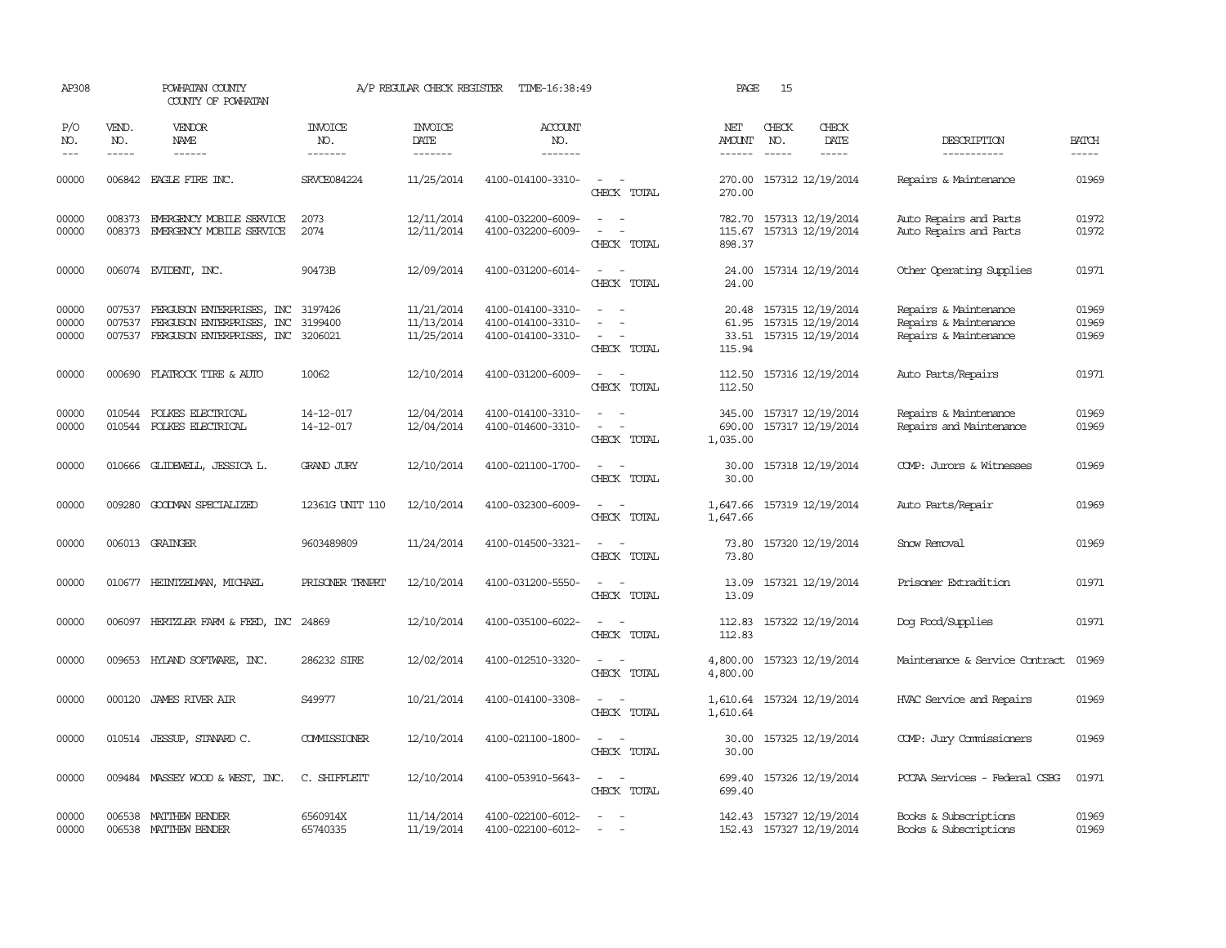| AP308                       |                             | POWHATAN COUNTY<br>COUNTY OF POWHATAN                                                  |                                  | A/P REGULAR CHECK REGISTER             | TIME-16:38:49                                               |                                         | PAGE                              | 15                          |                                                             |                                                                         |                         |
|-----------------------------|-----------------------------|----------------------------------------------------------------------------------------|----------------------------------|----------------------------------------|-------------------------------------------------------------|-----------------------------------------|-----------------------------------|-----------------------------|-------------------------------------------------------------|-------------------------------------------------------------------------|-------------------------|
| P/O<br>NO.<br>$\frac{1}{2}$ | VEND.<br>NO.<br>$- - - - -$ | <b>VENDOR</b><br><b>NAME</b><br>------                                                 | <b>INVOICE</b><br>NO.<br>------- | <b>INVOICE</b><br>DATE<br>-------      | ACCOUNT<br>NO.<br>-------                                   |                                         | NET<br>AMOUNT<br>------           | CHECK<br>NO.<br>$- - - - -$ | CHECK<br>DATE<br>$- - - - -$                                | DESCRIPTION<br>-----------                                              | <b>BATCH</b><br>-----   |
| 00000                       |                             | 006842 EAGLE FIRE INC.                                                                 | SRVCE084224                      | 11/25/2014                             | 4100-014100-3310-                                           | $\sim$ 10 $\sim$<br>CHECK TOTAL         | 270.00<br>270.00                  |                             | 157312 12/19/2014                                           | Repairs & Maintenance                                                   | 01969                   |
| 00000<br>00000              | 008373<br>008373            | EMERGENCY MOBILE SERVICE<br>EMERGENCY MOBILE SERVICE                                   | 2073<br>2074                     | 12/11/2014<br>12/11/2014               | 4100-032200-6009-<br>4100-032200-6009-                      | CHECK TOTAL                             | 782.70<br>115.67<br>898.37        |                             | 157313 12/19/2014<br>157313 12/19/2014                      | Auto Repairs and Parts<br>Auto Repairs and Parts                        | 01972<br>01972          |
| 00000                       |                             | 006074 EVIDENT, INC.                                                                   | 90473B                           | 12/09/2014                             | 4100-031200-6014-                                           | $\sim$<br>CHECK TOTAL                   | 24.00<br>24.00                    |                             | 157314 12/19/2014                                           | Other Operating Supplies                                                | 01971                   |
| 00000<br>00000<br>00000     | 007537<br>007537<br>007537  | FERGUSON ENTERPRISES, INC<br>FERGUSON ENTERPRISES,<br>INC<br>FERGUSON ENTERPRISES, INC | 3197426<br>3199400<br>3206021    | 11/21/2014<br>11/13/2014<br>11/25/2014 | 4100-014100-3310-<br>4100-014100-3310-<br>4100-014100-3310- | $\equiv$<br>CHECK TOTAL                 | 20.48<br>61.95<br>33.51<br>115.94 |                             | 157315 12/19/2014<br>157315 12/19/2014<br>157315 12/19/2014 | Repairs & Maintenance<br>Repairs & Maintenance<br>Repairs & Maintenance | 01969<br>01969<br>01969 |
| 00000                       | 000690                      | FLATROCK TIRE & AUTO                                                                   | 10062                            | 12/10/2014                             | 4100-031200-6009-                                           | $\equiv$<br>CHECK TOTAL                 | 112.50<br>112.50                  |                             | 157316 12/19/2014                                           | Auto Parts/Repairs                                                      | 01971                   |
| 00000<br>00000              | 010544<br>010544            | FOLKES ELECTRICAL<br>FOLKES ELECTRICAL                                                 | 14-12-017<br>14-12-017           | 12/04/2014<br>12/04/2014               | 4100-014100-3310-<br>4100-014600-3310-                      | $\sim$<br>CHECK TOTAL                   | 345.00<br>690.00<br>1,035.00      |                             | 157317 12/19/2014<br>157317 12/19/2014                      | Repairs & Maintenance<br>Repairs and Maintenance                        | 01969<br>01969          |
| 00000                       | 010666                      | GLIDEWELL, JESSICA L.                                                                  | <b>GRAND JURY</b>                | 12/10/2014                             | 4100-021100-1700-                                           | $\equiv$<br>CHECK TOTAL                 | 30.00<br>30.00                    |                             | 157318 12/19/2014                                           | COMP: Jurors & Witnesses                                                | 01969                   |
| 00000                       |                             | 009280 GOODWAN SPECIALIZED                                                             | 12361G UNIT 110                  | 12/10/2014                             | 4100-032300-6009-                                           | CHECK TOTAL                             | 1,647.66<br>1,647.66              |                             | 157319 12/19/2014                                           | Auto Parts/Repair                                                       | 01969                   |
| 00000                       |                             | 006013 GRAINGER                                                                        | 9603489809                       | 11/24/2014                             | 4100-014500-3321-                                           | CHECK TOTAL                             | 73.80<br>73.80                    |                             | 157320 12/19/2014                                           | Snow Removal                                                            | 01969                   |
| 00000                       |                             | 010677 HEINTZEIMAN, MICHAEL                                                            | PRISONER TRNPRT                  | 12/10/2014                             | 4100-031200-5550-                                           | $\overline{\phantom{a}}$<br>CHECK TOTAL | 13.09<br>13.09                    |                             | 157321 12/19/2014                                           | Prisoner Extradition                                                    | 01971                   |
| 00000                       |                             | 006097 HERTZLER FARM & FEED, INC                                                       | 24869                            | 12/10/2014                             | 4100-035100-6022-                                           | CHECK TOTAL                             | 112.83<br>112.83                  |                             | 157322 12/19/2014                                           | Dog Food/Supplies                                                       | 01971                   |
| 00000                       | 009653                      | HYLAND SOFTWARE, INC.                                                                  | 286232 SIRE                      | 12/02/2014                             | 4100-012510-3320-                                           | $\sim$<br>CHECK TOTAL                   | 4,800.00<br>4,800.00              |                             | 157323 12/19/2014                                           | Maintenance & Service Contract                                          | 01969                   |
| 00000                       | 000120                      | JAMES RIVER AIR                                                                        | S49977                           | 10/21/2014                             | 4100-014100-3308-                                           | $\equiv$<br>CHECK TOTAL                 | 1,610.64<br>1,610.64              |                             | 157324 12/19/2014                                           | HVAC Service and Repairs                                                | 01969                   |
| 00000                       |                             | 010514 JESSUP, STANARD C.                                                              | COMMISSIONER                     | 12/10/2014                             | 4100-021100-1800-                                           | $\sim$<br>CHECK TOTAL                   | 30.00<br>30.00                    |                             | 157325 12/19/2014                                           | COMP: Jury Commissioners                                                | 01969                   |
| 00000                       |                             | 009484 MASSEY WOOD & WEST, INC.                                                        | C. SHIFFLETT                     | 12/10/2014                             | 4100-053910-5643-                                           | $\sim$ $  -$<br>CHECK TOTAL             | 699.40<br>699.40                  |                             | 157326 12/19/2014                                           | PCCAA Services - Federal CSBG                                           | 01971                   |
| 00000<br>00000              | 006538                      | MATTHEW BENDER<br>006538 MATTHEW BENDER                                                | 6560914X<br>65740335             | 11/14/2014<br>11/19/2014               | 4100-022100-6012-<br>4100-022100-6012-                      | $\overline{\phantom{a}}$                | 142.43                            |                             | 157327 12/19/2014<br>152.43 157327 12/19/2014               | Books & Subscriptions<br>Books & Subscriptions                          | 01969<br>01969          |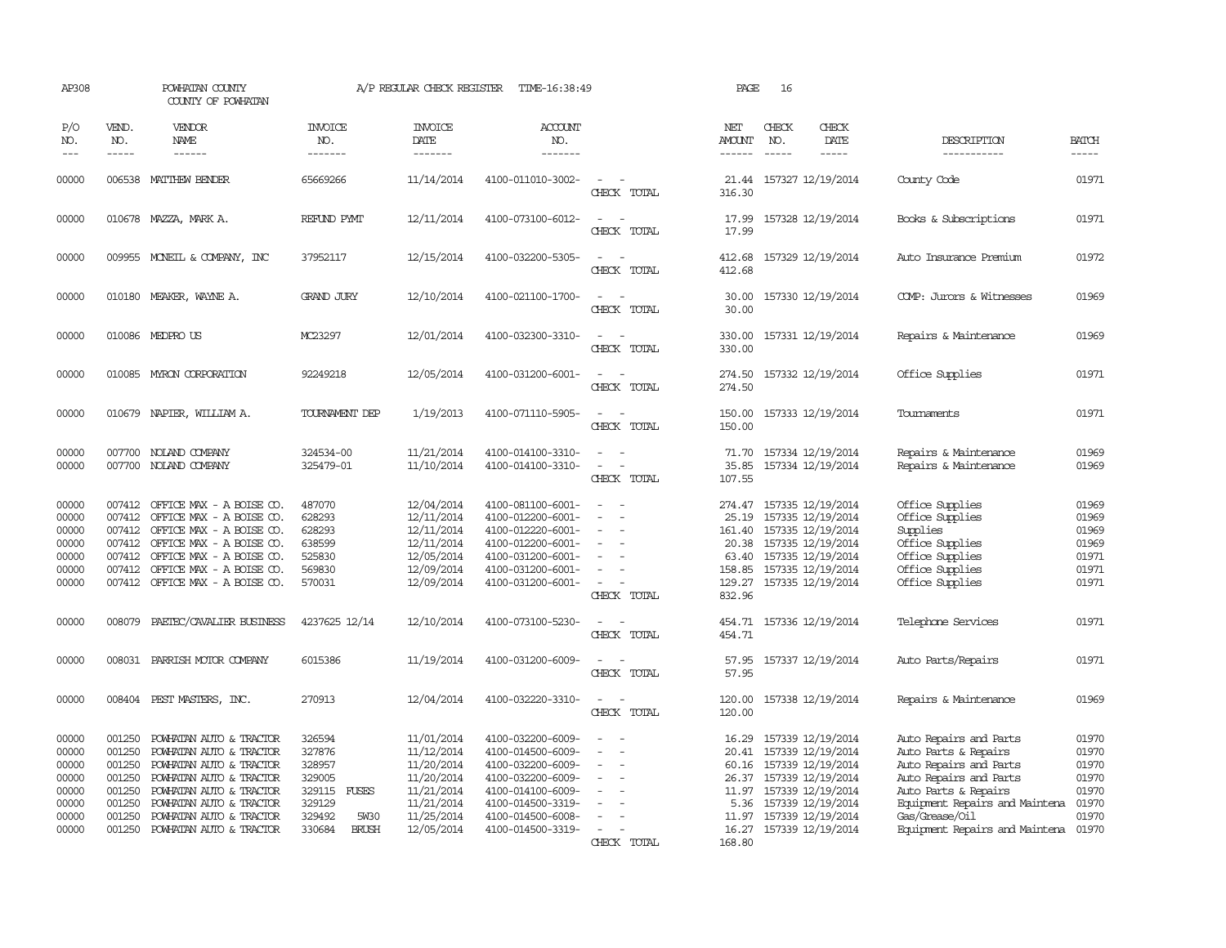| AP308                                                                |                                                                    | POWHATAN COUNTY<br>COUNTY OF POWHATAN                                                                                                                                                                                               |                                                                                                               | A/P REGULAR CHECK REGISTER                                                                                   | TIME-16:38:49                                                                                                                                                        |                                         | PAGE                                                            | 16                            |                                                                                                                                                                                       |                                                                                                                                                                                                                        |                                                             |
|----------------------------------------------------------------------|--------------------------------------------------------------------|-------------------------------------------------------------------------------------------------------------------------------------------------------------------------------------------------------------------------------------|---------------------------------------------------------------------------------------------------------------|--------------------------------------------------------------------------------------------------------------|----------------------------------------------------------------------------------------------------------------------------------------------------------------------|-----------------------------------------|-----------------------------------------------------------------|-------------------------------|---------------------------------------------------------------------------------------------------------------------------------------------------------------------------------------|------------------------------------------------------------------------------------------------------------------------------------------------------------------------------------------------------------------------|-------------------------------------------------------------|
| P/O<br>NO.<br>$---$                                                  | VEND.<br>NO.<br>$\frac{1}{2}$                                      | VENDOR<br>NAME<br>$- - - - - -$                                                                                                                                                                                                     | <b>INVOICE</b><br>NO.<br>-------                                                                              | <b>INVOICE</b><br>DATE<br>-------                                                                            | ACCOUNT<br>NO.<br>-------                                                                                                                                            |                                         | NET<br>AMOUNT<br>$- - - - - -$                                  | CHECK<br>NO.<br>$\frac{1}{2}$ | CHECK<br>DATE<br>-----                                                                                                                                                                | DESCRIPTION<br>-----------                                                                                                                                                                                             | <b>BATCH</b><br>-----                                       |
| 00000                                                                |                                                                    | 006538 MATTHEW BENDER                                                                                                                                                                                                               | 65669266                                                                                                      | 11/14/2014                                                                                                   | 4100-011010-3002-                                                                                                                                                    | CHECK TOTAL                             | 316.30                                                          |                               | 21.44 157327 12/19/2014                                                                                                                                                               | County Code                                                                                                                                                                                                            | 01971                                                       |
| 00000                                                                |                                                                    | 010678 MAZZA, MARK A.                                                                                                                                                                                                               | REFUND PYMT                                                                                                   | 12/11/2014                                                                                                   | 4100-073100-6012-                                                                                                                                                    | $\sim$<br>CHECK TOTAL                   | 17.99<br>17.99                                                  |                               | 157328 12/19/2014                                                                                                                                                                     | Books & Subscriptions                                                                                                                                                                                                  | 01971                                                       |
| 00000                                                                |                                                                    | 009955 MONEIL & COMPANY, INC                                                                                                                                                                                                        | 37952117                                                                                                      | 12/15/2014                                                                                                   | 4100-032200-5305-                                                                                                                                                    | $\sim$<br>CHECK TOTAL                   | 412.68<br>412.68                                                |                               | 157329 12/19/2014                                                                                                                                                                     | Auto Insurance Premium                                                                                                                                                                                                 | 01972                                                       |
| 00000                                                                |                                                                    | 010180 MEAKER, WAYNE A.                                                                                                                                                                                                             | <b>GRAND JURY</b>                                                                                             | 12/10/2014                                                                                                   | 4100-021100-1700-                                                                                                                                                    | $\sim$<br>CHECK TOTAL                   | 30.00<br>30.00                                                  |                               | 157330 12/19/2014                                                                                                                                                                     | COMP: Jurors & Witnesses                                                                                                                                                                                               | 01969                                                       |
| 00000                                                                |                                                                    | 010086 MEDPROUS                                                                                                                                                                                                                     | MC23297                                                                                                       | 12/01/2014                                                                                                   | 4100-032300-3310-                                                                                                                                                    | CHECK TOTAL                             | 330.00<br>330.00                                                |                               | 157331 12/19/2014                                                                                                                                                                     | Repairs & Maintenance                                                                                                                                                                                                  | 01969                                                       |
| 00000                                                                |                                                                    | 010085 MYRON CORPORATION                                                                                                                                                                                                            | 92249218                                                                                                      | 12/05/2014                                                                                                   | 4100-031200-6001-                                                                                                                                                    | CHECK TOTAL                             | 274.50<br>274.50                                                |                               | 157332 12/19/2014                                                                                                                                                                     | Office Supplies                                                                                                                                                                                                        | 01971                                                       |
| 00000                                                                |                                                                    | 010679 NAPIER, WILLIAM A.                                                                                                                                                                                                           | TOURNAMENT DEP                                                                                                | 1/19/2013                                                                                                    | 4100-071110-5905-                                                                                                                                                    | CHECK TOTAL                             | 150.00<br>150.00                                                |                               | 157333 12/19/2014                                                                                                                                                                     | Tournaments                                                                                                                                                                                                            | 01971                                                       |
| 00000<br>00000                                                       |                                                                    | 007700 NOLAND COMPANY<br>007700 NOLAND COMPANY                                                                                                                                                                                      | 324534-00<br>325479-01                                                                                        | 11/21/2014<br>11/10/2014                                                                                     | 4100-014100-3310-<br>4100-014100-3310-                                                                                                                               | $ -$<br>CHECK TOTAL                     | 71.70<br>35.85<br>107.55                                        |                               | 157334 12/19/2014<br>157334 12/19/2014                                                                                                                                                | Repairs & Maintenance<br>Repairs & Maintenance                                                                                                                                                                         | 01969<br>01969                                              |
| 00000<br>00000<br>00000<br>00000<br>00000<br>00000<br>00000          | 007412<br>007412                                                   | 007412 OFFICE MAX - A BOISE CO.<br>OFFICE MAX - A BOISE CO.<br>007412 OFFICE MAX - A BOISE CO.<br>007412 OFFICE MAX - A BOISE CO.<br>007412 OFFICE MAX - A BOISE CO.<br>OFFICE MAX - A BOISE CO.<br>007412 OFFICE MAX - A BOISE CO. | 487070<br>628293<br>628293<br>638599<br>525830<br>569830<br>570031                                            | 12/04/2014<br>12/11/2014<br>12/11/2014<br>12/11/2014<br>12/05/2014<br>12/09/2014<br>12/09/2014               | 4100-081100-6001-<br>4100-012200-6001-<br>4100-012220-6001-<br>4100-012200-6001-<br>4100-031200-6001-<br>4100-031200-6001-<br>4100-031200-6001-                      | $\equiv$<br>CHECK TOTAL                 | 25.19<br>161.40<br>20.38<br>63.40<br>158.85<br>129.27<br>832.96 |                               | 274.47 157335 12/19/2014<br>157335 12/19/2014<br>157335 12/19/2014<br>157335 12/19/2014<br>157335 12/19/2014<br>157335 12/19/2014<br>157335 12/19/2014                                | Office Supplies<br>Office Supplies<br>Supplies<br>Office Supplies<br>Office Supplies<br>Office Supplies<br>Office Supplies                                                                                             | 01969<br>01969<br>01969<br>01969<br>01971<br>01971<br>01971 |
| 00000                                                                | 008079                                                             | PAETEC/CAVALIER BUSINESS                                                                                                                                                                                                            | 4237625 12/14                                                                                                 | 12/10/2014                                                                                                   | 4100-073100-5230-                                                                                                                                                    | CHECK TOTAL                             | 454.71<br>454.71                                                |                               | 157336 12/19/2014                                                                                                                                                                     | Telephone Services                                                                                                                                                                                                     | 01971                                                       |
| 00000                                                                |                                                                    | 008031 PARRISH MOTOR COMPANY                                                                                                                                                                                                        | 6015386                                                                                                       | 11/19/2014                                                                                                   | 4100-031200-6009-                                                                                                                                                    | CHECK TOTAL                             | 57.95<br>57.95                                                  |                               | 157337 12/19/2014                                                                                                                                                                     | Auto Parts/Repairs                                                                                                                                                                                                     | 01971                                                       |
| 00000                                                                |                                                                    | 008404 PEST MASTERS, INC.                                                                                                                                                                                                           | 270913                                                                                                        | 12/04/2014                                                                                                   | 4100-032220-3310-                                                                                                                                                    | CHECK TOTAL                             | 120.00<br>120.00                                                |                               | 157338 12/19/2014                                                                                                                                                                     | Repairs & Maintenance                                                                                                                                                                                                  | 01969                                                       |
| 00000<br>00000<br>00000<br>00000<br>00000<br>00000<br>00000<br>00000 | 001250<br>001250<br>001250<br>001250<br>001250<br>001250<br>001250 | POWHATAN AUTO & TRACTOR<br>POWHATAN AUTO & TRACTOR<br>POWHATAN AUTO & TRACTOR<br>POWHATAN AUTO & TRACTOR<br>POWHATAN AUTO & TRACTOR<br>POWHATAN AUTO & TRACTOR<br>POWHATAN AUTO & TRACTOR<br>001250 POWHATAN AUTO & TRACTOR         | 326594<br>327876<br>328957<br>329005<br>329115<br>FUSES<br>329129<br>329492<br>5W30<br><b>BRUSH</b><br>330684 | 11/01/2014<br>11/12/2014<br>11/20/2014<br>11/20/2014<br>11/21/2014<br>11/21/2014<br>11/25/2014<br>12/05/2014 | 4100-032200-6009-<br>4100-014500-6009-<br>4100-032200-6009-<br>4100-032200-6009-<br>4100-014100-6009-<br>4100-014500-3319-<br>4100-014500-6008-<br>4100-014500-3319- | $\overline{\phantom{a}}$<br>CHECK TOTAL | 16.29<br>20.41<br>60.16<br>11.97<br>11.97<br>168.80             |                               | 157339 12/19/2014<br>157339 12/19/2014<br>157339 12/19/2014<br>26.37 157339 12/19/2014<br>157339 12/19/2014<br>5.36 157339 12/19/2014<br>157339 12/19/2014<br>16.27 157339 12/19/2014 | Auto Repairs and Parts<br>Auto Parts & Repairs<br>Auto Repairs and Parts<br>Auto Repairs and Parts<br>Auto Parts & Repairs<br>Equipment Repairs and Maintena<br>Gas/Grease/Oil<br>Equipment Repairs and Maintena 01970 | 01970<br>01970<br>01970<br>01970<br>01970<br>01970<br>01970 |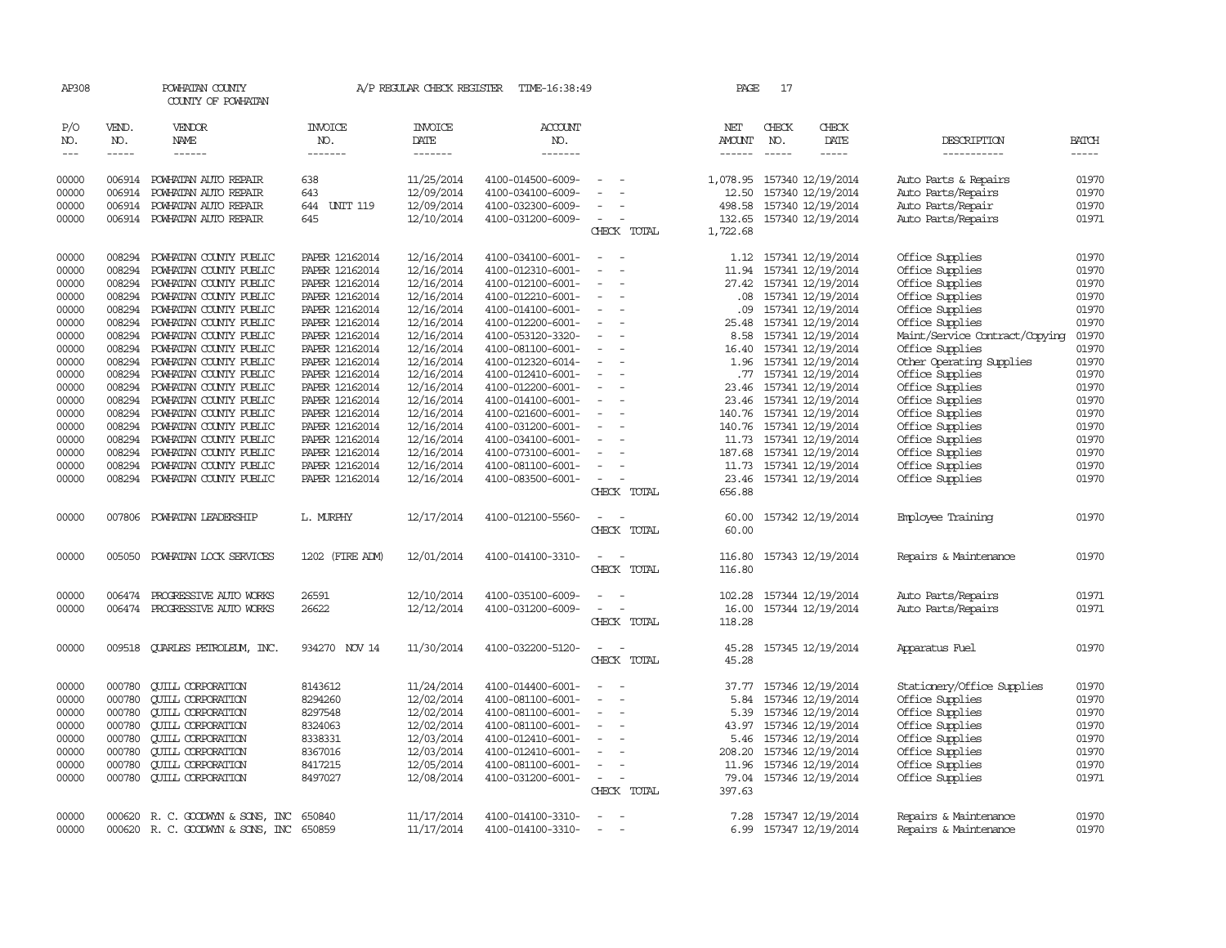| AP308                       |                       | POWHATAN COUNTY<br>COUNTY OF POWHATAN        |                           | A/P REGULAR CHECK REGISTER        | TIME-16:38:49                          |                                                      | PAGE                    | 17                                                                                                                                                                                                                                                                                                                                                                                                                                                                                         |                                                 |                                            |                       |
|-----------------------------|-----------------------|----------------------------------------------|---------------------------|-----------------------------------|----------------------------------------|------------------------------------------------------|-------------------------|--------------------------------------------------------------------------------------------------------------------------------------------------------------------------------------------------------------------------------------------------------------------------------------------------------------------------------------------------------------------------------------------------------------------------------------------------------------------------------------------|-------------------------------------------------|--------------------------------------------|-----------------------|
| P/O<br>NO.<br>$\frac{1}{2}$ | VEND.<br>NO.<br>----- | VENDOR<br>NAME                               | INVOICE<br>NO.<br>------- | <b>INVOICE</b><br>DATE<br>------- | <b>ACCOUNT</b><br>NO.<br>-------       |                                                      | NET<br>AMOUNT<br>------ | CHECK<br>NO.<br>$\frac{1}{2} \left( \frac{1}{2} \right) \left( \frac{1}{2} \right) \left( \frac{1}{2} \right) \left( \frac{1}{2} \right) \left( \frac{1}{2} \right) \left( \frac{1}{2} \right) \left( \frac{1}{2} \right) \left( \frac{1}{2} \right) \left( \frac{1}{2} \right) \left( \frac{1}{2} \right) \left( \frac{1}{2} \right) \left( \frac{1}{2} \right) \left( \frac{1}{2} \right) \left( \frac{1}{2} \right) \left( \frac{1}{2} \right) \left( \frac{1}{2} \right) \left( \frac$ | CHECK<br>DATE                                   | DESCRIPTION<br>-----------                 | <b>BATCH</b><br>----- |
|                             |                       |                                              |                           |                                   |                                        |                                                      |                         |                                                                                                                                                                                                                                                                                                                                                                                                                                                                                            |                                                 |                                            |                       |
| 00000<br>00000              | 006914<br>006914      | POWHATAN AUTO REPAIR<br>POWHATAN AUTO REPAIR | 638<br>643                | 11/25/2014<br>12/09/2014          | 4100-014500-6009-<br>4100-034100-6009- | $\sim$                                               | 12.50                   |                                                                                                                                                                                                                                                                                                                                                                                                                                                                                            | 1,078.95 157340 12/19/2014<br>157340 12/19/2014 | Auto Parts & Repairs<br>Auto Parts/Repairs | 01970<br>01970        |
| 00000                       | 006914                | POWHATAN AUTO REPAIR                         | 644 UNIT 119              | 12/09/2014                        | 4100-032300-6009-                      |                                                      | 498.58                  |                                                                                                                                                                                                                                                                                                                                                                                                                                                                                            | 157340 12/19/2014                               | Auto Parts/Repair                          | 01970                 |
| 00000                       | 006914                | POWHATAN AUTO REPAIR                         | 645                       | 12/10/2014                        | 4100-031200-6009-                      | $\overline{\phantom{a}}$<br>$\equiv$                 | 132.65                  |                                                                                                                                                                                                                                                                                                                                                                                                                                                                                            | 157340 12/19/2014                               | Auto Parts/Repairs                         | 01971                 |
|                             |                       |                                              |                           |                                   |                                        | CHECK TOTAL                                          | 1,722.68                |                                                                                                                                                                                                                                                                                                                                                                                                                                                                                            |                                                 |                                            |                       |
| 00000                       | 008294                | POWHATAN COUNTY PUBLIC                       | PAPER 12162014            | 12/16/2014                        | 4100-034100-6001-                      | $\overline{\phantom{a}}$                             |                         |                                                                                                                                                                                                                                                                                                                                                                                                                                                                                            | 1.12 157341 12/19/2014                          | Office Supplies                            | 01970                 |
| 00000                       | 008294                | POWHATAN COUNTY PUBLIC                       | PAPER 12162014            | 12/16/2014                        | 4100-012310-6001-                      | $\equiv$<br>$\overline{\phantom{a}}$                 | 11.94                   |                                                                                                                                                                                                                                                                                                                                                                                                                                                                                            | 157341 12/19/2014                               | Office Supplies                            | 01970                 |
| 00000                       | 008294                | POWHATAN COUNTY PUBLIC                       | PAPER 12162014            | 12/16/2014                        | 4100-012100-6001-                      | $\sim$                                               | 27.42                   |                                                                                                                                                                                                                                                                                                                                                                                                                                                                                            | 157341 12/19/2014                               | Office Supplies                            | 01970                 |
| 00000                       | 008294                | POWHATAN COUNTY PUBLIC                       | PAPER 12162014            | 12/16/2014                        | 4100-012210-6001-                      | $\overline{\phantom{a}}$<br>$\overline{\phantom{a}}$ | .08 <sub>1</sub>        |                                                                                                                                                                                                                                                                                                                                                                                                                                                                                            | 157341 12/19/2014                               | Office Supplies                            | 01970                 |
| 00000                       | 008294                | POWHATAN COUNTY PUBLIC                       | PAPER 12162014            | 12/16/2014                        | 4100-014100-6001-                      |                                                      | .09                     |                                                                                                                                                                                                                                                                                                                                                                                                                                                                                            | 157341 12/19/2014                               | Office Supplies                            | 01970                 |
| 00000                       | 008294                | POWHATAN COUNTY PUBLIC                       | PAPER 12162014            | 12/16/2014                        | 4100-012200-6001-                      | $\sim$<br>$\overline{\phantom{a}}$                   | 25.48                   |                                                                                                                                                                                                                                                                                                                                                                                                                                                                                            | 157341 12/19/2014                               | Office Supplies                            | 01970                 |
| 00000                       | 008294                | POWHATAN COUNTY PUBLIC                       | PAPER 12162014            | 12/16/2014                        | 4100-053120-3320-                      | $\equiv$                                             | 8.58                    |                                                                                                                                                                                                                                                                                                                                                                                                                                                                                            | 157341 12/19/2014                               | Maint/Service Contract/Copying             | 01970                 |
| 00000                       | 008294                | POWHATAN COUNTY PUBLIC                       | PAPER 12162014            | 12/16/2014                        | 4100-081100-6001-                      |                                                      | 16.40                   |                                                                                                                                                                                                                                                                                                                                                                                                                                                                                            | 157341 12/19/2014                               | Office Supplies                            | 01970                 |
| 00000                       | 008294                | POWHATAN COUNTY PUBLIC                       | PAPER 12162014            | 12/16/2014                        | 4100-012320-6014-                      | $\equiv$                                             | 1.96                    |                                                                                                                                                                                                                                                                                                                                                                                                                                                                                            | 157341 12/19/2014                               | Other Operating Supplies                   | 01970                 |
| 00000                       | 008294                | POWHATAN COUNTY PUBLIC                       | PAPER 12162014            | 12/16/2014                        | 4100-012410-6001-                      |                                                      |                         |                                                                                                                                                                                                                                                                                                                                                                                                                                                                                            | .77 157341 12/19/2014                           | Office Supplies                            | 01970                 |
| 00000                       | 008294                | POWHATAN COUNTY PUBLIC                       | PAPER 12162014            | 12/16/2014                        | 4100-012200-6001-                      | $\equiv$                                             | 23.46                   |                                                                                                                                                                                                                                                                                                                                                                                                                                                                                            | 157341 12/19/2014                               | Office Supplies                            | 01970                 |
| 00000                       | 008294                | POWHATAN COUNTY PUBLIC                       | PAPER 12162014            | 12/16/2014                        | 4100-014100-6001-                      | $\overline{\phantom{a}}$                             | 23.46                   |                                                                                                                                                                                                                                                                                                                                                                                                                                                                                            | 157341 12/19/2014                               | Office Supplies                            | 01970                 |
| 00000                       | 008294                | POWHATAN COUNTY PUBLIC                       | PAPER 12162014            | 12/16/2014                        | 4100-021600-6001-                      | $\sim$<br>$\overline{\phantom{a}}$                   |                         |                                                                                                                                                                                                                                                                                                                                                                                                                                                                                            | 140.76 157341 12/19/2014                        | Office Supplies                            | 01970                 |
| 00000                       | 008294                | POWHATAN COUNTY PUBLIC                       | PAPER 12162014            | 12/16/2014                        | 4100-031200-6001-                      | $\overline{\phantom{a}}$                             | 140.76                  |                                                                                                                                                                                                                                                                                                                                                                                                                                                                                            | 157341 12/19/2014                               | Office Supplies                            | 01970                 |
| 00000                       | 008294                | POWHATAN COUNTY PUBLIC                       | PAPER 12162014            | 12/16/2014                        | 4100-034100-6001-                      |                                                      |                         |                                                                                                                                                                                                                                                                                                                                                                                                                                                                                            | 11.73 157341 12/19/2014                         | Office Supplies                            | 01970                 |
| 00000                       | 008294                | POWHATAN COUNTY PUBLIC                       | PAPER 12162014            | 12/16/2014                        | 4100-073100-6001-                      |                                                      | 187.68                  |                                                                                                                                                                                                                                                                                                                                                                                                                                                                                            | 157341 12/19/2014                               | Office Supplies                            | 01970                 |
| 00000                       | 008294                | POWHATAN COUNTY PUBLIC                       | PAPER 12162014            | 12/16/2014                        | 4100-081100-6001-                      | $\equiv$                                             |                         |                                                                                                                                                                                                                                                                                                                                                                                                                                                                                            | 11.73 157341 12/19/2014                         | Office Supplies                            | 01970                 |
| 00000                       | 008294                | POWHATAN COUNTY PUBLIC                       | PAPER 12162014            | 12/16/2014                        | 4100-083500-6001-                      | $\overline{\phantom{a}}$<br>CHECK TOTAL              | 23.46<br>656.88         |                                                                                                                                                                                                                                                                                                                                                                                                                                                                                            | 157341 12/19/2014                               | Office Supplies                            | 01970                 |
| 00000                       | 007806                | POWHATAN LEADERSHIP                          | L. MURPHY                 | 12/17/2014                        | 4100-012100-5560-                      | $\sim$                                               | 60.00                   |                                                                                                                                                                                                                                                                                                                                                                                                                                                                                            | 157342 12/19/2014                               | Employee Training                          | 01970                 |
|                             |                       |                                              |                           |                                   |                                        | CHECK TOTAL                                          | 60.00                   |                                                                                                                                                                                                                                                                                                                                                                                                                                                                                            |                                                 |                                            |                       |
| 00000                       | 005050                | POWHATAN LOCK SERVICES                       | 1202 (FIRE ADM)           | 12/01/2014                        | 4100-014100-3310-                      | $\overline{\phantom{a}}$                             | 116.80                  |                                                                                                                                                                                                                                                                                                                                                                                                                                                                                            | 157343 12/19/2014                               | Repairs & Maintenance                      | 01970                 |
|                             |                       |                                              |                           |                                   |                                        | CHECK TOTAL                                          | 116.80                  |                                                                                                                                                                                                                                                                                                                                                                                                                                                                                            |                                                 |                                            |                       |
| 00000                       | 006474                | PROGRESSIVE AUIO WORKS                       | 26591                     | 12/10/2014                        | 4100-035100-6009-                      | $\equiv$                                             | 102.28                  |                                                                                                                                                                                                                                                                                                                                                                                                                                                                                            | 157344 12/19/2014                               | Auto Parts/Repairs                         | 01971                 |
| 00000                       | 006474                | PROGRESSIVE AUTO WORKS                       | 26622                     | 12/12/2014                        | 4100-031200-6009-                      | $\overline{\phantom{a}}$                             | 16.00                   |                                                                                                                                                                                                                                                                                                                                                                                                                                                                                            | 157344 12/19/2014                               | Auto Parts/Repairs                         | 01971                 |
|                             |                       |                                              |                           |                                   |                                        | CHECK TOTAL                                          | 118.28                  |                                                                                                                                                                                                                                                                                                                                                                                                                                                                                            |                                                 |                                            |                       |
| 00000                       | 009518                | <b>QUARLES PETROLEUM, INC.</b>               | 934270 NOV 14             | 11/30/2014                        | 4100-032200-5120-                      | $\sim$                                               |                         |                                                                                                                                                                                                                                                                                                                                                                                                                                                                                            | 45.28 157345 12/19/2014                         | Apparatus Fuel                             | 01970                 |
|                             |                       |                                              |                           |                                   |                                        | CHECK TOTAL                                          | 45.28                   |                                                                                                                                                                                                                                                                                                                                                                                                                                                                                            |                                                 |                                            |                       |
| 00000                       | 000780                | <b>QUILL CORPORATION</b>                     | 8143612                   | 11/24/2014                        | 4100-014400-6001-                      | $\equiv$                                             | 37.77                   |                                                                                                                                                                                                                                                                                                                                                                                                                                                                                            | 157346 12/19/2014                               | Stationery/Office Supplies                 | 01970                 |
| 00000                       | 000780                | <b>QUILL CORPORATION</b>                     | 8294260                   | 12/02/2014                        | 4100-081100-6001-                      | $\overline{\phantom{a}}$<br>$\sim$                   | 5.84                    |                                                                                                                                                                                                                                                                                                                                                                                                                                                                                            | 157346 12/19/2014                               | Office Supplies                            | 01970                 |
| 00000                       | 000780                | <b>CUILL CORPORATION</b>                     | 8297548                   | 12/02/2014                        | 4100-081100-6001-                      | $\overline{\phantom{a}}$                             | 5.39                    |                                                                                                                                                                                                                                                                                                                                                                                                                                                                                            | 157346 12/19/2014                               | Office Supplies                            | 01970                 |
| 00000                       | 000780                | <b>CUILL CORPORATION</b>                     | 8324063                   | 12/02/2014                        | 4100-081100-6001-                      |                                                      | 43.97                   |                                                                                                                                                                                                                                                                                                                                                                                                                                                                                            | 157346 12/19/2014                               | Office Supplies                            | 01970                 |
| 00000                       | 000780                | <b>CUILL CORPORATION</b>                     | 8338331                   | 12/03/2014                        | 4100-012410-6001-                      | $\equiv$<br>$\overline{\phantom{a}}$                 |                         |                                                                                                                                                                                                                                                                                                                                                                                                                                                                                            | 5.46 157346 12/19/2014                          | Office Supplies                            | 01970                 |
| 00000                       | 000780                | <b>QUILL CORPORATION</b>                     | 8367016                   | 12/03/2014                        | 4100-012410-6001-                      |                                                      | 208.20                  |                                                                                                                                                                                                                                                                                                                                                                                                                                                                                            | 157346 12/19/2014                               | Office Supplies                            | 01970                 |
| 00000                       | 000780                | <b>CUILL CORPORATION</b>                     | 8417215                   | 12/05/2014                        | 4100-081100-6001-                      | $\equiv$                                             |                         |                                                                                                                                                                                                                                                                                                                                                                                                                                                                                            | 11.96 157346 12/19/2014                         | Office Supplies                            | 01970                 |
| 00000                       | 000780                | <b>QUILL CORPORATION</b>                     | 8497027                   | 12/08/2014                        | 4100-031200-6001-                      | $\sim$                                               | 79.04                   |                                                                                                                                                                                                                                                                                                                                                                                                                                                                                            | 157346 12/19/2014                               | Office Supplies                            | 01971                 |
|                             |                       |                                              |                           |                                   |                                        | CHECK TOTAL                                          | 397.63                  |                                                                                                                                                                                                                                                                                                                                                                                                                                                                                            |                                                 |                                            |                       |
| 00000                       | 000620                | R. C. GOODWYN & SONS, INC                    | 650840                    | 11/17/2014                        | 4100-014100-3310-                      |                                                      | 7.28                    |                                                                                                                                                                                                                                                                                                                                                                                                                                                                                            | 157347 12/19/2014                               | Repairs & Maintenance                      | 01970                 |
| 00000                       |                       | 000620 R. C. GOODWYN & SONS, INC             | 650859                    | 11/17/2014                        | 4100-014100-3310-                      | $\overline{\phantom{a}}$<br>$\overline{\phantom{a}}$ |                         |                                                                                                                                                                                                                                                                                                                                                                                                                                                                                            | 6.99 157347 12/19/2014                          | Repairs & Maintenance                      | 01970                 |
|                             |                       |                                              |                           |                                   |                                        |                                                      |                         |                                                                                                                                                                                                                                                                                                                                                                                                                                                                                            |                                                 |                                            |                       |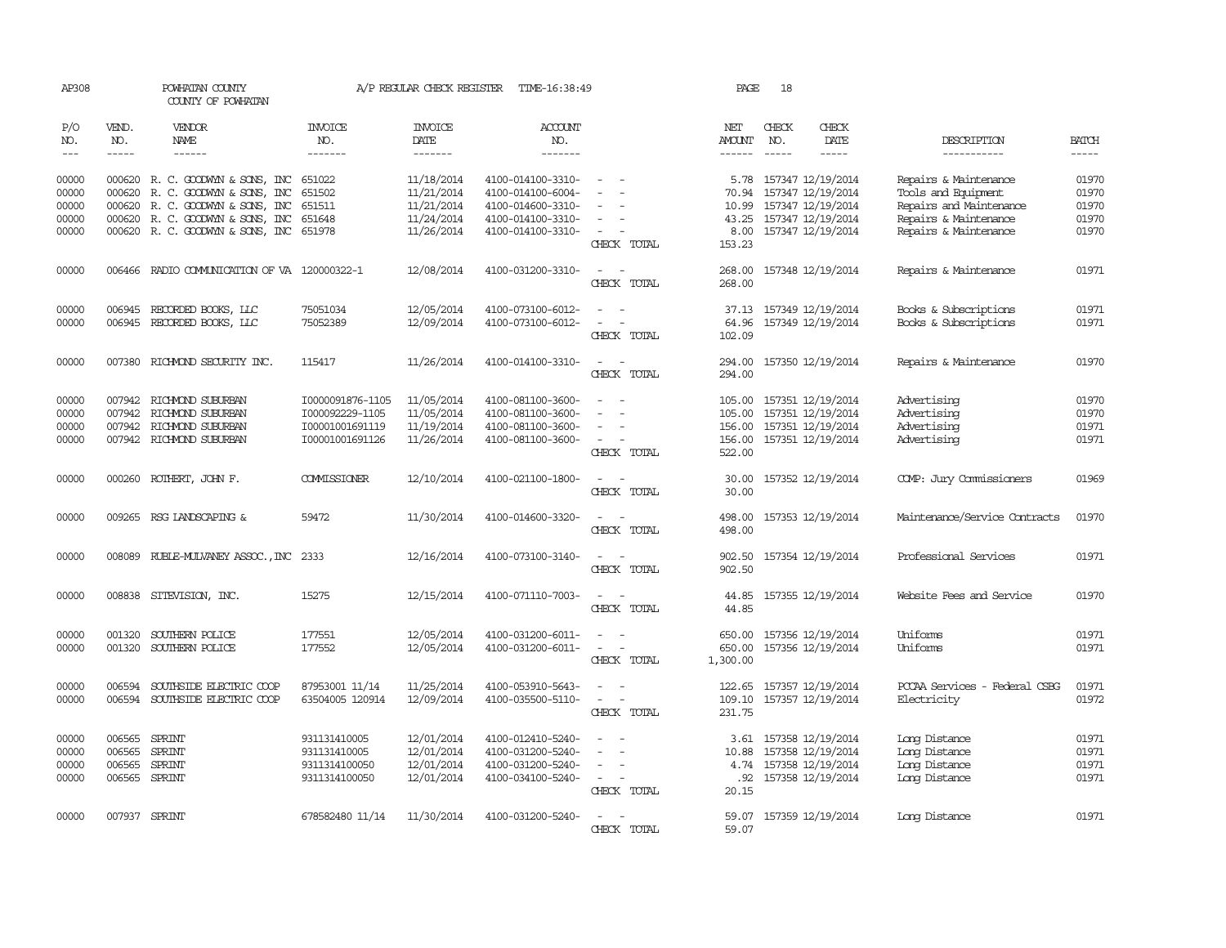| AP308                            |                  | POWHATAN COUNTY<br>COUNTY OF POWHATAN                                                                                                 |                                                                           | A/P REGULAR CHECK REGISTER                           | TIME-16:38:49                                                                    |                                                                                                               | PAGE                                           | 18            |                                                                                       |                                                                                                  |                                  |
|----------------------------------|------------------|---------------------------------------------------------------------------------------------------------------------------------------|---------------------------------------------------------------------------|------------------------------------------------------|----------------------------------------------------------------------------------|---------------------------------------------------------------------------------------------------------------|------------------------------------------------|---------------|---------------------------------------------------------------------------------------|--------------------------------------------------------------------------------------------------|----------------------------------|
| P/O<br>NO.                       | VEND.<br>NO.     | <b>VENDOR</b><br>NAME                                                                                                                 | <b>INVOICE</b><br>NO.                                                     | INVOICE<br>DATE                                      | ACCOUNT<br>NO.                                                                   |                                                                                                               | NET<br>AMOUNT                                  | CHECK<br>NO.  | CHECK<br>DATE                                                                         | DESCRIPTION                                                                                      | <b>BATCH</b>                     |
| $---$                            | $\frac{1}{2}$    | ------                                                                                                                                | -------                                                                   | -------                                              | -------                                                                          |                                                                                                               | $- - - - - -$                                  | $\frac{1}{2}$ | $\cdots$                                                                              | -----------                                                                                      | $- - - - -$                      |
| 00000<br>00000<br>00000<br>00000 | 000620           | 000620 R. C. GOODWYN & SONS, INC<br>R. C. GOODWYN & SONS, INC<br>000620 R. C. GOODWYN & SONS, INC<br>000620 R. C. GOODWYN & SONS, INC | 651022<br>651502<br>651511<br>651648                                      | 11/18/2014<br>11/21/2014<br>11/21/2014<br>11/24/2014 | 4100-014100-3310-<br>4100-014100-6004-<br>4100-014600-3310-<br>4100-014100-3310- | $\sim$<br>$\sim$                                                                                              | 70.94<br>10.99<br>43.25                        |               | 5.78 157347 12/19/2014<br>157347 12/19/2014<br>157347 12/19/2014<br>157347 12/19/2014 | Repairs & Maintenance<br>Tools and Equipment<br>Repairs and Maintenance<br>Repairs & Maintenance | 01970<br>01970<br>01970<br>01970 |
| 00000                            |                  | 000620 R. C. GOODWYN & SONS, INC                                                                                                      | 651978                                                                    | 11/26/2014                                           | 4100-014100-3310-                                                                | $\overline{\phantom{a}}$<br>CHECK TOTAL                                                                       | 8.00<br>153.23                                 |               | 157347 12/19/2014                                                                     | Repairs & Maintenance                                                                            | 01970                            |
| 00000                            |                  | 006466 RADIO COMMUNICATION OF VA 120000322-1                                                                                          |                                                                           | 12/08/2014                                           | 4100-031200-3310-                                                                | $\sim$<br>$\overline{\phantom{a}}$<br>CHECK TOTAL                                                             | 268.00<br>268.00                               |               | 157348 12/19/2014                                                                     | Repairs & Maintenance                                                                            | 01971                            |
| 00000<br>00000                   | 006945           | RECORDED BOOKS, LLC<br>006945 RECORDED BOOKS, LLC                                                                                     | 75051034<br>75052389                                                      | 12/05/2014<br>12/09/2014                             | 4100-073100-6012-<br>4100-073100-6012-                                           | $\sim$<br>$\overline{\phantom{a}}$<br>$\overline{\phantom{a}}$<br>CHECK TOTAL                                 | 37.13<br>64.96<br>102.09                       |               | 157349 12/19/2014<br>157349 12/19/2014                                                | Books & Subscriptions<br>Books & Subscriptions                                                   | 01971<br>01971                   |
| 00000                            |                  | 007380 RICHMOND SECURITY INC.                                                                                                         | 115417                                                                    | 11/26/2014                                           | 4100-014100-3310-                                                                | $\sim$<br>$\sim$<br>CHECK TOTAL                                                                               | 294.00                                         |               | 294.00 157350 12/19/2014                                                              | Repairs & Maintenance                                                                            | 01970                            |
| 00000<br>00000<br>00000<br>00000 | 007942           | 007942 RICHMOND SUBURBAN<br>RICHMOND SUBURBAN<br>007942 RICHMOND SUBURBAN<br>007942 RICHMOND SUBURBAN                                 | I0000091876-1105<br>I000092229-1105<br>I00001001691119<br>I00001001691126 | 11/05/2014<br>11/05/2014<br>11/19/2014<br>11/26/2014 | 4100-081100-3600-<br>4100-081100-3600-<br>4100-081100-3600-<br>4100-081100-3600- | $\overline{a}$<br>$\sim$<br>$\overline{\phantom{a}}$<br>$\sim$<br>$\equiv$<br>$\sim$<br>$\sim$<br>CHECK TOTAL | 105.00<br>105.00<br>156.00<br>156.00<br>522.00 |               | 157351 12/19/2014<br>157351 12/19/2014<br>157351 12/19/2014<br>157351 12/19/2014      | Advertising<br>Advertising<br>Advertising<br>Advertising                                         | 01970<br>01970<br>01971<br>01971 |
| 00000                            |                  | 000260 ROTHERT, JOHN F.                                                                                                               | COMMISSIONER                                                              | 12/10/2014                                           | 4100-021100-1800-                                                                | $\sim$<br>$\sim$<br>CHECK TOTAL                                                                               | 30.00<br>30.00                                 |               | 157352 12/19/2014                                                                     | COMP: Jury Commissioners                                                                         | 01969                            |
| 00000                            | 009265           | RSG LANDSCAPING &                                                                                                                     | 59472                                                                     | 11/30/2014                                           | 4100-014600-3320-                                                                | $\sim$<br>$\sim$ $-$<br>CHECK TOTAL                                                                           | 498.00<br>498.00                               |               | 157353 12/19/2014                                                                     | Maintenance/Service Contracts                                                                    | 01970                            |
| 00000                            |                  | 008089 RUBLE-MULVANEY ASSOC., INC                                                                                                     | 2333                                                                      | 12/16/2014                                           | 4100-073100-3140-                                                                | $\sim$<br>$\sim$<br>CHECK TOTAL                                                                               | 902.50<br>902.50                               |               | 157354 12/19/2014                                                                     | Professional Services                                                                            | 01971                            |
| 00000                            |                  | 008838 SITEVISION, INC.                                                                                                               | 15275                                                                     | 12/15/2014                                           | 4100-071110-7003-                                                                | $\sim$<br>$\sim$<br>CHECK TOTAL                                                                               | 44.85<br>44.85                                 |               | 157355 12/19/2014                                                                     | Website Fees and Service                                                                         | 01970                            |
| 00000<br>00000                   | 001320<br>001320 | SOUTHERN POLICE<br>SOUTHERN POLICE                                                                                                    | 177551<br>177552                                                          | 12/05/2014<br>12/05/2014                             | 4100-031200-6011-<br>4100-031200-6011-                                           | $\overline{\phantom{0}}$<br>$\sim$<br>CHECK TOTAL                                                             | 650.00<br>650.00<br>1,300.00                   |               | 157356 12/19/2014<br>157356 12/19/2014                                                | Uniforms<br>Uniforms                                                                             | 01971<br>01971                   |
| 00000<br>00000                   | 006594<br>006594 | SOUTHSIDE ELECTRIC COOP<br>SOUTHSIDE ELECTRIC COOP                                                                                    | 87953001 11/14<br>63504005 120914                                         | 11/25/2014<br>12/09/2014                             | 4100-053910-5643-<br>4100-035500-5110-                                           | $\sim$<br>$\equiv$<br>$\sim$<br>$\sim$<br>CHECK TOTAL                                                         | 109.10<br>231.75                               |               | 122.65 157357 12/19/2014<br>157357 12/19/2014                                         | PCCAA Services - Federal CSBG<br>Electricity                                                     | 01971<br>01972                   |
| 00000<br>00000<br>00000<br>00000 | 006565<br>006565 | 006565 SPRINT<br>SPRINT<br>SPRINT<br>006565 SPRINT                                                                                    | 931131410005<br>931131410005<br>9311314100050<br>9311314100050            | 12/01/2014<br>12/01/2014<br>12/01/2014<br>12/01/2014 | 4100-012410-5240-<br>4100-031200-5240-<br>4100-031200-5240-<br>4100-034100-5240- | $\sim$<br>$\sim$<br>$\sim$<br>CHECK TOTAL                                                                     | 3.61<br>10.88<br>4.74<br>.92<br>20.15          |               | 157358 12/19/2014<br>157358 12/19/2014<br>157358 12/19/2014<br>157358 12/19/2014      | Long Distance<br>Long Distance<br>Long Distance<br>Long Distance                                 | 01971<br>01971<br>01971<br>01971 |
| 00000                            |                  | 007937 SPRINT                                                                                                                         | 678582480 11/14                                                           | 11/30/2014                                           | 4100-031200-5240-                                                                | $\sim$<br>$\sim$<br>CHECK TOTAL                                                                               | 59.07<br>59.07                                 |               | 157359 12/19/2014                                                                     | Long Distance                                                                                    | 01971                            |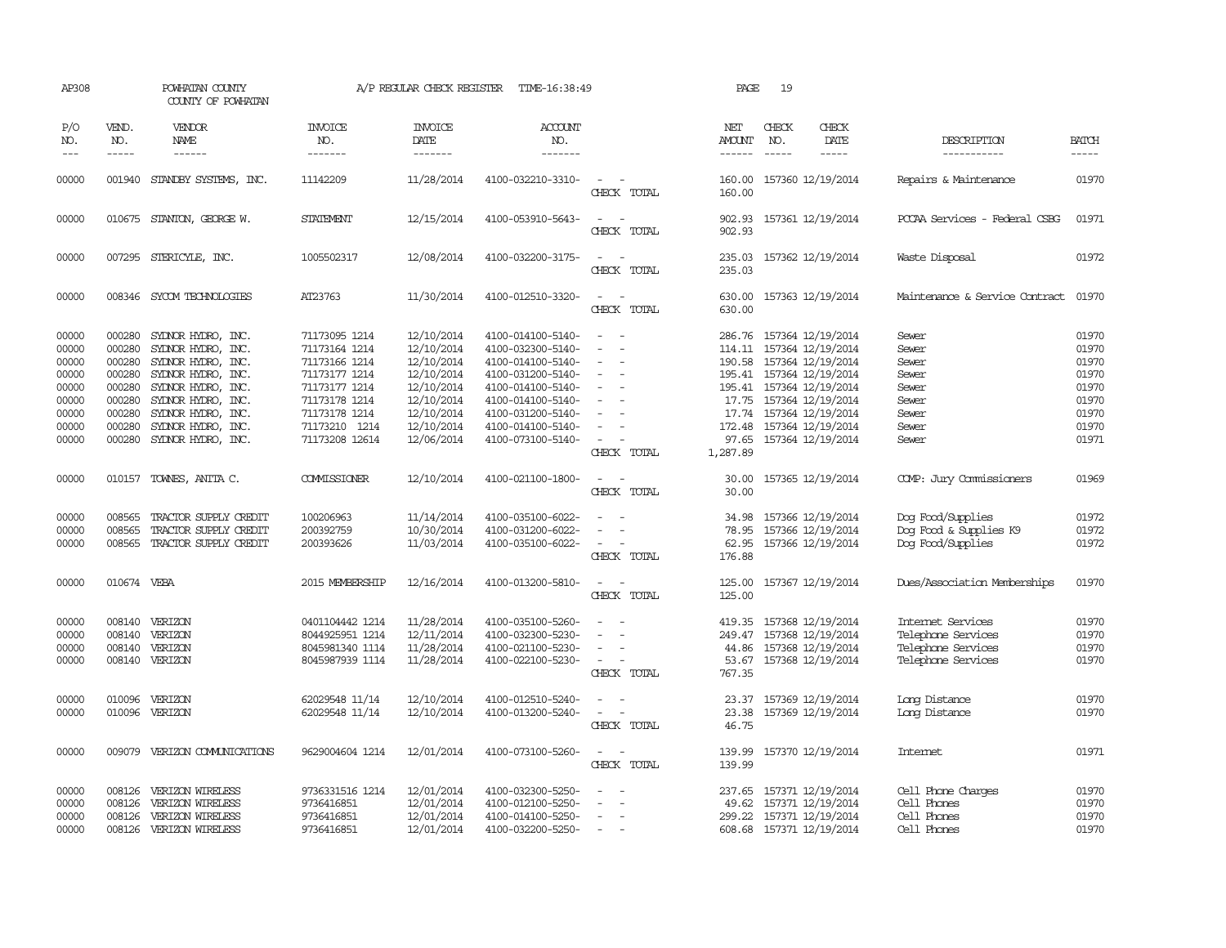| AP308                            |                                      | POWHATAN COUNTY<br>COUNTY OF POWHATAN                                                      |                                                                          | A/P REGULAR CHECK REGISTER                           | TIME-16:38:49                                                                    |                                                                           | PAGE                                | 19                            |                                                                                                      |                                                                                     |                                  |
|----------------------------------|--------------------------------------|--------------------------------------------------------------------------------------------|--------------------------------------------------------------------------|------------------------------------------------------|----------------------------------------------------------------------------------|---------------------------------------------------------------------------|-------------------------------------|-------------------------------|------------------------------------------------------------------------------------------------------|-------------------------------------------------------------------------------------|----------------------------------|
| P/O<br>NO.                       | VEND.<br>NO.<br>$- - - - -$          | VENDOR<br>NAME                                                                             | <b>INVOICE</b><br>NO.<br>-------                                         | <b>INVOICE</b><br>DATE<br>-------                    | <b>ACCOUNT</b><br>NO.<br>-------                                                 |                                                                           | NET<br>AMOUNT<br>------             | CHECK<br>NO.<br>$\frac{1}{2}$ | CHECK<br>DATE                                                                                        | DESCRIPTION<br>-----------                                                          | <b>BATCH</b>                     |
| $---$                            |                                      | ------                                                                                     |                                                                          |                                                      |                                                                                  |                                                                           |                                     |                               | -----                                                                                                |                                                                                     | -----                            |
| 00000                            |                                      | 001940 STANDBY SYSTEMS, INC.                                                               | 11142209                                                                 | 11/28/2014                                           | 4100-032210-3310-                                                                | $\sim$<br>CHECK TOTAL                                                     | 160.00<br>160.00                    |                               | 157360 12/19/2014                                                                                    | Repairs & Maintenance                                                               | 01970                            |
| 00000                            |                                      | 010675 STANTON, GEORGE W.                                                                  | <b>STATEMENT</b>                                                         | 12/15/2014                                           | 4100-053910-5643-                                                                | $\equiv$<br>CHECK TOTAL                                                   | 902.93                              |                               | 902.93 157361 12/19/2014                                                                             | PCCAA Services - Federal CSBG                                                       | 01971                            |
| 00000                            |                                      | 007295 STERICYLE, INC.                                                                     | 1005502317                                                               | 12/08/2014                                           | 4100-032200-3175-                                                                | $\equiv$<br>CHECK TOTAL                                                   | 235.03<br>235.03                    |                               | 157362 12/19/2014                                                                                    | Waste Disposal                                                                      | 01972                            |
| 00000                            |                                      | 008346 SYCOM TECHNOLOGIES                                                                  | AT23763                                                                  | 11/30/2014                                           | 4100-012510-3320-                                                                | $\sim$ $\sim$<br>CHECK TOTAL                                              | 630.00<br>630.00                    |                               | 157363 12/19/2014                                                                                    | Maintenance & Service Contract                                                      | 01970                            |
| 00000<br>00000<br>00000          | 000280<br>000280<br>000280           | SYLNOR HYDRO, INC.<br>SYDNOR HYDRO, INC.<br>SYLNOR HYDRO, INC.                             | 71173095 1214<br>71173164 1214<br>71173166 1214                          | 12/10/2014<br>12/10/2014<br>12/10/2014<br>12/10/2014 | 4100-014100-5140-<br>4100-032300-5140-<br>4100-014100-5140-                      | $\overline{\phantom{a}}$<br>$\equiv$<br>$\equiv$                          | 286.76<br>114.11<br>190.58          |                               | 157364 12/19/2014<br>157364 12/19/2014<br>157364 12/19/2014<br>195.41 157364 12/19/2014              | Sewer<br>Sewer<br>Sewer<br>Sewer                                                    | 01970<br>01970<br>01970<br>01970 |
| 00000<br>00000<br>00000<br>00000 | 000280<br>000280<br>000280<br>000280 | SYDNOR HYDRO, INC.<br>SYDNOR HYDRO, INC.<br>SYDNOR HYDRO, INC.<br>SYDNOR HYDRO, INC.       | 71173177 1214<br>71173177 1214<br>71173178 1214<br>71173178 1214         | 12/10/2014<br>12/10/2014<br>12/10/2014               | 4100-031200-5140-<br>4100-014100-5140-<br>4100-014100-5140-<br>4100-031200-5140- | $\equiv$<br>$\equiv$                                                      | 17.74                               |                               | 195.41 157364 12/19/2014<br>17.75 157364 12/19/2014<br>157364 12/19/2014                             | Sewer<br>Sewer<br>Sewer                                                             | 01970<br>01970<br>01970          |
| 00000                            | 000280                               | SYDNOR HYDRO, INC.                                                                         | 71173210 1214                                                            | 12/10/2014                                           | 4100-014100-5140-                                                                |                                                                           |                                     |                               | 172.48 157364 12/19/2014                                                                             | Sewer                                                                               | 01970                            |
| 00000                            |                                      | 000280 SYDNOR HYDRO, INC.                                                                  | 71173208 12614                                                           | 12/06/2014                                           | 4100-073100-5140-                                                                | $\sim$<br>CHECK TOTAL                                                     | 1,287.89                            |                               | 97.65 157364 12/19/2014                                                                              | Sewer                                                                               | 01971                            |
| 00000                            |                                      | 010157 TOWNES, ANITA C.                                                                    | COMMISSIONER                                                             | 12/10/2014                                           | 4100-021100-1800-                                                                | $\sim$ $\sim$<br>CHECK TOTAL                                              | 30.00<br>30.00                      |                               | 157365 12/19/2014                                                                                    | COMP: Jury Commissioners                                                            | 01969                            |
| 00000<br>00000<br>00000          | 008565<br>008565<br>008565           | TRACTOR SUPPLY CREDIT<br>TRACTOR SUPPLY CREDIT<br>TRACTOR SUPPLY CREDIT                    | 100206963<br>200392759<br>200393626                                      | 11/14/2014<br>10/30/2014<br>11/03/2014               | 4100-035100-6022-<br>4100-031200-6022-<br>4100-035100-6022-                      | $\sim$<br>$\equiv$<br>CHECK TOTAL                                         | 34.98<br>78.95<br>62.95<br>176.88   |                               | 157366 12/19/2014<br>157366 12/19/2014<br>157366 12/19/2014                                          | Dog Food/Supplies<br>Dog Food & Supplies K9<br>Dog Food/Supplies                    | 01972<br>01972<br>01972          |
| 00000                            | 010674 VEBA                          |                                                                                            | 2015 MEMBERSHIP                                                          | 12/16/2014                                           | 4100-013200-5810-                                                                | $\sim$<br>CHECK TOTAL                                                     | 125.00<br>125.00                    |                               | 157367 12/19/2014                                                                                    | Dues/Association Memberships                                                        | 01970                            |
| 00000<br>00000<br>00000<br>00000 | 008140                               | 008140 VERIZON<br>VERIZON<br>008140 VERIZON<br>008140 VERIZON                              | 0401104442 1214<br>8044925951 1214<br>8045981340 1114<br>8045987939 1114 | 11/28/2014<br>12/11/2014<br>11/28/2014<br>11/28/2014 | 4100-035100-5260-<br>4100-032300-5230-<br>4100-021100-5230-<br>4100-022100-5230- | $\equiv$<br>$\equiv$<br>$\overline{\phantom{a}}$<br>$\sim$<br>CHECK TOTAL | 419.35<br>249.47<br>53.67<br>767.35 |                               | 157368 12/19/2014<br>157368 12/19/2014<br>44.86 157368 12/19/2014<br>157368 12/19/2014               | Internet Services<br>Telephone Services<br>Telephone Services<br>Telephone Services | 01970<br>01970<br>01970<br>01970 |
| 00000<br>00000                   |                                      | 010096 VERIZON<br>010096 VERIZON                                                           | 62029548 11/14<br>62029548 11/14                                         | 12/10/2014<br>12/10/2014                             | 4100-012510-5240-<br>4100-013200-5240-                                           | $\equiv$<br>CHECK TOTAL                                                   | 23.37<br>23.38<br>46.75             |                               | 157369 12/19/2014<br>157369 12/19/2014                                                               | Long Distance<br>Long Distance                                                      | 01970<br>01970                   |
| 00000                            |                                      | 009079 VERIZON COMUNICATIONS                                                               | 9629004604 1214                                                          | 12/01/2014                                           | 4100-073100-5260-                                                                | $\sim$<br>CHECK TOTAL                                                     | 139.99<br>139.99                    |                               | 157370 12/19/2014                                                                                    | <b>Intemet</b>                                                                      | 01971                            |
| 00000<br>00000<br>00000<br>00000 | 008126<br>008126                     | VERIZON WIRELESS<br>VERIZON WIRELESS<br>008126 VERIZON WIRELESS<br>008126 VERIZON WIRELESS | 9736331516 1214<br>9736416851<br>9736416851<br>9736416851                | 12/01/2014<br>12/01/2014<br>12/01/2014<br>12/01/2014 | 4100-032300-5250-<br>4100-012100-5250-<br>4100-014100-5250-<br>4100-032200-5250- | $\equiv$<br>$\sim$<br>$\sim$                                              | 237.65                              |                               | 157371 12/19/2014<br>49.62 157371 12/19/2014<br>299.22 157371 12/19/2014<br>608.68 157371 12/19/2014 | Cell Phone Charges<br>Cell Phones<br>Cell Phones<br>Cell Phones                     | 01970<br>01970<br>01970<br>01970 |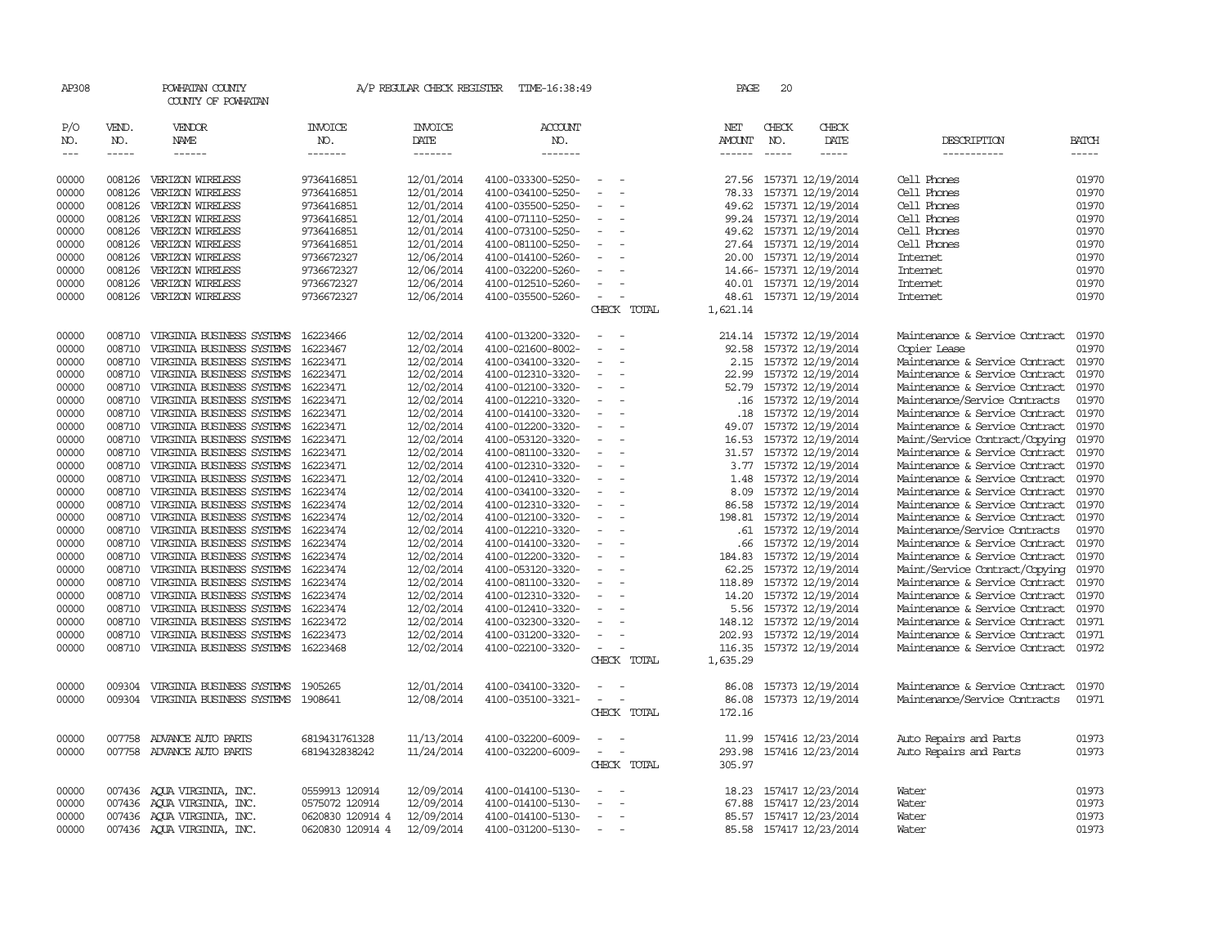| AP308               |                             | POWHATAN COUNTY<br>COUNTY OF POWHATAN |                           | A/P REGULAR CHECK REGISTER                | TIME-16:38:49                    |                                                      | PAGE                    | 20                            |                          |                                |                       |
|---------------------|-----------------------------|---------------------------------------|---------------------------|-------------------------------------------|----------------------------------|------------------------------------------------------|-------------------------|-------------------------------|--------------------------|--------------------------------|-----------------------|
| P/O<br>NO.<br>$---$ | VEND.<br>NO.<br>$- - - - -$ | VENDOR<br>NAME<br>------              | INVOICE<br>NO.<br>------- | <b>INVOICE</b><br>DATE<br>$- - - - - - -$ | <b>ACCOUNT</b><br>NO.<br>------- |                                                      | NET<br>AMOUNT<br>------ | CHECK<br>NO.<br>$\frac{1}{2}$ | CHECK<br>DATE<br>-----   | DESCRIPTION<br>-----------     | <b>BATCH</b><br>----- |
| 00000               | 008126                      | VERIZON WIRELESS                      | 9736416851                | 12/01/2014                                | 4100-033300-5250-                |                                                      | 27.56                   |                               | 157371 12/19/2014        | Cell Phones                    | 01970                 |
| 00000               | 008126                      | VERIZON WIRELESS                      | 9736416851                | 12/01/2014                                | 4100-034100-5250-                | $\sim$<br>$\overline{\phantom{a}}$                   | 78.33                   |                               | 157371 12/19/2014        | Cell Phones                    | 01970                 |
| 00000               | 008126                      | VERIZON WIRELESS                      | 9736416851                | 12/01/2014                                | 4100-035500-5250-                | $\sim$                                               | 49.62                   |                               | 157371 12/19/2014        | Cell Phones                    | 01970                 |
| 00000               | 008126                      | VERIZON WIRELESS                      | 9736416851                | 12/01/2014                                | 4100-071110-5250-                | $\sim$                                               |                         |                               | 99.24 157371 12/19/2014  | Cell Phones                    | 01970                 |
| 00000               | 008126                      | VERIZON WIRELESS                      | 9736416851                | 12/01/2014                                | 4100-073100-5250-                | $\overline{\phantom{a}}$                             |                         |                               | 49.62 157371 12/19/2014  | Cell Phones                    | 01970                 |
| 00000               | 008126                      | VERIZON WIRELESS                      | 9736416851                | 12/01/2014                                | 4100-081100-5250-                | $\overline{\phantom{a}}$                             |                         |                               | 27.64 157371 12/19/2014  | Cell Phones                    | 01970                 |
| 00000               | 008126                      | VERIZON WIRELESS                      | 9736672327                | 12/06/2014                                | 4100-014100-5260-                | $\equiv$                                             | 20.00                   |                               | 157371 12/19/2014        | Internet                       | 01970                 |
| 00000               | 008126                      | VERIZON WIRELESS                      | 9736672327                | 12/06/2014                                | 4100-032200-5260-                |                                                      |                         |                               | 14.66- 157371 12/19/2014 | Internet                       | 01970                 |
| 00000               | 008126                      | VERIZON WIRELESS                      | 9736672327                | 12/06/2014                                | 4100-012510-5260-                | $\equiv$                                             |                         |                               | 40.01 157371 12/19/2014  | <b>Internet</b>                | 01970                 |
| 00000               | 008126                      | VERIZON WIRELESS                      | 9736672327                | 12/06/2014                                | 4100-035500-5260-                | $\overline{\phantom{a}}$<br>CHECK TOTAL              |                         |                               | 48.61 157371 12/19/2014  | Internet                       | 01970                 |
|                     |                             |                                       |                           |                                           |                                  |                                                      | 1,621.14                |                               |                          |                                |                       |
| 00000               |                             | 008710 VIRGINIA BUSINESS SYSTEMS      | 16223466                  | 12/02/2014                                | 4100-013200-3320-                | $\sim$<br>$\sim$                                     |                         |                               | 214.14 157372 12/19/2014 | Maintenance & Service Contract | 01970                 |
| 00000               | 008710                      | VIRGINIA BUSINESS SYSTEMS             | 16223467                  | 12/02/2014                                | 4100-021600-8002-                |                                                      | 92.58                   |                               | 157372 12/19/2014        | Copier Lease                   | 01970                 |
| 00000               | 008710                      | VIRGINIA BUSINESS SYSTEMS             | 16223471                  | 12/02/2014                                | 4100-034100-3320-                | $\sim$                                               |                         |                               | 2.15 157372 12/19/2014   | Maintenance & Service Contract | 01970                 |
| 00000               | 008710                      | VIRGINIA BUSINESS SYSTEMS             | 16223471                  | 12/02/2014                                | 4100-012310-3320-                | $\overline{\phantom{a}}$                             |                         |                               | 22.99 157372 12/19/2014  | Maintenance & Service Contract | 01970                 |
| 00000               | 008710                      | VIRGINIA BUSINESS SYSTEMS             | 16223471                  | 12/02/2014                                | 4100-012100-3320-                | $\overline{\phantom{a}}$                             |                         |                               | 52.79 157372 12/19/2014  | Maintenance & Service Contract | 01970                 |
| 00000               | 008710                      | VIRGINIA BUSINESS SYSTEMS             | 16223471                  | 12/02/2014                                | 4100-012210-3320-                | $\overline{\phantom{a}}$                             |                         |                               | .16 157372 12/19/2014    | Maintenance/Service Contracts  | 01970                 |
| 00000               | 008710                      | VIRGINIA BUSINESS SYSTEMS             | 16223471                  | 12/02/2014                                | 4100-014100-3320-                |                                                      | .18                     |                               | 157372 12/19/2014        | Maintenance & Service Contract | 01970                 |
| 00000               |                             | 008710 VIRGINIA BUSINESS SYSTEMS      | 16223471                  | 12/02/2014                                | 4100-012200-3320-                | $\sim$<br>$\overline{\phantom{a}}$                   | 49.07                   |                               | 157372 12/19/2014        | Maintenance & Service Contract | 01970                 |
| 00000               | 008710                      | VIRGINIA BUSINESS SYSTEMS             | 16223471                  | 12/02/2014                                | 4100-053120-3320-                | $\sim$                                               | 16.53                   |                               | 157372 12/19/2014        | Maint/Service Contract/Copying | 01970                 |
| 00000               | 008710                      | VIRGINIA BUSINESS SYSTEMS             | 16223471                  | 12/02/2014                                | 4100-081100-3320-                | $\overline{\phantom{a}}$                             |                         |                               | 31.57 157372 12/19/2014  | Maintenance & Service Contract | 01970                 |
| 00000               | 008710                      | VIRGINIA BUSINESS SYSTEMS             | 16223471                  | 12/02/2014                                | 4100-012310-3320-                | $\overline{\phantom{a}}$                             | 3.77                    |                               | 157372 12/19/2014        | Maintenance & Service Contract | 01970                 |
| 00000               | 008710                      | VIRGINIA BUSINESS SYSTEMS             | 16223471                  | 12/02/2014                                | 4100-012410-3320-                | $\overline{\phantom{a}}$                             | 1.48                    |                               | 157372 12/19/2014        | Maintenance & Service Contract | 01970                 |
| 00000               | 008710                      | VIRGINIA BUSINESS SYSTEMS             | 16223474                  | 12/02/2014                                | 4100-034100-3320-                | $\overline{\phantom{a}}$                             | 8.09                    |                               | 157372 12/19/2014        | Maintenance & Service Contract | 01970                 |
| 00000               | 008710                      | VIRGINIA BUSINESS SYSTEMS             | 16223474                  | 12/02/2014                                | 4100-012310-3320-                |                                                      | 86.58                   |                               | 157372 12/19/2014        | Maintenance & Service Contract | 01970                 |
| 00000               |                             | 008710 VIRGINIA BUSINESS SYSTEMS      | 16223474                  | 12/02/2014                                | 4100-012100-3320-                | $\overline{\phantom{a}}$                             |                         |                               | 198.81 157372 12/19/2014 | Maintenance & Service Contract | 01970                 |
| 00000               | 008710                      | VIRGINIA BUSINESS SYSTEMS             | 16223474                  | 12/02/2014                                | 4100-012210-3320-                | $\sim$                                               | .61                     |                               | 157372 12/19/2014        | Maintenance/Service Contracts  | 01970                 |
| 00000               | 008710                      | VIRGINIA BUSINESS SYSTEMS             | 16223474                  | 12/02/2014                                | 4100-014100-3320-                | $\overline{\phantom{a}}$                             |                         |                               | .66 157372 12/19/2014    | Maintenance & Service Contract | 01970                 |
| 00000               | 008710                      | VIRGINIA BUSINESS SYSTEMS             | 16223474                  | 12/02/2014                                | 4100-012200-3320-                | $\overline{\phantom{a}}$                             | 184.83                  |                               | 157372 12/19/2014        | Maintenance & Service Contract | 01970                 |
| 00000               |                             | 008710 VIRGINIA BUSINESS SYSTEMS      | 16223474                  | 12/02/2014                                | 4100-053120-3320-                | $\overline{\phantom{a}}$<br>$\overline{\phantom{a}}$ | 62.25                   |                               | 157372 12/19/2014        | Maint/Service Contract/Copying | 01970                 |
| 00000               | 008710                      | VIRGINIA BUSINESS SYSTEMS             | 16223474                  | 12/02/2014                                | 4100-081100-3320-                | $\overline{\phantom{a}}$                             | 118.89                  |                               | 157372 12/19/2014        | Maintenance & Service Contract | 01970                 |
| 00000               | 008710                      | VIRGINIA BUSINESS SYSTEMS             | 16223474                  | 12/02/2014                                | 4100-012310-3320-                |                                                      |                         |                               | 14.20 157372 12/19/2014  | Maintenance & Service Contract | 01970                 |
| 00000               | 008710                      | VIRGINIA BUSINESS SYSTEMS             | 16223474                  | 12/02/2014                                | 4100-012410-3320-                | $\equiv$                                             |                         |                               | 5.56 157372 12/19/2014   | Maintenance & Service Contract | 01970                 |
| 00000               | 008710                      | VIRGINIA BUSINESS SYSTEMS             | 16223472                  | 12/02/2014                                | 4100-032300-3320-                |                                                      |                         |                               | 148.12 157372 12/19/2014 | Maintenance & Service Contract | 01971                 |
| 00000               | 008710                      | VIRGINIA BUSINESS SYSTEMS             | 16223473                  | 12/02/2014                                | 4100-031200-3320-                |                                                      | 202.93                  |                               | 157372 12/19/2014        | Maintenance & Service Contract | 01971                 |
| 00000               | 008710                      | VIRGINIA BUSINESS SYSTEMS 16223468    |                           | 12/02/2014                                | 4100-022100-3320-                |                                                      | 116.35                  |                               | 157372 12/19/2014        | Maintenance & Service Contract | 01972                 |
|                     |                             |                                       |                           |                                           |                                  | CHECK TOTAL                                          | 1,635.29                |                               |                          |                                |                       |
| 00000               | 009304                      | VIRGINIA BUSINESS SYSTEMS             | 1905265                   | 12/01/2014                                | 4100-034100-3320-                |                                                      | 86.08                   |                               | 157373 12/19/2014        | Maintenance & Service Contract | 01970                 |
| 00000               | 009304                      | VIRGINIA BUSINESS SYSTEMS 1908641     |                           | 12/08/2014                                | 4100-035100-3321-                | $\sim$<br>$\sim$                                     | 86.08                   |                               | 157373 12/19/2014        | Maintenance/Service Contracts  | 01971                 |
|                     |                             |                                       |                           |                                           |                                  | CHECK TOTAL                                          | 172.16                  |                               |                          |                                |                       |
|                     |                             |                                       |                           |                                           |                                  |                                                      |                         |                               |                          |                                |                       |
| 00000               | 007758                      | ADVANCE AUTO PARTS                    | 6819431761328             | 11/13/2014                                | 4100-032200-6009-                |                                                      | 11.99                   |                               | 157416 12/23/2014        | Auto Repairs and Parts         | 01973                 |
| 00000               |                             | 007758 ADVANCE AUTO PARTS             | 6819432838242             | 11/24/2014                                | 4100-032200-6009-                | $\sim$<br>$\overline{\phantom{a}}$                   | 293.98                  |                               | 157416 12/23/2014        | Auto Repairs and Parts         | 01973                 |
|                     |                             |                                       |                           |                                           |                                  | CHECK TOTAL                                          | 305.97                  |                               |                          |                                |                       |
| 00000               | 007436                      | AQUA VIRGINIA, INC.                   | 0559913 120914            | 12/09/2014                                | 4100-014100-5130-                |                                                      | 18.23                   |                               | 157417 12/23/2014        | Water                          | 01973                 |
| 00000               |                             | 007436 AQUA VIRGINIA, INC.            | 0575072 120914            | 12/09/2014                                | 4100-014100-5130-                | $\overline{\phantom{a}}$<br>$\overline{\phantom{a}}$ | 67.88                   |                               | 157417 12/23/2014        | Water                          | 01973                 |
| 00000               |                             | 007436 AQUA VIRGINIA, INC.            | 0620830 120914 4          | 12/09/2014                                | 4100-014100-5130-                | $\overline{\phantom{a}}$                             |                         |                               | 85.57 157417 12/23/2014  | Water                          | 01973                 |
| 00000               |                             | 007436 AQUA VIRGINIA, INC.            | 0620830 120914 4          | 12/09/2014                                | 4100-031200-5130-                | $\overline{\phantom{a}}$                             |                         |                               | 85.58 157417 12/23/2014  | Water                          | 01973                 |
|                     |                             |                                       |                           |                                           |                                  |                                                      |                         |                               |                          |                                |                       |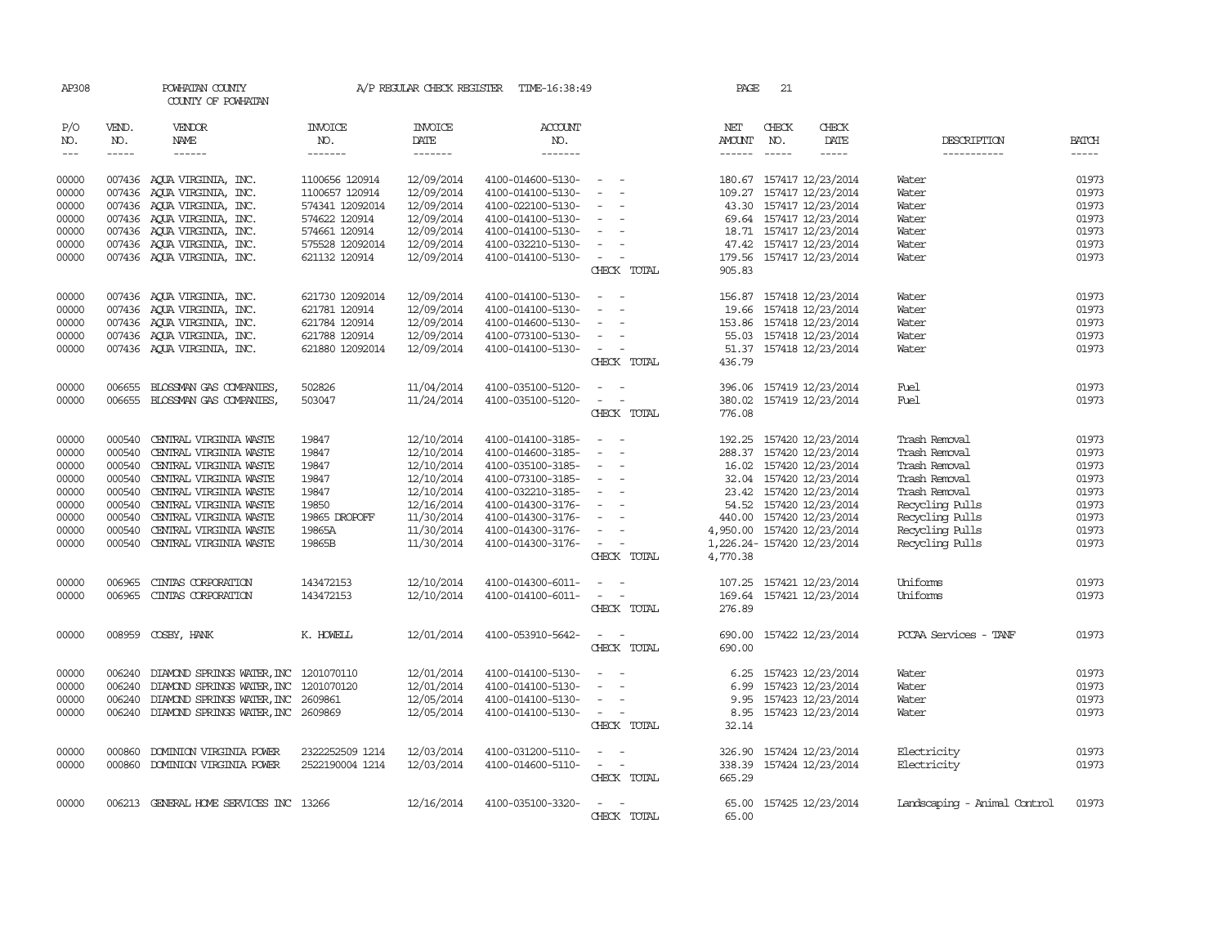| AP308         |              | POWHATAN COUNTY<br>COUNTY OF POWHATAN     |                       |                        | A/P REGULAR CHECK REGISTER TIME-16:38:49 |                                    | PAGE          | 21           |                            |                              |              |
|---------------|--------------|-------------------------------------------|-----------------------|------------------------|------------------------------------------|------------------------------------|---------------|--------------|----------------------------|------------------------------|--------------|
| P/O<br>NO.    | VEND.<br>NO. | VENDOR<br>NAME                            | <b>INVOICE</b><br>NO. | <b>INVOICE</b><br>DATE | <b>ACCOUNT</b><br>NO.                    |                                    | NET<br>AMOUNT | CHECK<br>NO. | CHECK<br>DATE              | DESCRIPTION                  | <b>BATCH</b> |
| $\frac{1}{2}$ | $- - - - -$  | $- - - - - -$                             | -------               | $- - - - - - -$        | -------                                  |                                    |               |              | -----                      | -----------                  | $- - - - -$  |
| 00000         |              | 007436 AQUA VIRGINIA, INC.                | 1100656 120914        | 12/09/2014             | 4100-014600-5130-                        | $\sim$ $ \sim$ $ -$                |               |              | 180.67 157417 12/23/2014   | Water                        | 01973        |
| 00000         |              | 007436 AQUA VIRGINIA, INC.                | 1100657 120914        | 12/09/2014             | 4100-014100-5130-                        | $\sim$<br>$\overline{\phantom{0}}$ |               |              | 109.27 157417 12/23/2014   | Water                        | 01973        |
| 00000         |              | 007436 AQUA VIRGINIA, INC.                | 574341 12092014       | 12/09/2014             | 4100-022100-5130-                        | $\overline{\phantom{a}}$           |               |              | 43.30 157417 12/23/2014    | Water                        | 01973        |
| 00000         |              | 007436 AQUA VIRGINIA, INC.                | 574622 120914         | 12/09/2014             | 4100-014100-5130-                        | $\sim$                             |               |              | 69.64 157417 12/23/2014    | Water                        | 01973        |
| 00000         |              | 007436 AQUA VIRGINIA, INC.                | 574661 120914         | 12/09/2014             | 4100-014100-5130-                        | $\sim$                             |               |              | 18.71 157417 12/23/2014    | Water                        | 01973        |
| 00000         |              | 007436 AQUA VIRGINIA, INC.                | 575528 12092014       | 12/09/2014             | 4100-032210-5130-                        | $\sim$                             |               |              | 47.42 157417 12/23/2014    | Water                        | 01973        |
| 00000         |              | 007436 AQUA VIRGINIA, INC.                | 621132 120914         | 12/09/2014             | 4100-014100-5130-                        | $\sim$                             |               |              | 179.56 157417 12/23/2014   | Water                        | 01973        |
|               |              |                                           |                       |                        |                                          | CHECK TOTAL                        | 905.83        |              |                            |                              |              |
| 00000         |              | 007436 AQUA VIRGINIA, INC.                | 621730 12092014       | 12/09/2014             | 4100-014100-5130-                        | $\sim$ $ \sim$                     |               |              | 156.87 157418 12/23/2014   | Water                        | 01973        |
| 00000         |              | 007436 AOUA VIRGINIA, INC.                | 621781 120914         | 12/09/2014             | 4100-014100-5130-                        | $\overline{\phantom{a}}$           |               |              | 19.66 157418 12/23/2014    | Water                        | 01973        |
| 00000         |              | 007436 AOUA VIRGINIA, INC.                | 621784 120914         | 12/09/2014             | 4100-014600-5130-                        |                                    |               |              | 153.86 157418 12/23/2014   | Water                        | 01973        |
| 00000         |              | 007436 AQUA VIRGINIA, INC.                | 621788 120914         | 12/09/2014             | 4100-073100-5130-                        | $\sim$<br>$\overline{\phantom{a}}$ |               |              | 55.03 157418 12/23/2014    | Water                        | 01973        |
| 00000         |              | 007436 AQUA VIRGINIA, INC.                | 621880 12092014       | 12/09/2014             | 4100-014100-5130-                        | $\sim$<br>$\overline{\phantom{a}}$ |               |              | 51.37 157418 12/23/2014    | Water                        | 01973        |
|               |              |                                           |                       |                        |                                          | CHECK TOTAL                        | 436.79        |              |                            |                              |              |
| 00000         | 006655       | BLOSSMAN GAS COMPANIES,                   | 502826                | 11/04/2014             | 4100-035100-5120-                        | $\overline{\phantom{a}}$           | 396.06        |              | 157419 12/23/2014          | Fuel                         | 01973        |
| 00000         |              | 006655 BLOSSMAN GAS COMPANIES,            | 503047                | 11/24/2014             | 4100-035100-5120-                        | $\overline{\phantom{a}}$<br>$\sim$ |               |              | 380.02 157419 12/23/2014   | Fuel                         | 01973        |
|               |              |                                           |                       |                        |                                          | CHECK TOTAL                        | 776.08        |              |                            |                              |              |
| 00000         | 000540       | CENTRAL VIRGINIA WASTE                    | 19847                 | 12/10/2014             | 4100-014100-3185-                        |                                    |               |              | 192.25 157420 12/23/2014   | Trash Removal                | 01973        |
| 00000         | 000540       | CENTRAL VIRGINIA WASTE                    | 19847                 | 12/10/2014             | 4100-014600-3185-                        | $\overline{\phantom{a}}$           |               |              | 288.37 157420 12/23/2014   | Trash Removal                | 01973        |
| 00000         |              | 000540 CENTRAL VIRGINIA WASTE             | 19847                 | 12/10/2014             | 4100-035100-3185-                        | $\sim$                             |               |              | 16.02 157420 12/23/2014    | Trash Removal                | 01973        |
| 00000         |              | 000540 CENTRAL VIRGINIA WASTE             | 19847                 | 12/10/2014             | 4100-073100-3185-                        | $\sim$                             |               |              | 32.04 157420 12/23/2014    | Trash Removal                | 01973        |
| 00000         | 000540       | CENTRAL VIRGINIA WASTE                    | 19847                 | 12/10/2014             | 4100-032210-3185-                        | $\sim$<br>$\overline{\phantom{a}}$ |               |              | 23.42 157420 12/23/2014    | Trash Removal                | 01973        |
| 00000         | 000540       | CENTRAL VIRGINIA WASTE                    | 19850                 | 12/16/2014             | 4100-014300-3176-                        | $\sim$                             |               |              | 54.52 157420 12/23/2014    | Recycling Pulls              | 01973        |
| 00000         | 000540       | CENTRAL VIRGINIA WASTE                    | 19865 DROPOFF         | 11/30/2014             | 4100-014300-3176-                        | $\sim$                             |               |              | 440.00 157420 12/23/2014   | Recycling Pulls              | 01973        |
| 00000         | 000540       | CENTRAL VIRGINIA WASTE                    | 19865A                | 11/30/2014             | 4100-014300-3176-                        | $\sim$                             |               |              | 4,950.00 157420 12/23/2014 | Recycling Pulls              | 01973        |
| 00000         | 000540       | CENTRAL VIRGINIA WASTE                    | 19865B                | 11/30/2014             | 4100-014300-3176-                        | $\sim$                             |               |              | 1,226.24-157420 12/23/2014 | Recycling Pulls              | 01973        |
|               |              |                                           |                       |                        |                                          | CHECK TOTAL                        | 4,770.38      |              |                            |                              |              |
| 00000         | 006965       | CINIAS CORPORATION                        | 143472153             | 12/10/2014             | 4100-014300-6011-                        | $\overline{\phantom{a}}$           | 107.25        |              | 157421 12/23/2014          | Uniforms                     | 01973        |
| 00000         | 006965       | CINIAS CORPORATION                        | 143472153             | 12/10/2014             | 4100-014100-6011-                        | $\sim$<br>$\sim$                   | 169.64        |              | 157421 12/23/2014          | Uniforms                     | 01973        |
|               |              |                                           |                       |                        |                                          | CHECK TOTAL                        | 276.89        |              |                            |                              |              |
| 00000         |              | 008959 COSBY, HANK                        | K. HOWELL             | 12/01/2014             | 4100-053910-5642-                        |                                    | 690.00        |              | 157422 12/23/2014          | PCCAA Services - TANF        | 01973        |
|               |              |                                           |                       |                        |                                          | CHECK TOTAL                        | 690.00        |              |                            |                              |              |
| 00000         | 006240       | DIAMOND SPRINGS WATER, INC                | 1201070110            | 12/01/2014             | 4100-014100-5130-                        |                                    | 6.25          |              | 157423 12/23/2014          | Water                        | 01973        |
| 00000         | 006240       | DIAMOND SPRINGS WATER, INC                | 1201070120            | 12/01/2014             | 4100-014100-5130-                        |                                    |               |              | 6.99 157423 12/23/2014     | Water                        | 01973        |
| 00000         |              | 006240 DIAMOND SPRINGS WATER, INC 2609861 |                       | 12/05/2014             | 4100-014100-5130-                        | $\sim$<br>$\overline{\phantom{a}}$ |               |              | 9.95 157423 12/23/2014     | Water                        | 01973        |
| 00000         |              | 006240 DIAMOND SPRINGS WATER, INC 2609869 |                       | 12/05/2014             | 4100-014100-5130-                        | $\sim$ $ -$                        | 8.95          |              | 157423 12/23/2014          | Water                        | 01973        |
|               |              |                                           |                       |                        |                                          | CHECK TOTAL                        | 32.14         |              |                            |                              |              |
| 00000         | 000860       | DOMINION VIRGINIA POWER                   | 2322252509 1214       | 12/03/2014             | 4100-031200-5110-                        | $\sim$ $\sim$                      | 326.90        |              | 157424 12/23/2014          | Electricity                  | 01973        |
| 00000         |              | 000860 DOMINION VIRGINIA POWER            | 2522190004 1214       | 12/03/2014             | 4100-014600-5110-                        | $\sim$ $ -$                        |               |              | 338.39 157424 12/23/2014   | Electricity                  | 01973        |
|               |              |                                           |                       |                        |                                          | CHECK TOTAL                        | 665.29        |              |                            |                              |              |
| 00000         |              | 006213 GENERAL HOME SERVICES INC 13266    |                       | 12/16/2014             | 4100-035100-3320-                        | $\sim$                             |               |              | 65.00 157425 12/23/2014    | Landscaping - Animal Control | 01973        |
|               |              |                                           |                       |                        |                                          | CHECK TOTAL                        | 65.00         |              |                            |                              |              |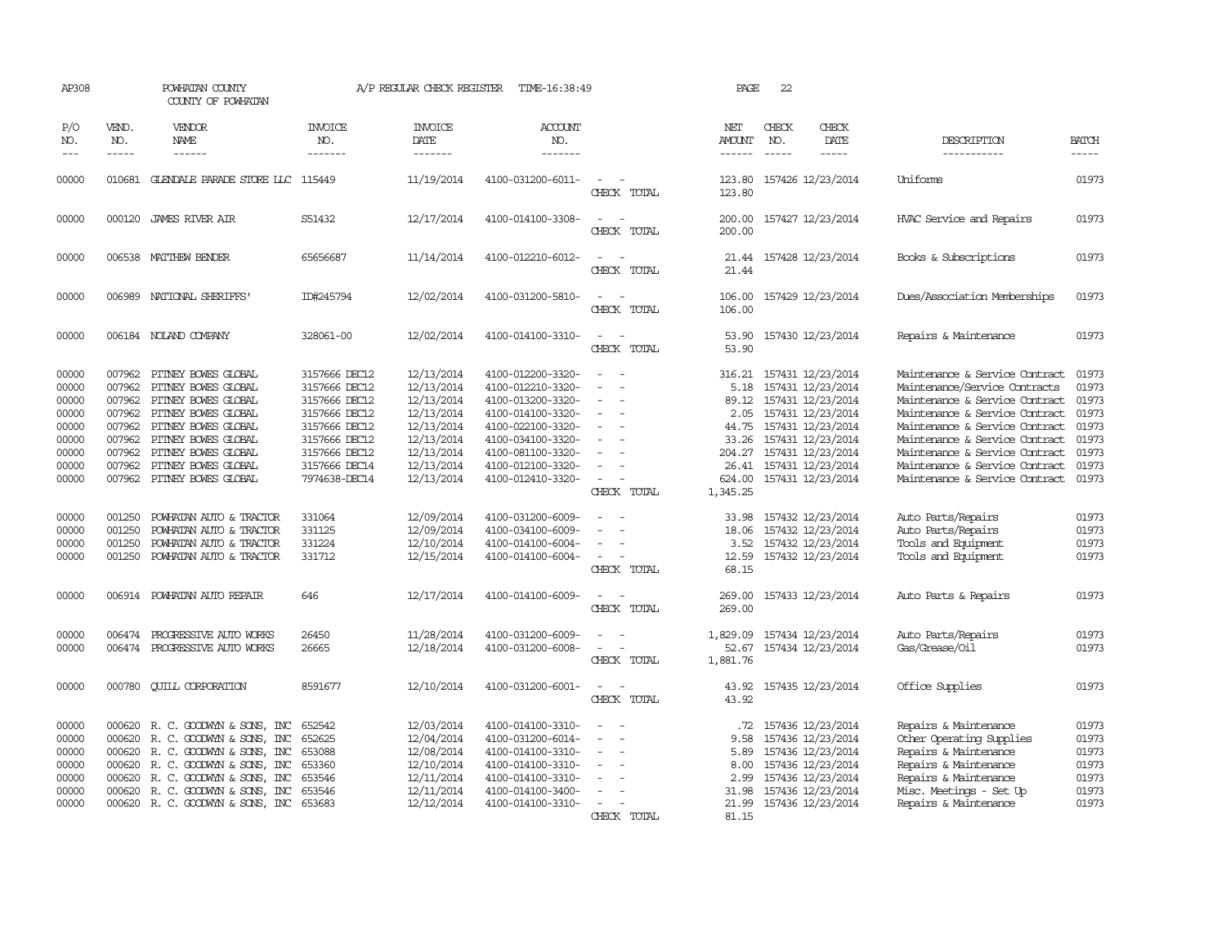| AP308                                                                         |                                                                                        | POWHATAN COUNTY<br>COUNTY OF POWHATAN                                                                                                                                                                                        |                                                                                                                                                       | A/P REGULAR CHECK REGISTER                                                                                                 | TIME-16:38:49                                                                                                                                                                             |                                                                                                       | PAGE                                                                              | 22                          |                                                                                                                                                                                                 |                                                                                                                                                                                                                                                                                                               |                                                                               |
|-------------------------------------------------------------------------------|----------------------------------------------------------------------------------------|------------------------------------------------------------------------------------------------------------------------------------------------------------------------------------------------------------------------------|-------------------------------------------------------------------------------------------------------------------------------------------------------|----------------------------------------------------------------------------------------------------------------------------|-------------------------------------------------------------------------------------------------------------------------------------------------------------------------------------------|-------------------------------------------------------------------------------------------------------|-----------------------------------------------------------------------------------|-----------------------------|-------------------------------------------------------------------------------------------------------------------------------------------------------------------------------------------------|---------------------------------------------------------------------------------------------------------------------------------------------------------------------------------------------------------------------------------------------------------------------------------------------------------------|-------------------------------------------------------------------------------|
| P/O<br>NO.<br>$---$                                                           | VEND.<br>NO.<br>$- - - - -$                                                            | VENDOR<br>NAME<br>------                                                                                                                                                                                                     | <b>INVOICE</b><br>NO.<br>-------                                                                                                                      | <b>INVOICE</b><br><b>DATE</b><br>-------                                                                                   | <b>ACCOUNT</b><br>NO.<br>-------                                                                                                                                                          |                                                                                                       | NET<br><b>AMOUNT</b><br>------                                                    | CHECK<br>NO.<br>$- - - - -$ | CHECK<br>DATE<br>-----                                                                                                                                                                          | DESCRIPTION<br>-----------                                                                                                                                                                                                                                                                                    | <b>BATCH</b><br>-----                                                         |
| 00000                                                                         | 010681                                                                                 | GLENDALE PARADE STORE LLC 115449                                                                                                                                                                                             |                                                                                                                                                       | 11/19/2014                                                                                                                 | 4100-031200-6011-                                                                                                                                                                         | $\equiv$<br>CHECK TOTAL                                                                               | 123.80<br>123.80                                                                  |                             | 157426 12/23/2014                                                                                                                                                                               | Uniforms                                                                                                                                                                                                                                                                                                      | 01973                                                                         |
| 00000                                                                         | 000120                                                                                 | <b>JAMES RIVER AIR</b>                                                                                                                                                                                                       | S51432                                                                                                                                                | 12/17/2014                                                                                                                 | 4100-014100-3308-                                                                                                                                                                         | $\equiv$<br>CHECK TOTAL                                                                               | 200.00<br>200.00                                                                  |                             | 157427 12/23/2014                                                                                                                                                                               | HVAC Service and Repairs                                                                                                                                                                                                                                                                                      | 01973                                                                         |
| 00000                                                                         |                                                                                        | 006538 MATTHEW BENDER                                                                                                                                                                                                        | 65656687                                                                                                                                              | 11/14/2014                                                                                                                 | 4100-012210-6012-                                                                                                                                                                         | CHECK TOTAL                                                                                           | 21.44<br>21.44                                                                    |                             | 157428 12/23/2014                                                                                                                                                                               | Books & Subscriptions                                                                                                                                                                                                                                                                                         | 01973                                                                         |
| 00000                                                                         |                                                                                        | 006989 NATIONAL SHERIFFS                                                                                                                                                                                                     | ID#245794                                                                                                                                             | 12/02/2014                                                                                                                 | 4100-031200-5810-                                                                                                                                                                         | CHECK TOTAL                                                                                           | 106.00<br>106.00                                                                  |                             | 157429 12/23/2014                                                                                                                                                                               | Dues/Association Memberships                                                                                                                                                                                                                                                                                  | 01973                                                                         |
| 00000                                                                         |                                                                                        | 006184 NOLAND COMPANY                                                                                                                                                                                                        | 328061-00                                                                                                                                             | 12/02/2014                                                                                                                 | 4100-014100-3310-                                                                                                                                                                         | $\equiv$<br>$\sim$<br>CHECK TOTAL                                                                     | 53.90<br>53.90                                                                    |                             | 157430 12/23/2014                                                                                                                                                                               | Repairs & Maintenance                                                                                                                                                                                                                                                                                         | 01973                                                                         |
| 00000<br>00000<br>00000<br>00000<br>00000<br>00000<br>00000<br>00000<br>00000 | 007962<br>007962<br>007962<br>007962<br>007962<br>007962<br>007962<br>007962<br>007962 | PITNEY BOWES GLOBAL<br>PITNEY BOWES GLOBAL<br>PITNEY BOWES GLOBAL<br>PITNEY BOWES GLOBAL<br>PITNEY BOWES GLOBAL<br>PITNEY BOWES GLOBAL<br>PITNEY BOWES GLOBAL<br>PITNEY BOWES GLOBAL<br>PITNEY BOWES GLOBAL                  | 3157666 DEC12<br>3157666 DEC12<br>3157666 DEC12<br>3157666 DEC12<br>3157666 DEC12<br>3157666 DEC12<br>3157666 DEC12<br>3157666 DEC14<br>7974638-DEC14 | 12/13/2014<br>12/13/2014<br>12/13/2014<br>12/13/2014<br>12/13/2014<br>12/13/2014<br>12/13/2014<br>12/13/2014<br>12/13/2014 | 4100-012200-3320-<br>4100-012210-3320-<br>4100-013200-3320-<br>4100-014100-3320-<br>4100-022100-3320-<br>4100-034100-3320-<br>4100-081100-3320-<br>4100-012100-3320-<br>4100-012410-3320- | $\equiv$<br>$\equiv$<br>$\overline{\phantom{a}}$<br>$\overline{\phantom{a}}$<br>$\sim$<br>CHECK TOTAL | 316.21<br>5.18<br>89.12<br>2.05<br>44.75<br>33.26<br>204.27<br>624.00<br>1,345.25 |                             | 157431 12/23/2014<br>157431 12/23/2014<br>157431 12/23/2014<br>157431 12/23/2014<br>157431 12/23/2014<br>157431 12/23/2014<br>157431 12/23/2014<br>26.41 157431 12/23/2014<br>157431 12/23/2014 | Maintenance & Service Contract<br>Maintenance/Service Contracts<br>Maintenance & Service Contract<br>Maintenance & Service Contract<br>Maintenance & Service Contract<br>Maintenance & Service Contract<br>Maintenance & Service Contract<br>Maintenance & Service Contract<br>Maintenance & Service Contract | 01973<br>01973<br>01973<br>01973<br>01973<br>01973<br>01973<br>01973<br>01973 |
| 00000<br>00000<br>00000<br>00000<br>00000                                     | 001250<br>001250<br>001250<br>001250                                                   | POWHATAN AUTO & TRACTOR<br>POWHATAN AUTO & TRACTOR<br>POWHATAN AUTO & TRACTOR<br>POWHATAN AUTO & TRACTOR<br>006914 POWHATAN AUTO REPAIR                                                                                      | 331064<br>331125<br>331224<br>331712<br>646                                                                                                           | 12/09/2014<br>12/09/2014<br>12/10/2014<br>12/15/2014<br>12/17/2014                                                         | 4100-031200-6009-<br>4100-034100-6009-<br>4100-014100-6004-<br>4100-014100-6004-<br>4100-014100-6009-                                                                                     | $\sim$<br>CHECK TOTAL                                                                                 | 33.98<br>18.06<br>3.52<br>12.59<br>68.15<br>269.00                                |                             | 157432 12/23/2014<br>157432 12/23/2014<br>157432 12/23/2014<br>157432 12/23/2014<br>157433 12/23/2014                                                                                           | Auto Parts/Repairs<br>Auto Parts/Repairs<br>Tools and Equipment<br>Tools and Equipment<br>Auto Parts & Repairs                                                                                                                                                                                                | 01973<br>01973<br>01973<br>01973<br>01973                                     |
| 00000<br>00000                                                                | 006474                                                                                 | PROGRESSIVE AUTO WORKS<br>006474 PROGRESSIVE AUTO WORKS                                                                                                                                                                      | 26450<br>26665                                                                                                                                        | 11/28/2014<br>12/18/2014                                                                                                   | 4100-031200-6009-<br>4100-031200-6008-                                                                                                                                                    | CHECK TOTAL                                                                                           | 269.00<br>1,829.09<br>52.67                                                       |                             | 157434 12/23/2014<br>157434 12/23/2014                                                                                                                                                          | Auto Parts/Repairs<br>Gas/Grease/Oil                                                                                                                                                                                                                                                                          | 01973<br>01973                                                                |
| 00000                                                                         |                                                                                        | 000780 CUILL CORPORATION                                                                                                                                                                                                     | 8591677                                                                                                                                               | 12/10/2014                                                                                                                 | 4100-031200-6001-                                                                                                                                                                         | CHECK TOTAL<br>$\sim$<br>CHECK TOTAL                                                                  | 1,881.76<br>43.92<br>43.92                                                        |                             | 157435 12/23/2014                                                                                                                                                                               | Office Supplies                                                                                                                                                                                                                                                                                               | 01973                                                                         |
| 00000<br>00000<br>00000<br>00000<br>00000<br>00000<br>00000                   | 000620<br>000620<br>000620<br>000620                                                   | 000620 R. C. GOODWYN & SONS, INC<br>R. C. GOODWIN & SONS, INC<br>000620 R. C. GOODWYN & SONS, INC<br>R. C. GOODWYN & SONS, INC<br>R. C. GOODWYN & SONS, INC<br>R. C. GOODWIN & SONS, INC<br>000620 R. C. GOODWYN & SONS, INC | 652542<br>652625<br>653088<br>653360<br>653546<br>653546<br>653683                                                                                    | 12/03/2014<br>12/04/2014<br>12/08/2014<br>12/10/2014<br>12/11/2014<br>12/11/2014<br>12/12/2014                             | 4100-014100-3310-<br>4100-031200-6014-<br>4100-014100-3310-<br>4100-014100-3310-<br>4100-014100-3310-<br>4100-014100-3400-<br>4100-014100-3310-                                           | $\equiv$<br>$\equiv$<br>CHECK TOTAL                                                                   | . 72<br>9.58<br>5.89<br>8.00<br>2.99<br>31.98<br>21.99<br>81.15                   |                             | 157436 12/23/2014<br>157436 12/23/2014<br>157436 12/23/2014<br>157436 12/23/2014<br>157436 12/23/2014<br>157436 12/23/2014<br>157436 12/23/2014                                                 | Repairs & Maintenance<br>Other Operating Supplies<br>Repairs & Maintenance<br>Repairs & Maintenance<br>Repairs & Maintenance<br>Misc. Meetings - Set Up<br>Repairs & Maintenance                                                                                                                              | 01973<br>01973<br>01973<br>01973<br>01973<br>01973<br>01973                   |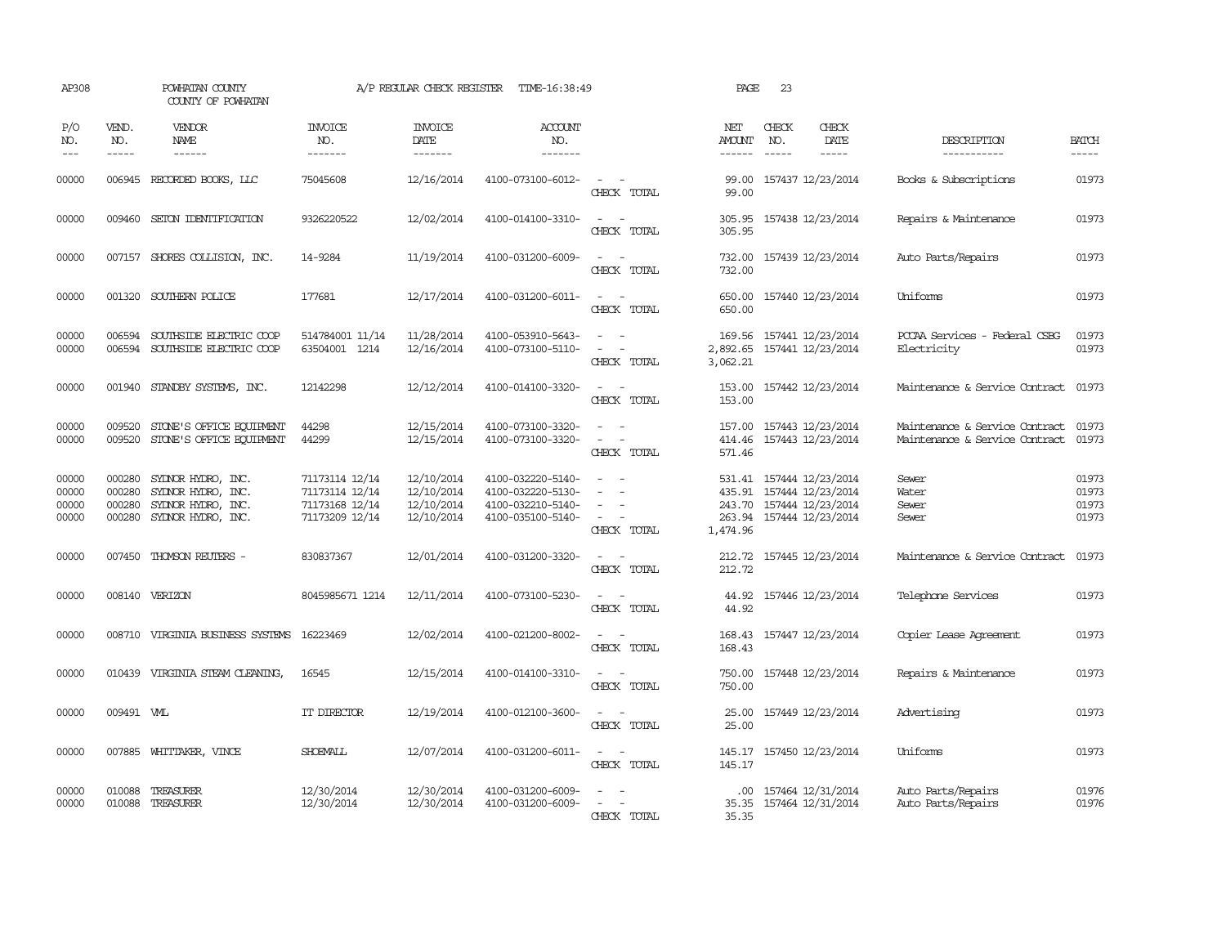| AP308                            |                                      | POWHATAN COUNTY<br>COUNTY OF POWHATAN                                                |                                                                      | A/P REGULAR CHECK REGISTER                           | TIME-16:38:49                                                                    |                                                   | PAGE                                   | 23           |                                                                                         |                                                                  |                                  |
|----------------------------------|--------------------------------------|--------------------------------------------------------------------------------------|----------------------------------------------------------------------|------------------------------------------------------|----------------------------------------------------------------------------------|---------------------------------------------------|----------------------------------------|--------------|-----------------------------------------------------------------------------------------|------------------------------------------------------------------|----------------------------------|
| P/O<br>NO.<br>$ -$               | VEND.<br>NO.<br>$\frac{1}{2}$        | VENDOR<br>NAME<br>$\frac{1}{2}$                                                      | <b>INVOICE</b><br>NO.<br>-------                                     | <b>INVOICE</b><br>DATE<br>-------                    | <b>ACCOUNT</b><br>NO.<br>-------                                                 |                                                   | NET<br><b>AMOUNT</b><br>$- - - - - -$  | CHECK<br>NO. | CHECK<br><b>DATE</b><br>$\frac{1}{2}$                                                   | DESCRIPTION<br>-----------                                       | <b>BATCH</b><br>-----            |
| 00000                            | 006945                               | RECORDED BOOKS, LLC                                                                  | 75045608                                                             | 12/16/2014                                           | 4100-073100-6012-                                                                | CHECK TOTAL                                       | 99.00<br>99.00                         |              | 157437 12/23/2014                                                                       | Books & Subscriptions                                            | 01973                            |
| 00000                            | 009460                               | SEION IDENTIFICATION                                                                 | 9326220522                                                           | 12/02/2014                                           | 4100-014100-3310-                                                                | $\sim$<br>$\sim$<br>CHECK TOTAL                   | 305.95<br>305.95                       |              | 157438 12/23/2014                                                                       | Repairs & Maintenance                                            | 01973                            |
| 00000                            |                                      | 007157 SHORES COLLISION, INC.                                                        | 14-9284                                                              | 11/19/2014                                           | 4100-031200-6009-                                                                | $\sim$<br>CHECK TOTAL                             | 732.00<br>732.00                       |              | 157439 12/23/2014                                                                       | Auto Parts/Repairs                                               | 01973                            |
| 00000                            |                                      | 001320 SOUTHERN POLICE                                                               | 177681                                                               | 12/17/2014                                           | 4100-031200-6011-                                                                | $\sim$<br>CHECK TOTAL                             | 650.00<br>650.00                       |              | 157440 12/23/2014                                                                       | Uniforms                                                         | 01973                            |
| 00000<br>00000                   | 006594<br>006594                     | SOUTHSIDE ELECTRIC COOP<br>SOUTHSIDE ELECTRIC COOP                                   | 514784001 11/14<br>63504001 1214                                     | 11/28/2014<br>12/16/2014                             | 4100-053910-5643-<br>4100-073100-5110-                                           | $\sim$<br>$\sim$<br>CHECK TOTAL                   | 169.56<br>2,892.65<br>3,062.21         |              | 157441 12/23/2014<br>157441 12/23/2014                                                  | PCCAA Services - Federal CSBG<br>Electricity                     | 01973<br>01973                   |
| 00000                            | 001940                               | STANDBY SYSTEMS, INC.                                                                | 12142298                                                             | 12/12/2014                                           | 4100-014100-3320-                                                                | $\sim$<br>CHECK TOTAL                             | 153.00<br>153.00                       |              | 157442 12/23/2014                                                                       | Maintenance & Service Contract                                   | 01973                            |
| 00000<br>00000                   | 009520<br>009520                     | STONE'S OFFICE EQUIPMENT<br>STONE'S OFFICE EQUIPMENT                                 | 44298<br>44299                                                       | 12/15/2014<br>12/15/2014                             | 4100-073100-3320-<br>4100-073100-3320-                                           | $\sim$<br>$\overline{\phantom{a}}$<br>CHECK TOTAL | 157.00<br>414.46<br>571.46             |              | 157443 12/23/2014<br>157443 12/23/2014                                                  | Maintenance & Service Contract<br>Maintenance & Service Contract | 01973<br>01973                   |
| 00000<br>00000<br>00000<br>00000 | 000280<br>000280<br>000280<br>000280 | SYDNOR HYDRO, INC.<br>SYDNOR HYDRO, INC.<br>SYDNOR HYDRO, INC.<br>SYDNOR HYDRO, INC. | 71173114 12/14<br>71173114 12/14<br>71173168 12/14<br>71173209 12/14 | 12/10/2014<br>12/10/2014<br>12/10/2014<br>12/10/2014 | 4100-032220-5140-<br>4100-032220-5130-<br>4100-032210-5140-<br>4100-035100-5140- | $\equiv$<br>$\equiv$<br>CHECK TOTAL               | 531.41<br>435.91<br>263.94<br>1,474.96 |              | 157444 12/23/2014<br>157444 12/23/2014<br>243.70 157444 12/23/2014<br>157444 12/23/2014 | Sewer<br>Water<br>Sewer<br>Sewer                                 | 01973<br>01973<br>01973<br>01973 |
| 00000                            | 007450                               | THOMSON REUTERS -                                                                    | 830837367                                                            | 12/01/2014                                           | 4100-031200-3320-                                                                | $\sim$<br>CHECK TOTAL                             | 212.72<br>212.72                       |              | 157445 12/23/2014                                                                       | Maintenance & Service Contract                                   | 01973                            |
| 00000                            |                                      | 008140 VERIZON                                                                       | 8045985671 1214                                                      | 12/11/2014                                           | 4100-073100-5230-                                                                | CHECK TOTAL                                       | 44.92<br>44.92                         |              | 157446 12/23/2014                                                                       | Telephone Services                                               | 01973                            |
| 00000                            |                                      | 008710 VIRGINIA BUSINESS SYSTEMS 16223469                                            |                                                                      | 12/02/2014                                           | 4100-021200-8002-                                                                | CHECK TOTAL                                       | 168.43                                 |              | 168.43 157447 12/23/2014                                                                | <b>Copier Lease Agreement</b>                                    | 01973                            |
| 00000                            |                                      | 010439 VIRGINIA STEAM CLEANING,                                                      | 16545                                                                | 12/15/2014                                           | 4100-014100-3310-                                                                | $\sim$<br>$\sim$<br>CHECK TOTAL                   | 750.00<br>750.00                       |              | 157448 12/23/2014                                                                       | Repairs & Maintenance                                            | 01973                            |
| 00000                            | 009491 WL                            |                                                                                      | IT DIRECTOR                                                          | 12/19/2014                                           | 4100-012100-3600-                                                                | $ -$<br>CHECK TOTAL                               | 25.00<br>25.00                         |              | 157449 12/23/2014                                                                       | Advertising                                                      | 01973                            |
| 00000                            |                                      | 007885 WHITTAKER, VINCE                                                              | <b>SHOEMALL</b>                                                      | 12/07/2014                                           | 4100-031200-6011-                                                                | $\sim$ 10 $\sim$ 10 $\sim$<br>CHECK TOTAL         | 145.17<br>145.17                       |              | 157450 12/23/2014                                                                       | Uniforms                                                         | 01973                            |
| 00000<br>00000                   | 010088<br>010088                     | TREASURER<br>TREASURER                                                               | 12/30/2014<br>12/30/2014                                             | 12/30/2014<br>12/30/2014                             | 4100-031200-6009-<br>4100-031200-6009-                                           | CHECK TOTAL                                       | $.00 \cdot$<br>35.35<br>35.35          |              | 157464 12/31/2014<br>157464 12/31/2014                                                  | Auto Parts/Repairs<br>Auto Parts/Repairs                         | 01976<br>01976                   |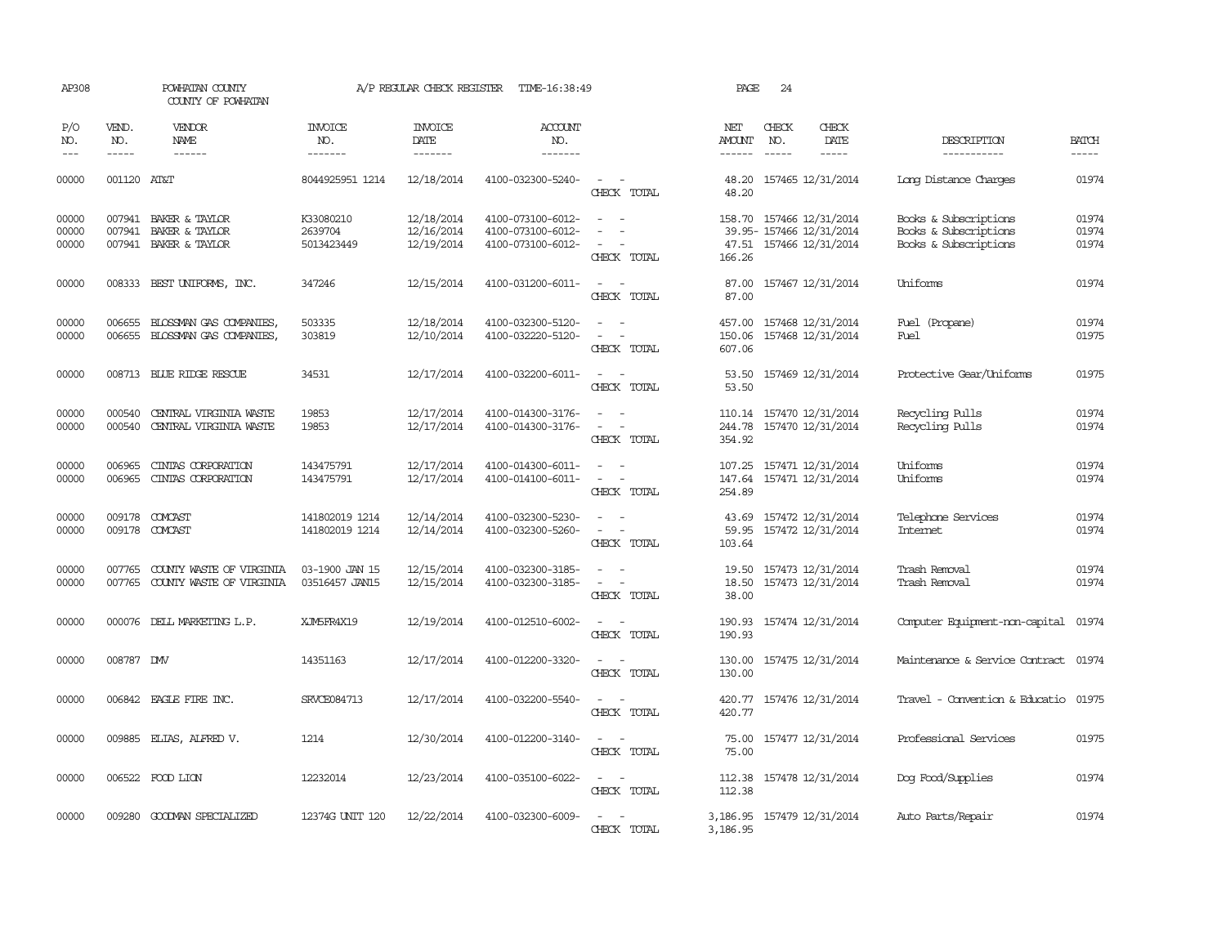| AP308                   |                  | POWHATAN COUNTY<br>COUNTY OF POWHATAN                            |                                    | A/P REGULAR CHECK REGISTER             | TIME-16:38:49                                               |                                                                                                                               | PAGE                       | 24           |                                                                                 |                                                                         |                         |
|-------------------------|------------------|------------------------------------------------------------------|------------------------------------|----------------------------------------|-------------------------------------------------------------|-------------------------------------------------------------------------------------------------------------------------------|----------------------------|--------------|---------------------------------------------------------------------------------|-------------------------------------------------------------------------|-------------------------|
| P/O<br>NO.              | VEND.<br>NO.     | VENDOR<br><b>NAME</b>                                            | <b>INVOICE</b><br>NO.              | <b>INVOICE</b><br>DATE                 | <b>ACCOUNT</b><br>NO.                                       |                                                                                                                               | NET<br><b>AMOUNT</b>       | CHECK<br>NO. | CHECK<br>DATE                                                                   | DESCRIPTION                                                             | <b>BATCH</b>            |
| $---$                   | $- - - - -$      | $- - - - - -$                                                    | -------                            | $- - - - - - -$                        | -------                                                     |                                                                                                                               | $- - - - - -$              | $- - - - -$  | -----                                                                           | -----------                                                             | $- - - - -$             |
| 00000                   | 001120 AT&T      |                                                                  | 8044925951 1214                    | 12/18/2014                             | 4100-032300-5240-                                           | $\sim$<br>CHECK TOTAL                                                                                                         | 48.20                      |              | 48.20 157465 12/31/2014                                                         | Long Distance Charges                                                   | 01974                   |
| 00000<br>00000<br>00000 | 007941           | 007941 BAKER & TAYLOR<br>BAKER & TAYLOR<br>007941 BAKER & TAYLOR | K33080210<br>2639704<br>5013423449 | 12/18/2014<br>12/16/2014<br>12/19/2014 | 4100-073100-6012-<br>4100-073100-6012-<br>4100-073100-6012- | $\sim$<br>$\sim$<br>$\overline{\phantom{a}}$<br>$\overline{\phantom{a}}$<br>$\sim$<br>$\overline{\phantom{a}}$<br>CHECK TOTAL | 166.26                     |              | 158.70 157466 12/31/2014<br>39.95- 157466 12/31/2014<br>47.51 157466 12/31/2014 | Books & Subscriptions<br>Books & Subscriptions<br>Books & Subscriptions | 01974<br>01974<br>01974 |
| 00000                   |                  | 008333 BEST UNIFORMS, INC.                                       | 347246                             | 12/15/2014                             | 4100-031200-6011-                                           | $\overline{\phantom{a}}$<br>$\sim$ $-$<br>CHECK TOTAL                                                                         | 87.00<br>87.00             |              | 157467 12/31/2014                                                               | Uniforms                                                                | 01974                   |
| 00000<br>00000          | 006655           | BLOSSMAN GAS COMPANIES<br>006655 BLOSSMAN GAS COMPANIES          | 503335<br>303819                   | 12/18/2014<br>12/10/2014               | 4100-032300-5120-<br>4100-032220-5120-                      | $\omega_{\rm{max}}$ and $\omega_{\rm{max}}$<br>$\sim$ $ \sim$<br>CHECK TOTAL                                                  | 457.00<br>150.06<br>607.06 |              | 157468 12/31/2014<br>157468 12/31/2014                                          | Fuel (Propane)<br>Fuel                                                  | 01974<br>01975          |
| 00000                   |                  | 008713 BLUE RIDGE RESCUE                                         | 34531                              | 12/17/2014                             | 4100-032200-6011-                                           | $\overline{\phantom{a}}$<br>$\sim$<br>CHECK TOTAL                                                                             | 53.50<br>53.50             |              | 157469 12/31/2014                                                               | Protective Gear/Uniforms                                                | 01975                   |
| 00000<br>00000          | 000540<br>000540 | CENTRAL VIRGINIA WASTE<br>CENTRAL VIRGINIA WASTE                 | 19853<br>19853                     | 12/17/2014<br>12/17/2014               | 4100-014300-3176-<br>4100-014300-3176-                      | $\equiv$<br>$\sim$<br>$\overline{\phantom{a}}$<br>CHECK TOTAL                                                                 | 110.14<br>244.78<br>354.92 |              | 157470 12/31/2014<br>157470 12/31/2014                                          | Recycling Pulls<br>Recycling Pulls                                      | 01974<br>01974          |
| 00000<br>00000          | 006965<br>006965 | CINIAS CORPORATION<br>CINIAS CORPORATION                         | 143475791<br>143475791             | 12/17/2014<br>12/17/2014               | 4100-014300-6011-<br>4100-014100-6011-                      | $\omega_{\rm{max}}$ and $\omega_{\rm{max}}$<br>$\omega_{\rm{max}}$ and $\omega_{\rm{max}}$<br>CHECK TOTAL                     | 254.89                     |              | 107.25 157471 12/31/2014<br>147.64 157471 12/31/2014                            | Uniforms<br>Uniforms                                                    | 01974<br>01974          |
| 00000<br>00000          | 009178           | COMCAST<br>009178 COMCAST                                        | 141802019 1214<br>141802019 1214   | 12/14/2014<br>12/14/2014               | 4100-032300-5230-<br>4100-032300-5260-                      | $\overline{\phantom{a}}$<br>CHECK TOTAL                                                                                       | 43.69<br>103.64            |              | 157472 12/31/2014<br>59.95 157472 12/31/2014                                    | Telephone Services<br><b>Internet</b>                                   | 01974<br>01974          |
| 00000<br>00000          | 007765           | COUNTY WASTE OF VIRGINIA<br>007765 COUNTY WASTE OF VIRGINIA      | 03-1900 JAN 15<br>03516457 JAN15   | 12/15/2014<br>12/15/2014               | 4100-032300-3185-<br>4100-032300-3185-                      | $\sim$<br>$\sim$<br>$\omega_{\rm{max}}$ and $\omega_{\rm{max}}$<br>CHECK TOTAL                                                | 18.50<br>38.00             |              | 19.50 157473 12/31/2014<br>157473 12/31/2014                                    | Trash Removal<br>Trash Removal                                          | 01974<br>01974          |
| 00000                   |                  | 000076 DELL MARKETING L.P.                                       | XJM5FR4X19                         | 12/19/2014                             | 4100-012510-6002-                                           | $\sim$ $ -$<br>CHECK TOTAL                                                                                                    | 190.93<br>190.93           |              | 157474 12/31/2014                                                               | Computer Equipment-non-capital 01974                                    |                         |
| 00000                   | 008787 DW        |                                                                  | 14351163                           | 12/17/2014                             | 4100-012200-3320-                                           | $\sim$<br>CHECK TOTAL                                                                                                         | 130.00<br>130.00           |              | 157475 12/31/2014                                                               | Maintenance & Service Contract 01974                                    |                         |
| 00000                   |                  | 006842 EAGLE FIRE INC.                                           | SRVCE084713                        | 12/17/2014                             | 4100-032200-5540-                                           | $\sim$<br>$\sim$<br>CHECK TOTAL                                                                                               | 420.77<br>420.77           |              | 157476 12/31/2014                                                               | Travel - Convention & Educatio 01975                                    |                         |
| 00000                   |                  | 009885 ELIAS, ALFRED V.                                          | 1214                               | 12/30/2014                             | 4100-012200-3140-                                           | $\frac{1}{2} \left( \frac{1}{2} \right) \left( \frac{1}{2} \right) = \frac{1}{2} \left( \frac{1}{2} \right)$<br>CHECK TOTAL   | 75.00<br>75.00             |              | 157477 12/31/2014                                                               | Professional Services                                                   | 01975                   |
| 00000                   |                  | 006522 FOOD LION                                                 | 12232014                           | 12/23/2014                             | 4100-035100-6022-                                           | $\overline{\phantom{a}}$<br>$\sim$<br>CHECK TOTAL                                                                             | 112.38                     |              | 112.38 157478 12/31/2014                                                        | Dog Food/Supplies                                                       | 01974                   |
| 00000                   |                  | 009280 GOODMAN SPECIALIZED                                       | 12374G UNIT 120                    | 12/22/2014                             | 4100-032300-6009-                                           | $\sim$ 100 $\sim$<br>CHECK TOTAL                                                                                              | 3,186.95                   |              | 3, 186.95 157479 12/31/2014                                                     | Auto Parts/Repair                                                       | 01974                   |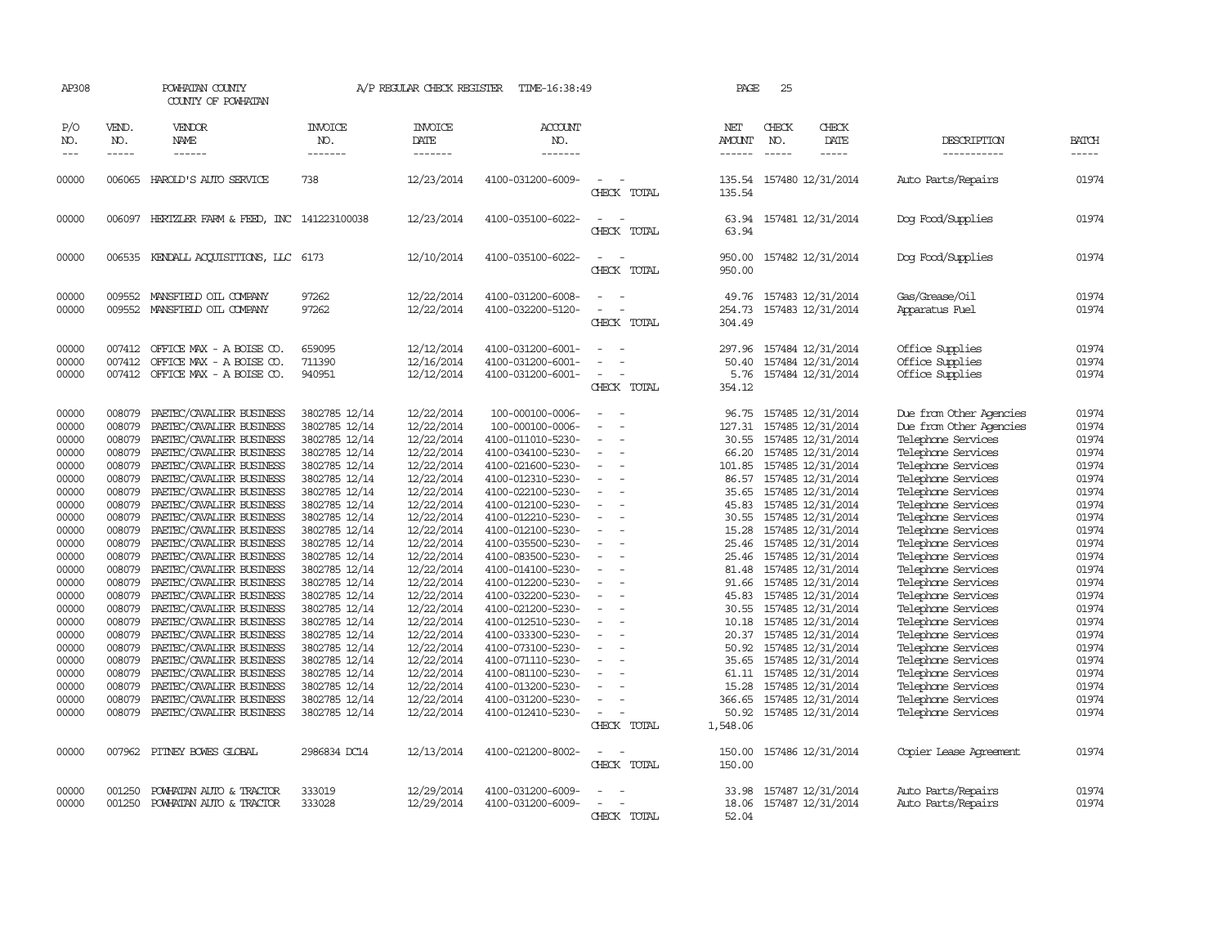| AP308                                                                                                                                                                                                       |                                                                                                                                                                                                                                    | POWHATAN COUNTY<br>COUNTY OF POWHATAN                                                                                                                                                                                                                                                                                                                                                                                                                                                                                                                                                                                                                            |                                                                                                                                                                                                                                                                                                                                                                                                     | A/P REGULAR CHECK REGISTER                                                                                                                                                                                                                                                                                                     | TIME-16:38:49                                                                                                                                                                                                                                                                                                                                                                                                                                                                                 |                                                                                                                  | PAGE                                                                                                                                                                                | 25                          |                                                                                                                                                                                                                                                                                                                                                                                                                                                                                                                   |                                                                                                                                                                                                                                                                                                                                                                                                                                                                                                                                  |                                                                                                                                                                                                             |
|-------------------------------------------------------------------------------------------------------------------------------------------------------------------------------------------------------------|------------------------------------------------------------------------------------------------------------------------------------------------------------------------------------------------------------------------------------|------------------------------------------------------------------------------------------------------------------------------------------------------------------------------------------------------------------------------------------------------------------------------------------------------------------------------------------------------------------------------------------------------------------------------------------------------------------------------------------------------------------------------------------------------------------------------------------------------------------------------------------------------------------|-----------------------------------------------------------------------------------------------------------------------------------------------------------------------------------------------------------------------------------------------------------------------------------------------------------------------------------------------------------------------------------------------------|--------------------------------------------------------------------------------------------------------------------------------------------------------------------------------------------------------------------------------------------------------------------------------------------------------------------------------|-----------------------------------------------------------------------------------------------------------------------------------------------------------------------------------------------------------------------------------------------------------------------------------------------------------------------------------------------------------------------------------------------------------------------------------------------------------------------------------------------|------------------------------------------------------------------------------------------------------------------|-------------------------------------------------------------------------------------------------------------------------------------------------------------------------------------|-----------------------------|-------------------------------------------------------------------------------------------------------------------------------------------------------------------------------------------------------------------------------------------------------------------------------------------------------------------------------------------------------------------------------------------------------------------------------------------------------------------------------------------------------------------|----------------------------------------------------------------------------------------------------------------------------------------------------------------------------------------------------------------------------------------------------------------------------------------------------------------------------------------------------------------------------------------------------------------------------------------------------------------------------------------------------------------------------------|-------------------------------------------------------------------------------------------------------------------------------------------------------------------------------------------------------------|
| P/O<br>NO.<br>$---$                                                                                                                                                                                         | VEND.<br>NO.<br>$- - - - -$                                                                                                                                                                                                        | VENDOR<br>NAME<br>------                                                                                                                                                                                                                                                                                                                                                                                                                                                                                                                                                                                                                                         | <b>INVOICE</b><br>NO.<br>-------                                                                                                                                                                                                                                                                                                                                                                    | <b>INVOICE</b><br>DATE<br>-------                                                                                                                                                                                                                                                                                              | <b>ACCOUNT</b><br>NO.<br>-------                                                                                                                                                                                                                                                                                                                                                                                                                                                              |                                                                                                                  | NET<br>AMOUNT<br>------                                                                                                                                                             | CHECK<br>NO.<br>$- - - - -$ | CHECK<br>DATE<br>-----                                                                                                                                                                                                                                                                                                                                                                                                                                                                                            | DESCRIPTION<br>-----------                                                                                                                                                                                                                                                                                                                                                                                                                                                                                                       | <b>BATCH</b><br>-----                                                                                                                                                                                       |
| 00000                                                                                                                                                                                                       |                                                                                                                                                                                                                                    | 006065 HAROLD'S AUTO SERVICE                                                                                                                                                                                                                                                                                                                                                                                                                                                                                                                                                                                                                                     | 738                                                                                                                                                                                                                                                                                                                                                                                                 | 12/23/2014                                                                                                                                                                                                                                                                                                                     | 4100-031200-6009-                                                                                                                                                                                                                                                                                                                                                                                                                                                                             | CHECK TOTAL                                                                                                      | 135.54<br>135.54                                                                                                                                                                    |                             | 157480 12/31/2014                                                                                                                                                                                                                                                                                                                                                                                                                                                                                                 | Auto Parts/Repairs                                                                                                                                                                                                                                                                                                                                                                                                                                                                                                               | 01974                                                                                                                                                                                                       |
| 00000                                                                                                                                                                                                       |                                                                                                                                                                                                                                    | 006097 HERTZLER FARM & FEED, INC 141223100038                                                                                                                                                                                                                                                                                                                                                                                                                                                                                                                                                                                                                    |                                                                                                                                                                                                                                                                                                                                                                                                     | 12/23/2014                                                                                                                                                                                                                                                                                                                     | 4100-035100-6022-                                                                                                                                                                                                                                                                                                                                                                                                                                                                             | CHECK TOTAL                                                                                                      | 63.94<br>63.94                                                                                                                                                                      |                             | 157481 12/31/2014                                                                                                                                                                                                                                                                                                                                                                                                                                                                                                 | Dog Food/Supplies                                                                                                                                                                                                                                                                                                                                                                                                                                                                                                                | 01974                                                                                                                                                                                                       |
| 00000                                                                                                                                                                                                       |                                                                                                                                                                                                                                    | 006535 KENDALL ACQUISITIONS, LLC 6173                                                                                                                                                                                                                                                                                                                                                                                                                                                                                                                                                                                                                            |                                                                                                                                                                                                                                                                                                                                                                                                     | 12/10/2014                                                                                                                                                                                                                                                                                                                     | 4100-035100-6022-                                                                                                                                                                                                                                                                                                                                                                                                                                                                             | $\equiv$<br>CHECK TOTAL                                                                                          | 950.00<br>950.00                                                                                                                                                                    |                             | 157482 12/31/2014                                                                                                                                                                                                                                                                                                                                                                                                                                                                                                 | Dog Food/Supplies                                                                                                                                                                                                                                                                                                                                                                                                                                                                                                                | 01974                                                                                                                                                                                                       |
| 00000<br>00000                                                                                                                                                                                              | 009552                                                                                                                                                                                                                             | 009552 MANSFIELD OIL COMPANY<br>MANSFIELD OIL COMPANY                                                                                                                                                                                                                                                                                                                                                                                                                                                                                                                                                                                                            | 97262<br>97262                                                                                                                                                                                                                                                                                                                                                                                      | 12/22/2014<br>12/22/2014                                                                                                                                                                                                                                                                                                       | 4100-031200-6008-<br>4100-032200-5120-                                                                                                                                                                                                                                                                                                                                                                                                                                                        | CHECK TOTAL                                                                                                      | 49.76<br>254.73<br>304.49                                                                                                                                                           |                             | 157483 12/31/2014<br>157483 12/31/2014                                                                                                                                                                                                                                                                                                                                                                                                                                                                            | Gas/Grease/Oil<br>Apparatus Fuel                                                                                                                                                                                                                                                                                                                                                                                                                                                                                                 | 01974<br>01974                                                                                                                                                                                              |
| 00000<br>00000<br>00000                                                                                                                                                                                     | 007412<br>007412                                                                                                                                                                                                                   | OFFICE MAX - A BOISE CO.<br>OFFICE MAX - A BOISE CO.<br>007412 OFFICE MAX - A BOISE CO.                                                                                                                                                                                                                                                                                                                                                                                                                                                                                                                                                                          | 659095<br>711390<br>940951                                                                                                                                                                                                                                                                                                                                                                          | 12/12/2014<br>12/16/2014<br>12/12/2014                                                                                                                                                                                                                                                                                         | 4100-031200-6001-<br>4100-031200-6001-<br>4100-031200-6001-                                                                                                                                                                                                                                                                                                                                                                                                                                   | $\equiv$<br>CHECK TOTAL                                                                                          | 297.96<br>50.40<br>5.76<br>354.12                                                                                                                                                   |                             | 157484 12/31/2014<br>157484 12/31/2014<br>157484 12/31/2014                                                                                                                                                                                                                                                                                                                                                                                                                                                       | Office Supplies<br>Office Supplies<br>Office Supplies                                                                                                                                                                                                                                                                                                                                                                                                                                                                            | 01974<br>01974<br>01974                                                                                                                                                                                     |
| 00000<br>00000<br>00000<br>00000<br>00000<br>00000<br>00000<br>00000<br>00000<br>00000<br>00000<br>00000<br>00000<br>00000<br>00000<br>00000<br>00000<br>00000<br>00000<br>00000<br>00000<br>00000<br>00000 | 008079<br>008079<br>008079<br>008079<br>008079<br>008079<br>008079<br>008079<br>008079<br>008079<br>008079<br>008079<br>008079<br>008079<br>008079<br>008079<br>008079<br>008079<br>008079<br>008079<br>008079<br>008079<br>008079 | PAETEC/CAVALIER BUSINESS<br>PAETEC/CAVALIER BUSINESS<br>PAETEC/CAVALIER BUSINESS<br>PAETEC/CAVALIER BUSINESS<br>PAETEC/CAVALIER BUSINESS<br>PAETEC/CAVALIER BUSINESS<br>PAETEC/CAVALIER BUSINESS<br>PAETEC/CAVALIER BUSINESS<br>PAETEC/CAVALIER BUSINESS<br>PAETEC/CAVALIER BUSINESS<br>PAETEC/CAVALIER BUSINESS<br>PAETEC/CAVALIER BUSINESS<br>PAETEC/CAVALIER BUSINESS<br>PAETEC/CAVALIER BUSINESS<br>PAETEC/CAVALIER BUSINESS<br>PAETEC/CAVALIER BUSINESS<br>PAETEC/CAVALIER BUSINESS<br>PAETEC/CAVALIER BUSINESS<br>PAETEC/CAVALIER BUSINESS<br>PAETEC/CAVALIER BUSINESS<br>PAETEC/CAVALIER BUSINESS<br>PAETEC/CAVALIER BUSINESS<br>PAETEC/CAVALIER BUSINESS | 3802785 12/14<br>3802785 12/14<br>3802785 12/14<br>3802785 12/14<br>3802785 12/14<br>3802785 12/14<br>3802785 12/14<br>3802785 12/14<br>3802785 12/14<br>3802785 12/14<br>3802785 12/14<br>3802785 12/14<br>3802785 12/14<br>3802785 12/14<br>3802785 12/14<br>3802785 12/14<br>3802785 12/14<br>3802785 12/14<br>3802785 12/14<br>3802785 12/14<br>3802785 12/14<br>3802785 12/14<br>3802785 12/14 | 12/22/2014<br>12/22/2014<br>12/22/2014<br>12/22/2014<br>12/22/2014<br>12/22/2014<br>12/22/2014<br>12/22/2014<br>12/22/2014<br>12/22/2014<br>12/22/2014<br>12/22/2014<br>12/22/2014<br>12/22/2014<br>12/22/2014<br>12/22/2014<br>12/22/2014<br>12/22/2014<br>12/22/2014<br>12/22/2014<br>12/22/2014<br>12/22/2014<br>12/22/2014 | 100-000100-0006-<br>100-000100-0006-<br>4100-011010-5230-<br>4100-034100-5230-<br>4100-021600-5230-<br>4100-012310-5230-<br>4100-022100-5230-<br>4100-012100-5230-<br>4100-012210-5230-<br>4100-012100-5230-<br>4100-035500-5230-<br>4100-083500-5230-<br>4100-014100-5230-<br>4100-012200-5230-<br>4100-032200-5230-<br>4100-021200-5230-<br>4100-012510-5230-<br>4100-033300-5230-<br>4100-073100-5230-<br>4100-071110-5230-<br>4100-081100-5230-<br>4100-013200-5230-<br>4100-031200-5230- | $\equiv$<br>$\equiv$<br>$\overline{\phantom{a}}$<br>$\sim$<br>$\equiv$<br>$\sim$<br>$\equiv$<br>$\sim$<br>$\sim$ | 96.75<br>127.31<br>30.55<br>66.20<br>101.85<br>86.57<br>45.83<br>30.55<br>15.28<br>25.46<br>25.46<br>81.48<br>91.66<br>45.83<br>10.18<br>20.37<br>50.92<br>35.65<br>15.28<br>366.65 |                             | 157485 12/31/2014<br>157485 12/31/2014<br>157485 12/31/2014<br>157485 12/31/2014<br>157485 12/31/2014<br>157485 12/31/2014<br>35.65 157485 12/31/2014<br>157485 12/31/2014<br>157485 12/31/2014<br>157485 12/31/2014<br>157485 12/31/2014<br>157485 12/31/2014<br>157485 12/31/2014<br>157485 12/31/2014<br>157485 12/31/2014<br>30.55 157485 12/31/2014<br>157485 12/31/2014<br>157485 12/31/2014<br>157485 12/31/2014<br>157485 12/31/2014<br>61.11 157485 12/31/2014<br>157485 12/31/2014<br>157485 12/31/2014 | Due from Other Agencies<br>Due from Other Agencies<br>Telephone Services<br>Telephone Services<br>Telephone Services<br>Telephone Services<br>Telephone Services<br>Telephone Services<br>Telephone Services<br>Telephone Services<br>Telephone Services<br>Telephone Services<br>Telephone Services<br>Telephone Services<br>Telephone Services<br>Telephone Services<br>Telephone Services<br>Telephone Services<br>Telephone Services<br>Telephone Services<br>Telephone Services<br>Telephone Services<br>Telephone Services | 01974<br>01974<br>01974<br>01974<br>01974<br>01974<br>01974<br>01974<br>01974<br>01974<br>01974<br>01974<br>01974<br>01974<br>01974<br>01974<br>01974<br>01974<br>01974<br>01974<br>01974<br>01974<br>01974 |
| 00000<br>00000                                                                                                                                                                                              | 008079                                                                                                                                                                                                                             | PAETEC/CAVALIER BUSINESS<br>007962 PITNEY BOWES GLOBAL                                                                                                                                                                                                                                                                                                                                                                                                                                                                                                                                                                                                           | 3802785 12/14<br>2986834 DC14                                                                                                                                                                                                                                                                                                                                                                       | 12/22/2014<br>12/13/2014                                                                                                                                                                                                                                                                                                       | 4100-012410-5230-<br>4100-021200-8002-                                                                                                                                                                                                                                                                                                                                                                                                                                                        | CHECK TOTAL<br>$\overline{\phantom{a}}$                                                                          | 1,548.06<br>150.00                                                                                                                                                                  |                             | 50.92 157485 12/31/2014<br>157486 12/31/2014                                                                                                                                                                                                                                                                                                                                                                                                                                                                      | Telephone Services<br><b>Copier Lease Agreement</b>                                                                                                                                                                                                                                                                                                                                                                                                                                                                              | 01974<br>01974                                                                                                                                                                                              |
| 00000<br>00000                                                                                                                                                                                              | 001250<br>001250                                                                                                                                                                                                                   | POWHATAN AUTO & TRACTOR<br>POWHATAN AUTO & TRACTOR                                                                                                                                                                                                                                                                                                                                                                                                                                                                                                                                                                                                               | 333019<br>333028                                                                                                                                                                                                                                                                                                                                                                                    | 12/29/2014<br>12/29/2014                                                                                                                                                                                                                                                                                                       | 4100-031200-6009-<br>4100-031200-6009-                                                                                                                                                                                                                                                                                                                                                                                                                                                        | CHECK TOTAL<br>CHECK TOTAL                                                                                       | 150.00<br>33.98<br>18.06<br>52.04                                                                                                                                                   |                             | 157487 12/31/2014<br>157487 12/31/2014                                                                                                                                                                                                                                                                                                                                                                                                                                                                            | Auto Parts/Repairs<br>Auto Parts/Repairs                                                                                                                                                                                                                                                                                                                                                                                                                                                                                         | 01974<br>01974                                                                                                                                                                                              |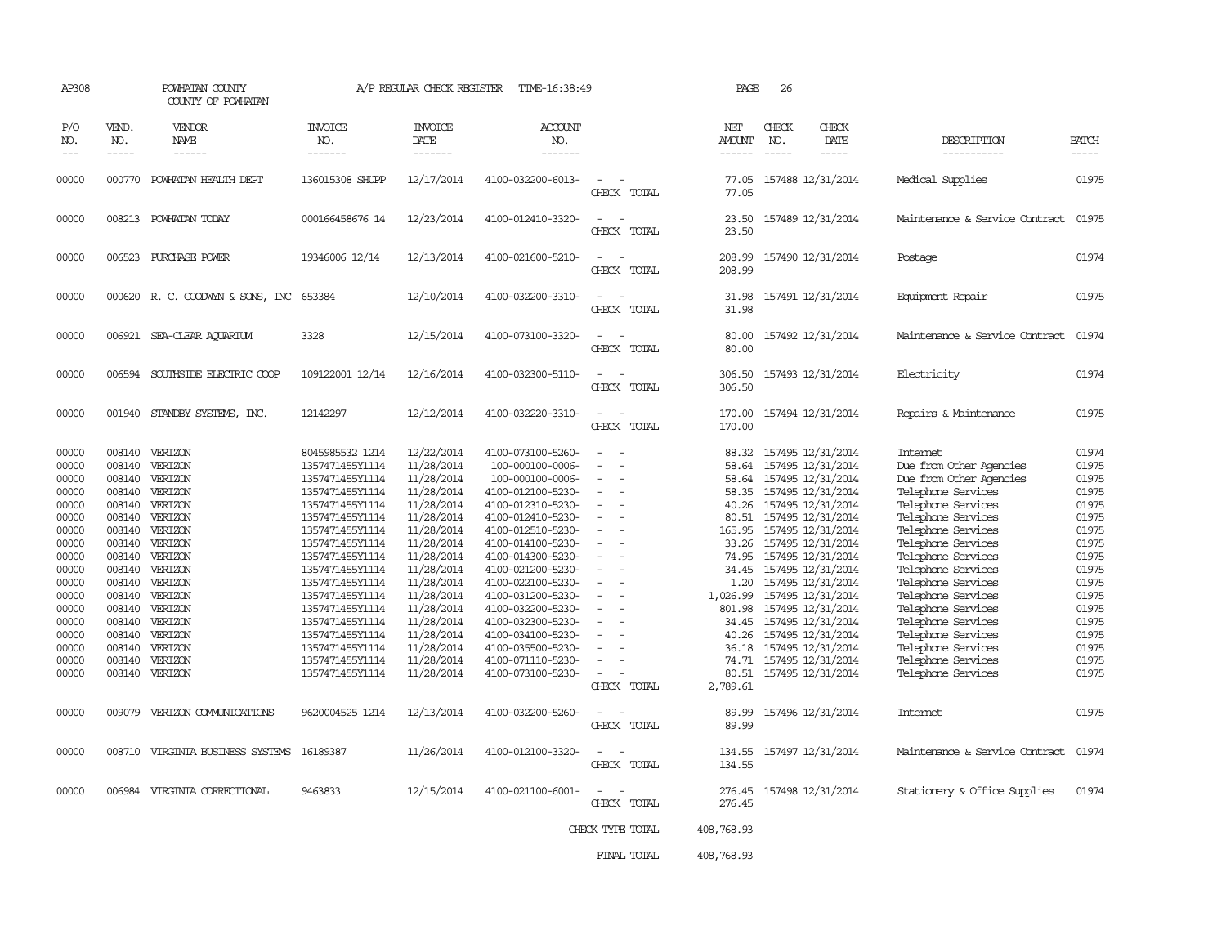| AP308                                                                                                                                                                   |                                                          | POWHATAN COUNTY<br>COUNTY OF POWHATAN                                                                                                                                                                                                                                                                                  |                                                                                                                                                                                                                                                                                                                                                                       | A/P REGULAR CHECK REGISTER                                                                                                                                                                                                                                             | TIME-16:38:49                                                                                                                                                                                                                                                                                                                                                                                             |                                                                                                                 | PAGE                                                                                                                              | 26                          |                                                                                                                                                                                                                                                                                                                                                                                                                                                 |                                                                                                                                                                                                                                                                                                                                                                                                                      |                                                                                                                                                                         |
|-------------------------------------------------------------------------------------------------------------------------------------------------------------------------|----------------------------------------------------------|------------------------------------------------------------------------------------------------------------------------------------------------------------------------------------------------------------------------------------------------------------------------------------------------------------------------|-----------------------------------------------------------------------------------------------------------------------------------------------------------------------------------------------------------------------------------------------------------------------------------------------------------------------------------------------------------------------|------------------------------------------------------------------------------------------------------------------------------------------------------------------------------------------------------------------------------------------------------------------------|-----------------------------------------------------------------------------------------------------------------------------------------------------------------------------------------------------------------------------------------------------------------------------------------------------------------------------------------------------------------------------------------------------------|-----------------------------------------------------------------------------------------------------------------|-----------------------------------------------------------------------------------------------------------------------------------|-----------------------------|-------------------------------------------------------------------------------------------------------------------------------------------------------------------------------------------------------------------------------------------------------------------------------------------------------------------------------------------------------------------------------------------------------------------------------------------------|----------------------------------------------------------------------------------------------------------------------------------------------------------------------------------------------------------------------------------------------------------------------------------------------------------------------------------------------------------------------------------------------------------------------|-------------------------------------------------------------------------------------------------------------------------------------------------------------------------|
| P/O<br>NO.<br>$---$                                                                                                                                                     | VEND.<br>NO.<br>$- - - - -$                              | <b>VENDOR</b><br>NAME<br>------                                                                                                                                                                                                                                                                                        | <b>INVOICE</b><br>NO.<br>-------                                                                                                                                                                                                                                                                                                                                      | <b>INVOICE</b><br>DATE<br>-------                                                                                                                                                                                                                                      | <b>ACCOUNT</b><br>NO.<br>-------                                                                                                                                                                                                                                                                                                                                                                          |                                                                                                                 | NET<br>AMOUNT<br>------                                                                                                           | CHECK<br>NO.<br>$- - - - -$ | CHECK<br>DATE<br>-----                                                                                                                                                                                                                                                                                                                                                                                                                          | DESCRIPTION<br>-----------                                                                                                                                                                                                                                                                                                                                                                                           | <b>BATCH</b><br>-----                                                                                                                                                   |
|                                                                                                                                                                         |                                                          |                                                                                                                                                                                                                                                                                                                        |                                                                                                                                                                                                                                                                                                                                                                       |                                                                                                                                                                                                                                                                        |                                                                                                                                                                                                                                                                                                                                                                                                           |                                                                                                                 |                                                                                                                                   |                             |                                                                                                                                                                                                                                                                                                                                                                                                                                                 |                                                                                                                                                                                                                                                                                                                                                                                                                      |                                                                                                                                                                         |
| 00000                                                                                                                                                                   |                                                          | 000770 POWHATAN HEALTH DEPT                                                                                                                                                                                                                                                                                            | 136015308 SHUPP                                                                                                                                                                                                                                                                                                                                                       | 12/17/2014                                                                                                                                                                                                                                                             | 4100-032200-6013-                                                                                                                                                                                                                                                                                                                                                                                         | $\overline{\phantom{a}}$<br>CHECK TOTAL                                                                         | 77.05<br>77.05                                                                                                                    |                             | 157488 12/31/2014                                                                                                                                                                                                                                                                                                                                                                                                                               | Medical Supplies                                                                                                                                                                                                                                                                                                                                                                                                     | 01975                                                                                                                                                                   |
| 00000                                                                                                                                                                   |                                                          | 008213 POWHATAN TODAY                                                                                                                                                                                                                                                                                                  | 000166458676 14                                                                                                                                                                                                                                                                                                                                                       | 12/23/2014                                                                                                                                                                                                                                                             | 4100-012410-3320-                                                                                                                                                                                                                                                                                                                                                                                         | $\overline{\phantom{a}}$<br>CHECK TOTAL                                                                         | 23.50<br>23.50                                                                                                                    |                             | 157489 12/31/2014                                                                                                                                                                                                                                                                                                                                                                                                                               | Maintenance & Service Contract                                                                                                                                                                                                                                                                                                                                                                                       | 01975                                                                                                                                                                   |
| 00000                                                                                                                                                                   | 006523                                                   | PURCHASE POWER                                                                                                                                                                                                                                                                                                         | 19346006 12/14                                                                                                                                                                                                                                                                                                                                                        | 12/13/2014                                                                                                                                                                                                                                                             | 4100-021600-5210-                                                                                                                                                                                                                                                                                                                                                                                         | $\overline{\phantom{a}}$<br>CHECK TOTAL                                                                         | 208.99<br>208.99                                                                                                                  |                             | 157490 12/31/2014                                                                                                                                                                                                                                                                                                                                                                                                                               | Postage                                                                                                                                                                                                                                                                                                                                                                                                              | 01974                                                                                                                                                                   |
| 00000                                                                                                                                                                   |                                                          | 000620 R.C. GOODWYN & SONS, INC 653384                                                                                                                                                                                                                                                                                 |                                                                                                                                                                                                                                                                                                                                                                       | 12/10/2014                                                                                                                                                                                                                                                             | 4100-032200-3310-                                                                                                                                                                                                                                                                                                                                                                                         | $\equiv$<br>CHECK TOTAL                                                                                         | 31.98<br>31.98                                                                                                                    |                             | 157491 12/31/2014                                                                                                                                                                                                                                                                                                                                                                                                                               | Equipment Repair                                                                                                                                                                                                                                                                                                                                                                                                     | 01975                                                                                                                                                                   |
| 00000                                                                                                                                                                   |                                                          | 006921 SEA-CLEAR AQUARIUM                                                                                                                                                                                                                                                                                              | 3328                                                                                                                                                                                                                                                                                                                                                                  | 12/15/2014                                                                                                                                                                                                                                                             | 4100-073100-3320-                                                                                                                                                                                                                                                                                                                                                                                         | $\equiv$<br>CHECK TOTAL                                                                                         | 80.00<br>80.00                                                                                                                    |                             | 157492 12/31/2014                                                                                                                                                                                                                                                                                                                                                                                                                               | Maintenance & Service Contract                                                                                                                                                                                                                                                                                                                                                                                       | 01974                                                                                                                                                                   |
| 00000                                                                                                                                                                   | 006594                                                   | SOUTHSIDE ELECTRIC COOP                                                                                                                                                                                                                                                                                                | 109122001 12/14                                                                                                                                                                                                                                                                                                                                                       | 12/16/2014                                                                                                                                                                                                                                                             | 4100-032300-5110-                                                                                                                                                                                                                                                                                                                                                                                         | $\overline{\phantom{a}}$<br>$\overline{\phantom{a}}$<br>CHECK TOTAL                                             | 306.50<br>306.50                                                                                                                  |                             | 157493 12/31/2014                                                                                                                                                                                                                                                                                                                                                                                                                               | Electricity                                                                                                                                                                                                                                                                                                                                                                                                          | 01974                                                                                                                                                                   |
| 00000                                                                                                                                                                   | 001940                                                   | STANDBY SYSTEMS, INC.                                                                                                                                                                                                                                                                                                  | 12142297                                                                                                                                                                                                                                                                                                                                                              | 12/12/2014                                                                                                                                                                                                                                                             | 4100-032220-3310-                                                                                                                                                                                                                                                                                                                                                                                         | $\equiv$<br>CHECK TOTAL                                                                                         | 170.00<br>170.00                                                                                                                  |                             | 157494 12/31/2014                                                                                                                                                                                                                                                                                                                                                                                                                               | Repairs & Maintenance                                                                                                                                                                                                                                                                                                                                                                                                | 01975                                                                                                                                                                   |
| 00000<br>00000<br>00000<br>00000<br>00000<br>00000<br>00000<br>00000<br>00000<br>00000<br>00000<br>00000<br>00000<br>00000<br>00000<br>00000<br>00000<br>00000<br>00000 | 008140<br>008140<br>008140<br>008140<br>008140<br>008140 | 008140 VERIZON<br>VERIZON<br>008140 VERIZON<br>008140 VERIZON<br>008140 VERIZON<br>008140 VERIZON<br>008140 VERIZON<br>008140 VERIZON<br>008140 VERIZON<br>VERIZON<br>008140 VERIZON<br>008140 VERIZON<br>008140 VERIZON<br>008140 VERIZON<br>VERIZON<br>VERIZON<br>VERIZON<br>VERIZON<br>009079 VERIZON COMUNICATIONS | 8045985532 1214<br>1357471455Y1114<br>1357471455Y1114<br>1357471455Y1114<br>1357471455Y1114<br>1357471455Y1114<br>1357471455Y1114<br>1357471455Y1114<br>1357471455Y1114<br>1357471455Y1114<br>1357471455Y1114<br>1357471455Y1114<br>1357471455Y1114<br>1357471455Y1114<br>1357471455Y1114<br>1357471455Y1114<br>1357471455Y1114<br>1357471455Y1114<br>9620004525 1214 | 12/22/2014<br>11/28/2014<br>11/28/2014<br>11/28/2014<br>11/28/2014<br>11/28/2014<br>11/28/2014<br>11/28/2014<br>11/28/2014<br>11/28/2014<br>11/28/2014<br>11/28/2014<br>11/28/2014<br>11/28/2014<br>11/28/2014<br>11/28/2014<br>11/28/2014<br>11/28/2014<br>12/13/2014 | 4100-073100-5260-<br>100-000100-0006-<br>100-000100-0006-<br>4100-012100-5230-<br>4100-012310-5230-<br>4100-012410-5230-<br>4100-012510-5230-<br>4100-014100-5230-<br>4100-014300-5230-<br>4100-021200-5230-<br>4100-022100-5230-<br>4100-031200-5230-<br>4100-032200-5230-<br>4100-032300-5230-<br>4100-034100-5230-<br>4100-035500-5230-<br>4100-071110-5230-<br>4100-073100-5230-<br>4100-032200-5260- | $\overline{\phantom{a}}$<br>$\overline{\phantom{a}}$<br>$\sim$<br>$\sim$<br>$\equiv$<br>CHECK TOTAL<br>$\equiv$ | 58.64<br>58.35<br>40.26<br>80.51<br>33.26<br>34.45<br>1,026.99<br>801.98<br>34.45<br>40.26<br>36.18<br>80.51<br>2,789.61<br>89.99 |                             | 88.32 157495 12/31/2014<br>157495 12/31/2014<br>58.64 157495 12/31/2014<br>157495 12/31/2014<br>157495 12/31/2014<br>157495 12/31/2014<br>165.95 157495 12/31/2014<br>157495 12/31/2014<br>74.95 157495 12/31/2014<br>157495 12/31/2014<br>1.20 157495 12/31/2014<br>157495 12/31/2014<br>157495 12/31/2014<br>157495 12/31/2014<br>157495 12/31/2014<br>157495 12/31/2014<br>74.71 157495 12/31/2014<br>157495 12/31/2014<br>157496 12/31/2014 | Internet<br>Due from Other Agencies<br>Due from Other Agencies<br>Telephone Services<br>Telephone Services<br>Telephone Services<br>Telephone Services<br>Telephone Services<br>Telephone Services<br>Telephone Services<br>Telephone Services<br>Telephone Services<br>Telephone Services<br>Telephone Services<br>Telephone Services<br>Telephone Services<br>Telephone Services<br>Telephone Services<br>Internet | 01974<br>01975<br>01975<br>01975<br>01975<br>01975<br>01975<br>01975<br>01975<br>01975<br>01975<br>01975<br>01975<br>01975<br>01975<br>01975<br>01975<br>01975<br>01975 |
| 00000                                                                                                                                                                   | 008710                                                   | VIRGINIA BUSINESS SYSTEMS                                                                                                                                                                                                                                                                                              | 16189387                                                                                                                                                                                                                                                                                                                                                              | 11/26/2014                                                                                                                                                                                                                                                             | 4100-012100-3320-                                                                                                                                                                                                                                                                                                                                                                                         | CHECK TOTAL<br>$\sim$                                                                                           | 89.99<br>134.55                                                                                                                   |                             | 157497 12/31/2014                                                                                                                                                                                                                                                                                                                                                                                                                               | Maintenance & Service Contract                                                                                                                                                                                                                                                                                                                                                                                       | 01974                                                                                                                                                                   |
| 00000                                                                                                                                                                   | 006984                                                   | VIRGINIA CORRECTIONAL                                                                                                                                                                                                                                                                                                  | 9463833                                                                                                                                                                                                                                                                                                                                                               | 12/15/2014                                                                                                                                                                                                                                                             | 4100-021100-6001-                                                                                                                                                                                                                                                                                                                                                                                         | CHECK TOTAL<br>$\overline{\phantom{a}}$<br>CHECK TOTAL                                                          | 134.55<br>276.45<br>276.45                                                                                                        |                             | 157498 12/31/2014                                                                                                                                                                                                                                                                                                                                                                                                                               | Stationery & Office Supplies                                                                                                                                                                                                                                                                                                                                                                                         | 01974                                                                                                                                                                   |
|                                                                                                                                                                         |                                                          |                                                                                                                                                                                                                                                                                                                        |                                                                                                                                                                                                                                                                                                                                                                       |                                                                                                                                                                                                                                                                        |                                                                                                                                                                                                                                                                                                                                                                                                           | CHECK TYPE TOTAL                                                                                                | 408,768.93                                                                                                                        |                             |                                                                                                                                                                                                                                                                                                                                                                                                                                                 |                                                                                                                                                                                                                                                                                                                                                                                                                      |                                                                                                                                                                         |
|                                                                                                                                                                         |                                                          |                                                                                                                                                                                                                                                                                                                        |                                                                                                                                                                                                                                                                                                                                                                       |                                                                                                                                                                                                                                                                        |                                                                                                                                                                                                                                                                                                                                                                                                           | FINAL TOTAL                                                                                                     | 408,768.93                                                                                                                        |                             |                                                                                                                                                                                                                                                                                                                                                                                                                                                 |                                                                                                                                                                                                                                                                                                                                                                                                                      |                                                                                                                                                                         |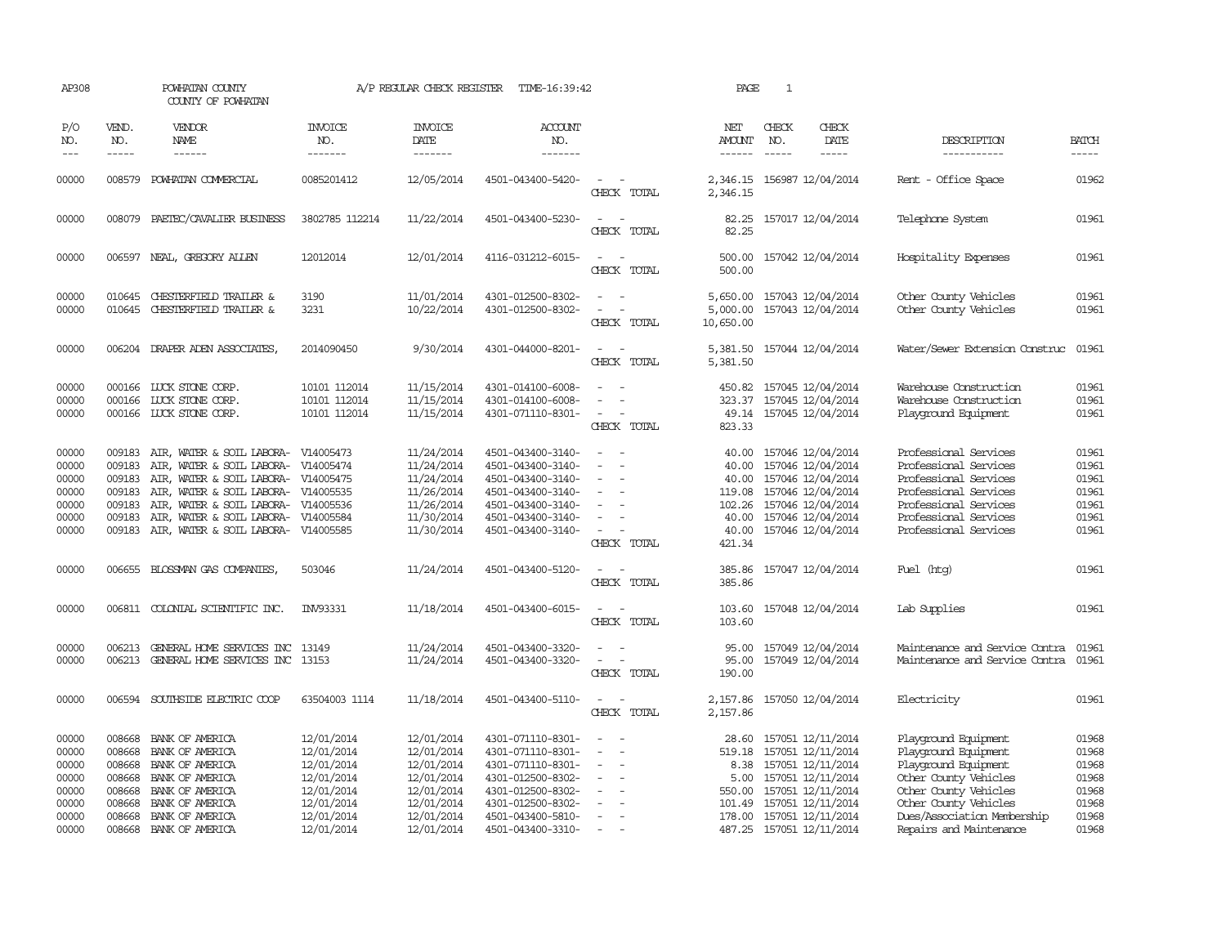| AP308                                                                |                                                                    | POWHATAN COUNTY<br>COUNTY OF POWHATAN                                                                                                                                                                   |                                                                                                              | A/P REGULAR CHECK REGISTER                                                                                   | TIME-16:39:42                                                                                                                                                        | PAGE                                                                                                                               | 1                                                                       |                               |                                                                                                                                                                                  |                                                                                                                                                                                                           |                                                                      |  |
|----------------------------------------------------------------------|--------------------------------------------------------------------|---------------------------------------------------------------------------------------------------------------------------------------------------------------------------------------------------------|--------------------------------------------------------------------------------------------------------------|--------------------------------------------------------------------------------------------------------------|----------------------------------------------------------------------------------------------------------------------------------------------------------------------|------------------------------------------------------------------------------------------------------------------------------------|-------------------------------------------------------------------------|-------------------------------|----------------------------------------------------------------------------------------------------------------------------------------------------------------------------------|-----------------------------------------------------------------------------------------------------------------------------------------------------------------------------------------------------------|----------------------------------------------------------------------|--|
| P/O<br>NO.<br>$\frac{1}{2}$                                          | VEND.<br>NO.<br>$- - - - -$                                        | <b>VENDOR</b><br><b>NAME</b><br>------                                                                                                                                                                  | <b>INVOICE</b><br>NO.<br>-------                                                                             | <b>INVOICE</b><br>DATE<br>-------                                                                            | <b>ACCOUNT</b><br>NO.<br>-------                                                                                                                                     |                                                                                                                                    | NET<br>AMOUNT<br>$- - - - - -$                                          | CHECK<br>NO.<br>$\frac{1}{2}$ | CHECK<br>DATE<br>$- - - - -$                                                                                                                                                     | DESCRIPTION<br>-----------                                                                                                                                                                                | <b>BATCH</b><br>-----                                                |  |
| 00000                                                                | 008579                                                             | POWHATAN COMMERCIAL                                                                                                                                                                                     | 0085201412                                                                                                   | 12/05/2014                                                                                                   | 4501-043400-5420-                                                                                                                                                    | $\equiv$<br>CHECK TOTAL                                                                                                            | 2,346.15                                                                |                               | 2,346.15 156987 12/04/2014                                                                                                                                                       | Rent - Office Space                                                                                                                                                                                       | 01962                                                                |  |
| 00000                                                                |                                                                    | 008079 PAETEC/CAVALIER BUSINESS                                                                                                                                                                         | 3802785 112214                                                                                               | 11/22/2014                                                                                                   | 4501-043400-5230-                                                                                                                                                    | CHECK TOTAL                                                                                                                        | 82.25<br>82.25                                                          |                               | 157017 12/04/2014                                                                                                                                                                | Telephone System                                                                                                                                                                                          | 01961                                                                |  |
| 00000                                                                |                                                                    | 006597 NEAL, GREGORY ALLEN                                                                                                                                                                              | 12012014                                                                                                     | 12/01/2014                                                                                                   | 4116-031212-6015-                                                                                                                                                    | $\sim$ $\sim$<br>CHECK TOTAL                                                                                                       | 500.00<br>500.00                                                        |                               | 157042 12/04/2014                                                                                                                                                                | Hospitality Expenses                                                                                                                                                                                      | 01961                                                                |  |
| 00000<br>00000                                                       | 010645<br>010645                                                   | <b>CHESTERFIELD TRAILER &amp;</b><br>CHESTERFIELD TRAILER &                                                                                                                                             | 3190<br>3231                                                                                                 | 11/01/2014<br>10/22/2014                                                                                     | 4301-012500-8302-<br>4301-012500-8302-                                                                                                                               | $\equiv$<br>CHECK TOTAL                                                                                                            | 5,650.00<br>5,000.00<br>10,650.00                                       |                               | 157043 12/04/2014<br>157043 12/04/2014                                                                                                                                           | Other County Vehicles<br>Other County Vehicles                                                                                                                                                            | 01961<br>01961                                                       |  |
| 00000                                                                |                                                                    | 006204 DRAPER ADEN ASSOCIATES,                                                                                                                                                                          | 2014090450                                                                                                   | 9/30/2014                                                                                                    | 4301-044000-8201-                                                                                                                                                    | CHECK TOTAL                                                                                                                        | 5,381.50<br>5,381.50                                                    |                               | 157044 12/04/2014                                                                                                                                                                | Water/Sewer Extension Construc                                                                                                                                                                            | 01961                                                                |  |
| 00000<br>00000<br>00000                                              | 000166<br>000166                                                   | LUCK STONE CORP.<br>LUCK STONE CORP.<br>000166 LUCK STONE CORP.                                                                                                                                         | 10101 112014<br>10101 112014<br>10101 112014                                                                 | 11/15/2014<br>11/15/2014<br>11/15/2014                                                                       | 4301-014100-6008-<br>4301-014100-6008-<br>4301-071110-8301-                                                                                                          | $\overline{\phantom{a}}$<br>CHECK TOTAL                                                                                            | 450.82<br>323.37<br>823.33                                              |                               | 157045 12/04/2014<br>157045 12/04/2014<br>49.14 157045 12/04/2014                                                                                                                | Warehouse Construction<br>Warehouse Construction<br>Playground Equipment                                                                                                                                  | 01961<br>01961<br>01961                                              |  |
| 00000<br>00000<br>00000<br>00000<br>00000<br>00000<br>00000          | 009183<br>009183<br>009183<br>009183<br>009183<br>009183<br>009183 | AIR, WATER & SOIL LABORA-<br>AIR, WATER & SOIL LABORA-<br>AIR, WATER & SOIL LABORA-<br>AIR, WATER & SOIL LABORA-<br>AIR, WATER & SOIL LABORA-<br>AIR, WATER & SOIL LABORA-<br>AIR, WATER & SOIL LABORA- | V14005473<br>V14005474<br>V14005475<br>V14005535<br>V14005536<br>V14005584<br>V14005585                      | 11/24/2014<br>11/24/2014<br>11/24/2014<br>11/26/2014<br>11/26/2014<br>11/30/2014<br>11/30/2014               | 4501-043400-3140-<br>4501-043400-3140-<br>4501-043400-3140-<br>4501-043400-3140-<br>4501-043400-3140-<br>4501-043400-3140-<br>4501-043400-3140-                      | $\equiv$<br>$\equiv$<br>$\equiv$<br>$\sim$<br>CHECK TOTAL                                                                          | 40.00<br>40.00<br>40.00<br>119.08<br>102.26<br>40.00<br>40.00<br>421.34 |                               | 157046 12/04/2014<br>157046 12/04/2014<br>157046 12/04/2014<br>157046 12/04/2014<br>157046 12/04/2014<br>157046 12/04/2014<br>157046 12/04/2014                                  | Professional Services<br>Professional Services<br>Professional Services<br>Professional Services<br>Professional Services<br>Professional Services<br>Professional Services                               | 01961<br>01961<br>01961<br>01961<br>01961<br>01961<br>01961          |  |
| 00000                                                                | 006655                                                             | BLOSSMAN GAS COMPANIES.                                                                                                                                                                                 | 503046                                                                                                       | 11/24/2014                                                                                                   | 4501-043400-5120-                                                                                                                                                    | CHECK TOTAL                                                                                                                        | 385.86<br>385.86                                                        |                               | 157047 12/04/2014                                                                                                                                                                | Fuel (htg)                                                                                                                                                                                                | 01961                                                                |  |
| 00000                                                                |                                                                    | 006811 COLONIAL SCIENTIFIC INC.                                                                                                                                                                         | INV93331                                                                                                     | 11/18/2014                                                                                                   | 4501-043400-6015-                                                                                                                                                    | $\equiv$<br>CHECK TOTAL                                                                                                            | 103.60<br>103.60                                                        |                               | 157048 12/04/2014                                                                                                                                                                | Lab Supplies                                                                                                                                                                                              | 01961                                                                |  |
| 00000<br>00000                                                       |                                                                    | 006213 GENERAL HOME SERVICES INC 13149<br>006213 GENERAL HOME SERVICES INC 13153                                                                                                                        |                                                                                                              | 11/24/2014<br>11/24/2014                                                                                     | 4501-043400-3320-<br>4501-043400-3320-                                                                                                                               | $\equiv$<br>$\overline{\phantom{a}}$<br>CHECK TOTAL                                                                                | 95.00<br>95.00<br>190.00                                                |                               | 157049 12/04/2014<br>157049 12/04/2014                                                                                                                                           | Maintenance and Service Contra<br>Maintenance and Service Contra                                                                                                                                          | 01961<br>01961                                                       |  |
| 00000                                                                |                                                                    | 006594 SOUTHSIDE ELECTRIC COOP                                                                                                                                                                          | 63504003 1114                                                                                                | 11/18/2014                                                                                                   | 4501-043400-5110-                                                                                                                                                    | $\overline{\phantom{a}}$<br>CHECK TOTAL                                                                                            | 2,157.86<br>2,157.86                                                    |                               | 157050 12/04/2014                                                                                                                                                                | Electricity                                                                                                                                                                                               | 01961                                                                |  |
| 00000<br>00000<br>00000<br>00000<br>00000<br>00000<br>00000<br>00000 | 008668<br>008668<br>008668<br>008668<br>008668<br>008668<br>008668 | BANK OF AMERICA<br>BANK OF AMERICA<br>BANK OF AMERICA<br>BANK OF AMERICA<br>BANK OF AMERICA<br>BANK OF AMERICA<br>BANK OF AMERICA<br>008668 BANK OF AMERICA                                             | 12/01/2014<br>12/01/2014<br>12/01/2014<br>12/01/2014<br>12/01/2014<br>12/01/2014<br>12/01/2014<br>12/01/2014 | 12/01/2014<br>12/01/2014<br>12/01/2014<br>12/01/2014<br>12/01/2014<br>12/01/2014<br>12/01/2014<br>12/01/2014 | 4301-071110-8301-<br>4301-071110-8301-<br>4301-071110-8301-<br>4301-012500-8302-<br>4301-012500-8302-<br>4301-012500-8302-<br>4501-043400-5810-<br>4501-043400-3310- | $\overline{\phantom{a}}$<br>$\equiv$<br>$\sim$<br>$\overline{\phantom{a}}$<br>$\overline{\phantom{a}}$<br>$\overline{\phantom{a}}$ | 28.60<br>519.18<br>5.00<br>550.00<br>101.49<br>178.00                   |                               | 157051 12/11/2014<br>157051 12/11/2014<br>8.38 157051 12/11/2014<br>157051 12/11/2014<br>157051 12/11/2014<br>157051 12/11/2014<br>157051 12/11/2014<br>487.25 157051 12/11/2014 | Playground Equipment<br>Playground Equipment<br>Playground Equipment<br>Other County Vehicles<br>Other County Vehicles<br>Other County Vehicles<br>Dues/Association Membership<br>Repairs and Maintenance | 01968<br>01968<br>01968<br>01968<br>01968<br>01968<br>01968<br>01968 |  |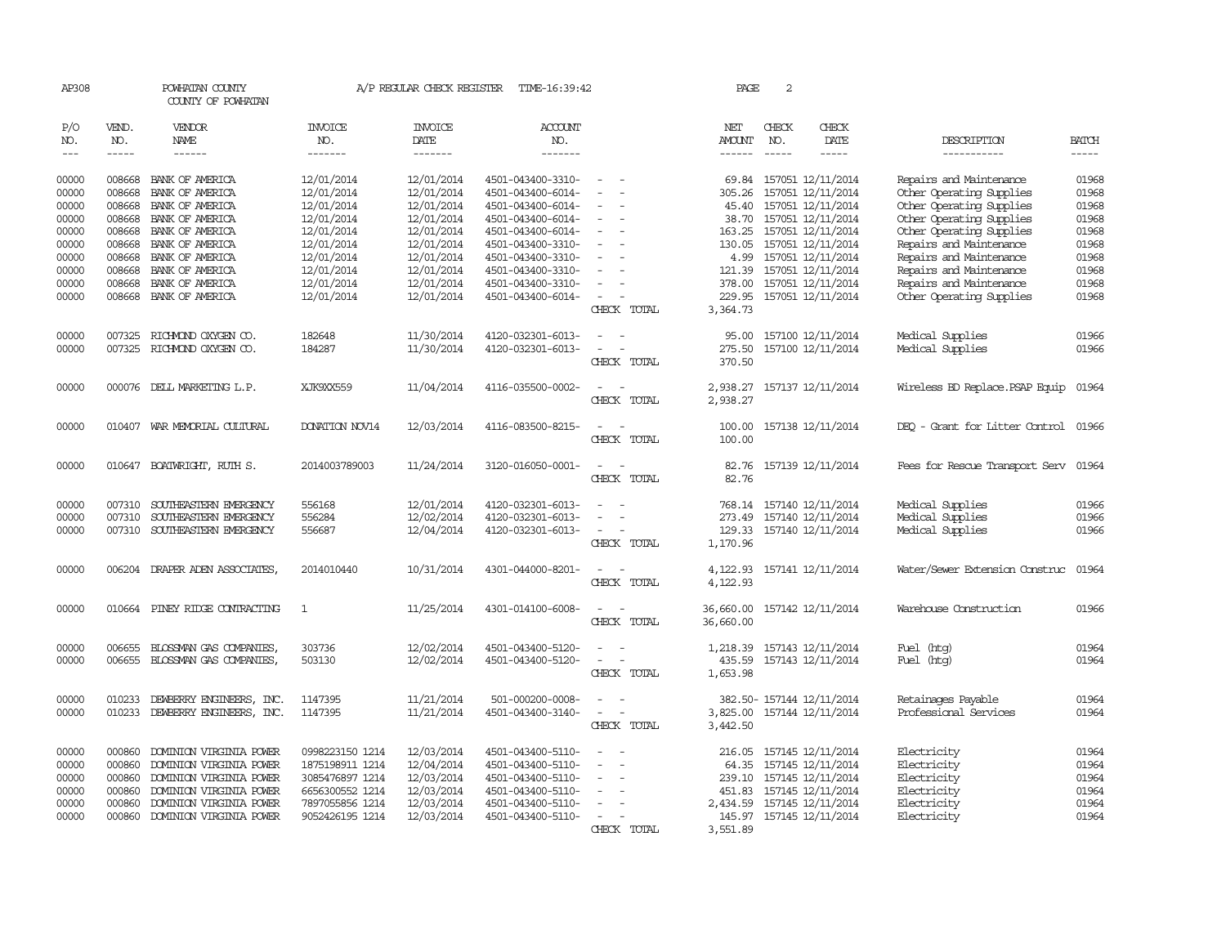| AP308                       |                       | POWHATAN COUNTY<br>COUNTY OF POWHATAN              |                                    | A/P REGULAR CHECK REGISTER                       | TIME-16:39:42                          |                                                                     | PAGE                           | 2                           |                                                     |                                                      |                             |
|-----------------------------|-----------------------|----------------------------------------------------|------------------------------------|--------------------------------------------------|----------------------------------------|---------------------------------------------------------------------|--------------------------------|-----------------------------|-----------------------------------------------------|------------------------------------------------------|-----------------------------|
| P/O<br>NO.<br>$\frac{1}{2}$ | VEND.<br>NO.<br>----- | VENDOR<br>NAME<br>$- - - - - -$                    | <b>INVOICE</b><br>NO.<br>-------   | <b>INVOICE</b><br><b>DATE</b><br>$- - - - - - -$ | <b>ACCOUNT</b><br>NO.<br>-------       |                                                                     | NET<br>AMOUNT<br>$- - - - - -$ | CHECK<br>NO.<br>$- - - - -$ | CHECK<br>DATE<br>-----                              | DESCRIPTION<br>-----------                           | <b>BATCH</b><br>$- - - - -$ |
|                             |                       |                                                    |                                    |                                                  |                                        |                                                                     |                                |                             |                                                     |                                                      |                             |
| 00000<br>00000              | 008668                | 008668 BANK OF AMERICA<br>BANK OF AMERICA          | 12/01/2014<br>12/01/2014           | 12/01/2014<br>12/01/2014                         | 4501-043400-3310-<br>4501-043400-6014- | $\sim$<br>$\equiv$                                                  | 305.26                         |                             | 69.84 157051 12/11/2014<br>157051 12/11/2014        | Repairs and Maintenance<br>Other Operating Supplies  | 01968<br>01968              |
| 00000<br>00000              | 008668<br>008668      | BANK OF AMERICA<br>BANK OF AMERICA                 | 12/01/2014<br>12/01/2014           | 12/01/2014<br>12/01/2014                         | 4501-043400-6014-<br>4501-043400-6014- | $\overline{\phantom{a}}$                                            | 38.70                          |                             | 45.40 157051 12/11/2014<br>157051 12/11/2014        | Other Operating Supplies<br>Other Operating Supplies | 01968<br>01968              |
| 00000                       |                       | 008668 BANK OF AMERICA                             | 12/01/2014                         | 12/01/2014                                       | 4501-043400-6014-                      | $\overline{\phantom{a}}$                                            |                                |                             | 163.25 157051 12/11/2014                            | Other Operating Supplies                             | 01968                       |
| 00000                       | 008668                | BANK OF AMERICA                                    | 12/01/2014                         | 12/01/2014                                       | 4501-043400-3310-                      | $\equiv$                                                            |                                |                             | 130.05 157051 12/11/2014                            | Repairs and Maintenance                              | 01968                       |
| 00000                       | 008668                | BANK OF AMERICA                                    | 12/01/2014                         | 12/01/2014                                       | 4501-043400-3310-                      |                                                                     |                                |                             | 4.99 157051 12/11/2014                              | Repairs and Maintenance                              | 01968                       |
| 00000                       | 008668                | BANK OF AMERICA                                    | 12/01/2014                         | 12/01/2014                                       | 4501-043400-3310-                      | $\equiv$                                                            |                                |                             | 121.39 157051 12/11/2014                            | Repairs and Maintenance                              | 01968                       |
| 00000                       | 008668                | BANK OF AMERICA                                    | 12/01/2014                         | 12/01/2014                                       | 4501-043400-3310-                      | $\equiv$                                                            | 378.00                         |                             | 157051 12/11/2014                                   | Repairs and Maintenance                              | 01968                       |
| 00000                       |                       | 008668 BANK OF AMERICA                             | 12/01/2014                         | 12/01/2014                                       | 4501-043400-6014-                      | $\sim$<br>CHECK TOTAL                                               | 3,364.73                       |                             | 229.95 157051 12/11/2014                            | Other Operating Supplies                             | 01968                       |
| 00000                       | 007325                | RICHMOND OXYGEN CO.                                | 182648                             | 11/30/2014                                       | 4120-032301-6013-                      |                                                                     | 95.00                          |                             | 157100 12/11/2014                                   | Medical Supplies                                     | 01966                       |
| 00000                       |                       | 007325 RICHMOND OXYGEN CO.                         | 184287                             | 11/30/2014                                       | 4120-032301-6013-                      | $\overline{\phantom{a}}$                                            | 275.50                         |                             | 157100 12/11/2014                                   | Medical Supplies                                     | 01966                       |
|                             |                       |                                                    |                                    |                                                  |                                        | CHECK TOTAL                                                         | 370.50                         |                             |                                                     |                                                      |                             |
| 00000                       |                       | 000076 DELL MARKETING L.P.                         | XJK9XX559                          | 11/04/2014                                       | 4116-035500-0002-                      | $\overline{\phantom{a}}$<br>CHECK TOTAL                             | 2,938.27<br>2,938.27           |                             | 157137 12/11/2014                                   | Wireless BD Replace. PSAP Equip                      | 01964                       |
| 00000                       |                       | 010407 WAR MEMORIAL CULTURAL                       | DONATION NOV14                     | 12/03/2014                                       | 4116-083500-8215-                      | CHECK TOTAL                                                         | 100.00<br>100.00               |                             | 157138 12/11/2014                                   | DEQ - Grant for Litter Control 01966                 |                             |
| 00000                       |                       | 010647 BOATWRIGHT, RUTH S.                         | 2014003789003                      | 11/24/2014                                       | 3120-016050-0001-                      | $\sim$<br>$\sim$<br>CHECK TOTAL                                     | 82.76<br>82.76                 |                             | 157139 12/11/2014                                   | Fees for Rescue Transport Serv 01964                 |                             |
| 00000                       |                       | 007310 SOUTHEASTERN EMERGENCY                      | 556168                             | 12/01/2014                                       | 4120-032301-6013-                      | $\sim$<br>$\equiv$                                                  |                                |                             | 768.14 157140 12/11/2014                            | Medical Supplies                                     | 01966                       |
| 00000                       | 007310                | SOUTHEASTERN EMERGENCY                             | 556284                             | 12/02/2014                                       | 4120-032301-6013-                      |                                                                     |                                |                             | 273.49 157140 12/11/2014                            | Medical Supplies                                     | 01966                       |
| 00000                       |                       | 007310 SOUTHEASTERN EMERGENCY                      | 556687                             | 12/04/2014                                       | 4120-032301-6013-                      | $\overline{\phantom{a}}$<br>$\overline{\phantom{a}}$<br>CHECK TOTAL | 1,170.96                       |                             | 129.33 157140 12/11/2014                            | Medical Supplies                                     | 01966                       |
| 00000                       | 006204                | DRAPER ADEN ASSOCIATES,                            | 2014010440                         | 10/31/2014                                       | 4301-044000-8201-                      | CHECK TOTAL                                                         | 4,122.93<br>4,122.93           |                             | 157141 12/11/2014                                   | Water/Sewer Extension Construc                       | 01964                       |
| 00000                       |                       | 010664 PINEY RIDGE CONTRACTING                     | $\mathbf{1}$                       | 11/25/2014                                       | 4301-014100-6008-                      | $\overline{\phantom{a}}$<br>CHECK TOTAL                             | 36,660.00<br>36,660.00         |                             | 157142 12/11/2014                                   | Warehouse Construction                               | 01966                       |
| 00000                       | 006655                | BLOSSMAN GAS COMPANIES,                            | 303736                             | 12/02/2014                                       | 4501-043400-5120-                      |                                                                     | 1,218.39                       |                             | 157143 12/11/2014                                   | Fuel (htg)                                           | 01964                       |
| 00000                       |                       | 006655 BLOSSMAN GAS COMPANIES,                     | 503130                             | 12/02/2014                                       | 4501-043400-5120-                      | $\sim$<br>CHECK TOTAL                                               | 435.59<br>1,653.98             |                             | 157143 12/11/2014                                   | Fuel (htg)                                           | 01964                       |
| 00000                       | 010233                | DEWBERRY ENGINEERS, INC.                           | 1147395                            | 11/21/2014                                       | 501-000200-0008-                       | $\equiv$                                                            |                                |                             | 382.50- 157144 12/11/2014                           | Retainages Payable                                   | 01964                       |
| 00000                       | 010233                | DEWBERRY ENGINEERS, INC.                           | 1147395                            | 11/21/2014                                       | 4501-043400-3140-                      | $\sim$<br>$\overline{\phantom{a}}$<br>CHECK TOTAL                   | 3,442.50                       |                             | 3,825.00 157144 12/11/2014                          | Professional Services                                | 01964                       |
|                             |                       |                                                    |                                    |                                                  |                                        |                                                                     |                                |                             |                                                     |                                                      |                             |
| 00000                       | 000860                | DOMINION VIRGINIA POWER                            | 0998223150 1214                    | 12/03/2014                                       | 4501-043400-5110-                      |                                                                     | 216.05                         |                             | 157145 12/11/2014                                   | Electricity                                          | 01964                       |
| 00000<br>00000              | 000860<br>000860      | DOMINION VIRGINIA POWER<br>DOMINION VIRGINIA POWER | 1875198911 1214<br>3085476897 1214 | 12/04/2014<br>12/03/2014                         | 4501-043400-5110-<br>4501-043400-5110- | $\overline{\phantom{a}}$<br>$\sim$                                  |                                |                             | 64.35 157145 12/11/2014<br>239.10 157145 12/11/2014 | Electricity<br>Electricity                           | 01964<br>01964              |
| 00000                       | 000860                | DOMINION VIRGINIA POWER                            | 6656300552 1214                    | 12/03/2014                                       | 4501-043400-5110-                      |                                                                     | 451.83                         |                             | 157145 12/11/2014                                   | Electricity                                          | 01964                       |
| 00000                       | 000860                | DOMINION VIRGINIA POWER                            | 7897055856 1214                    | 12/03/2014                                       | 4501-043400-5110-                      |                                                                     | 2,434.59                       |                             | 157145 12/11/2014                                   | Electricity                                          | 01964                       |
| 00000                       | 000860                | DOMINION VIRGINIA POWER                            | 9052426195 1214                    | 12/03/2014                                       | 4501-043400-5110-                      |                                                                     |                                |                             | 145.97 157145 12/11/2014                            | Electricity                                          | 01964                       |
|                             |                       |                                                    |                                    |                                                  |                                        | CHECK TOTAL                                                         | 3,551.89                       |                             |                                                     |                                                      |                             |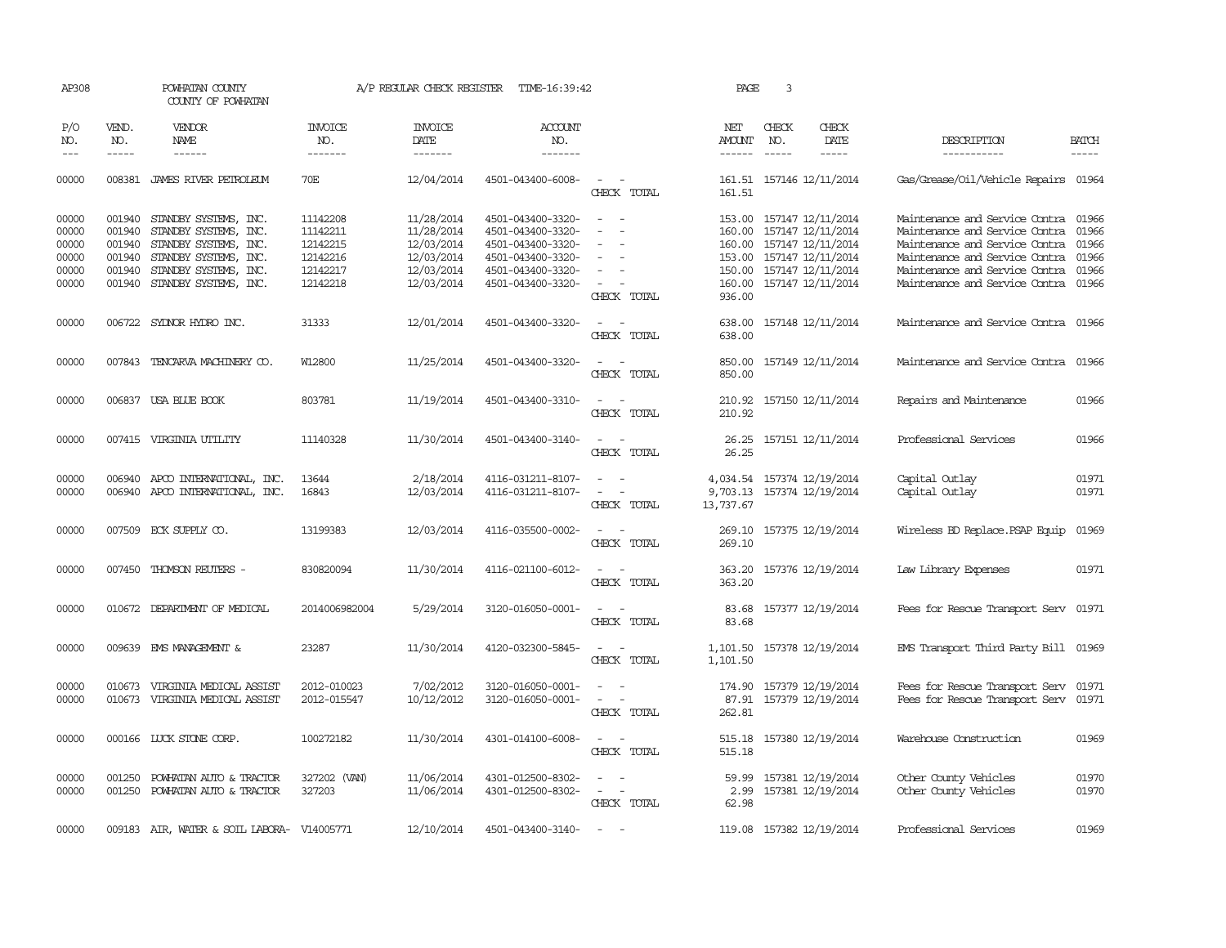| AP308               |                                                                                                                                                                                                                                                                                                                                                                                                                                                                         | POWHATAN COUNTY<br>COUNTY OF POWHATAN      | A/P REGULAR CHECK REGISTER       | TIME-16:39:42                     | PAGE                             | 3                                      |               |                               |                            |                                      |                                                                                                                                                                                                                                                                                                                                                                                                                                                                         |
|---------------------|-------------------------------------------------------------------------------------------------------------------------------------------------------------------------------------------------------------------------------------------------------------------------------------------------------------------------------------------------------------------------------------------------------------------------------------------------------------------------|--------------------------------------------|----------------------------------|-----------------------------------|----------------------------------|----------------------------------------|---------------|-------------------------------|----------------------------|--------------------------------------|-------------------------------------------------------------------------------------------------------------------------------------------------------------------------------------------------------------------------------------------------------------------------------------------------------------------------------------------------------------------------------------------------------------------------------------------------------------------------|
| P/O<br>NO.<br>$---$ | VEND.<br>NO.<br>$\begin{tabular}{ccccc} \multicolumn{2}{c }{\multicolumn{2}{c }{\multicolumn{2}{c }{\multicolumn{2}{c}}{\hspace{-2.2cm}}}} \multicolumn{2}{c }{\multicolumn{2}{c }{\hspace{-2.2cm}}\hline} \multicolumn{2}{c }{\hspace{-2.2cm}}\hline \multicolumn{2}{c }{\hspace{-2.2cm}}\hline \multicolumn{2}{c }{\hspace{-2.2cm}}\hline \multicolumn{2}{c }{\hspace{-2.2cm}}\hline \multicolumn{2}{c }{\hspace{-2.2cm}}\hline \multicolumn{2}{c }{\hspace{-2.2cm}}$ | <b>VENDOR</b><br>NAME<br>------            | <b>INVOICE</b><br>NO.<br>------- | <b>INVOICE</b><br>DATE<br>------- | <b>ACCOUNT</b><br>NO.<br>------- |                                        | NET<br>AMOUNT | CHECK<br>NO.<br>$\frac{1}{2}$ | CHECK<br>DATE              | DESCRIPTION<br>-----------           | <b>BATCH</b><br>$\begin{tabular}{ccccc} \multicolumn{2}{c }{\multicolumn{2}{c }{\multicolumn{2}{c }{\multicolumn{2}{c}}{\hspace{-2.2cm}}}} \multicolumn{2}{c }{\multicolumn{2}{c }{\hspace{-2.2cm}}\hline} \multicolumn{2}{c }{\hspace{-2.2cm}}\hline \multicolumn{2}{c }{\hspace{-2.2cm}}\hline \multicolumn{2}{c }{\hspace{-2.2cm}}\hline \multicolumn{2}{c }{\hspace{-2.2cm}}\hline \multicolumn{2}{c }{\hspace{-2.2cm}}\hline \multicolumn{2}{c }{\hspace{-2.2cm}}$ |
| 00000               |                                                                                                                                                                                                                                                                                                                                                                                                                                                                         | 008381 JAMES RIVER PETROLEUM               | 70E                              | 12/04/2014                        | 4501-043400-6008-                | $\sim$<br>$\sim$                       |               |                               | 161.51 157146 12/11/2014   | Gas/Grease/Oil/Vehicle Repairs 01964 |                                                                                                                                                                                                                                                                                                                                                                                                                                                                         |
|                     |                                                                                                                                                                                                                                                                                                                                                                                                                                                                         |                                            |                                  |                                   |                                  | CHECK TOTAL                            | 161.51        |                               |                            |                                      |                                                                                                                                                                                                                                                                                                                                                                                                                                                                         |
| 00000               |                                                                                                                                                                                                                                                                                                                                                                                                                                                                         | 001940 STANDBY SYSTEMS, INC.               | 11142208                         | 11/28/2014                        | 4501-043400-3320-                | $\sim$ $ -$                            |               |                               | 153.00 157147 12/11/2014   | Maintenance and Service Contra 01966 |                                                                                                                                                                                                                                                                                                                                                                                                                                                                         |
| 00000               | 001940                                                                                                                                                                                                                                                                                                                                                                                                                                                                  | STANDBY SYSTEMS, INC.                      | 11142211                         | 11/28/2014                        | 4501-043400-3320-                | $\overline{\phantom{a}}$<br>$\sim$     | 160.00        |                               | 157147 12/11/2014          | Maintenance and Service Contra       | 01966                                                                                                                                                                                                                                                                                                                                                                                                                                                                   |
| 00000               | 001940                                                                                                                                                                                                                                                                                                                                                                                                                                                                  | STANDBY SYSTEMS, INC.                      | 12142215                         | 12/03/2014                        | 4501-043400-3320-                |                                        |               |                               | 160.00 157147 12/11/2014   | Maintenance and Service Contra       | 01966                                                                                                                                                                                                                                                                                                                                                                                                                                                                   |
| 00000               |                                                                                                                                                                                                                                                                                                                                                                                                                                                                         | 001940 STANDBY SYSTEMS, INC.               | 12142216                         | 12/03/2014                        | 4501-043400-3320-                | $\overline{\phantom{a}}$               |               |                               | 153.00 157147 12/11/2014   | Maintenance and Service Contra       | 01966                                                                                                                                                                                                                                                                                                                                                                                                                                                                   |
| 00000               | 001940                                                                                                                                                                                                                                                                                                                                                                                                                                                                  | STANDBY SYSTEMS, INC.                      | 12142217                         | 12/03/2014                        | 4501-043400-3320-                | $\overline{\phantom{a}}$               | 150.00        |                               | 157147 12/11/2014          | Maintenance and Service Contra 01966 |                                                                                                                                                                                                                                                                                                                                                                                                                                                                         |
| 00000               |                                                                                                                                                                                                                                                                                                                                                                                                                                                                         | 001940 STANDBY SYSTEMS, INC.               | 12142218                         | 12/03/2014                        | 4501-043400-3320-                | $\sim$ $-$                             |               |                               | 160.00 157147 12/11/2014   | Maintenance and Service Contra 01966 |                                                                                                                                                                                                                                                                                                                                                                                                                                                                         |
|                     |                                                                                                                                                                                                                                                                                                                                                                                                                                                                         |                                            |                                  |                                   |                                  | CHECK TOTAL                            | 936.00        |                               |                            |                                      |                                                                                                                                                                                                                                                                                                                                                                                                                                                                         |
| 00000               | 006722                                                                                                                                                                                                                                                                                                                                                                                                                                                                  | SYDNOR HYDRO INC.                          | 31333                            | 12/01/2014                        | 4501-043400-3320-                |                                        | 638.00        |                               | 157148 12/11/2014          | Maintenance and Service Contra 01966 |                                                                                                                                                                                                                                                                                                                                                                                                                                                                         |
|                     |                                                                                                                                                                                                                                                                                                                                                                                                                                                                         |                                            |                                  |                                   |                                  | CHECK TOTAL                            | 638.00        |                               |                            |                                      |                                                                                                                                                                                                                                                                                                                                                                                                                                                                         |
| 00000               |                                                                                                                                                                                                                                                                                                                                                                                                                                                                         | 007843 TENCARVA MACHINERY CO.              | W12800                           | 11/25/2014                        | 4501-043400-3320-                | $\sim$<br>$\sim$                       | 850.00        |                               | 157149 12/11/2014          | Maintenance and Service Contra 01966 |                                                                                                                                                                                                                                                                                                                                                                                                                                                                         |
|                     |                                                                                                                                                                                                                                                                                                                                                                                                                                                                         |                                            |                                  |                                   |                                  | CHECK TOTAL                            | 850.00        |                               |                            |                                      |                                                                                                                                                                                                                                                                                                                                                                                                                                                                         |
| 00000               |                                                                                                                                                                                                                                                                                                                                                                                                                                                                         | 006837 USA BLUE BOOK                       | 803781                           | 11/19/2014                        | 4501-043400-3310-                | $\overline{\phantom{a}}$<br>$\sim$     | 210.92        |                               | 157150 12/11/2014          | Repairs and Maintenance              | 01966                                                                                                                                                                                                                                                                                                                                                                                                                                                                   |
|                     |                                                                                                                                                                                                                                                                                                                                                                                                                                                                         |                                            |                                  |                                   |                                  | CHECK TOTAL                            | 210.92        |                               |                            |                                      |                                                                                                                                                                                                                                                                                                                                                                                                                                                                         |
| 00000               |                                                                                                                                                                                                                                                                                                                                                                                                                                                                         | 007415 VIRGINIA UTILITY                    | 11140328                         | 11/30/2014                        | 4501-043400-3140-                | $\sim$ $\sim$                          |               |                               | 26.25 157151 12/11/2014    | Professional Services                | 01966                                                                                                                                                                                                                                                                                                                                                                                                                                                                   |
|                     |                                                                                                                                                                                                                                                                                                                                                                                                                                                                         |                                            |                                  |                                   |                                  | CHECK TOTAL                            | 26.25         |                               |                            |                                      |                                                                                                                                                                                                                                                                                                                                                                                                                                                                         |
| 00000               |                                                                                                                                                                                                                                                                                                                                                                                                                                                                         | 006940 APCO INTERNATIONAL, INC.            | 13644                            | 2/18/2014                         | 4116-031211-8107-                | $\sim$<br>$\sim$                       |               |                               | 4,034.54 157374 12/19/2014 | Capital Outlay                       | 01971                                                                                                                                                                                                                                                                                                                                                                                                                                                                   |
| 00000               |                                                                                                                                                                                                                                                                                                                                                                                                                                                                         | 006940 APCO INTERNATIONAL, INC.            | 16843                            | 12/03/2014                        | 4116-031211-8107-                | $\overline{\phantom{a}}$<br>$\sim$     |               |                               | 9,703.13 157374 12/19/2014 | Capital Outlay                       | 01971                                                                                                                                                                                                                                                                                                                                                                                                                                                                   |
|                     |                                                                                                                                                                                                                                                                                                                                                                                                                                                                         |                                            |                                  |                                   |                                  | CHECK TOTAL                            | 13,737.67     |                               |                            |                                      |                                                                                                                                                                                                                                                                                                                                                                                                                                                                         |
| 00000               |                                                                                                                                                                                                                                                                                                                                                                                                                                                                         | 007509 ECK SUPPLY CO.                      | 13199383                         | 12/03/2014                        | 4116-035500-0002-                | $\sim$ $\sim$                          |               |                               | 269.10 157375 12/19/2014   | Wireless BD Replace.PSAP Equip       | 01969                                                                                                                                                                                                                                                                                                                                                                                                                                                                   |
|                     |                                                                                                                                                                                                                                                                                                                                                                                                                                                                         |                                            |                                  |                                   |                                  | CHECK TOTAL                            | 269.10        |                               |                            |                                      |                                                                                                                                                                                                                                                                                                                                                                                                                                                                         |
| 00000               |                                                                                                                                                                                                                                                                                                                                                                                                                                                                         | 007450 THOMSON REUTERS -                   | 830820094                        | 11/30/2014                        | 4116-021100-6012-                |                                        | 363.20        |                               | 157376 12/19/2014          | Law Library Expenses                 | 01971                                                                                                                                                                                                                                                                                                                                                                                                                                                                   |
|                     |                                                                                                                                                                                                                                                                                                                                                                                                                                                                         |                                            |                                  |                                   |                                  | CHECK TOTAL                            | 363.20        |                               |                            |                                      |                                                                                                                                                                                                                                                                                                                                                                                                                                                                         |
| 00000               |                                                                                                                                                                                                                                                                                                                                                                                                                                                                         | 010672 DEPARIMENT OF MEDICAL               | 2014006982004                    | 5/29/2014                         | 3120-016050-0001-                | $\sim$ $\sim$                          | 83.68         |                               | 157377 12/19/2014          | Fees for Rescue Transport Serv 01971 |                                                                                                                                                                                                                                                                                                                                                                                                                                                                         |
|                     |                                                                                                                                                                                                                                                                                                                                                                                                                                                                         |                                            |                                  |                                   |                                  | CHECK TOTAL                            | 83.68         |                               |                            |                                      |                                                                                                                                                                                                                                                                                                                                                                                                                                                                         |
| 00000               |                                                                                                                                                                                                                                                                                                                                                                                                                                                                         | 009639 EMS MANAGEMENT &                    | 23287                            | 11/30/2014                        | 4120-032300-5845-                | $\sim$ $\sim$                          |               |                               | 1,101.50 157378 12/19/2014 | EMS Transport Third Party Bill 01969 |                                                                                                                                                                                                                                                                                                                                                                                                                                                                         |
|                     |                                                                                                                                                                                                                                                                                                                                                                                                                                                                         |                                            |                                  |                                   |                                  | CHECK TOTAL                            | 1,101.50      |                               |                            |                                      |                                                                                                                                                                                                                                                                                                                                                                                                                                                                         |
|                     |                                                                                                                                                                                                                                                                                                                                                                                                                                                                         |                                            |                                  |                                   |                                  |                                        |               |                               |                            |                                      |                                                                                                                                                                                                                                                                                                                                                                                                                                                                         |
| 00000               | 010673                                                                                                                                                                                                                                                                                                                                                                                                                                                                  | VIRGINIA MEDICAL ASSIST                    | 2012-010023                      | 7/02/2012                         | 3120-016050-0001-                | $\overline{\phantom{a}}$               |               |                               | 174.90 157379 12/19/2014   | Fees for Rescue Transport Serv 01971 |                                                                                                                                                                                                                                                                                                                                                                                                                                                                         |
| 00000               |                                                                                                                                                                                                                                                                                                                                                                                                                                                                         | 010673 VIRGINIA MEDICAL ASSIST             | 2012-015547                      | 10/12/2012                        | 3120-016050-0001-                | $\sim$ $ -$<br>CHECK TOTAL             | 262.81        |                               | 87.91 157379 12/19/2014    | Fees for Rescue Transport Serv 01971 |                                                                                                                                                                                                                                                                                                                                                                                                                                                                         |
|                     |                                                                                                                                                                                                                                                                                                                                                                                                                                                                         |                                            |                                  |                                   |                                  |                                        |               |                               |                            |                                      |                                                                                                                                                                                                                                                                                                                                                                                                                                                                         |
| 00000               |                                                                                                                                                                                                                                                                                                                                                                                                                                                                         | 000166 LUCK STONE CORP.                    | 100272182                        | 11/30/2014                        | 4301-014100-6008-                | $\sim$ $ \sim$                         | 515.18        |                               | 157380 12/19/2014          | Warehouse Construction               | 01969                                                                                                                                                                                                                                                                                                                                                                                                                                                                   |
|                     |                                                                                                                                                                                                                                                                                                                                                                                                                                                                         |                                            |                                  |                                   |                                  | CHECK TOTAL                            | 515.18        |                               |                            |                                      |                                                                                                                                                                                                                                                                                                                                                                                                                                                                         |
| 00000               | 001250                                                                                                                                                                                                                                                                                                                                                                                                                                                                  | POWHATAN AUTO & TRACTOR                    | 327202 (VAN)                     | 11/06/2014                        | 4301-012500-8302-                | $\overline{\phantom{a}}$               | 59.99         |                               | 157381 12/19/2014          | Other County Vehicles                | 01970                                                                                                                                                                                                                                                                                                                                                                                                                                                                   |
| 00000               |                                                                                                                                                                                                                                                                                                                                                                                                                                                                         | 001250 POWHATAN AUTO & TRACTOR             | 327203                           | 11/06/2014                        | 4301-012500-8302-                | $\sim$ $-$<br>$\overline{\phantom{a}}$ |               |                               | 2.99 157381 12/19/2014     | Other County Vehicles                | 01970                                                                                                                                                                                                                                                                                                                                                                                                                                                                   |
|                     |                                                                                                                                                                                                                                                                                                                                                                                                                                                                         |                                            |                                  |                                   |                                  | CHECK TOTAL                            | 62.98         |                               |                            |                                      |                                                                                                                                                                                                                                                                                                                                                                                                                                                                         |
| 00000               |                                                                                                                                                                                                                                                                                                                                                                                                                                                                         | 009183 AIR, WATER & SOIL LABORA- V14005771 |                                  | 12/10/2014                        | 4501-043400-3140-                | $\sim$                                 |               |                               | 119.08 157382 12/19/2014   | Professional Services                | 01969                                                                                                                                                                                                                                                                                                                                                                                                                                                                   |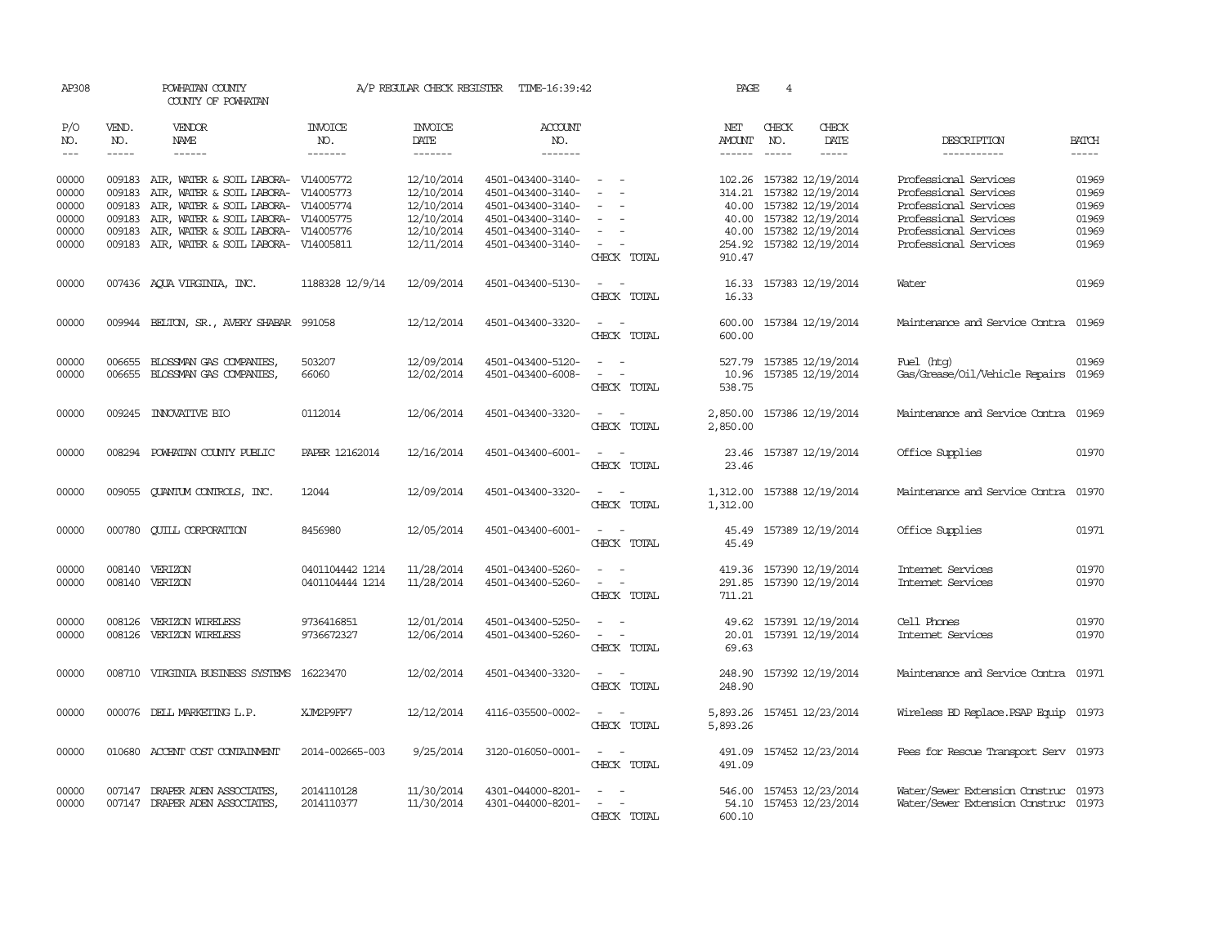| AP308          |                  | POWHATAN COUNTY<br>COUNTY OF POWHATAN                  |                        | A/P REGULAR CHECK REGISTER    | TIME-16:39:42                          | PAGE                                              | 4                    |               |                                        |                                                |                |
|----------------|------------------|--------------------------------------------------------|------------------------|-------------------------------|----------------------------------------|---------------------------------------------------|----------------------|---------------|----------------------------------------|------------------------------------------------|----------------|
| P/O<br>NO.     | VEND.<br>NO.     | <b>VENDOR</b><br>NAME                                  | <b>INVOICE</b><br>NO.  | <b>INVOICE</b><br><b>DATE</b> | <b>ACCOUNT</b><br>NO.                  |                                                   | NET<br><b>AMOUNT</b> | CHECK<br>NO.  | CHECK<br>DATE                          | DESCRIPTION                                    | <b>BATCH</b>   |
| $---$          |                  | $- - - - - -$                                          | -------                | -------                       | -------                                |                                                   | $- - - - - -$        | $\frac{1}{2}$ | -----                                  | -----------                                    | $- - - - -$    |
| 00000<br>00000 | 009183<br>009183 | AIR, WATER & SOIL LABORA-<br>AIR, WATER & SOIL LABORA- | V14005772<br>V14005773 | 12/10/2014<br>12/10/2014      | 4501-043400-3140-<br>4501-043400-3140- |                                                   | 102.26<br>314.21     |               | 157382 12/19/2014<br>157382 12/19/2014 | Professional Services<br>Professional Services | 01969<br>01969 |
| 00000          | 009183           | AIR, WATER & SOIL LABORA- V14005774                    |                        | 12/10/2014                    | 4501-043400-3140-                      | $\overline{\phantom{a}}$                          | 40.00                |               | 157382 12/19/2014                      | Professional Services                          | 01969          |
| 00000          | 009183           | AIR, WATER & SOIL LABORA- V14005775                    |                        | 12/10/2014                    | 4501-043400-3140-                      | $\equiv$                                          | 40.00                |               | 157382 12/19/2014                      | Professional Services                          | 01969          |
| 00000          | 009183           | AIR, WATER & SOIL LABORA- V14005776                    |                        | 12/10/2014                    | 4501-043400-3140-                      |                                                   | 40.00                |               | 157382 12/19/2014                      | Professional Services                          | 01969          |
| 00000          |                  | 009183 AIR, WATER & SOIL LABORA- V14005811             |                        | 12/11/2014                    | 4501-043400-3140-                      | $\overline{\phantom{a}}$<br>CHECK TOTAL           | 254.92<br>910.47     |               | 157382 12/19/2014                      | Professional Services                          | 01969          |
| 00000          |                  | 007436 AQUA VIRGINIA, INC.                             | 1188328 12/9/14        | 12/09/2014                    | 4501-043400-5130-                      | $\sim$ $ \sim$<br>CHECK TOTAL                     | 16.33<br>16.33       |               | 157383 12/19/2014                      | Water                                          | 01969          |
| 00000          |                  | 009944 BELTON, SR., AVERY SHABAR                       | 991058                 | 12/12/2014                    | 4501-043400-3320-                      | $\sim$ $\sim$<br>CHECK TOTAL                      | 600.00<br>600.00     |               | 157384 12/19/2014                      | Maintenance and Service Contra                 | 01969          |
|                |                  |                                                        |                        |                               |                                        |                                                   |                      |               |                                        |                                                |                |
| 00000          | 006655           | BLOSSMAN GAS COMPANIES,                                | 503207                 | 12/09/2014                    | 4501-043400-5120-                      |                                                   | 527.79               |               | 157385 12/19/2014                      | Fuel (htg)                                     | 01969          |
| 00000          | 006655           | BLOSSMAN GAS COMPANIES,                                | 66060                  | 12/02/2014                    | 4501-043400-6008-                      | $\sim$<br>$\overline{\phantom{a}}$<br>CHECK TOTAL | 10.96<br>538.75      |               | 157385 12/19/2014                      | Gas/Grease/Oil/Vehicle Repairs                 | 01969          |
| 00000          |                  | 009245 INNOVATIVE BIO                                  | 0112014                | 12/06/2014                    | 4501-043400-3320-                      | $\sim$<br>$\sim$<br>CHECK TOTAL                   | 2,850.00<br>2,850.00 |               | 157386 12/19/2014                      | Maintenance and Service Contra                 | 01969          |
| 00000          |                  | 008294 POWHATAN COUNTY PUBLIC                          | PAPER 12162014         | 12/16/2014                    | 4501-043400-6001-                      | CHECK TOTAL                                       | 23.46<br>23.46       |               | 157387 12/19/2014                      | Office Supplies                                | 01970          |
| 00000          | 009055           | <b>QUANTUM CONTROLS, INC.</b>                          | 12044                  | 12/09/2014                    | 4501-043400-3320-                      | $\sim$<br>CHECK TOTAL                             | 1,312.00<br>1,312.00 |               | 157388 12/19/2014                      | Maintenance and Service Contra                 | 01970          |
| 00000          |                  | 000780 CUILL CORPORATION                               | 8456980                | 12/05/2014                    | 4501-043400-6001-                      | $\sim$<br>$\sim$<br>CHECK TOTAL                   | 45.49<br>45.49       |               | 157389 12/19/2014                      | Office Supplies                                | 01971          |
| 00000          | 008140           | VERIZON                                                | 0401104442 1214        | 11/28/2014                    | 4501-043400-5260-                      |                                                   | 419.36               |               | 157390 12/19/2014                      | Internet Services                              | 01970          |
| 00000          |                  | 008140 VERIZON                                         | 0401104444 1214        | 11/28/2014                    | 4501-043400-5260-                      | $\overline{\phantom{a}}$<br>CHECK TOTAL           | 291.85<br>711.21     |               | 157390 12/19/2014                      | Internet Services                              | 01970          |
| 00000          | 008126           | VERIZON WIRELESS                                       | 9736416851             | 12/01/2014                    | 4501-043400-5250-                      |                                                   | 49.62                |               | 157391 12/19/2014                      | Cell Phones                                    | 01970          |
| 00000          | 008126           | VERIZON WIRELESS                                       | 9736672327             | 12/06/2014                    | 4501-043400-5260-                      | $\overline{\phantom{a}}$<br>CHECK TOTAL           | 20.01<br>69.63       |               | 157391 12/19/2014                      | Internet Services                              | 01970          |
| 00000          |                  | 008710 VIRGINIA BUSINESS SYSTEMS                       | 16223470               | 12/02/2014                    | 4501-043400-3320-                      | CHECK TOTAL                                       | 248.90<br>248.90     |               | 157392 12/19/2014                      | Maintenance and Service Contra                 | 01971          |
| 00000          |                  | 000076 DELL MARKETING L.P.                             | XJM2P9FF7              | 12/12/2014                    | 4116-035500-0002-                      | CHECK TOTAL                                       | 5,893.26<br>5,893.26 |               | 157451 12/23/2014                      | Wireless BD Replace. PSAP Equip                | 01973          |
| 00000          |                  | 010680 ACCENT COST CONTAINMENT                         | 2014-002665-003        | 9/25/2014                     | 3120-016050-0001-                      | CHECK TOTAL                                       | 491.09<br>491.09     |               | 157452 12/23/2014                      | Fees for Rescue Transport Serv 01973           |                |
| 00000          |                  | 007147 DRAPER ADEN ASSOCIATES,                         | 2014110128             | 11/30/2014                    | 4301-044000-8201-                      |                                                   | 546.00               |               | 157453 12/23/2014                      | Water/Sewer Extension Construc                 | 01973          |
| 00000          |                  | 007147 DRAPER ADEN ASSOCIATES,                         | 2014110377             | 11/30/2014                    | 4301-044000-8201-                      | $\overline{\phantom{a}}$                          | 54.10                |               | 157453 12/23/2014                      | Water/Sewer Extension Construc 01973           |                |
|                |                  |                                                        |                        |                               |                                        | CHECK TOTAL                                       | 600.10               |               |                                        |                                                |                |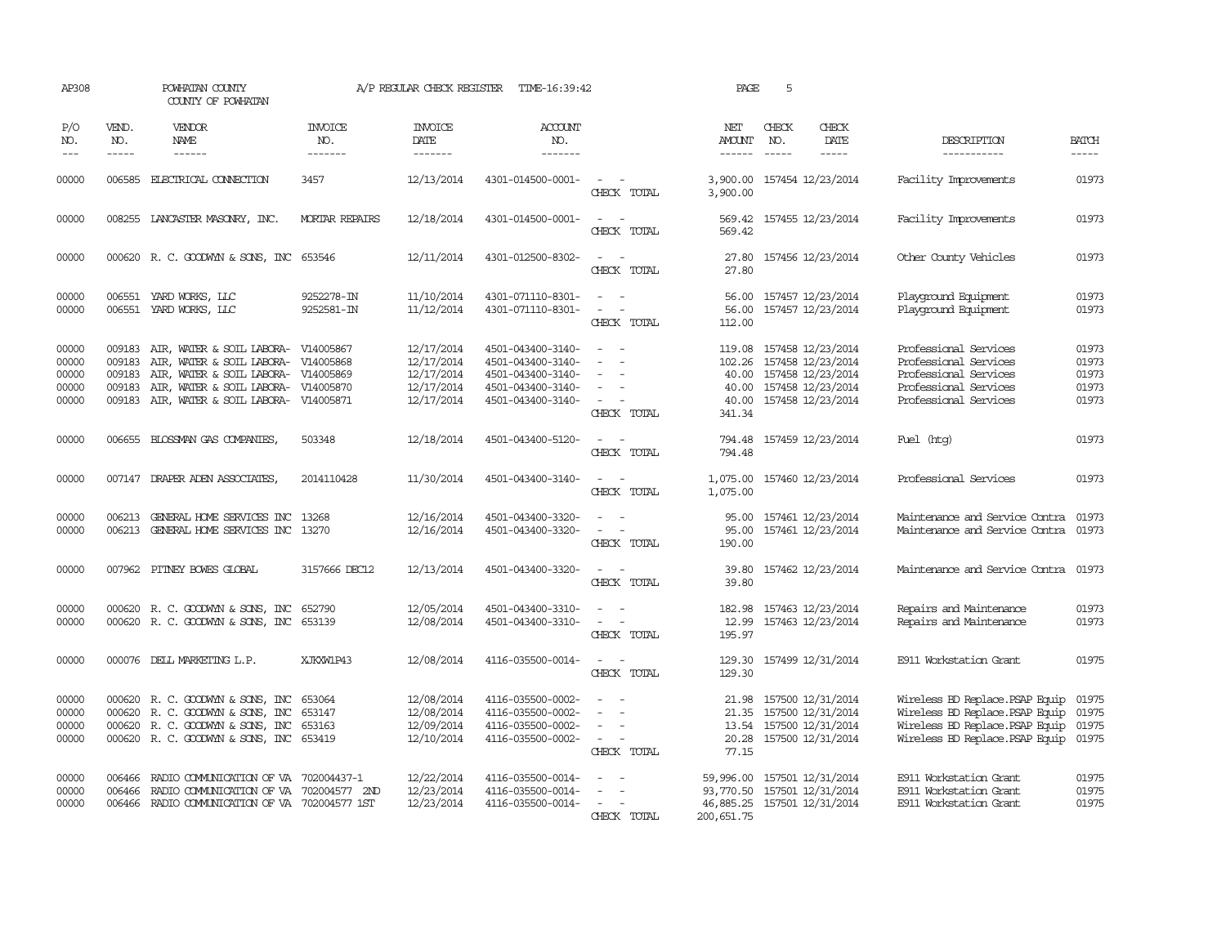| AP308                                     |                                      | POWHATAN COUNTY<br>COUNTY OF POWHATAN                                                                                                                                                        |                                      | A/P REGULAR CHECK REGISTER                                         | TIME-16:39:42                                                                                         |                                                                                                                                                                                       | PAGE                           | 5            |                                                                                                                                |                                                                                                                                          |                                           |
|-------------------------------------------|--------------------------------------|----------------------------------------------------------------------------------------------------------------------------------------------------------------------------------------------|--------------------------------------|--------------------------------------------------------------------|-------------------------------------------------------------------------------------------------------|---------------------------------------------------------------------------------------------------------------------------------------------------------------------------------------|--------------------------------|--------------|--------------------------------------------------------------------------------------------------------------------------------|------------------------------------------------------------------------------------------------------------------------------------------|-------------------------------------------|
| P/O<br>NO.<br>$---$                       | VEND.<br>NO.<br>$- - - - -$          | VENDOR<br><b>NAME</b><br>$- - - - - -$                                                                                                                                                       | INVOICE<br>NO.<br>-------            | <b>INVOICE</b><br>DATE<br>-------                                  | <b>ACCOUNT</b><br>NO.<br>-------                                                                      |                                                                                                                                                                                       | NET<br>AMOUNT<br>$- - - - - -$ | CHECK<br>NO. | CHECK<br>DATE<br>$- - - - -$                                                                                                   | DESCRIPTION<br>-----------                                                                                                               | <b>BATCH</b><br>-----                     |
| 00000                                     | 006585                               | ELECTRICAL CONNECTION                                                                                                                                                                        | 3457                                 | 12/13/2014                                                         | 4301-014500-0001-                                                                                     | $\sim$<br>CHECK TOTAL                                                                                                                                                                 | 3,900.00                       |              | 3,900.00 157454 12/23/2014                                                                                                     | Facility Improvements                                                                                                                    | 01973                                     |
| 00000                                     |                                      | 008255 LANCASTER MASONRY, INC.                                                                                                                                                               | <b>MORTAR REPAIRS</b>                | 12/18/2014                                                         | 4301-014500-0001-                                                                                     | $\frac{1}{2} \left( \frac{1}{2} \right) \left( \frac{1}{2} \right) = \frac{1}{2} \left( \frac{1}{2} \right)$<br>CHECK TOTAL                                                           | 569.42                         |              | 569.42 157455 12/23/2014                                                                                                       | Facility Improvements                                                                                                                    | 01973                                     |
| 00000                                     |                                      | 000620 R.C. GOODWYN & SONS, INC 653546                                                                                                                                                       |                                      | 12/11/2014                                                         | 4301-012500-8302-                                                                                     | $\sim$ $ \sim$<br>CHECK TOTAL                                                                                                                                                         | 27.80                          |              | 27.80 157456 12/23/2014                                                                                                        | Other County Vehicles                                                                                                                    | 01973                                     |
| 00000<br>00000                            |                                      | 006551 YARD WORKS, LLC<br>006551 YARD WORKS, LLC                                                                                                                                             | 9252278-IN<br>9252581-IN             | 11/10/2014<br>11/12/2014                                           | 4301-071110-8301-<br>4301-071110-8301-                                                                | $\omega_{\rm{max}}$ and $\omega_{\rm{max}}$<br>$\omega_{\rm{max}}$ and $\omega_{\rm{max}}$<br>CHECK TOTAL                                                                             | 56.00<br>112.00                |              | 56.00 157457 12/23/2014<br>157457 12/23/2014                                                                                   | Playground Equipment<br>Playground Equipment                                                                                             | 01973<br>01973                            |
| 00000<br>00000<br>00000<br>00000<br>00000 | 009183<br>009183<br>009183<br>009183 | AIR, WATER & SOIL LABORA- V14005867<br>AIR, WATER & SOIL LABORA- V14005868<br>AIR, WATER & SOIL LABORA- V14005869<br>AIR, WATER & SOIL LABORA- V14005870<br>009183 AIR, WATER & SOIL LABORA- | V14005871                            | 12/17/2014<br>12/17/2014<br>12/17/2014<br>12/17/2014<br>12/17/2014 | 4501-043400-3140-<br>4501-043400-3140-<br>4501-043400-3140-<br>4501-043400-3140-<br>4501-043400-3140- | $\frac{1}{2} \left( \frac{1}{2} \right) \left( \frac{1}{2} \right) = \frac{1}{2} \left( \frac{1}{2} \right)$<br>$\sim$<br>$\sim$<br>$\overline{\phantom{a}}$<br>$\sim$<br>CHECK TOTAL | 119.08<br>341.34               |              | 157458 12/23/2014<br>102.26 157458 12/23/2014<br>40.00 157458 12/23/2014<br>40.00 157458 12/23/2014<br>40.00 157458 12/23/2014 | Professional Services<br>Professional Services<br>Professional Services<br>Professional Services<br>Professional Services                | 01973<br>01973<br>01973<br>01973<br>01973 |
| 00000                                     |                                      | 006655 BLOSSMAN GAS COMPANIES,                                                                                                                                                               | 503348                               | 12/18/2014                                                         | 4501-043400-5120-                                                                                     | $\overline{\phantom{a}}$<br>CHECK TOTAL                                                                                                                                               | 794.48<br>794.48               |              | 157459 12/23/2014                                                                                                              | Fuel (htg)                                                                                                                               | 01973                                     |
| 00000                                     |                                      | 007147 DRAPER ADEN ASSOCIATES,                                                                                                                                                               | 2014110428                           | 11/30/2014                                                         | 4501-043400-3140-                                                                                     | $\sim$ $\sim$<br>CHECK TOTAL                                                                                                                                                          | 1,075.00<br>1,075.00           |              | 157460 12/23/2014                                                                                                              | Professional Services                                                                                                                    | 01973                                     |
| 00000<br>00000                            |                                      | 006213 GENERAL HOME SERVICES INC 13268<br>006213 GENERAL HOME SERVICES INC 13270                                                                                                             |                                      | 12/16/2014<br>12/16/2014                                           | 4501-043400-3320-<br>4501-043400-3320-                                                                | $\sim$ $ \sim$<br>$\sim$<br>CHECK TOTAL                                                                                                                                               | 95.00<br>95.00<br>190.00       |              | 157461 12/23/2014<br>157461 12/23/2014                                                                                         | Maintenance and Service Contra 01973<br>Maintenance and Service Contra                                                                   | 01973                                     |
| 00000                                     |                                      | 007962 PITNEY BOWES GLOBAL                                                                                                                                                                   | 3157666 DEC12                        | 12/13/2014                                                         | 4501-043400-3320-                                                                                     | $\sim$ $ \sim$<br>CHECK TOTAL                                                                                                                                                         | 39.80<br>39.80                 |              | 157462 12/23/2014                                                                                                              | Maintenance and Service Contra 01973                                                                                                     |                                           |
| 00000<br>00000                            |                                      | 000620 R. C. GOODWYN & SONS, INC<br>000620 R. C. GOODWYN & SONS, INC 653139                                                                                                                  | 652790                               | 12/05/2014<br>12/08/2014                                           | 4501-043400-3310-<br>4501-043400-3310-                                                                | $\sim$ 100 $\mu$<br>CHECK TOTAL                                                                                                                                                       | 182.98<br>195.97               |              | 157463 12/23/2014<br>12.99 157463 12/23/2014                                                                                   | Repairs and Maintenance<br>Repairs and Maintenance                                                                                       | 01973<br>01973                            |
| 00000                                     |                                      | 000076 DELL MARKETING L.P.                                                                                                                                                                   | XJKXW1P43                            | 12/08/2014                                                         | 4116-035500-0014-                                                                                     | CHECK TOTAL                                                                                                                                                                           | 129.30<br>129.30               |              | 157499 12/31/2014                                                                                                              | E911 Workstation Grant                                                                                                                   | 01975                                     |
| 00000<br>00000<br>00000<br>00000          |                                      | 000620 R. C. GOODWYN & SONS, INC<br>000620 R. C. GOODWYN & SONS, INC<br>000620 R. C. GOODWYN & SONS, INC<br>000620 R. C. GOODWYN & SONS, INC                                                 | 653064<br>653147<br>653163<br>653419 | 12/08/2014<br>12/08/2014<br>12/09/2014<br>12/10/2014               | 4116-035500-0002-<br>4116-035500-0002-<br>4116-035500-0002-<br>4116-035500-0002-                      | $\sim$<br>$\equiv$<br>$\sim$<br>CHECK TOTAL                                                                                                                                           | 21.98<br>77.15                 |              | 157500 12/31/2014<br>21.35 157500 12/31/2014<br>13.54 157500 12/31/2014<br>20.28 157500 12/31/2014                             | Wireless BD Replace. PSAP Equip<br>Wireless BD Replace. PSAP Equip<br>Wireless BD Replace. PSAP Equip<br>Wireless BD Replace. PSAP Equip | 01975<br>01975<br>01975<br>01975          |
| 00000<br>00000<br>00000                   | 006466<br>006466                     | RADIO COMMUNICATION OF VA 702004437-1<br>RADIO COMMUNICATION OF VA 702004577 2ND<br>006466 RADIO COMMUNICATION OF VA 702004577 1ST                                                           |                                      | 12/22/2014<br>12/23/2014<br>12/23/2014                             | 4116-035500-0014-<br>4116-035500-0014-<br>4116-035500-0014-                                           | $\frac{1}{2} \left( \frac{1}{2} \right) \left( \frac{1}{2} \right) = \frac{1}{2} \left( \frac{1}{2} \right)$<br>CHECK TOTAL                                                           | 200, 651.75                    |              | 59,996.00 157501 12/31/2014<br>93,770.50 157501 12/31/2014<br>46,885.25 157501 12/31/2014                                      | E911 Workstation Grant<br>E911 Workstation Grant<br>E911 Workstation Grant                                                               | 01975<br>01975<br>01975                   |